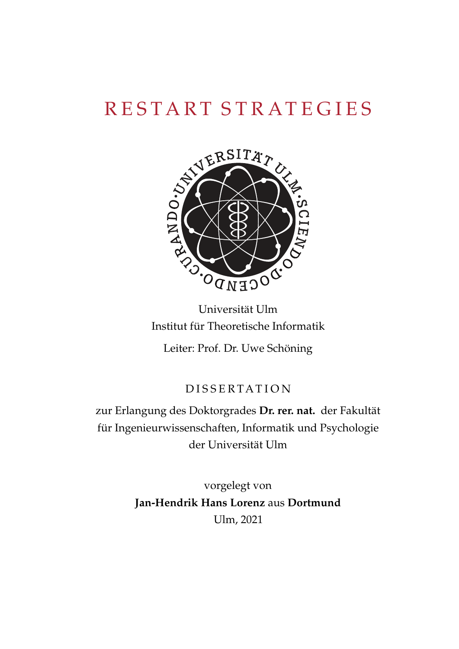

Universität Ulm Institut für Theoretische Informatik Leiter: Prof. Dr. Uwe Schöning

# D I S S E R T A T I O N

zur Erlangung des Doktorgrades **Dr. rer. nat.** der Fakultät für Ingenieurwissenschaften, Informatik und Psychologie der Universität Ulm

> vorgelegt von **Jan-Hendrik Hans Lorenz** aus **Dortmund** Ulm, 2021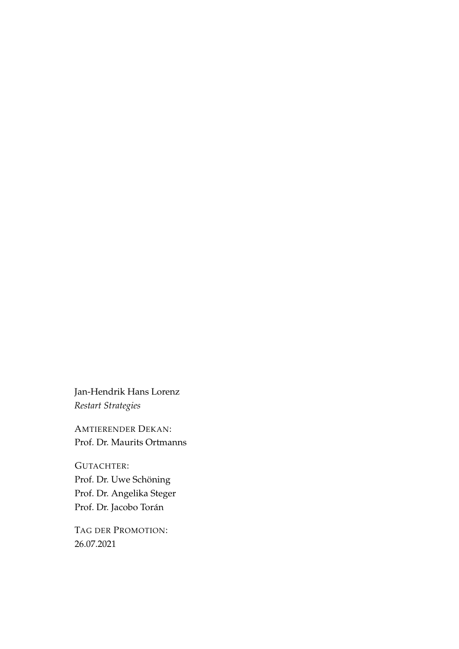Jan-Hendrik Hans Lorenz *Restart Strategies*

AMTIERENDER DEKAN: Prof. Dr. Maurits Ortmanns

GUTACHTER: Prof. Dr. Uwe Schöning Prof. Dr. Angelika Steger Prof. Dr. Jacobo Torán

TAG DER PROMOTION: 26.07.2021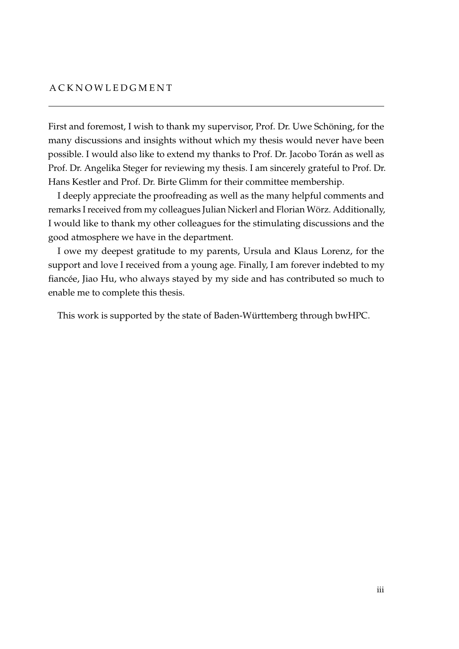#### **ACKNOWLEDGMENT**

First and foremost, I wish to thank my supervisor, Prof. Dr. Uwe Schöning, for the many discussions and insights without which my thesis would never have been possible. I would also like to extend my thanks to Prof. Dr. Jacobo Torán as well as Prof. Dr. Angelika Steger for reviewing my thesis. I am sincerely grateful to Prof. Dr. Hans Kestler and Prof. Dr. Birte Glimm for their committee membership.

I deeply appreciate the proofreading as well as the many helpful comments and remarks I received from my colleagues Julian Nickerl and Florian Wörz. Additionally, I would like to thank my other colleagues for the stimulating discussions and the good atmosphere we have in the department.

I owe my deepest gratitude to my parents, Ursula and Klaus Lorenz, for the support and love I received from a young age. Finally, I am forever indebted to my fiancée, Jiao Hu, who always stayed by my side and has contributed so much to enable me to complete this thesis.

This work is supported by the state of Baden-Württemberg through bwHPC.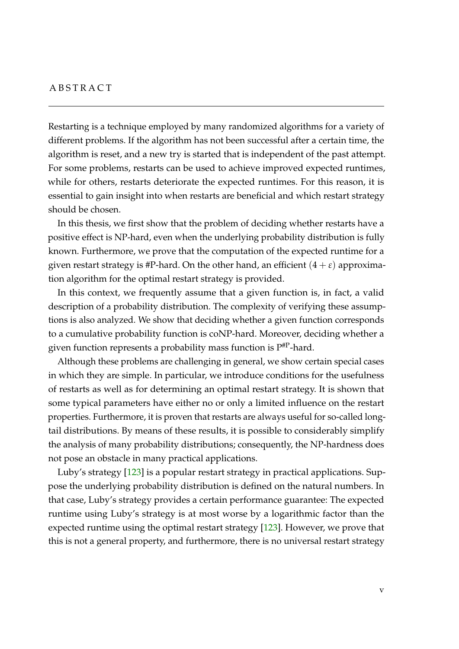#### **ABSTRACT**

Restarting is a technique employed by many randomized algorithms for a variety of different problems. If the algorithm has not been successful after a certain time, the algorithm is reset, and a new try is started that is independent of the past attempt. For some problems, restarts can be used to achieve improved expected runtimes, while for others, restarts deteriorate the expected runtimes. For this reason, it is essential to gain insight into when restarts are beneficial and which restart strategy should be chosen.

In this thesis, we first show that the problem of deciding whether restarts have a positive effect is NP-hard, even when the underlying probability distribution is fully known. Furthermore, we prove that the computation of the expected runtime for a given restart strategy is #P-hard. On the other hand, an efficient  $(4 + \varepsilon)$  approximation algorithm for the optimal restart strategy is provided.

In this context, we frequently assume that a given function is, in fact, a valid description of a probability distribution. The complexity of verifying these assumptions is also analyzed. We show that deciding whether a given function corresponds to a cumulative probability function is coNP-hard. Moreover, deciding whether a given function represents a probability mass function is  $P^{#P}$ -hard.

Although these problems are challenging in general, we show certain special cases in which they are simple. In particular, we introduce conditions for the usefulness of restarts as well as for determining an optimal restart strategy. It is shown that some typical parameters have either no or only a limited influence on the restart properties. Furthermore, it is proven that restarts are always useful for so-called longtail distributions. By means of these results, it is possible to considerably simplify the analysis of many probability distributions; consequently, the NP-hardness does not pose an obstacle in many practical applications.

Luby's strategy [\[123\]](#page-220-0) is a popular restart strategy in practical applications. Suppose the underlying probability distribution is defined on the natural numbers. In that case, Luby's strategy provides a certain performance guarantee: The expected runtime using Luby's strategy is at most worse by a logarithmic factor than the expected runtime using the optimal restart strategy [\[123\]](#page-220-0). However, we prove that this is not a general property, and furthermore, there is no universal restart strategy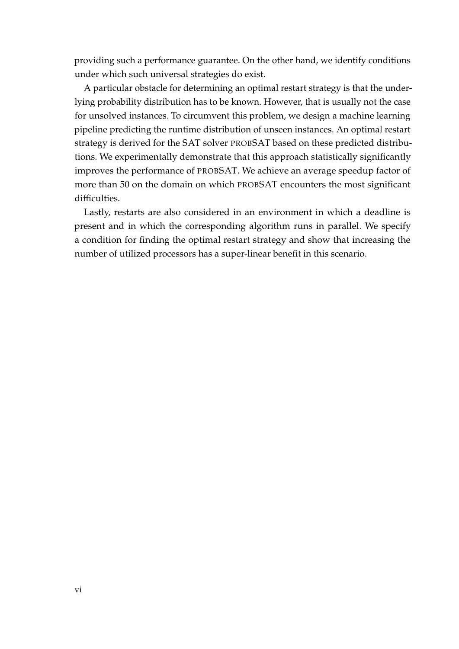providing such a performance guarantee. On the other hand, we identify conditions under which such universal strategies do exist.

A particular obstacle for determining an optimal restart strategy is that the underlying probability distribution has to be known. However, that is usually not the case for unsolved instances. To circumvent this problem, we design a machine learning pipeline predicting the runtime distribution of unseen instances. An optimal restart strategy is derived for the SAT solver PROBSAT based on these predicted distributions. We experimentally demonstrate that this approach statistically significantly improves the performance of PROBSAT. We achieve an average speedup factor of more than 50 on the domain on which PROBSAT encounters the most significant difficulties.

Lastly, restarts are also considered in an environment in which a deadline is present and in which the corresponding algorithm runs in parallel. We specify a condition for finding the optimal restart strategy and show that increasing the number of utilized processors has a super-linear benefit in this scenario.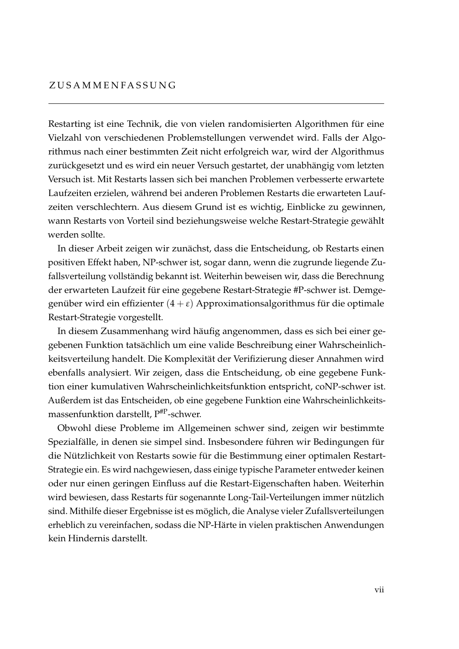Restarting ist eine Technik, die von vielen randomisierten Algorithmen für eine Vielzahl von verschiedenen Problemstellungen verwendet wird. Falls der Algorithmus nach einer bestimmten Zeit nicht erfolgreich war, wird der Algorithmus zurückgesetzt und es wird ein neuer Versuch gestartet, der unabhängig vom letzten Versuch ist. Mit Restarts lassen sich bei manchen Problemen verbesserte erwartete Laufzeiten erzielen, während bei anderen Problemen Restarts die erwarteten Laufzeiten verschlechtern. Aus diesem Grund ist es wichtig, Einblicke zu gewinnen, wann Restarts von Vorteil sind beziehungsweise welche Restart-Strategie gewählt werden sollte.

In dieser Arbeit zeigen wir zunächst, dass die Entscheidung, ob Restarts einen positiven Effekt haben, NP-schwer ist, sogar dann, wenn die zugrunde liegende Zufallsverteilung vollständig bekannt ist. Weiterhin beweisen wir, dass die Berechnung der erwarteten Laufzeit für eine gegebene Restart-Strategie #P-schwer ist. Demgegenüber wird ein effizienter  $(4 + \varepsilon)$  Approximationsalgorithmus für die optimale Restart-Strategie vorgestellt.

In diesem Zusammenhang wird häufig angenommen, dass es sich bei einer gegebenen Funktion tatsächlich um eine valide Beschreibung einer Wahrscheinlichkeitsverteilung handelt. Die Komplexität der Verifizierung dieser Annahmen wird ebenfalls analysiert. Wir zeigen, dass die Entscheidung, ob eine gegebene Funktion einer kumulativen Wahrscheinlichkeitsfunktion entspricht, coNP-schwer ist. Außerdem ist das Entscheiden, ob eine gegebene Funktion eine Wahrscheinlichkeitsmassenfunktion darstellt,  $P^{HP}$ -schwer.

Obwohl diese Probleme im Allgemeinen schwer sind, zeigen wir bestimmte Spezialfälle, in denen sie simpel sind. Insbesondere führen wir Bedingungen für die Nützlichkeit von Restarts sowie für die Bestimmung einer optimalen Restart-Strategie ein. Es wird nachgewiesen, dass einige typische Parameter entweder keinen oder nur einen geringen Einfluss auf die Restart-Eigenschaften haben. Weiterhin wird bewiesen, dass Restarts für sogenannte Long-Tail-Verteilungen immer nützlich sind. Mithilfe dieser Ergebnisse ist es möglich, die Analyse vieler Zufallsverteilungen erheblich zu vereinfachen, sodass die NP-Härte in vielen praktischen Anwendungen kein Hindernis darstellt.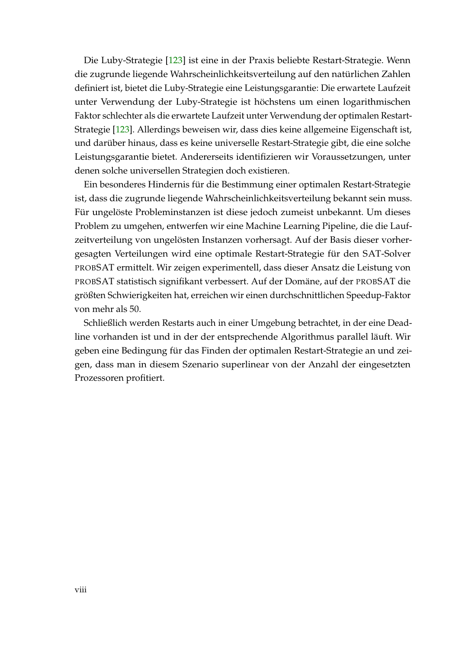Die Luby-Strategie [\[123\]](#page-220-0) ist eine in der Praxis beliebte Restart-Strategie. Wenn die zugrunde liegende Wahrscheinlichkeitsverteilung auf den natürlichen Zahlen definiert ist, bietet die Luby-Strategie eine Leistungsgarantie: Die erwartete Laufzeit unter Verwendung der Luby-Strategie ist höchstens um einen logarithmischen Faktor schlechter als die erwartete Laufzeit unter Verwendung der optimalen Restart-Strategie [\[123\]](#page-220-0). Allerdings beweisen wir, dass dies keine allgemeine Eigenschaft ist, und darüber hinaus, dass es keine universelle Restart-Strategie gibt, die eine solche Leistungsgarantie bietet. Andererseits identifizieren wir Voraussetzungen, unter denen solche universellen Strategien doch existieren.

Ein besonderes Hindernis für die Bestimmung einer optimalen Restart-Strategie ist, dass die zugrunde liegende Wahrscheinlichkeitsverteilung bekannt sein muss. Für ungelöste Probleminstanzen ist diese jedoch zumeist unbekannt. Um dieses Problem zu umgehen, entwerfen wir eine Machine Learning Pipeline, die die Laufzeitverteilung von ungelösten Instanzen vorhersagt. Auf der Basis dieser vorhergesagten Verteilungen wird eine optimale Restart-Strategie für den SAT-Solver PROBSAT ermittelt. Wir zeigen experimentell, dass dieser Ansatz die Leistung von PROBSAT statistisch signifikant verbessert. Auf der Domäne, auf der PROBSAT die größten Schwierigkeiten hat, erreichen wir einen durchschnittlichen Speedup-Faktor von mehr als 50.

Schließlich werden Restarts auch in einer Umgebung betrachtet, in der eine Deadline vorhanden ist und in der der entsprechende Algorithmus parallel läuft. Wir geben eine Bedingung für das Finden der optimalen Restart-Strategie an und zeigen, dass man in diesem Szenario superlinear von der Anzahl der eingesetzten Prozessoren profitiert.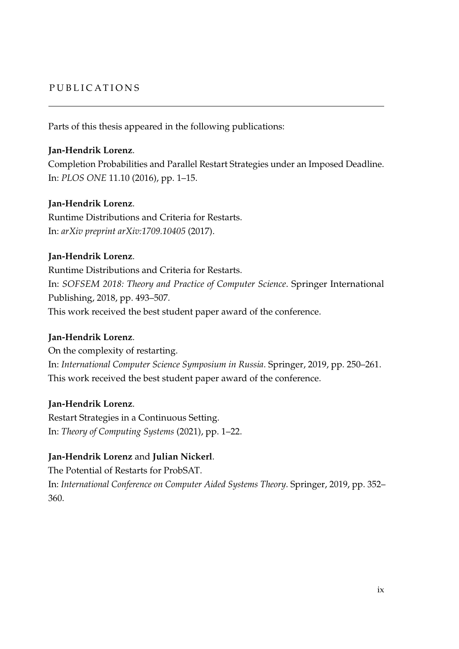## PUBLICATIONS

Parts of this thesis appeared in the following publications:

## **Jan-Hendrik Lorenz**.

Completion Probabilities and Parallel Restart Strategies under an Imposed Deadline. In: *PLOS ONE* 11.10 (2016), pp. 1–15.

## **Jan-Hendrik Lorenz**.

Runtime Distributions and Criteria for Restarts. In: *arXiv preprint arXiv:1709.10405* (2017).

## **Jan-Hendrik Lorenz**.

Runtime Distributions and Criteria for Restarts. In: *SOFSEM 2018: Theory and Practice of Computer Science*. Springer International Publishing, 2018, pp. 493–507. This work received the best student paper award of the conference.

## **Jan-Hendrik Lorenz**.

On the complexity of restarting. In: *International Computer Science Symposium in Russia*. Springer, 2019, pp. 250–261. This work received the best student paper award of the conference.

## **Jan-Hendrik Lorenz**.

360.

Restart Strategies in a Continuous Setting. In: *Theory of Computing Systems* (2021), pp. 1–22.

## **Jan-Hendrik Lorenz** and **Julian Nickerl**.

The Potential of Restarts for ProbSAT. In: *International Conference on Computer Aided Systems Theory*. Springer, 2019, pp. 352–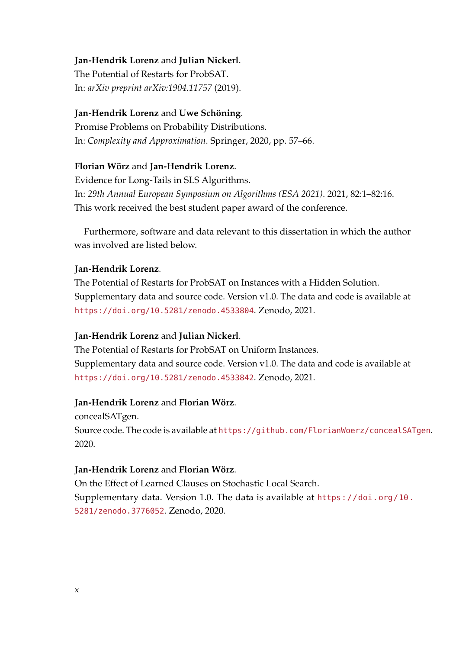**Jan-Hendrik Lorenz** and **Julian Nickerl**. The Potential of Restarts for ProbSAT. In: *arXiv preprint arXiv:1904.11757* (2019).

## **Jan-Hendrik Lorenz** and **Uwe Schöning**.

Promise Problems on Probability Distributions. In: *Complexity and Approximation*. Springer, 2020, pp. 57–66.

## **Florian Wörz** and **Jan-Hendrik Lorenz**.

Evidence for Long-Tails in SLS Algorithms. In: *29th Annual European Symposium on Algorithms (ESA 2021)*. 2021, 82:1–82:16. This work received the best student paper award of the conference.

Furthermore, software and data relevant to this dissertation in which the author was involved are listed below.

## **Jan-Hendrik Lorenz**.

The Potential of Restarts for ProbSAT on Instances with a Hidden Solution. Supplementary data and source code. Version v1.0. The data and code is available at <https://doi.org/10.5281/zenodo.4533804>. Zenodo, 2021.

## **Jan-Hendrik Lorenz** and **Julian Nickerl**.

The Potential of Restarts for ProbSAT on Uniform Instances. Supplementary data and source code. Version v1.0. The data and code is available at <https://doi.org/10.5281/zenodo.4533842>. Zenodo, 2021.

## **Jan-Hendrik Lorenz** and **Florian Wörz**.

concealSATgen. Source code. The code is available at <https://github.com/FlorianWoerz/concealSATgen>. 2020.

## **Jan-Hendrik Lorenz** and **Florian Wörz**.

On the Effect of Learned Clauses on Stochastic Local Search. Supplementary data. Version 1.0. The data is available at [https://doi.org/10.](https://doi.org/10.5281/zenodo.3776052) [5281/zenodo.3776052](https://doi.org/10.5281/zenodo.3776052). Zenodo, 2020.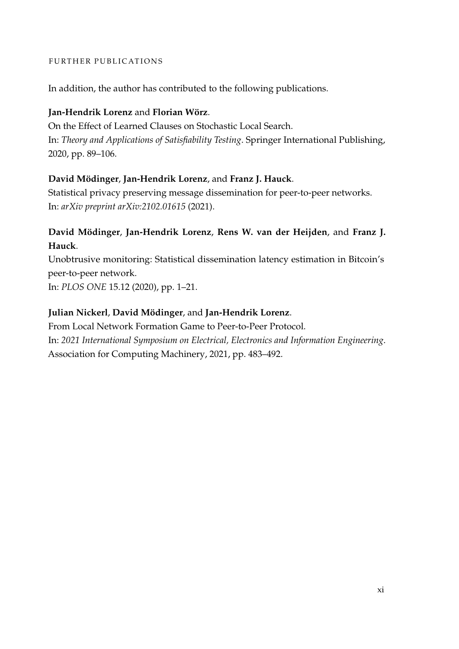#### FURTHER PUBLICATIONS

In addition, the author has contributed to the following publications.

## **Jan-Hendrik Lorenz** and **Florian Wörz**.

On the Effect of Learned Clauses on Stochastic Local Search. In: *Theory and Applications of Satisfiability Testing*. Springer International Publishing, 2020, pp. 89–106.

## **David Mödinger**, **Jan-Hendrik Lorenz**, and **Franz J. Hauck**.

Statistical privacy preserving message dissemination for peer-to-peer networks. In: *arXiv preprint arXiv:2102.01615* (2021).

# **David Mödinger**, **Jan-Hendrik Lorenz**, **Rens W. van der Heijden**, and **Franz J. Hauck**.

Unobtrusive monitoring: Statistical dissemination latency estimation in Bitcoin's peer-to-peer network. In: *PLOS ONE* 15.12 (2020), pp. 1–21.

## **Julian Nickerl**, **David Mödinger**, and **Jan-Hendrik Lorenz**.

From Local Network Formation Game to Peer-to-Peer Protocol. In: *2021 International Symposium on Electrical, Electronics and Information Engineering*. Association for Computing Machinery, 2021, pp. 483–492.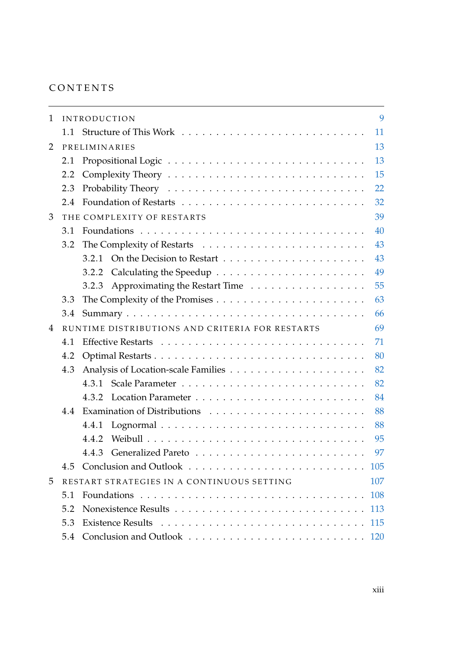## **CONTENTS**

| 1 |     | <b>INTRODUCTION</b>                             | 9   |  |  |  |  |  |
|---|-----|-------------------------------------------------|-----|--|--|--|--|--|
|   |     |                                                 | 11  |  |  |  |  |  |
| 2 |     | PRELIMINARIES                                   | 13  |  |  |  |  |  |
|   | 2.1 |                                                 | 13  |  |  |  |  |  |
|   | 2.2 |                                                 | 15  |  |  |  |  |  |
|   | 2.3 |                                                 | 22  |  |  |  |  |  |
|   | 2.4 |                                                 | 32  |  |  |  |  |  |
| 3 |     | THE COMPLEXITY OF RESTARTS                      | 39  |  |  |  |  |  |
|   | 3.1 |                                                 | 40  |  |  |  |  |  |
|   | 3.2 |                                                 | 43  |  |  |  |  |  |
|   |     |                                                 | 43  |  |  |  |  |  |
|   |     | 3.2.2                                           | 49  |  |  |  |  |  |
|   |     | 3.2.3 Approximating the Restart Time            | 55  |  |  |  |  |  |
|   | 3.3 |                                                 | 63  |  |  |  |  |  |
|   | 3.4 |                                                 | 66  |  |  |  |  |  |
| 4 |     | RUNTIME DISTRIBUTIONS AND CRITERIA FOR RESTARTS | 69  |  |  |  |  |  |
|   | 4.1 |                                                 | 71  |  |  |  |  |  |
|   | 4.2 | 80                                              |     |  |  |  |  |  |
|   | 4.3 | 82                                              |     |  |  |  |  |  |
|   |     |                                                 | 82  |  |  |  |  |  |
|   |     | 4.3.2                                           | 84  |  |  |  |  |  |
|   | 4.4 |                                                 | 88  |  |  |  |  |  |
|   |     | 4.4.1                                           | 88  |  |  |  |  |  |
|   |     | 4.4.2                                           | 95  |  |  |  |  |  |
|   |     | 4.4.3                                           | 97  |  |  |  |  |  |
|   | 4.5 |                                                 | 105 |  |  |  |  |  |
| 5 |     | RESTART STRATEGIES IN A CONTINUOUS SETTING      | 107 |  |  |  |  |  |
|   | 5.1 |                                                 | 108 |  |  |  |  |  |
|   | 5.2 |                                                 | 113 |  |  |  |  |  |
|   | 5.3 | 115                                             |     |  |  |  |  |  |
|   | 5.4 |                                                 |     |  |  |  |  |  |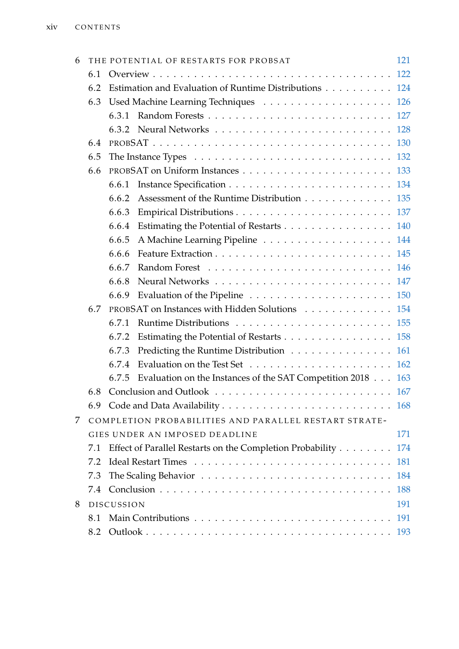| 6   |     |                   | THE POTENTIAL OF RESTARTS FOR PROBSAT                       | 121        |  |
|-----|-----|-------------------|-------------------------------------------------------------|------------|--|
| 6.1 |     |                   |                                                             |            |  |
|     | 6.2 |                   | Estimation and Evaluation of Runtime Distributions 124      |            |  |
|     | 6.3 |                   |                                                             |            |  |
|     |     | 6.3.1             |                                                             |            |  |
|     |     |                   |                                                             |            |  |
|     | 6.4 |                   |                                                             |            |  |
|     | 6.5 |                   |                                                             |            |  |
|     | 6.6 |                   |                                                             |            |  |
|     |     | 6.6.1             |                                                             |            |  |
|     |     | 6.6.2             | Assessment of the Runtime Distribution 135                  |            |  |
|     |     | 6.6.3             |                                                             |            |  |
|     |     | 6.6.4             | Estimating the Potential of Restarts 140                    |            |  |
|     |     | 6.6.5             |                                                             |            |  |
|     |     | 6.6.6             |                                                             |            |  |
|     |     | 6.6.7             |                                                             |            |  |
|     |     | 6.6.8             |                                                             |            |  |
|     |     | 6.6.9             |                                                             |            |  |
|     | 6.7 |                   | PROBSAT on Instances with Hidden Solutions 154              |            |  |
|     |     | 6.7.1             |                                                             |            |  |
|     |     | 6.7.2             | Estimating the Potential of Restarts 158                    |            |  |
|     |     | 6.7.3             | Predicting the Runtime Distribution 161                     |            |  |
|     |     | 6.7.4             |                                                             |            |  |
|     |     | 6.7.5             | Evaluation on the Instances of the SAT Competition 2018 163 |            |  |
|     | 6.8 |                   |                                                             |            |  |
|     |     |                   |                                                             |            |  |
| 7   |     |                   | COMPLETION PROBABILITIES AND PARALLEL RESTART STRATE-       |            |  |
|     |     |                   | GIES UNDER AN IMPOSED DEADLINE                              | 171        |  |
|     | 7.1 |                   | Effect of Parallel Restarts on the Completion Probability   | 174        |  |
|     | 7.2 |                   |                                                             | 181        |  |
|     | 7.3 |                   |                                                             |            |  |
|     | 7.4 |                   |                                                             | <b>188</b> |  |
| 8   |     | <b>DISCUSSION</b> |                                                             | 191        |  |
|     | 8.1 |                   |                                                             | 191        |  |
|     | 8.2 |                   |                                                             |            |  |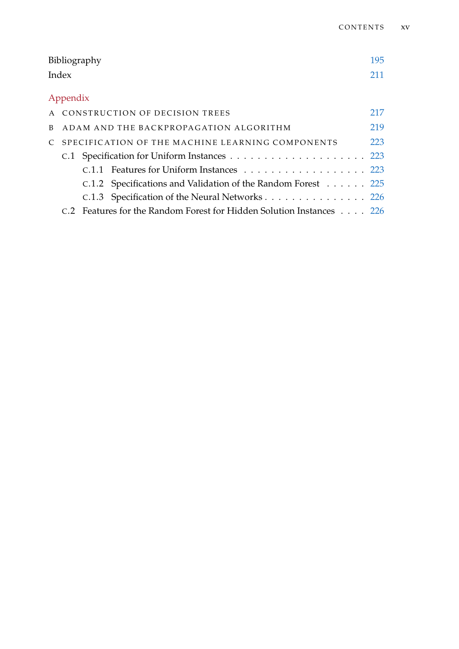|                                                    |                                                                      | Bibliography |                                                              | 195 |  |  |  |
|----------------------------------------------------|----------------------------------------------------------------------|--------------|--------------------------------------------------------------|-----|--|--|--|
|                                                    | Index                                                                |              |                                                              | 211 |  |  |  |
|                                                    | Appendix                                                             |              |                                                              |     |  |  |  |
|                                                    |                                                                      |              | A CONSTRUCTION OF DECISION TREES                             | 217 |  |  |  |
|                                                    | B ADAM AND THE BACKPROPAGATION ALGORITHM                             |              |                                                              |     |  |  |  |
| C SPECIFICATION OF THE MACHINE LEARNING COMPONENTS |                                                                      |              |                                                              |     |  |  |  |
|                                                    |                                                                      |              |                                                              |     |  |  |  |
|                                                    |                                                                      |              | C.1.1 Features for Uniform Instances 223                     |     |  |  |  |
|                                                    |                                                                      |              | C.1.2 Specifications and Validation of the Random Forest 225 |     |  |  |  |
|                                                    |                                                                      |              | C.1.3 Specification of the Neural Networks 226               |     |  |  |  |
|                                                    | C.2 Features for the Random Forest for Hidden Solution Instances 226 |              |                                                              |     |  |  |  |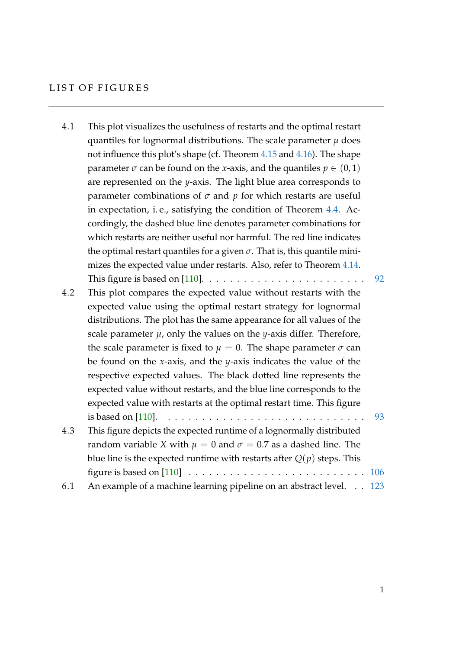## LIST OF FIGURES

| 4.1 | This plot visualizes the usefulness of restarts and the optimal restart                |     |
|-----|----------------------------------------------------------------------------------------|-----|
|     | quantiles for lognormal distributions. The scale parameter $\mu$ does                  |     |
|     | not influence this plot's shape (cf. Theorem 4.15 and 4.16). The shape                 |     |
|     | parameter $\sigma$ can be found on the <i>x</i> -axis, and the quantiles $p \in (0,1)$ |     |
|     | are represented on the <i>y</i> -axis. The light blue area corresponds to              |     |
|     | parameter combinations of $\sigma$ and $p$ for which restarts are useful               |     |
|     | in expectation, i.e., satisfying the condition of Theorem 4.4. Ac-                     |     |
|     | cordingly, the dashed blue line denotes parameter combinations for                     |     |
|     | which restarts are neither useful nor harmful. The red line indicates                  |     |
|     | the optimal restart quantiles for a given $\sigma$ . That is, this quantile mini-      |     |
|     | mizes the expected value under restarts. Also, refer to Theorem 4.14.                  |     |
|     |                                                                                        | 92  |
| 4.2 | This plot compares the expected value without restarts with the                        |     |
|     | expected value using the optimal restart strategy for lognormal                        |     |
|     | distributions. The plot has the same appearance for all values of the                  |     |
|     | scale parameter $\mu$ , only the values on the <i>y</i> -axis differ. Therefore,       |     |
|     | the scale parameter is fixed to $\mu = 0$ . The shape parameter $\sigma$ can           |     |
|     | be found on the <i>x</i> -axis, and the <i>y</i> -axis indicates the value of the      |     |
|     | respective expected values. The black dotted line represents the                       |     |
|     | expected value without restarts, and the blue line corresponds to the                  |     |
|     | expected value with restarts at the optimal restart time. This figure                  |     |
|     |                                                                                        | 93  |
| 4.3 | This figure depicts the expected runtime of a lognormally distributed                  |     |
|     | random variable X with $\mu = 0$ and $\sigma = 0.7$ as a dashed line. The              |     |
|     | blue line is the expected runtime with restarts after $Q(p)$ steps. This               |     |
|     |                                                                                        | 106 |
| 6.1 | An example of a machine learning pipeline on an abstract level. 123                    |     |

1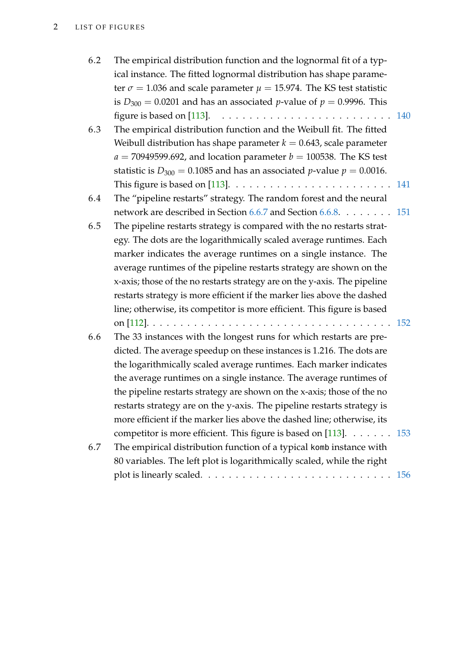| 6.2 | The empirical distribution function and the lognormal fit of a typ-<br>ical instance. The fitted lognormal distribution has shape parame-<br>ter $\sigma$ = 1.036 and scale parameter $\mu$ = 15.974. The KS test statistic<br>is $D_{300} = 0.0201$ and has an associated <i>p</i> -value of $p = 0.9996$ . This |  |
|-----|-------------------------------------------------------------------------------------------------------------------------------------------------------------------------------------------------------------------------------------------------------------------------------------------------------------------|--|
|     | figure is based on [113]. $\ldots \ldots \ldots \ldots \ldots \ldots \ldots \ldots \ldots \ldots$ 140                                                                                                                                                                                                             |  |
| 6.3 | The empirical distribution function and the Weibull fit. The fitted<br>Weibull distribution has shape parameter $k = 0.643$ , scale parameter<br>$a = 70949599.692$ , and location parameter $b = 100538$ . The KS test<br>statistic is $D_{300} = 0.1085$ and has an associated <i>p</i> -value $p = 0.0016$ .   |  |
|     | This figure is based on [113]. $\ldots \ldots \ldots \ldots \ldots \ldots \ldots \ldots 141$                                                                                                                                                                                                                      |  |
| 6.4 | The "pipeline restarts" strategy. The random forest and the neural                                                                                                                                                                                                                                                |  |
|     | network are described in Section 6.6.7 and Section 6.6.8. 151                                                                                                                                                                                                                                                     |  |
| 6.5 | The pipeline restarts strategy is compared with the no restarts strat-                                                                                                                                                                                                                                            |  |
|     | egy. The dots are the logarithmically scaled average runtimes. Each                                                                                                                                                                                                                                               |  |
|     | marker indicates the average runtimes on a single instance. The                                                                                                                                                                                                                                                   |  |
|     | average runtimes of the pipeline restarts strategy are shown on the                                                                                                                                                                                                                                               |  |
|     | x-axis; those of the no restarts strategy are on the y-axis. The pipeline                                                                                                                                                                                                                                         |  |
|     | restarts strategy is more efficient if the marker lies above the dashed                                                                                                                                                                                                                                           |  |
|     | line; otherwise, its competitor is more efficient. This figure is based                                                                                                                                                                                                                                           |  |
|     |                                                                                                                                                                                                                                                                                                                   |  |
| 6.6 | The 33 instances with the longest runs for which restarts are pre-                                                                                                                                                                                                                                                |  |
|     | dicted. The average speedup on these instances is 1.216. The dots are                                                                                                                                                                                                                                             |  |
|     | the logarithmically scaled average runtimes. Each marker indicates                                                                                                                                                                                                                                                |  |
|     | the average runtimes on a single instance. The average runtimes of<br>the pipeline restarts strategy are shown on the x-axis; those of the no                                                                                                                                                                     |  |
|     |                                                                                                                                                                                                                                                                                                                   |  |
|     | restarts strategy are on the y-axis. The pipeline restarts strategy is                                                                                                                                                                                                                                            |  |
|     | more efficient if the marker lies above the dashed line; otherwise, its                                                                                                                                                                                                                                           |  |
| 6.7 | competitor is more efficient. This figure is based on [113]. $\dots \dots \dots$ 153                                                                                                                                                                                                                              |  |
|     | The empirical distribution function of a typical komb instance with<br>80 variables. The left plot is logarithmically scaled, while the right                                                                                                                                                                     |  |
|     |                                                                                                                                                                                                                                                                                                                   |  |
|     |                                                                                                                                                                                                                                                                                                                   |  |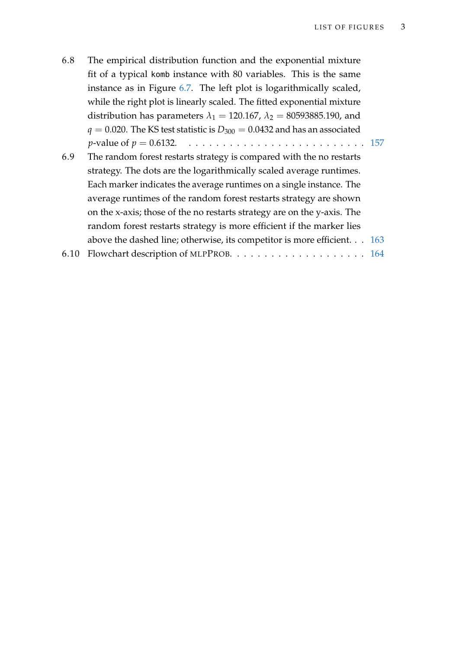- 6.8 The empirical distribution function and the exponential mixture fit of a typical komb instance with 80 variables. This is the same instance as in Figure [6.7.](#page-171-0) The left plot is logarithmically scaled, while the right plot is linearly scaled. The fitted exponential mixture distribution has parameters  $\lambda_1 = 120.167$ ,  $\lambda_2 = 80593885.190$ , and  $q = 0.020$ . The KS test statistic is  $D_{300} = 0.0432$  and has an associated *p*-value of *p* = 0.6132. . . . . . . . . . . . . . . . . . . . . . . . . . . [157](#page-172-0) 6.9 The random forest restarts strategy is compared with the no restarts strategy. The dots are the logarithmically scaled average runtimes.
- Each marker indicates the average runtimes on a single instance. The average runtimes of the random forest restarts strategy are shown on the x-axis; those of the no restarts strategy are on the y-axis. The random forest restarts strategy is more efficient if the marker lies above the dashed line; otherwise, its competitor is more efficient. . . [163](#page-178-1)
- 6.10 Flowchart description of MLPPROB. . . . . . . . . . . . . . . . . . . . [164](#page-179-0)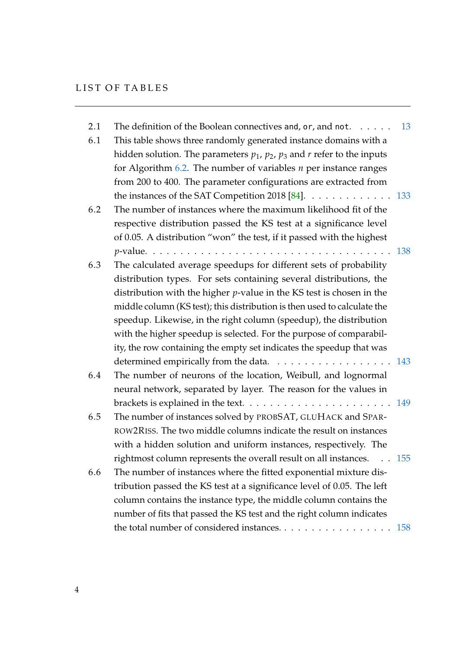| 2.1 | The definition of the Boolean connectives and, $\circ$ r, and n $\circ$ t.                                               | 13 |
|-----|--------------------------------------------------------------------------------------------------------------------------|----|
| 6.1 | This table shows three randomly generated instance domains with a                                                        |    |
|     | hidden solution. The parameters $p_1$ , $p_2$ , $p_3$ and $r$ refer to the inputs                                        |    |
|     | for Algorithm $6.2$ . The number of variables $n$ per instance ranges                                                    |    |
|     | from 200 to 400. The parameter configurations are extracted from                                                         |    |
|     | the instances of the SAT Competition 2018 [84]. $\dots \dots \dots \dots \dots \dots$ 133                                |    |
| 6.2 | The number of instances where the maximum likelihood fit of the                                                          |    |
|     | respective distribution passed the KS test at a significance level                                                       |    |
|     | of 0.05. A distribution "won" the test, if it passed with the highest                                                    |    |
|     |                                                                                                                          |    |
| 6.3 | The calculated average speedups for different sets of probability                                                        |    |
|     | distribution types. For sets containing several distributions, the                                                       |    |
|     | distribution with the higher $p$ -value in the KS test is chosen in the                                                  |    |
|     | middle column (KS test); this distribution is then used to calculate the                                                 |    |
|     | speedup. Likewise, in the right column (speedup), the distribution                                                       |    |
|     | with the higher speedup is selected. For the purpose of comparabil-                                                      |    |
|     | ity, the row containing the empty set indicates the speedup that was                                                     |    |
|     | determined empirically from the data. 143                                                                                |    |
| 6.4 | The number of neurons of the location, Weibull, and lognormal                                                            |    |
|     | neural network, separated by layer. The reason for the values in                                                         |    |
|     | brackets is explained in the text. $\dots \dots \dots \dots \dots \dots \dots \dots \dots \dots \dots \dots \dots \dots$ |    |
| 6.5 | The number of instances solved by PROBSAT, GLUHACK and SPAR-                                                             |    |
|     | ROW2RISS. The two middle columns indicate the result on instances                                                        |    |
|     | with a hidden solution and uniform instances, respectively. The                                                          |    |
|     | rightmost column represents the overall result on all instances. 155                                                     |    |
| 6.6 | The number of instances where the fitted exponential mixture dis-                                                        |    |
|     | tribution passed the KS test at a significance level of 0.05. The left                                                   |    |
|     | column contains the instance type, the middle column contains the                                                        |    |
|     | number of fits that passed the KS test and the right column indicates                                                    |    |
|     | the total number of considered instances.<br>158                                                                         |    |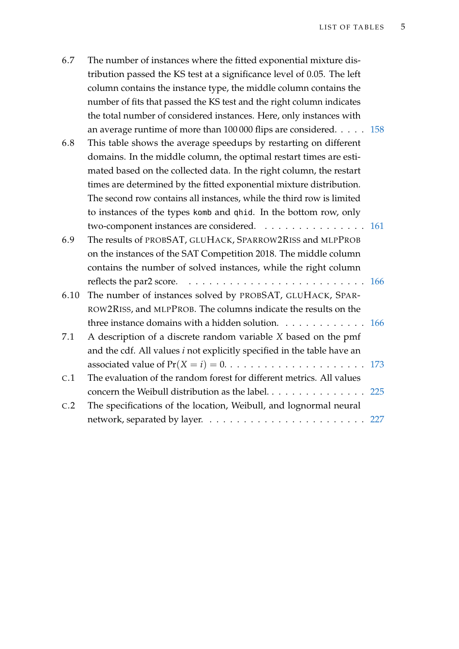| 6.7 | The number of instances where the fitted exponential mixture dis-      |
|-----|------------------------------------------------------------------------|
|     | tribution passed the KS test at a significance level of 0.05. The left |
|     | column contains the instance type, the middle column contains the      |
|     | number of fits that passed the KS test and the right column indicates  |
|     | the total number of considered instances. Here, only instances with    |
|     | an average runtime of more than $100\,000$ flips are considered. 158   |

- 6.8 This table shows the average speedups by restarting on different domains. In the middle column, the optimal restart times are estimated based on the collected data. In the right column, the restart times are determined by the fitted exponential mixture distribution. The second row contains all instances, while the third row is limited to instances of the types komb and qhid. In the bottom row, only two-component instances are considered. . . . . . . . . . . . . . . . [161](#page-176-1)
- 6.9 The results of PROBSAT, GLUHACK, SPARROW2RISS and MLPPROB on the instances of the SAT Competition 2018. The middle column contains the number of solved instances, while the right column reflects the par2 score. . . . . . . . . . . . . . . . . . . . . . . . . . . [166](#page-181-0) 6.10 The number of instances solved by PROBSAT, GLUHACK, SPAR-
- ROW2RISS, and MLPPROB. The columns indicate the results on the three instance domains with a hidden solution. . . . . . . . . . . . . [166](#page-181-1) 7.1 A description of a discrete random variable *X* based on the pmf
- and the cdf. All values *i* not explicitly specified in the table have an associated value of  $Pr(X = i) = 0. \ldots \ldots \ldots \ldots \ldots \ldots \ldots \ldots 173$  $Pr(X = i) = 0. \ldots \ldots \ldots \ldots \ldots \ldots \ldots \ldots 173$ C.1 The evaluation of the random forest for different metrics. All values concern the Weibull distribution as the label.  $\dots \dots \dots \dots \dots \dots$  [225](#page-240-1)
- C.2 The specifications of the location, Weibull, and lognormal neural network, separated by layer. . . . . . . . . . . . . . . . . . . . . . . . [227](#page-242-0)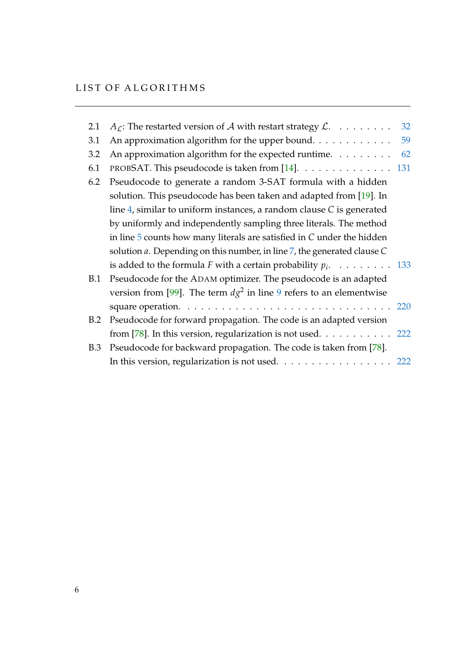| 2.1        | $A_{\mathcal{L}}$ : The restarted version of $\mathcal{A}$ with restart strategy $\mathcal{L}$ . | 32 |
|------------|--------------------------------------------------------------------------------------------------|----|
| 3.1        | An approximation algorithm for the upper bound.                                                  | 59 |
| 3.2        | An approximation algorithm for the expected runtime.                                             | 62 |
| 6.1        | PROBSAT. This pseudocode is taken from [14]. 131                                                 |    |
| 6.2        | Pseudocode to generate a random 3-SAT formula with a hidden                                      |    |
|            | solution. This pseudocode has been taken and adapted from [19]. In                               |    |
|            | line 4, similar to uniform instances, a random clause $C$ is generated                           |    |
|            | by uniformly and independently sampling three literals. The method                               |    |
|            | in line $5$ counts how many literals are satisfied in $C$ under the hidden                       |    |
|            | solution $a$ . Depending on this number, in line $7$ , the generated clause $C$                  |    |
|            | is added to the formula F with a certain probability $p_i$ . 133                                 |    |
| <b>B.1</b> | Pseudocode for the ADAM optimizer. The pseudocode is an adapted                                  |    |
|            | version from [99]. The term $d\chi^2$ in line 9 refers to an elementwise                         |    |
|            |                                                                                                  |    |
| B.2        | Pseudocode for forward propagation. The code is an adapted version                               |    |
|            | from [78]. In this version, regularization is not used. $\dots \dots \dots \dots$ 222            |    |
| B.3        | Pseudocode for backward propagation. The code is taken from [78].                                |    |
|            | In this version, regularization is not used. 222                                                 |    |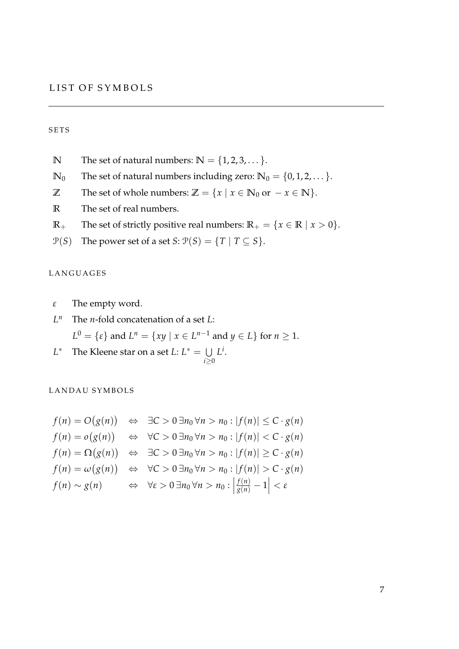#### **SETS**

- **N** The set of natural numbers:  $\mathbb{N} = \{1, 2, 3, \dots\}.$
- **N**<sub>0</sub> The set of natural numbers including zero:  $\mathbb{N}_0 = \{0, 1, 2, \dots\}$ .
- **Z** The set of whole numbers:  $\mathbb{Z} = \{x \mid x \in \mathbb{N}_0 \text{ or } -x \in \mathbb{N}\}.$
- **R** The set of real numbers.
- **R**+ The set of strictly positive real numbers:  $\mathbb{R}_+ = \{x \in \mathbb{R} \mid x > 0\}.$
- $P(S)$  The power set of a set *S*:  $P(S) = \{T | T \subseteq S\}.$

#### L A N G U A G E S

- *ε* The empty word.
- *L <sup>n</sup>* The *n*-fold concatenation of a set *L*:  $L^0 = \{\varepsilon\}$  and  $L^n = \{xy \mid x \in L^{n-1} \text{ and } y \in L\}$  for  $n \geq 1$ .
- *L* <sup>\*</sup> The Kleene star on a set  $L: L^* = \bigcup$ *i*≥0 *L i* .

LANDAU SYMBOLS

$$
f(n) = O(g(n)) \Leftrightarrow \exists C > 0 \exists n_0 \forall n > n_0 : |f(n)| \le C \cdot g(n)
$$
  

$$
f(n) = o(g(n)) \Leftrightarrow \forall C > 0 \exists n_0 \forall n > n_0 : |f(n)| < C \cdot g(n)
$$
  

$$
f(n) = \Omega(g(n)) \Leftrightarrow \exists C > 0 \exists n_0 \forall n > n_0 : |f(n)| \ge C \cdot g(n)
$$
  

$$
f(n) = \omega(g(n)) \Leftrightarrow \forall C > 0 \exists n_0 \forall n > n_0 : |f(n)| > C \cdot g(n)
$$
  

$$
f(n) \sim g(n) \Leftrightarrow \forall \varepsilon > 0 \exists n_0 \forall n > n_0 : \left| \frac{f(n)}{g(n)} - 1 \right| < \varepsilon
$$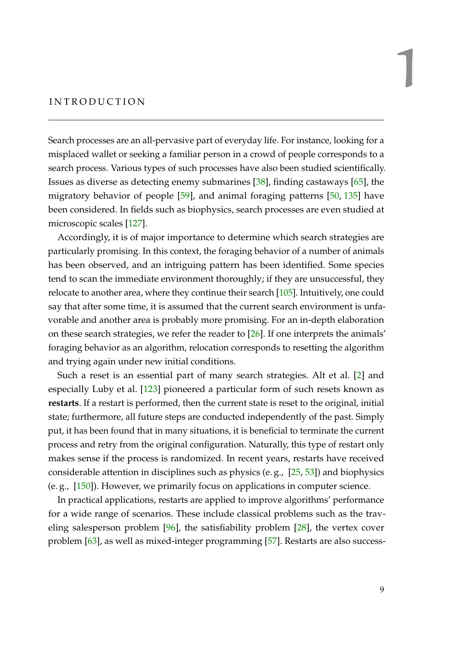#### <span id="page-24-0"></span>I N T R O D U C T I O N

Search processes are an all-pervasive part of everyday life. For instance, looking for a misplaced wallet or seeking a familiar person in a crowd of people corresponds to a search process. Various types of such processes have also been studied scientifically. Issues as diverse as detecting enemy submarines [\[38\]](#page-213-0), finding castaways [\[65\]](#page-215-0), the migratory behavior of people [\[59\]](#page-215-1), and animal foraging patterns [\[50,](#page-214-0) [135\]](#page-221-0) have been considered. In fields such as biophysics, search processes are even studied at microscopic scales [\[127\]](#page-220-1).

Accordingly, it is of major importance to determine which search strategies are particularly promising. In this context, the foraging behavior of a number of animals has been observed, and an intriguing pattern has been identified. Some species tend to scan the immediate environment thoroughly; if they are unsuccessful, they relocate to another area, where they continue their search [\[105\]](#page-218-1). Intuitively, one could say that after some time, it is assumed that the current search environment is unfavorable and another area is probably more promising. For an in-depth elaboration on these search strategies, we refer the reader to [\[26\]](#page-212-0). If one interprets the animals' foraging behavior as an algorithm, relocation corresponds to resetting the algorithm and trying again under new initial conditions.

Such a reset is an essential part of many search strategies. Alt et al. [\[2\]](#page-210-1) and especially Luby et al. [\[123\]](#page-220-0) pioneered a particular form of such resets known as **restarts**. If a restart is performed, then the current state is reset to the original, initial state; furthermore, all future steps are conducted independently of the past. Simply put, it has been found that in many situations, it is beneficial to terminate the current process and retry from the original configuration. Naturally, this type of restart only makes sense if the process is randomized. In recent years, restarts have received considerable attention in disciplines such as physics (e. g., [\[25,](#page-212-1) [53\]](#page-214-1)) and biophysics (e. g., [\[150\]](#page-222-0)). However, we primarily focus on applications in computer science.

In practical applications, restarts are applied to improve algorithms' performance for a wide range of scenarios. These include classical problems such as the traveling salesperson problem [\[96\]](#page-218-2), the satisfiability problem [\[28\]](#page-212-2), the vertex cover problem [\[63\]](#page-215-2), as well as mixed-integer programming [\[57\]](#page-215-3). Restarts are also success1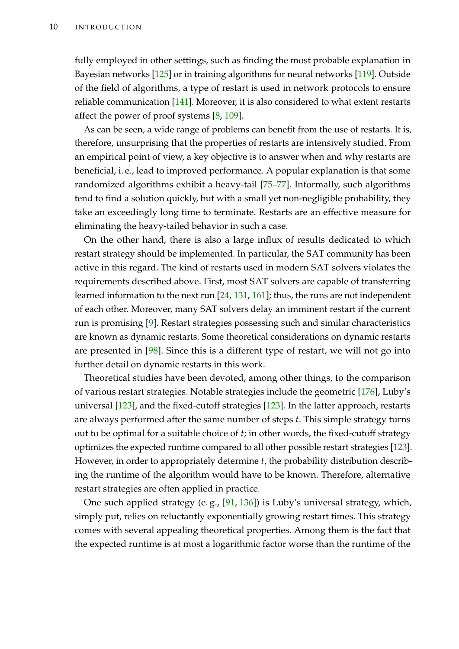fully employed in other settings, such as finding the most probable explanation in Bayesian networks [\[125\]](#page-220-2) or in training algorithms for neural networks [\[119\]](#page-220-3). Outside of the field of algorithms, a type of restart is used in network protocols to ensure reliable communication [\[141\]](#page-221-1). Moreover, it is also considered to what extent restarts affect the power of proof systems [\[8,](#page-210-2) [109\]](#page-219-3).

As can be seen, a wide range of problems can benefit from the use of restarts. It is, therefore, unsurprising that the properties of restarts are intensively studied. From an empirical point of view, a key objective is to answer when and why restarts are beneficial, i. e., lead to improved performance. A popular explanation is that some randomized algorithms exhibit a heavy-tail [\[75](#page-216-1)[–77\]](#page-216-2). Informally, such algorithms tend to find a solution quickly, but with a small yet non-negligible probability, they take an exceedingly long time to terminate. Restarts are an effective measure for eliminating the heavy-tailed behavior in such a case.

On the other hand, there is also a large influx of results dedicated to which restart strategy should be implemented. In particular, the SAT community has been active in this regard. The kind of restarts used in modern SAT solvers violates the requirements described above. First, most SAT solvers are capable of transferring learned information to the next run [\[24,](#page-212-3) [131,](#page-221-2) [161\]](#page-223-0); thus, the runs are not independent of each other. Moreover, many SAT solvers delay an imminent restart if the current run is promising [\[9\]](#page-210-3). Restart strategies possessing such and similar characteristics are known as dynamic restarts. Some theoretical considerations on dynamic restarts are presented in [\[98\]](#page-218-3). Since this is a different type of restart, we will not go into further detail on dynamic restarts in this work.

Theoretical studies have been devoted, among other things, to the comparison of various restart strategies. Notable strategies include the geometric [\[176\]](#page-224-0), Luby's universal [\[123\]](#page-220-0), and the fixed-cutoff strategies [\[123\]](#page-220-0). In the latter approach, restarts are always performed after the same number of steps *t*. This simple strategy turns out to be optimal for a suitable choice of *t*; in other words, the fixed-cutoff strategy optimizes the expected runtime compared to all other possible restart strategies [\[123\]](#page-220-0). However, in order to appropriately determine *t*, the probability distribution describing the runtime of the algorithm would have to be known. Therefore, alternative restart strategies are often applied in practice.

One such applied strategy (e. g., [\[91,](#page-217-1) [136\]](#page-221-3)) is Luby's universal strategy, which, simply put, relies on reluctantly exponentially growing restart times. This strategy comes with several appealing theoretical properties. Among them is the fact that the expected runtime is at most a logarithmic factor worse than the runtime of the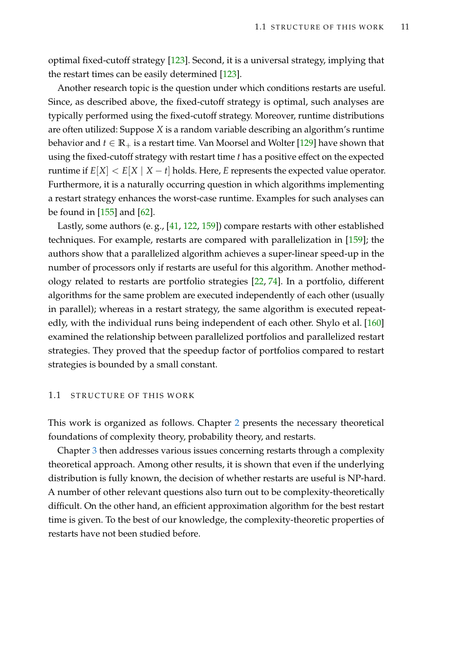optimal fixed-cutoff strategy [\[123\]](#page-220-0). Second, it is a universal strategy, implying that the restart times can be easily determined [\[123\]](#page-220-0).

Another research topic is the question under which conditions restarts are useful. Since, as described above, the fixed-cutoff strategy is optimal, such analyses are typically performed using the fixed-cutoff strategy. Moreover, runtime distributions are often utilized: Suppose *X* is a random variable describing an algorithm's runtime behavior and  $t \in \mathbb{R}_+$  is a restart time. Van Moorsel and Wolter [\[129\]](#page-220-4) have shown that using the fixed-cutoff strategy with restart time *t* has a positive effect on the expected runtime if  $E[X] < E[X \mid X - t]$  holds. Here, *E* represents the expected value operator. Furthermore, it is a naturally occurring question in which algorithms implementing a restart strategy enhances the worst-case runtime. Examples for such analyses can be found in [\[155\]](#page-222-1) and [\[62\]](#page-215-4).

Lastly, some authors (e. g., [\[41,](#page-213-1) [122,](#page-220-5) [159\]](#page-223-1)) compare restarts with other established techniques. For example, restarts are compared with parallelization in [\[159\]](#page-223-1); the authors show that a parallelized algorithm achieves a super-linear speed-up in the number of processors only if restarts are useful for this algorithm. Another methodology related to restarts are portfolio strategies [\[22,](#page-212-4) [74\]](#page-216-3). In a portfolio, different algorithms for the same problem are executed independently of each other (usually in parallel); whereas in a restart strategy, the same algorithm is executed repeatedly, with the individual runs being independent of each other. Shylo et al. [\[160\]](#page-223-2) examined the relationship between parallelized portfolios and parallelized restart strategies. They proved that the speedup factor of portfolios compared to restart strategies is bounded by a small constant.

#### <span id="page-26-0"></span>1.1 STRUCTURE OF THIS WORK

This work is organized as follows. Chapter [2](#page-28-0) presents the necessary theoretical foundations of complexity theory, probability theory, and restarts.

Chapter [3](#page-54-0) then addresses various issues concerning restarts through a complexity theoretical approach. Among other results, it is shown that even if the underlying distribution is fully known, the decision of whether restarts are useful is NP-hard. A number of other relevant questions also turn out to be complexity-theoretically difficult. On the other hand, an efficient approximation algorithm for the best restart time is given. To the best of our knowledge, the complexity-theoretic properties of restarts have not been studied before.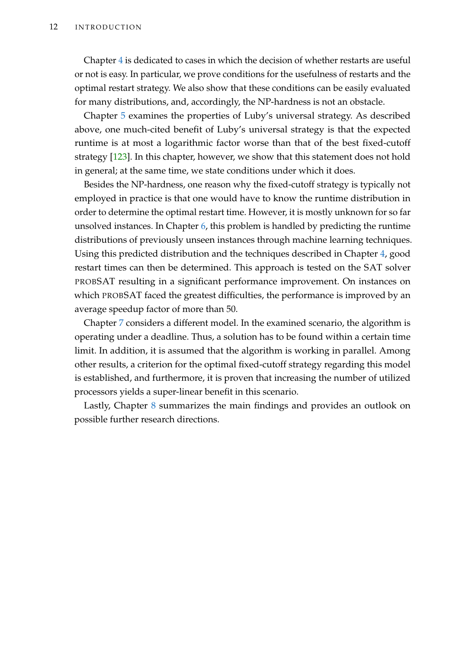Chapter [4](#page-84-0) is dedicated to cases in which the decision of whether restarts are useful or not is easy. In particular, we prove conditions for the usefulness of restarts and the optimal restart strategy. We also show that these conditions can be easily evaluated for many distributions, and, accordingly, the NP-hardness is not an obstacle.

Chapter [5](#page-122-0) examines the properties of Luby's universal strategy. As described above, one much-cited benefit of Luby's universal strategy is that the expected runtime is at most a logarithmic factor worse than that of the best fixed-cutoff strategy [\[123\]](#page-220-0). In this chapter, however, we show that this statement does not hold in general; at the same time, we state conditions under which it does.

Besides the NP-hardness, one reason why the fixed-cutoff strategy is typically not employed in practice is that one would have to know the runtime distribution in order to determine the optimal restart time. However, it is mostly unknown for so far unsolved instances. In Chapter [6,](#page-136-0) this problem is handled by predicting the runtime distributions of previously unseen instances through machine learning techniques. Using this predicted distribution and the techniques described in Chapter [4,](#page-84-0) good restart times can then be determined. This approach is tested on the SAT solver PROBSAT resulting in a significant performance improvement. On instances on which PROBSAT faced the greatest difficulties, the performance is improved by an average speedup factor of more than 50.

Chapter [7](#page-186-0) considers a different model. In the examined scenario, the algorithm is operating under a deadline. Thus, a solution has to be found within a certain time limit. In addition, it is assumed that the algorithm is working in parallel. Among other results, a criterion for the optimal fixed-cutoff strategy regarding this model is established, and furthermore, it is proven that increasing the number of utilized processors yields a super-linear benefit in this scenario.

Lastly, Chapter [8](#page-206-0) summarizes the main findings and provides an outlook on possible further research directions.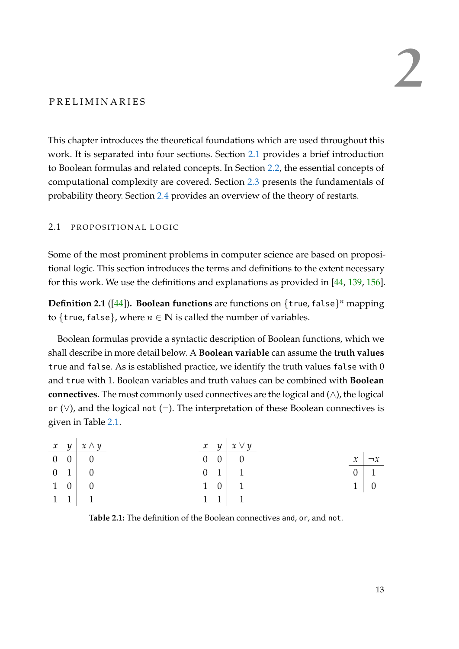## <span id="page-28-0"></span>PRELIMINARIES

This chapter introduces the theoretical foundations which are used throughout this work. It is separated into four sections. Section [2.1](#page-28-1) provides a brief introduction to Boolean formulas and related concepts. In Section [2.2,](#page-30-0) the essential concepts of computational complexity are covered. Section [2.3](#page-37-0) presents the fundamentals of probability theory. Section [2.4](#page-47-0) provides an overview of the theory of restarts.

#### <span id="page-28-1"></span>2.1 PROPOSITIONAL LOGIC

Some of the most prominent problems in computer science are based on propositional logic. This section introduces the terms and definitions to the extent necessary for this work. We use the definitions and explanations as provided in [\[44,](#page-214-2) [139,](#page-221-4) [156\]](#page-222-2).

**Definition 2.1** ([\[44\]](#page-214-2))**. Boolean functions** are functions on {true, false} *<sup>n</sup>* mapping to {true, false}, where  $n \in \mathbb{N}$  is called the number of variables.

Boolean formulas provide a syntactic description of Boolean functions, which we shall describe in more detail below. A **Boolean variable** can assume the **truth values** true and false. As is established practice, we identify the truth values false with 0 and true with 1. Boolean variables and truth values can be combined with **Boolean connectives**. The most commonly used connectives are the logical and (∧), the logical or (∨), and the logical not (¬). The interpretation of these Boolean connectives is given in Table [2.1.](#page-28-2)

<span id="page-28-2"></span>

|  | $x \quad y \mid x \wedge y$ |  | $x \quad y \mid x \vee y$ |   |                 |
|--|-----------------------------|--|---------------------------|---|-----------------|
|  | $0 \quad 0 \quad 0$         |  | $0 \quad 0 \quad 0$       |   | $x \mid \neg x$ |
|  | $0 \quad 1 \quad 0$         |  | $0 \quad 1 \quad 1$       |   | $0 \mid 1$      |
|  | $1 \quad 0 \quad 0$         |  | $1 \quad 0 \quad 1$       | 1 |                 |
|  | $1 \quad 1 \quad 1$         |  | $1 \quad 1 \quad 1$       |   |                 |

**Table 2.1:** The definition of the Boolean connectives and, or, and not.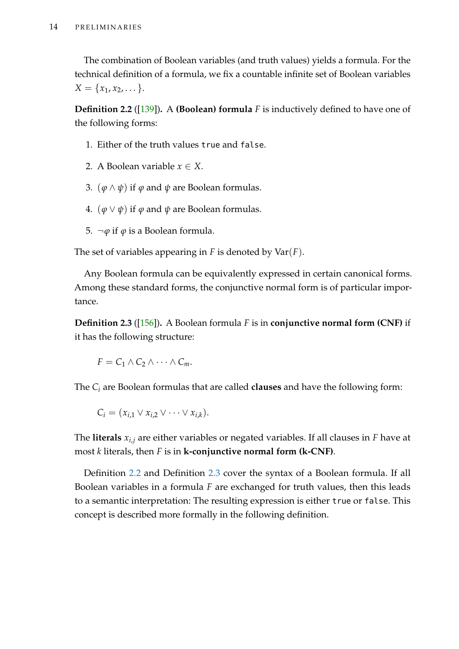The combination of Boolean variables (and truth values) yields a formula. For the technical definition of a formula, we fix a countable infinite set of Boolean variables  $X = \{x_1, x_2, \dots\}.$ 

<span id="page-29-0"></span>**Definition 2.2** ([\[139\]](#page-221-4))**.** A **(Boolean) formula** *F* is inductively defined to have one of the following forms:

- 1. Either of the truth values true and false.
- 2. A Boolean variable  $x \in X$ .
- 3.  $(\varphi \land \psi)$  if  $\varphi$  and  $\psi$  are Boolean formulas.
- 4.  $(\varphi \lor \psi)$  if  $\varphi$  and  $\psi$  are Boolean formulas.
- 5. ¬*ϕ* if *ϕ* is a Boolean formula.

The set of variables appearing in *F* is denoted by Var(*F*).

Any Boolean formula can be equivalently expressed in certain canonical forms. Among these standard forms, the conjunctive normal form is of particular importance.

<span id="page-29-1"></span>**Definition 2.3** ([\[156\]](#page-222-2))**.** A Boolean formula *F* is in **conjunctive normal form (CNF)** if it has the following structure:

$$
F = C_1 \wedge C_2 \wedge \cdots \wedge C_m.
$$

The *C<sup>i</sup>* are Boolean formulas that are called **clauses** and have the following form:

$$
C_i = (x_{i,1} \vee x_{i,2} \vee \cdots \vee x_{i,k}).
$$

The **literals** *xi*,*<sup>j</sup>* are either variables or negated variables. If all clauses in *F* have at most *k* literals, then *F* is in **k-conjunctive normal form (k-CNF)**.

Definition [2.2](#page-29-0) and Definition [2.3](#page-29-1) cover the syntax of a Boolean formula. If all Boolean variables in a formula *F* are exchanged for truth values, then this leads to a semantic interpretation: The resulting expression is either true or false. This concept is described more formally in the following definition.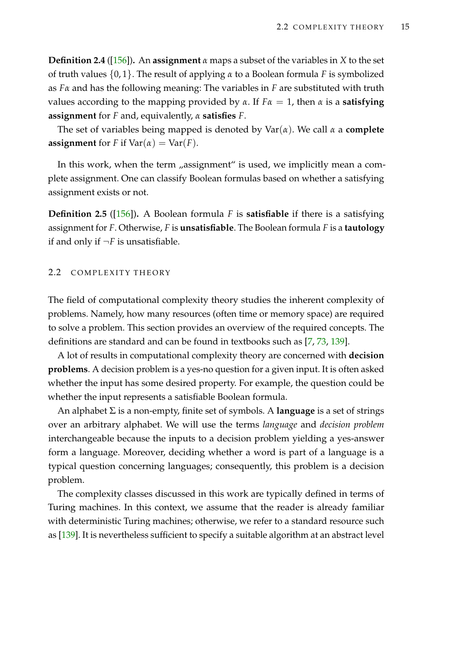**Definition 2.4** ([\[156\]](#page-222-2))**.** An **assignment** *α* maps a subset of the variables in *X* to the set of truth values {0, 1}. The result of applying *α* to a Boolean formula *F* is symbolized as *Fα* and has the following meaning: The variables in *F* are substituted with truth values according to the mapping provided by *α*. If *Fα* = 1, then *α* is a **satisfying assignment** for *F* and, equivalently, *α* **satisfies** *F*.

The set of variables being mapped is denoted by Var(*α*). We call *α* a **complete assignment** for *F* if  $Var(\alpha) = Var(F)$ .

In this work, when the term "assignment" is used, we implicitly mean a complete assignment. One can classify Boolean formulas based on whether a satisfying assignment exists or not.

**Definition 2.5** ([\[156\]](#page-222-2))**.** A Boolean formula *F* is **satisfiable** if there is a satisfying assignment for *F*. Otherwise, *F* is **unsatisfiable**. The Boolean formula *F* is a **tautology** if and only if  $\neg F$  is unsatisfiable.

#### <span id="page-30-0"></span>2.2 COMPLEXITY THEORY

The field of computational complexity theory studies the inherent complexity of problems. Namely, how many resources (often time or memory space) are required to solve a problem. This section provides an overview of the required concepts. The definitions are standard and can be found in textbooks such as [\[7,](#page-210-4) [73,](#page-216-4) [139\]](#page-221-4).

A lot of results in computational complexity theory are concerned with **decision problems**. A decision problem is a yes-no question for a given input. It is often asked whether the input has some desired property. For example, the question could be whether the input represents a satisfiable Boolean formula.

An alphabet Σ is a non-empty, finite set of symbols. A **language** is a set of strings over an arbitrary alphabet. We will use the terms *language* and *decision problem* interchangeable because the inputs to a decision problem yielding a yes-answer form a language. Moreover, deciding whether a word is part of a language is a typical question concerning languages; consequently, this problem is a decision problem.

The complexity classes discussed in this work are typically defined in terms of Turing machines. In this context, we assume that the reader is already familiar with deterministic Turing machines; otherwise, we refer to a standard resource such as [\[139\]](#page-221-4). It is nevertheless sufficient to specify a suitable algorithm at an abstract level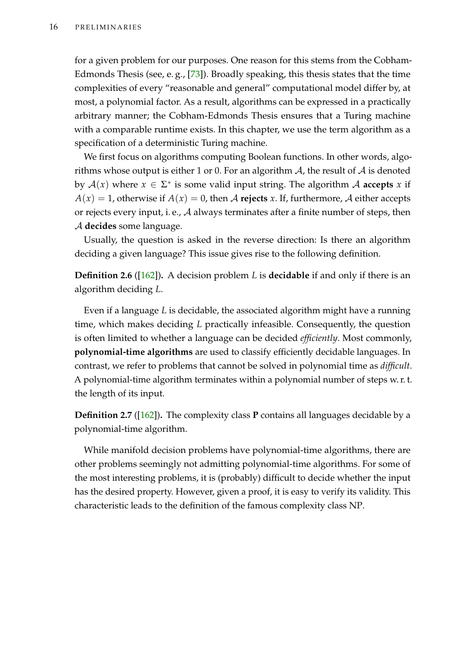for a given problem for our purposes. One reason for this stems from the Cobham-Edmonds Thesis (see, e. g., [\[73\]](#page-216-4)). Broadly speaking, this thesis states that the time complexities of every "reasonable and general" computational model differ by, at most, a polynomial factor. As a result, algorithms can be expressed in a practically arbitrary manner; the Cobham-Edmonds Thesis ensures that a Turing machine with a comparable runtime exists. In this chapter, we use the term algorithm as a specification of a deterministic Turing machine.

We first focus on algorithms computing Boolean functions. In other words, algorithms whose output is either 1 or 0. For an algorithm  $A$ , the result of  $A$  is denoted by  $A(x)$  where  $x \in \Sigma^*$  is some valid input string. The algorithm A **accepts** x if  $A(x) = 1$ , otherwise if  $A(x) = 0$ , then A **rejects** *x*. If, furthermore, A either accepts or rejects every input, i.e.,  $A$  always terminates after a finite number of steps, then A **decides** some language.

Usually, the question is asked in the reverse direction: Is there an algorithm deciding a given language? This issue gives rise to the following definition.

**Definition 2.6** ([\[162\]](#page-223-3))**.** A decision problem *L* is **decidable** if and only if there is an algorithm deciding *L*.

Even if a language *L* is decidable, the associated algorithm might have a running time, which makes deciding *L* practically infeasible. Consequently, the question is often limited to whether a language can be decided *efficiently*. Most commonly, **polynomial-time algorithms** are used to classify efficiently decidable languages. In contrast, we refer to problems that cannot be solved in polynomial time as *difficult*. A polynomial-time algorithm terminates within a polynomial number of steps w. r. t. the length of its input.

**Definition 2.7** ([\[162\]](#page-223-3))**.** The complexity class **P** contains all languages decidable by a polynomial-time algorithm.

While manifold decision problems have polynomial-time algorithms, there are other problems seemingly not admitting polynomial-time algorithms. For some of the most interesting problems, it is (probably) difficult to decide whether the input has the desired property. However, given a proof, it is easy to verify its validity. This characteristic leads to the definition of the famous complexity class NP.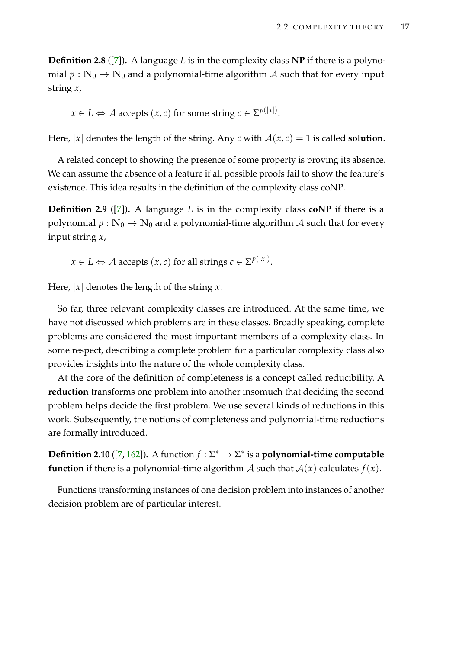**Definition 2.8** ([\[7\]](#page-210-4))**.** A language *L* is in the complexity class **NP** if there is a polynomial  $p : \mathbb{N}_0 \to \mathbb{N}_0$  and a polynomial-time algorithm A such that for every input string *x*,

 $x \in L \Leftrightarrow \mathcal{A}$  accepts  $(x, c)$  for some string  $c \in \Sigma^{p(|x|)}.$ 

Here,  $|x|$  denotes the length of the string. Any *c* with  $A(x, c) = 1$  is called **solution**.

A related concept to showing the presence of some property is proving its absence. We can assume the absence of a feature if all possible proofs fail to show the feature's existence. This idea results in the definition of the complexity class coNP.

**Definition 2.9** ([\[7\]](#page-210-4))**.** A language *L* is in the complexity class **coNP** if there is a polynomial  $p : \mathbb{N}_0 \to \mathbb{N}_0$  and a polynomial-time algorithm A such that for every input string *x*,

 $x \in L \Leftrightarrow \mathcal{A} \text{ accepts } (x, c) \text{ for all strings } c \in \Sigma^{p(|x|)}.$ 

Here, |*x*| denotes the length of the string *x*.

So far, three relevant complexity classes are introduced. At the same time, we have not discussed which problems are in these classes. Broadly speaking, complete problems are considered the most important members of a complexity class. In some respect, describing a complete problem for a particular complexity class also provides insights into the nature of the whole complexity class.

At the core of the definition of completeness is a concept called reducibility. A **reduction** transforms one problem into another insomuch that deciding the second problem helps decide the first problem. We use several kinds of reductions in this work. Subsequently, the notions of completeness and polynomial-time reductions are formally introduced.

**Definition 2.10** ([\[7,](#page-210-4) [162\]](#page-223-3)). A function  $f : \Sigma^* \to \Sigma^*$  is a **polynomial-time computable function** if there is a polynomial-time algorithm A such that  $A(x)$  calculates  $f(x)$ .

Functions transforming instances of one decision problem into instances of another decision problem are of particular interest.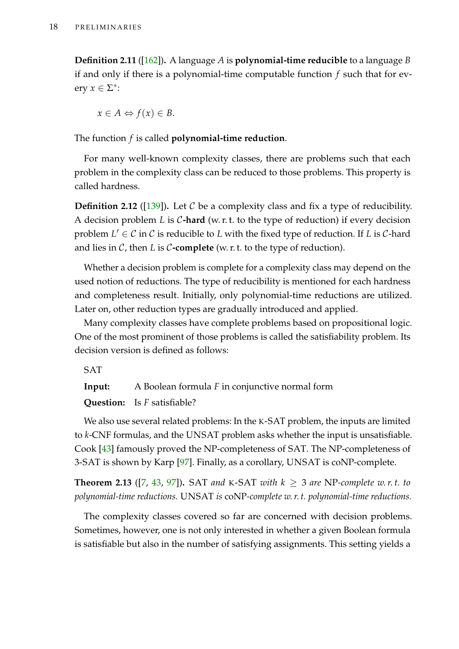**Definition 2.11** ([\[162\]](#page-223-3))**.** A language *A* is **polynomial-time reducible** to a language *B* if and only if there is a polynomial-time computable function *f* such that for every  $x \in \Sigma^*$ :

$$
x \in A \Leftrightarrow f(x) \in B.
$$

The function *f* is called **polynomial-time reduction**.

For many well-known complexity classes, there are problems such that each problem in the complexity class can be reduced to those problems. This property is called hardness.

**Definition 2.12** ([\[139\]](#page-221-4)). Let  $C$  be a complexity class and fix a type of reducibility. A decision problem *L* is C**-hard** (w. r. t. to the type of reduction) if every decision problem  $L' \in \mathcal{C}$  in  $\mathcal{C}$  is reducible to  $L$  with the fixed type of reduction. If  $L$  is  $\mathcal{C}$ -hard and lies in  $C$ , then  $L$  is  $C$ -complete (w. r. t. to the type of reduction).

Whether a decision problem is complete for a complexity class may depend on the used notion of reductions. The type of reducibility is mentioned for each hardness and completeness result. Initially, only polynomial-time reductions are utilized. Later on, other reduction types are gradually introduced and applied.

Many complexity classes have complete problems based on propositional logic. One of the most prominent of those problems is called the satisfiability problem. Its decision version is defined as follows:

SAT

**Input:** A Boolean formula *F* in conjunctive normal form

**Question:** Is *F* satisfiable?

We also use several related problems: In the K-SAT problem, the inputs are limited to *k*-CNF formulas, and the UNSAT problem asks whether the input is unsatisfiable. Cook [\[43\]](#page-213-2) famously proved the NP-completeness of SAT. The NP-completeness of 3-SAT is shown by Karp [\[97\]](#page-218-4). Finally, as a corollary, UNSAT is coNP-complete.

**Theorem 2.13** ([\[7,](#page-210-4) [43,](#page-213-2) [97\]](#page-218-4)). SAT and K-SAT with  $k \geq 3$  are NP-complete w.r.t. to *polynomial-time reductions.* UNSAT *is* coNP*-complete w. r. t. polynomial-time reductions.*

The complexity classes covered so far are concerned with decision problems. Sometimes, however, one is not only interested in whether a given Boolean formula is satisfiable but also in the number of satisfying assignments. This setting yields a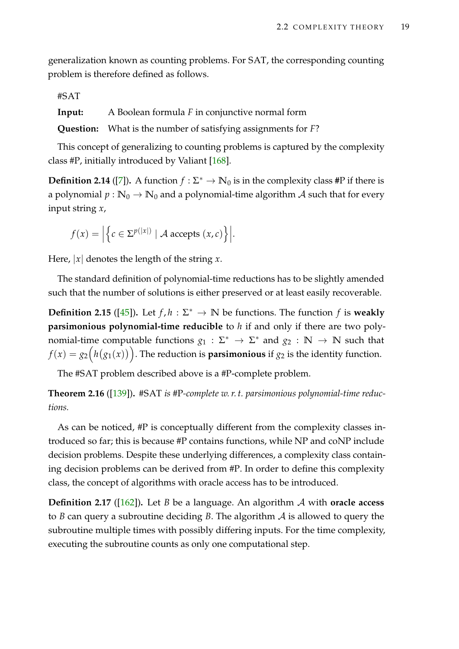generalization known as counting problems. For SAT, the corresponding counting problem is therefore defined as follows.

#SAT

**Input:** A Boolean formula *F* in conjunctive normal form

**Question:** What is the number of satisfying assignments for *F*?

This concept of generalizing to counting problems is captured by the complexity class #P, initially introduced by Valiant [\[168\]](#page-223-4).

**Definition 2.14** ([\[7\]](#page-210-4)). A function  $f : \Sigma^* \to \mathbb{N}_0$  is in the complexity class #P if there is a polynomial  $p : \mathbb{N}_0 \to \mathbb{N}_0$  and a polynomial-time algorithm A such that for every input string *x*,

$$
f(x) = \Big| \Big\{ c \in \Sigma^{p(|x|)} \mid \mathcal{A} \text{ accepts } (x, c) \Big\} \Big|.
$$

Here,  $|x|$  denotes the length of the string  $x$ .

The standard definition of polynomial-time reductions has to be slightly amended such that the number of solutions is either preserved or at least easily recoverable.

**Definition 2.15** ([\[45\]](#page-214-3)). Let  $f, h : \Sigma^* \to \mathbb{N}$  be functions. The function  $f$  is weakly **parsimonious polynomial-time reducible** to *h* if and only if there are two polynomial-time computable functions  $g_1 : \Sigma^* \to \Sigma^*$  and  $g_2 : \mathbb{N} \to \mathbb{N}$  such that  $f(x) = g_2\Big(h\big(g_1(x)\big)\Big).$  The reduction is  $\boldsymbol{p}$ arsimonious if  $g_2$  is the identity function.

The #SAT problem described above is a #P-complete problem.

**Theorem 2.16** ([\[139\]](#page-221-4))**.** #SAT *is* #P*-complete w. r. t. parsimonious polynomial-time reductions.*

As can be noticed, #P is conceptually different from the complexity classes introduced so far; this is because #P contains functions, while NP and coNP include decision problems. Despite these underlying differences, a complexity class containing decision problems can be derived from #P. In order to define this complexity class, the concept of algorithms with oracle access has to be introduced.

**Definition 2.17** ([\[162\]](#page-223-3))**.** Let *B* be a language. An algorithm A with **oracle access** to *B* can query a subroutine deciding *B*. The algorithm A is allowed to query the subroutine multiple times with possibly differing inputs. For the time complexity, executing the subroutine counts as only one computational step.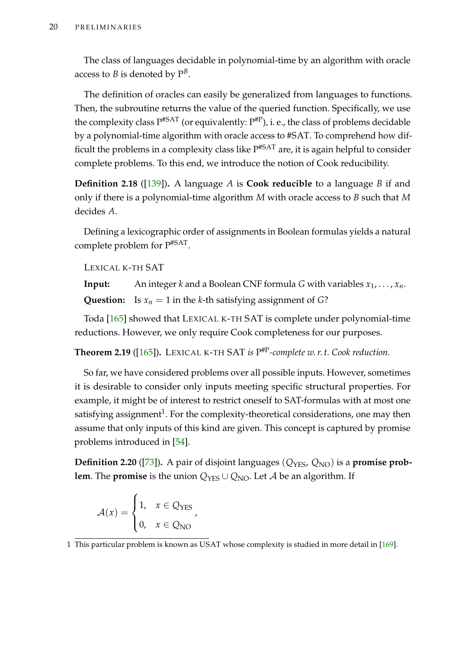The class of languages decidable in polynomial-time by an algorithm with oracle access to  $B$  is denoted by  $\mathrm{P}^B.$ 

The definition of oracles can easily be generalized from languages to functions. Then, the subroutine returns the value of the queried function. Specifically, we use the complexity class  $\rm P^{#SAT}$  (or equivalently:  $\rm P^{#P}$ ), i. e., the class of problems decidable by a polynomial-time algorithm with oracle access to #SAT. To comprehend how difficult the problems in a complexity class like  $\rm P^{#SAT}$  are, it is again helpful to consider complete problems. To this end, we introduce the notion of Cook reducibility.

**Definition 2.18** ([\[139\]](#page-221-4))**.** A language *A* is **Cook reducible** to a language *B* if and only if there is a polynomial-time algorithm *M* with oracle access to *B* such that *M* decides *A*.

Defining a lexicographic order of assignments in Boolean formulas yields a natural complete problem for P#SAT .

LEXICAL K-TH SAT

**Input:** An integer *k* and a Boolean CNF formula *G* with variables  $x_1, \ldots, x_n$ . **Question:** Is  $x_n = 1$  in the *k*-th satisfying assignment of *G*?

Toda [\[165\]](#page-223-5) showed that LEXICAL K-TH SAT is complete under polynomial-time reductions. However, we only require Cook completeness for our purposes.

**Theorem 2.19** ([\[165\]](#page-223-5))**.** LEXICAL K-TH SAT *is* P #P*-complete w. r. t. Cook reduction.*

So far, we have considered problems over all possible inputs. However, sometimes it is desirable to consider only inputs meeting specific structural properties. For example, it might be of interest to restrict oneself to SAT-formulas with at most one satisfying assignment $^1$ . For the complexity-theoretical considerations, one may then assume that only inputs of this kind are given. This concept is captured by promise problems introduced in [\[54\]](#page-214-4).

**Definition 2.20** ([\[73\]](#page-216-4)). A pair of disjoint languages ( $Q_{\text{YES}}$ ,  $Q_{\text{NO}}$ ) is a **promise problem**. The **promise** is the union  $Q_{\text{YES}} \cup Q_{\text{NO}}$ . Let A be an algorithm. If

$$
\mathcal{A}(x) = \begin{cases} 1, & x \in Q_{\text{YES}} \\ 0, & x \in Q_{\text{NO}} \end{cases},
$$

<sup>1</sup> This particular problem is known as USAT whose complexity is studied in more detail in [\[169\]](#page-223-6).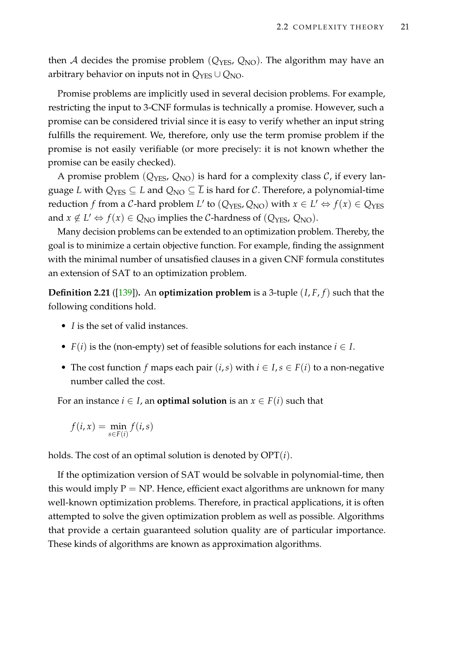then A decides the promise problem ( $Q_{\text{YES}}$ ,  $Q_{\text{NO}}$ ). The algorithm may have an arbitrary behavior on inputs not in  $Q_{\text{YES}} \cup Q_{\text{NO}}$ .

Promise problems are implicitly used in several decision problems. For example, restricting the input to 3-CNF formulas is technically a promise. However, such a promise can be considered trivial since it is easy to verify whether an input string fulfills the requirement. We, therefore, only use the term promise problem if the promise is not easily verifiable (or more precisely: it is not known whether the promise can be easily checked).

A promise problem  $(Q_{\text{YES}}, Q_{\text{NO}})$  is hard for a complexity class  $C$ , if every language *L* with  $Q_{\text{YES}} \subseteq L$  and  $Q_{\text{NO}} \subseteq \overline{L}$  is hard for *C*. Therefore, a polynomial-time reduction *f* from a *C*-hard problem *L*' to ( $Q_{\text{YES}}, Q_{\text{NO}}$ ) with  $x \in L' \Leftrightarrow f(x) \in Q_{\text{YES}}$ and  $x \notin L' \Leftrightarrow f(x) \in Q_{NO}$  implies the C-hardness of ( $Q_{YES}$ ,  $Q_{NO}$ ).

Many decision problems can be extended to an optimization problem. Thereby, the goal is to minimize a certain objective function. For example, finding the assignment with the minimal number of unsatisfied clauses in a given CNF formula constitutes an extension of SAT to an optimization problem.

**Definition 2.21** ([\[139\]](#page-221-0))**.** An **optimization problem** is a 3-tuple (*I*, *F*, *f*) such that the following conditions hold.

- *I* is the set of valid instances.
- $F(i)$  is the (non-empty) set of feasible solutions for each instance  $i \in I$ .
- The cost function *f* maps each pair  $(i, s)$  with  $i \in I$ ,  $s \in F(i)$  to a non-negative number called the cost.

For an instance  $i \in I$ , an **optimal solution** is an  $x \in F(i)$  such that

$$
f(i, x) = \min_{s \in F(i)} f(i, s)
$$

holds. The cost of an optimal solution is denoted by OPT(*i*).

If the optimization version of SAT would be solvable in polynomial-time, then this would imply  $P = NP$ . Hence, efficient exact algorithms are unknown for many well-known optimization problems. Therefore, in practical applications, it is often attempted to solve the given optimization problem as well as possible. Algorithms that provide a certain guaranteed solution quality are of particular importance. These kinds of algorithms are known as approximation algorithms.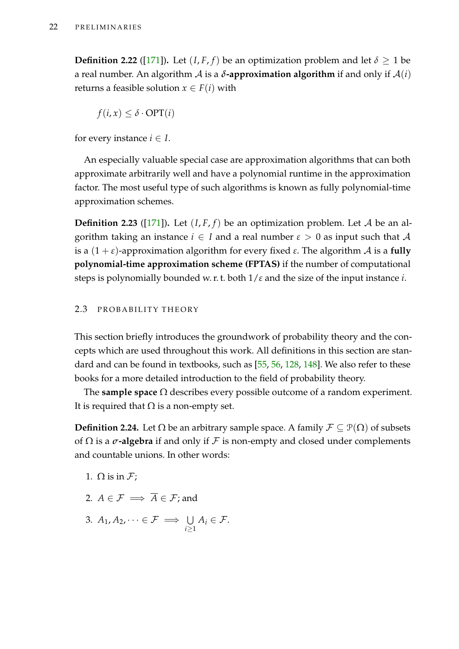**Definition 2.22** ([\[171\]](#page-224-0)). Let  $(I, F, f)$  be an optimization problem and let  $\delta \geq 1$  be a real number. An algorithm  $\mathcal A$  is a  $\delta$ **-approximation algorithm** if and only if  $\mathcal A(i)$ returns a feasible solution  $x \in F(i)$  with

$$
f(i, x) \le \delta \cdot \text{OPT}(i)
$$

for every instance  $i \in I$ .

An especially valuable special case are approximation algorithms that can both approximate arbitrarily well and have a polynomial runtime in the approximation factor. The most useful type of such algorithms is known as fully polynomial-time approximation schemes.

**Definition 2.23** ([\[171\]](#page-224-0)). Let  $(I, F, f)$  be an optimization problem. Let A be an algorithm taking an instance  $i \in I$  and a real number  $\varepsilon > 0$  as input such that A is a (1 + *ε*)-approximation algorithm for every fixed *ε*. The algorithm A is a **fully polynomial-time approximation scheme (FPTAS)** if the number of computational steps is polynomially bounded w. r. t. both 1/*ε* and the size of the input instance *i*.

# 2.3 PROBABILITY THEORY

This section briefly introduces the groundwork of probability theory and the concepts which are used throughout this work. All definitions in this section are standard and can be found in textbooks, such as [\[55,](#page-214-0) [56,](#page-214-1) [128,](#page-220-0) [148\]](#page-222-0). We also refer to these books for a more detailed introduction to the field of probability theory.

The **sample space** Ω describes every possible outcome of a random experiment. It is required that  $\Omega$  is a non-empty set.

**Definition 2.24.** Let  $\Omega$  be an arbitrary sample space. A family  $\mathcal{F} \subseteq \mathcal{P}(\Omega)$  of subsets of  $\Omega$  is a  $\sigma$ **-algebra** if and only if  $\mathcal F$  is non-empty and closed under complements and countable unions. In other words:

- 1.  $\Omega$  is in  $\mathcal{F}$ ;
- 2.  $A \in \mathcal{F} \implies \overline{A} \in \mathcal{F}$ ; and
- 3.  $A_1, A_2, \dots \in \mathcal{F} \implies \bigcup$ *i*≥1  $A_i \in \mathcal{F}.$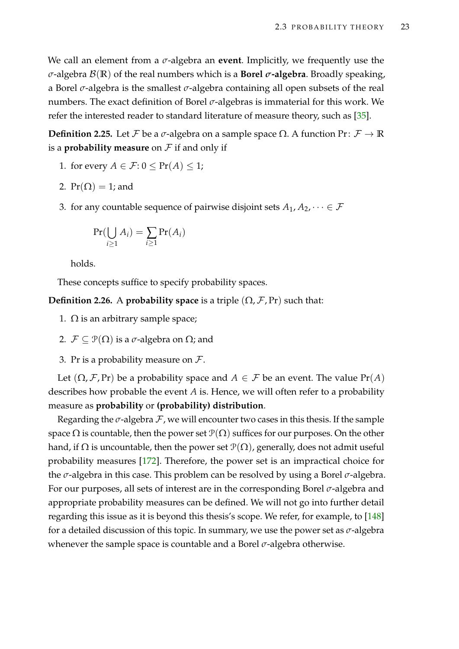We call an element from a *σ*-algebra an **event**. Implicitly, we frequently use the *σ*-algebra B(**R**) of the real numbers which is a **Borel** *σ***-algebra**. Broadly speaking, a Borel *σ*-algebra is the smallest *σ*-algebra containing all open subsets of the real numbers. The exact definition of Borel *σ*-algebras is immaterial for this work. We refer the interested reader to standard literature of measure theory, such as [\[35\]](#page-213-0).

**Definition 2.25.** Let *F* be a *σ*-algebra on a sample space  $Ω$ . A function  $Pr: F \to \mathbb{R}$ is a **probability measure** on  $F$  if and only if

- 1. for every  $A \in \mathcal{F}: 0 \leq Pr(A) \leq 1$ ;
- 2.  $Pr(\Omega) = 1$ ; and
- 3. for any countable sequence of pairwise disjoint sets  $A_1, A_2, \dots \in \mathcal{F}$

$$
Pr(\bigcup_{i\geq 1} A_i) = \sum_{i\geq 1} Pr(A_i)
$$

holds.

These concepts suffice to specify probability spaces.

**Definition 2.26.** A **probability space** is a triple  $(\Omega, \mathcal{F}, Pr)$  such that:

- 1.  $\Omega$  is an arbitrary sample space;
- 2.  $\mathcal{F} \subseteq \mathcal{P}(\Omega)$  is a  $\sigma$ -algebra on  $\Omega$ ; and
- 3. Pr is a probability measure on  $\mathcal{F}$ .

Let  $(\Omega, \mathcal{F}, Pr)$  be a probability space and  $A \in \mathcal{F}$  be an event. The value  $Pr(A)$ describes how probable the event *A* is. Hence, we will often refer to a probability measure as **probability** or **(probability) distribution**.

Regarding the  $\sigma$ -algebra  $\mathcal F$ , we will encounter two cases in this thesis. If the sample space  $\Omega$  is countable, then the power set  $\mathcal{P}(\Omega)$  suffices for our purposes. On the other hand, if  $\Omega$  is uncountable, then the power set  $\mathcal{P}(\Omega)$ , generally, does not admit useful probability measures [\[172\]](#page-224-1). Therefore, the power set is an impractical choice for the *σ*-algebra in this case. This problem can be resolved by using a Borel *σ*-algebra. For our purposes, all sets of interest are in the corresponding Borel *σ*-algebra and appropriate probability measures can be defined. We will not go into further detail regarding this issue as it is beyond this thesis's scope. We refer, for example, to [\[148\]](#page-222-0) for a detailed discussion of this topic. In summary, we use the power set as *σ*-algebra whenever the sample space is countable and a Borel *σ*-algebra otherwise.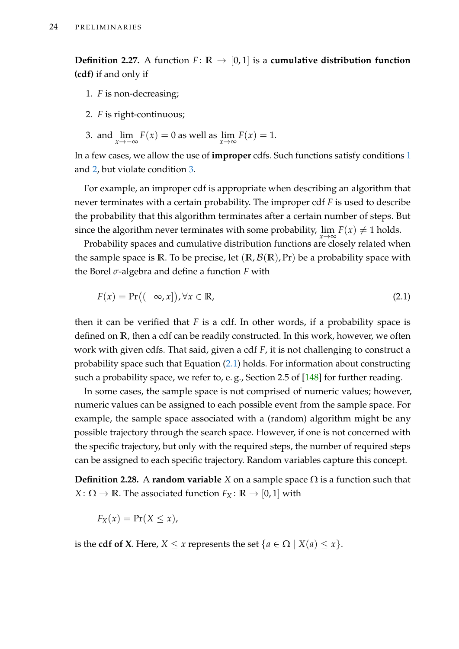<span id="page-39-4"></span>**Definition 2.27.** A function  $F: \mathbb{R} \to [0,1]$  is a **cumulative distribution function (cdf)** if and only if

- <span id="page-39-0"></span>1. *F* is non-decreasing;
- <span id="page-39-1"></span>2. *F* is right-continuous;
- <span id="page-39-2"></span>3. and  $\lim_{x \to -\infty} F(x) = 0$  as well as  $\lim_{x \to \infty} F(x) = 1$ .

In a few cases, we allow the use of **improper** cdfs. Such functions satisfy conditions [1](#page-39-0) and [2,](#page-39-1) but violate condition [3.](#page-39-2)

For example, an improper cdf is appropriate when describing an algorithm that never terminates with a certain probability. The improper cdf *F* is used to describe the probability that this algorithm terminates after a certain number of steps. But since the algorithm never terminates with some probability,  $\lim\limits_{x\to\infty}F(x)\neq 1$  holds.

Probability spaces and cumulative distribution functions are closely related when the sample space is  $\mathbb{R}$ . To be precise, let  $(\mathbb{R}, \mathcal{B}(\mathbb{R}), Pr)$  be a probability space with the Borel *σ*-algebra and define a function *F* with

<span id="page-39-3"></span>
$$
F(x) = \Pr((-\infty, x]), \forall x \in \mathbb{R}, \tag{2.1}
$$

then it can be verified that  $F$  is a cdf. In other words, if a probability space is defined on **R**, then a cdf can be readily constructed. In this work, however, we often work with given cdfs. That said, given a cdf *F*, it is not challenging to construct a probability space such that Equation [\(2.1\)](#page-39-3) holds. For information about constructing such a probability space, we refer to, e.g., Section 2.5 of [\[148\]](#page-222-0) for further reading.

In some cases, the sample space is not comprised of numeric values; however, numeric values can be assigned to each possible event from the sample space. For example, the sample space associated with a (random) algorithm might be any possible trajectory through the search space. However, if one is not concerned with the specific trajectory, but only with the required steps, the number of required steps can be assigned to each specific trajectory. Random variables capture this concept.

**Definition 2.28.** A **random variable** *X* on a sample space  $\Omega$  is a function such that *X* :  $\Omega \rightarrow \mathbb{R}$ . The associated function  $F_X : \mathbb{R} \rightarrow [0,1]$  with

$$
F_X(x) = \Pr(X \le x),
$$

is the **cdf of X**. Here,  $X \leq x$  represents the set  $\{a \in \Omega \mid X(a) \leq x\}.$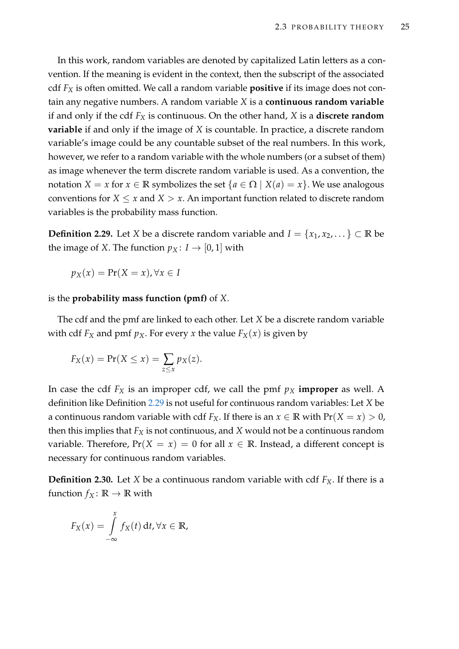In this work, random variables are denoted by capitalized Latin letters as a convention. If the meaning is evident in the context, then the subscript of the associated cdf *F<sup>X</sup>* is often omitted. We call a random variable **positive** if its image does not contain any negative numbers. A random variable *X* is a **continuous random variable** if and only if the cdf *F<sup>X</sup>* is continuous. On the other hand, *X* is a **discrete random variable** if and only if the image of *X* is countable. In practice, a discrete random variable's image could be any countable subset of the real numbers. In this work, however, we refer to a random variable with the whole numbers (or a subset of them) as image whenever the term discrete random variable is used. As a convention, the notation *X* = *x* for *x*  $\in$  **R** symbolizes the set {*a*  $\in$   $\Omega$  | *X*(*a*) = *x*}. We use analogous conventions for  $X \leq x$  and  $X > x$ . An important function related to discrete random variables is the probability mass function.

<span id="page-40-0"></span>**Definition 2.29.** Let *X* be a discrete random variable and *I* = { $x_1, x_2, \ldots$ } ⊂ **R** be the image of *X*. The function  $p_X: I \rightarrow [0,1]$  with

$$
p_X(x) = \Pr(X = x), \forall x \in I
$$

is the **probability mass function (pmf)** of *X*.

The cdf and the pmf are linked to each other. Let *X* be a discrete random variable with cdf  $F_X$  and pmf  $p_X$ . For every *x* the value  $F_X(x)$  is given by

$$
F_X(x) = \Pr(X \le x) = \sum_{z \le x} p_X(z).
$$

In case the cdf  $F_X$  is an improper cdf, we call the pmf  $p_X$  **improper** as well. A definition like Definition [2.29](#page-40-0) is not useful for continuous random variables: Let *X* be a continuous random variable with cdf  $F_X$ . If there is an  $x \in \mathbb{R}$  with  $Pr(X = x) > 0$ , then this implies that  $F_X$  is not continuous, and  $X$  would not be a continuous random variable. Therefore,  $Pr(X = x) = 0$  for all  $x \in \mathbb{R}$ . Instead, a different concept is necessary for continuous random variables.

**Definition 2.30.** Let *X* be a continuous random variable with cdf  $F_X$ . If there is a function  $f_X: \mathbb{R} \to \mathbb{R}$  with

$$
F_X(x) = \int\limits_{-\infty}^x f_X(t) \, \mathrm{d}t, \forall x \in \mathbb{R},
$$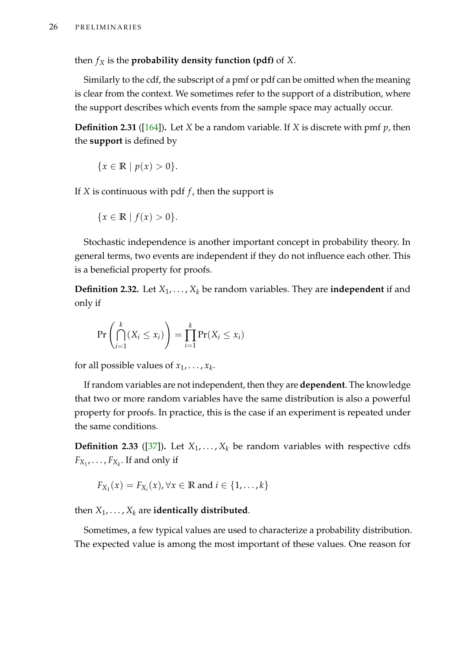then  $f_X$  is the **probability density function (pdf)** of *X*.

Similarly to the cdf, the subscript of a pmf or pdf can be omitted when the meaning is clear from the context. We sometimes refer to the support of a distribution, where the support describes which events from the sample space may actually occur.

**Definition 2.31** ([\[164\]](#page-223-0))**.** Let *X* be a random variable. If *X* is discrete with pmf *p*, then the **support** is defined by

$$
\{x \in \mathbb{R} \mid p(x) > 0\}.
$$

If *X* is continuous with pdf *f* , then the support is

$$
\{x \in \mathbb{R} \mid f(x) > 0\}.
$$

Stochastic independence is another important concept in probability theory. In general terms, two events are independent if they do not influence each other. This is a beneficial property for proofs.

**Definition 2.32.** Let *X*1, . . . , *X<sup>k</sup>* be random variables. They are **independent** if and only if

$$
\Pr\left(\bigcap_{i=1}^k (X_i \le x_i)\right) = \prod_{i=1}^k \Pr(X_i \le x_i)
$$

for all possible values of  $x_1, \ldots, x_k$ .

If random variables are not independent, then they are **dependent**. The knowledge that two or more random variables have the same distribution is also a powerful property for proofs. In practice, this is the case if an experiment is repeated under the same conditions.

**Definition 2.33** ([\[37\]](#page-213-1)). Let  $X_1, \ldots, X_k$  be random variables with respective cdfs  $F_{X_1}, \ldots, F_{X_k}$ . If and only if

$$
F_{X_1}(x) = F_{X_i}(x), \forall x \in \mathbb{R} \text{ and } i \in \{1, \ldots, k\}
$$

then  $X_1, \ldots, X_k$  are **identically distributed**.

Sometimes, a few typical values are used to characterize a probability distribution. The expected value is among the most important of these values. One reason for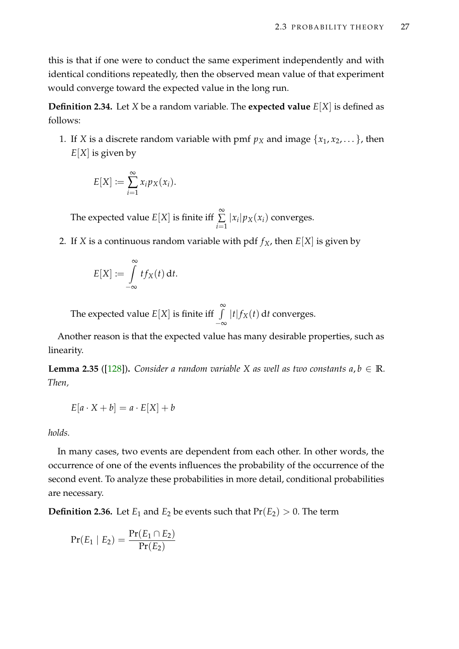this is that if one were to conduct the same experiment independently and with identical conditions repeatedly, then the observed mean value of that experiment would converge toward the expected value in the long run.

**Definition 2.34.** Let *X* be a random variable. The **expected value**  $E[X]$  is defined as follows:

1. If *X* is a discrete random variable with pmf  $p_X$  and image  $\{x_1, x_2, \dots\}$ , then *E*[*X*] is given by

$$
E[X] := \sum_{i=1}^{\infty} x_i p_X(x_i).
$$

The expected value  $E[X]$  is finite iff  $\sum^{\infty}$ ∑ *i*=1  $|x_i| p_X(x_i)$  converges.

2. If *X* is a continuous random variable with pdf  $f_X$ , then  $E[X]$  is given by

$$
E[X] := \int\limits_{-\infty}^{\infty} t f_X(t) \, \mathrm{d}t.
$$

The expected value  $E[X]$  is finite iff  $\int_0^\infty$ −∞  $|t| f_X(t)$  d*t* converges.

Another reason is that the expected value has many desirable properties, such as linearity.

**Lemma 2.35** ([\[128\]](#page-220-0)). *Consider a random variable X as well as two constants*  $a, b \in \mathbb{R}$ *. Then,*

$$
E[a \cdot X + b] = a \cdot E[X] + b
$$

*holds.*

In many cases, two events are dependent from each other. In other words, the occurrence of one of the events influences the probability of the occurrence of the second event. To analyze these probabilities in more detail, conditional probabilities are necessary.

**Definition 2.36.** Let  $E_1$  and  $E_2$  be events such that  $Pr(E_2) > 0$ . The term

$$
Pr(E_1 | E_2) = \frac{Pr(E_1 \cap E_2)}{Pr(E_2)}
$$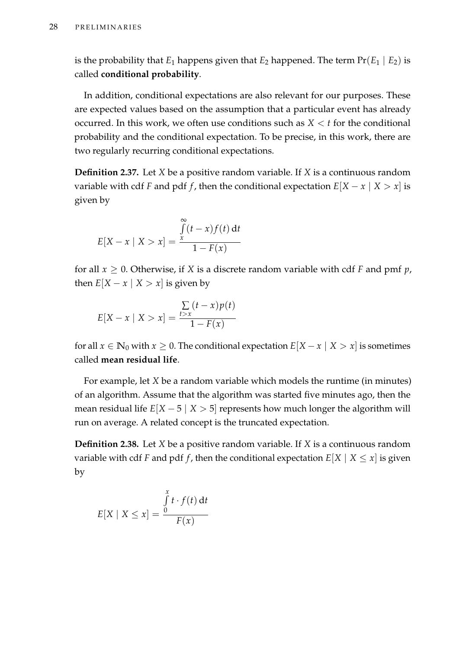is the probability that  $E_1$  happens given that  $E_2$  happened. The term  $Pr(E_1 | E_2)$  is called **conditional probability**.

In addition, conditional expectations are also relevant for our purposes. These are expected values based on the assumption that a particular event has already occurred. In this work, we often use conditions such as  $X \leq t$  for the conditional probability and the conditional expectation. To be precise, in this work, there are two regularly recurring conditional expectations.

**Definition 2.37.** Let *X* be a positive random variable. If *X* is a continuous random variable with cdf *F* and pdf *f*, then the conditional expectation  $E[X - x | X > x]$  is given by

$$
E[X - x \mid X > x] = \frac{\int_{x}^{\infty} (t - x) f(t) dt}{1 - F(x)}
$$

for all  $x \geq 0$ . Otherwise, if *X* is a discrete random variable with cdf *F* and pmf *p*, then  $E[X - x \mid X > x]$  is given by

$$
E[X - x \mid X > x] = \frac{\sum_{t > x} (t - x)p(t)}{1 - F(x)}
$$

for all *x* ∈  $\mathbb{N}_0$  with *x* ≥ 0. The conditional expectation  $E[X - x | X > x]$  is sometimes called **mean residual life**.

For example, let *X* be a random variable which models the runtime (in minutes) of an algorithm. Assume that the algorithm was started five minutes ago, then the mean residual life  $E[X - 5 | X > 5]$  represents how much longer the algorithm will run on average. A related concept is the truncated expectation.

<span id="page-43-0"></span>**Definition 2.38.** Let *X* be a positive random variable. If *X* is a continuous random variable with cdf *F* and pdf *f*, then the conditional expectation  $E[X \mid X \leq x]$  is given by

$$
E[X \mid X \le x] = \frac{\int_{0}^{x} t \cdot f(t) dt}{F(x)}
$$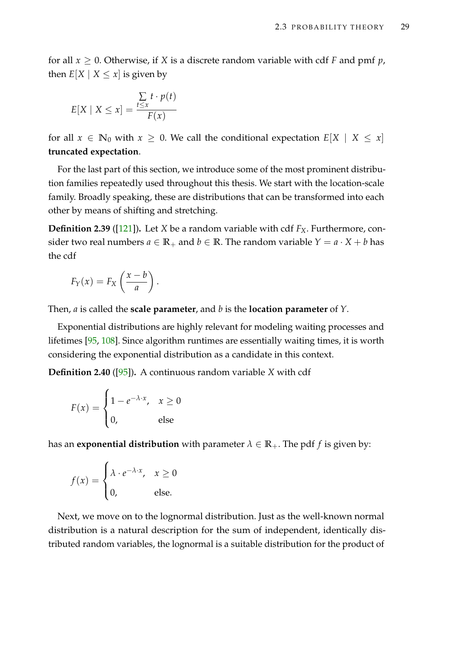for all  $x \geq 0$ . Otherwise, if X is a discrete random variable with cdf F and pmf p, then  $E[X \mid X \leq x]$  is given by

$$
E[X \mid X \le x] = \frac{\sum\limits_{t \le x} t \cdot p(t)}{F(x)}
$$

for all  $x \in \mathbb{N}_0$  with  $x \geq 0$ . We call the conditional expectation  $E[X \mid X \leq x]$ **truncated expectation**.

For the last part of this section, we introduce some of the most prominent distribution families repeatedly used throughout this thesis. We start with the location-scale family. Broadly speaking, these are distributions that can be transformed into each other by means of shifting and stretching.

**Definition 2.39** ([\[121\]](#page-220-1))**.** Let *X* be a random variable with cdf *FX*. Furthermore, consider two real numbers  $a \in \mathbb{R}_+$  and  $b \in \mathbb{R}$ . The random variable  $Y = a \cdot X + b$  has the cdf

$$
F_Y(x) = F_X\left(\frac{x-b}{a}\right).
$$

Then, *a* is called the **scale parameter**, and *b* is the **location parameter** of *Y*.

Exponential distributions are highly relevant for modeling waiting processes and lifetimes [\[95,](#page-218-0) [108\]](#page-219-0). Since algorithm runtimes are essentially waiting times, it is worth considering the exponential distribution as a candidate in this context.

**Definition 2.40** ([\[95\]](#page-218-0))**.** A continuous random variable *X* with cdf

$$
F(x) = \begin{cases} 1 - e^{-\lambda \cdot x}, & x \ge 0 \\ 0, & \text{else} \end{cases}
$$

has an **exponential distribution** with parameter  $\lambda \in \mathbb{R}_+$ . The pdf *f* is given by:

$$
f(x) = \begin{cases} \lambda \cdot e^{-\lambda \cdot x}, & x \ge 0 \\ 0, & \text{else.} \end{cases}
$$

Next, we move on to the lognormal distribution. Just as the well-known normal distribution is a natural description for the sum of independent, identically distributed random variables, the lognormal is a suitable distribution for the product of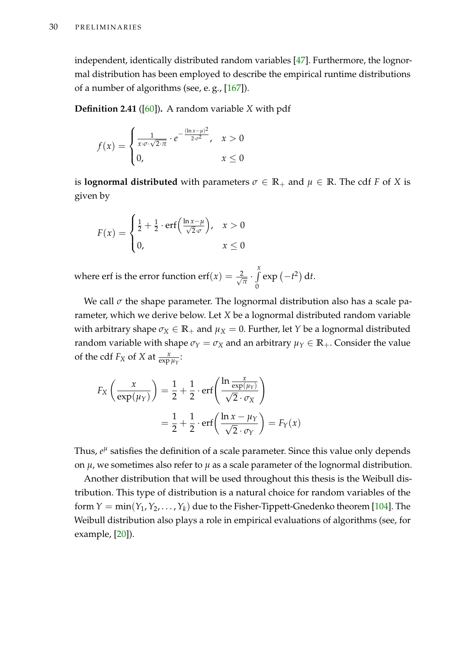independent, identically distributed random variables [\[47\]](#page-214-2). Furthermore, the lognormal distribution has been employed to describe the empirical runtime distributions of a number of algorithms (see, e. g., [\[167\]](#page-223-1)).

**Definition 2.41** ([\[60\]](#page-215-0))**.** A random variable *X* with pdf

$$
f(x) = \begin{cases} \frac{1}{x \cdot \sigma \cdot \sqrt{2 \cdot \pi}} \cdot e^{-\frac{(\ln x - \mu)^2}{2 \cdot \sigma^2}}, & x > 0\\ 0, & x \le 0 \end{cases}
$$

is **lognormal distributed** with parameters  $\sigma \in \mathbb{R}_+$  and  $\mu \in \mathbb{R}$ . The cdf *F* of *X* is given by

$$
F(x) = \begin{cases} \frac{1}{2} + \frac{1}{2} \cdot \text{erf}\left(\frac{\ln x - \mu}{\sqrt{2} \cdot \sigma}\right), & x > 0\\ 0, & x \le 0 \end{cases}
$$

where erf is the error function erf $(x) = \frac{2}{\sqrt{2}}$  $\frac{y}{\overline{\pi}} \cdot \int_{0}^{x}$  $\theta$  $\exp(-t^2) dt$ .

We call  $\sigma$  the shape parameter. The lognormal distribution also has a scale parameter, which we derive below. Let *X* be a lognormal distributed random variable with arbitrary shape  $\sigma_X \in \mathbb{R}_+$  and  $\mu_X = 0$ . Further, let *Y* be a lognormal distributed random variable with shape  $\sigma_Y = \sigma_X$  and an arbitrary  $\mu_Y \in \mathbb{R}_+$ . Consider the value of the cdf  $F_X$  of *X* at  $\frac{x}{\exp \mu_Y}$ :

$$
F_X\left(\frac{x}{\exp(\mu_Y)}\right) = \frac{1}{2} + \frac{1}{2} \cdot \text{erf}\left(\frac{\ln \frac{x}{\exp(\mu_Y)}}{\sqrt{2} \cdot \sigma_X}\right)
$$

$$
= \frac{1}{2} + \frac{1}{2} \cdot \text{erf}\left(\frac{\ln x - \mu_Y}{\sqrt{2} \cdot \sigma_Y}\right) = F_Y(x)
$$

Thus,  $e^{\mu}$  satisfies the definition of a scale parameter. Since this value only depends on  $\mu$ , we sometimes also refer to  $\mu$  as a scale parameter of the lognormal distribution.

Another distribution that will be used throughout this thesis is the Weibull distribution. This type of distribution is a natural choice for random variables of the form  $Y = min(Y_1, Y_2, ..., Y_k)$  due to the Fisher-Tippett-Gnedenko theorem [\[104\]](#page-218-1). The Weibull distribution also plays a role in empirical evaluations of algorithms (see, for example, [\[20\]](#page-211-0)).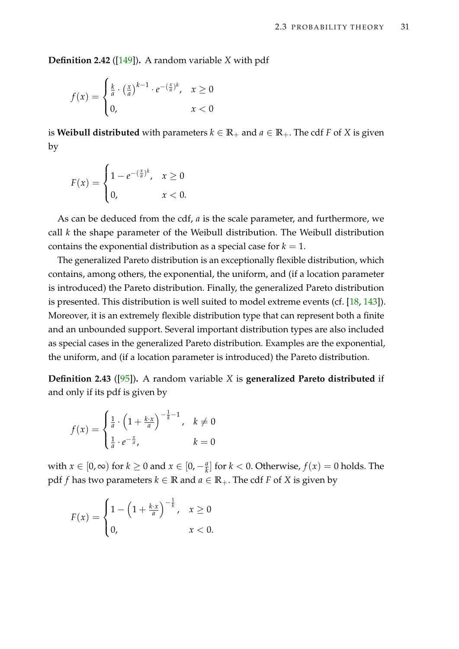**Definition 2.42** ([\[149\]](#page-222-1))**.** A random variable *X* with pdf

$$
f(x) = \begin{cases} \frac{k}{a} \cdot \left(\frac{x}{a}\right)^{k-1} \cdot e^{-\left(\frac{x}{a}\right)^k}, & x \ge 0\\ 0, & x < 0 \end{cases}
$$

is **Weibull distributed** with parameters  $k \in \mathbb{R}_+$  and  $a \in \mathbb{R}_+$ . The cdf *F* of *X* is given by

$$
F(x) = \begin{cases} 1 - e^{-(\frac{x}{a})^k}, & x \ge 0 \\ 0, & x < 0. \end{cases}
$$

As can be deduced from the cdf, *a* is the scale parameter, and furthermore, we call *k* the shape parameter of the Weibull distribution. The Weibull distribution contains the exponential distribution as a special case for  $k = 1$ .

The generalized Pareto distribution is an exceptionally flexible distribution, which contains, among others, the exponential, the uniform, and (if a location parameter is introduced) the Pareto distribution. Finally, the generalized Pareto distribution is presented. This distribution is well suited to model extreme events (cf. [\[18,](#page-211-1) [143\]](#page-222-2)). Moreover, it is an extremely flexible distribution type that can represent both a finite and an unbounded support. Several important distribution types are also included as special cases in the generalized Pareto distribution. Examples are the exponential, the uniform, and (if a location parameter is introduced) the Pareto distribution.

**Definition 2.43** ([\[95\]](#page-218-0))**.** A random variable *X* is **generalized Pareto distributed** if and only if its pdf is given by

$$
f(x) = \begin{cases} \frac{1}{a} \cdot \left(1 + \frac{k \cdot x}{a}\right)^{-\frac{1}{k} - 1}, & k \neq 0\\ \frac{1}{a} \cdot e^{-\frac{x}{a}}, & k = 0 \end{cases}
$$

with  $x \in [0, \infty)$  for  $k \ge 0$  and  $x \in [0, -\frac{a}{k}]$  for  $k < 0$ . Otherwise,  $f(x) = 0$  holds. The pdf *f* has two parameters  $k$  ∈ **R** and  $a$  ∈ **R**<sub>+</sub>. The cdf *F* of *X* is given by

$$
F(x) = \begin{cases} 1 - \left(1 + \frac{k \cdot x}{a}\right)^{-\frac{1}{k}}, & x \ge 0 \\ 0, & x < 0. \end{cases}
$$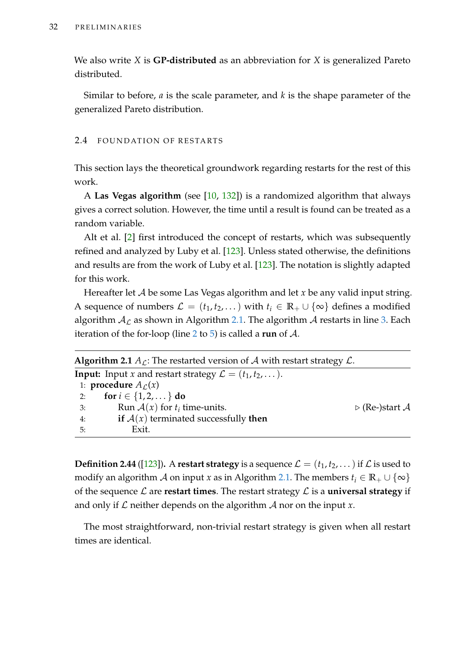We also write *X* is **GP-distributed** as an abbreviation for *X* is generalized Pareto distributed.

Similar to before, *a* is the scale parameter, and *k* is the shape parameter of the generalized Pareto distribution.

# 2.4 FOUNDATION OF RESTARTS

This section lays the theoretical groundwork regarding restarts for the rest of this work.

A **Las Vegas algorithm** (see [\[10,](#page-210-0) [132\]](#page-221-1)) is a randomized algorithm that always gives a correct solution. However, the time until a result is found can be treated as a random variable.

Alt et al. [\[2\]](#page-210-1) first introduced the concept of restarts, which was subsequently refined and analyzed by Luby et al. [\[123\]](#page-220-2). Unless stated otherwise, the definitions and results are from the work of Luby et al. [\[123\]](#page-220-2). The notation is slightly adapted for this work.

Hereafter let A be some Las Vegas algorithm and let x be any valid input string. A sequence of numbers  $\mathcal{L} = (t_1, t_2, ...)$  with  $t_i \in \mathbb{R}_+ \cup \{\infty\}$  defines a modified algorithm  $A_{\mathcal{L}}$  as shown in Algorithm [2.1.](#page-47-0) The algorithm A restarts in line [3.](#page-47-0) Each iteration of the for-loop (line [2](#page-47-0) to [5\)](#page-47-0) is called a **run** of A.

<span id="page-47-0"></span>

|    | <b>Algorithm 2.1</b> $A_{\mathcal{L}}$ : The restarted version of $\mathcal{A}$ with restart strategy $\mathcal{L}$ . |                               |
|----|-----------------------------------------------------------------------------------------------------------------------|-------------------------------|
|    | <b>Input:</b> Input x and restart strategy $\mathcal{L} = (t_1, t_2, \dots).$                                         |                               |
|    | 1: <b>procedure</b> $A_{\mathcal{L}}(x)$                                                                              |                               |
| 2: | for $i \in \{1, 2, \}$ do                                                                                             |                               |
| 3: | Run $A(x)$ for $t_i$ time-units.                                                                                      | $\triangleright$ (Re-)start A |
| 4: | if $A(x)$ terminated successfully then                                                                                |                               |
| 5: | Exit.                                                                                                                 |                               |

**Definition 2.44** ([\[123\]](#page-220-2)). A **restart strategy** is a sequence  $\mathcal{L} = (t_1, t_2, \dots)$  if  $\mathcal{L}$  is used to modify an algorithm A on input *x* as in Algorithm [2.1.](#page-47-0) The members  $t_i \in \mathbb{R}_+ \cup \{\infty\}$ of the sequence L are **restart times**. The restart strategy L is a **universal strategy** if and only if  $\mathcal L$  neither depends on the algorithm  $\mathcal A$  nor on the input  $x$ .

The most straightforward, non-trivial restart strategy is given when all restart times are identical.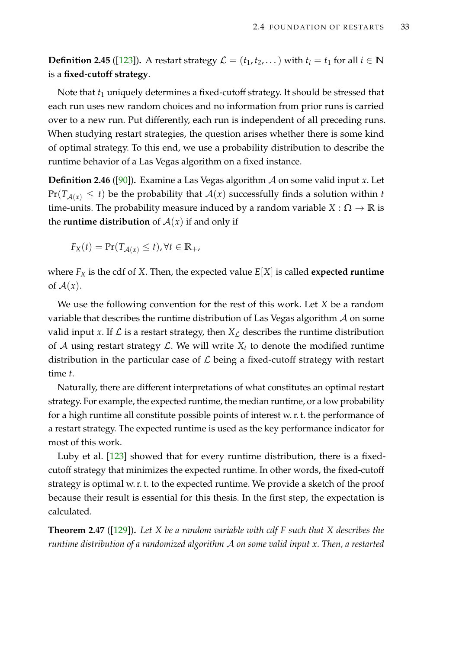**Definition 2.45** ([\[123\]](#page-220-2)). A restart strategy  $\mathcal{L} = (t_1, t_2, ...)$  with  $t_i = t_1$  for all  $i \in \mathbb{N}$ is a **fixed-cutoff strategy**.

Note that  $t_1$  uniquely determines a fixed-cutoff strategy. It should be stressed that each run uses new random choices and no information from prior runs is carried over to a new run. Put differently, each run is independent of all preceding runs. When studying restart strategies, the question arises whether there is some kind of optimal strategy. To this end, we use a probability distribution to describe the runtime behavior of a Las Vegas algorithm on a fixed instance.

<span id="page-48-1"></span>**Definition 2.46** ([\[90\]](#page-217-0))**.** Examine a Las Vegas algorithm A on some valid input *x*. Let  $Pr(T_{\mathcal{A}(x)} \leq t)$  be the probability that  $\mathcal{A}(x)$  successfully finds a solution within *t* time-units. The probability measure induced by a random variable  $X : \Omega \to \mathbb{R}$  is the **runtime distribution** of  $A(x)$  if and only if

$$
F_X(t) = \Pr(T_{\mathcal{A}(x)} \le t), \forall t \in \mathbb{R}_+,
$$

where  $F_X$  is the cdf of *X*. Then, the expected value  $E[X]$  is called **expected runtime** of  $A(x)$ .

We use the following convention for the rest of this work. Let *X* be a random variable that describes the runtime distribution of Las Vegas algorithm  $A$  on some valid input *x*. If  $\mathcal L$  is a restart strategy, then  $X_{\mathcal L}$  describes the runtime distribution of A using restart strategy  $\mathcal{L}$ . We will write  $X_t$  to denote the modified runtime distribution in the particular case of  $\mathcal L$  being a fixed-cutoff strategy with restart time *t*.

Naturally, there are different interpretations of what constitutes an optimal restart strategy. For example, the expected runtime, the median runtime, or a low probability for a high runtime all constitute possible points of interest w. r. t. the performance of a restart strategy. The expected runtime is used as the key performance indicator for most of this work.

Luby et al. [\[123\]](#page-220-2) showed that for every runtime distribution, there is a fixedcutoff strategy that minimizes the expected runtime. In other words, the fixed-cutoff strategy is optimal w. r. t. to the expected runtime. We provide a sketch of the proof because their result is essential for this thesis. In the first step, the expectation is calculated.

<span id="page-48-0"></span>**Theorem 2.47** ([\[129\]](#page-220-3))**.** *Let X be a random variable with cdf F such that X describes the runtime distribution of a randomized algorithm* A *on some valid input x. Then, a restarted*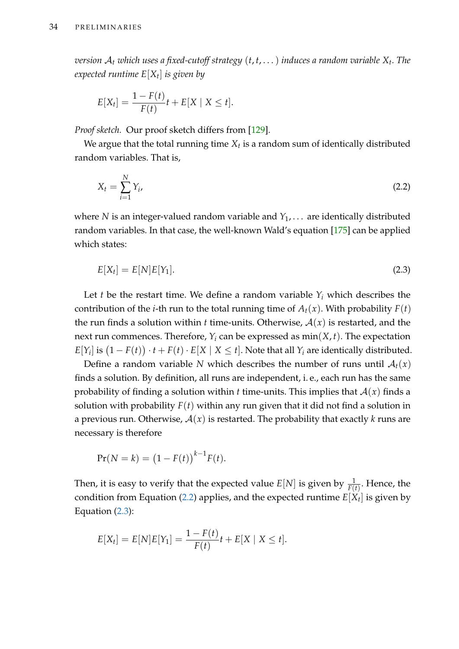*version* A*<sup>t</sup> which uses a fixed-cutoff strategy* (*t*, *t*, . . .) *induces a random variable X<sup>t</sup> . The expected runtime E*[*X<sup>t</sup>* ] *is given by*

$$
E[X_t] = \frac{1 - F(t)}{F(t)}t + E[X \mid X \leq t].
$$

*Proof sketch.* Our proof sketch differs from [\[129\]](#page-220-3).

We argue that the total running time  $X_t$  is a random sum of identically distributed random variables. That is,

<span id="page-49-0"></span>
$$
X_t = \sum_{i=1}^{N} Y_i,
$$
\n
$$
(2.2)
$$

where *N* is an integer-valued random variable and  $Y_1, \ldots$  are identically distributed random variables. In that case, the well-known Wald's equation [\[175\]](#page-224-2) can be applied which states:

<span id="page-49-1"></span>
$$
E[X_t] = E[N]E[Y_1].
$$
\n(2.3)

Let *t* be the restart time. We define a random variable  $Y_i$  which describes the contribution of the *i*-th run to the total running time of  $A_t(x)$ . With probability  $F(t)$ the run finds a solution within *t* time-units. Otherwise,  $A(x)$  is restarted, and the next run commences. Therefore,  $Y_i$  can be expressed as  $min(X, t)$ . The expectation  $E[Y_i]$  is  $(1-F(t)) \cdot t + F(t) \cdot E[X \mid X \leq t]$ . Note that all  $Y_i$  are identically distributed.

Define a random variable *N* which describes the number of runs until  $A_t(x)$ finds a solution. By definition, all runs are independent, i. e., each run has the same probability of finding a solution within *t* time-units. This implies that  $A(x)$  finds a solution with probability  $F(t)$  within any run given that it did not find a solution in a previous run. Otherwise,  $A(x)$  is restarted. The probability that exactly *k* runs are necessary is therefore

$$
Pr(N = k) = (1 - F(t))^{k-1} F(t).
$$

Then, it is easy to verify that the expected value  $E[N]$  is given by  $\frac{1}{F(t)}$ . Hence, the condition from Equation [\(2.2\)](#page-49-0) applies, and the expected runtime  $E[X_t]$  is given by Equation [\(2.3\)](#page-49-1):

$$
E[X_t] = E[N]E[Y_1] = \frac{1 - F(t)}{F(t)}t + E[X \mid X \le t].
$$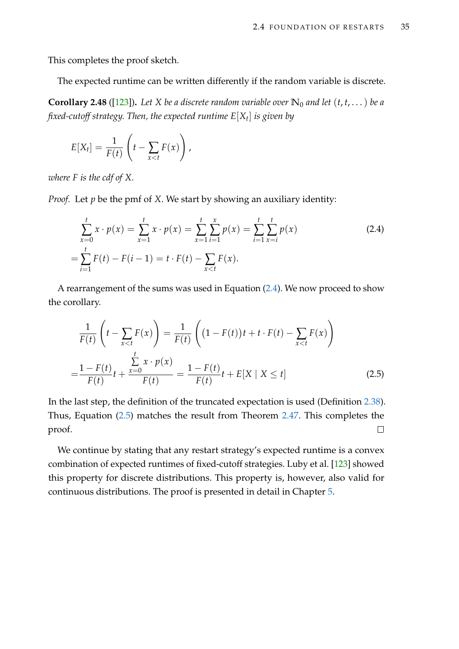This completes the proof sketch.

The expected runtime can be written differently if the random variable is discrete.

<span id="page-50-2"></span>**Corollary 2.48** ([\[123\]](#page-220-2)). Let *X* be a discrete random variable over  $\mathbb{N}_0$  and let  $(t, t, \dots)$  be a *fixed-cutoff strategy. Then, the expected runtime E*[*X<sup>t</sup>* ] *is given by*

$$
E[X_t] = \frac{1}{F(t)} \left( t - \sum_{x < t} F(x) \right),
$$

*where F is the cdf of X.*

*Proof.* Let *p* be the pmf of *X*. We start by showing an auxiliary identity:

<span id="page-50-0"></span>
$$
\sum_{x=0}^{t} x \cdot p(x) = \sum_{x=1}^{t} x \cdot p(x) = \sum_{x=1}^{t} \sum_{i=1}^{x} p(x) = \sum_{i=1}^{t} \sum_{x=i}^{t} p(x)
$$
\n
$$
= \sum_{i=1}^{t} F(t) - F(i-1) = t \cdot F(t) - \sum_{x < t} F(x).
$$
\n(2.4)

A rearrangement of the sums was used in Equation [\(2.4\)](#page-50-0). We now proceed to show the corollary.

<span id="page-50-1"></span>
$$
\frac{1}{F(t)}\left(t - \sum_{x < t} F(x)\right) = \frac{1}{F(t)}\left((1 - F(t))t + t \cdot F(t) - \sum_{x < t} F(x)\right)
$$
\n
$$
= \frac{1 - F(t)}{F(t)}t + \frac{\sum_{x=0}^{t} x \cdot p(x)}{F(t)} = \frac{1 - F(t)}{F(t)}t + E[X \mid X \le t] \tag{2.5}
$$

In the last step, the definition of the truncated expectation is used (Definition [2.38\)](#page-43-0). Thus, Equation [\(2.5\)](#page-50-1) matches the result from Theorem [2.47.](#page-48-0) This completes the proof.  $\Box$ 

We continue by stating that any restart strategy's expected runtime is a convex combination of expected runtimes of fixed-cutoff strategies. Luby et al. [\[123\]](#page-220-2) showed this property for discrete distributions. This property is, however, also valid for continuous distributions. The proof is presented in detail in Chapter [5.](#page-122-0)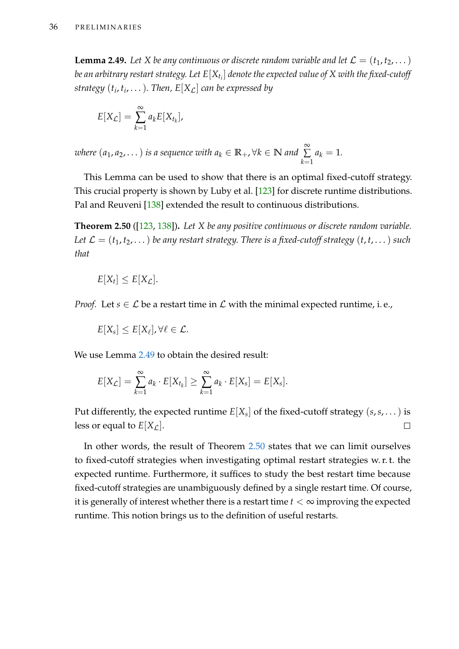<span id="page-51-0"></span>**Lemma 2.49.** Let *X* be any continuous or discrete random variable and let  $\mathcal{L} = (t_1, t_2, \dots)$ *be an arbitrary restart strategy. Let E*[*Xt<sup>i</sup>* ] *denote the expected value of X with the fixed-cutoff strategy* (*t<sup>i</sup>* , *ti* , . . .)*. Then, E*[*X*L] *can be expressed by*

$$
E[X_{\mathcal{L}}] = \sum_{k=1}^{\infty} a_k E[X_{t_k}],
$$

*where*  $(a_1, a_2, ...)$  *is a sequence with*  $a_k \in \mathbb{R}_+$ *,*  $\forall k \in \mathbb{N}$  and  $\sum_{k=1}^{\infty}$ ∑ *k*=1  $a_k = 1$ .

This Lemma can be used to show that there is an optimal fixed-cutoff strategy. This crucial property is shown by Luby et al. [\[123\]](#page-220-2) for discrete runtime distributions. Pal and Reuveni [\[138\]](#page-221-2) extended the result to continuous distributions.

<span id="page-51-1"></span>**Theorem 2.50** ([\[123,](#page-220-2) [138\]](#page-221-2))**.** *Let X be any positive continuous or discrete random variable. Let*  $\mathcal{L} = (t_1, t_2, \dots)$  *be any restart strategy. There is a fixed-cutoff strategy*  $(t, t, \dots)$  *such that*

$$
E[X_t] \leq E[X_{\mathcal{L}}].
$$

*Proof.* Let  $s \in \mathcal{L}$  be a restart time in  $\mathcal{L}$  with the minimal expected runtime, i.e.,

$$
E[X_s] \leq E[X_\ell], \forall \ell \in \mathcal{L}.
$$

We use Lemma [2.49](#page-51-0) to obtain the desired result:

$$
E[X_{\mathcal{L}}] = \sum_{k=1}^{\infty} a_k \cdot E[X_{t_k}] \geq \sum_{k=1}^{\infty} a_k \cdot E[X_s] = E[X_s].
$$

Put differently, the expected runtime  $E[X_s]$  of the fixed-cutoff strategy  $(s,s,\dots)$  is less or equal to  $E[X_{\mathcal{L}}]$ .  $\Box$ 

In other words, the result of Theorem [2.50](#page-51-1) states that we can limit ourselves to fixed-cutoff strategies when investigating optimal restart strategies w. r. t. the expected runtime. Furthermore, it suffices to study the best restart time because fixed-cutoff strategies are unambiguously defined by a single restart time. Of course, it is generally of interest whether there is a restart time  $t < \infty$  improving the expected runtime. This notion brings us to the definition of useful restarts.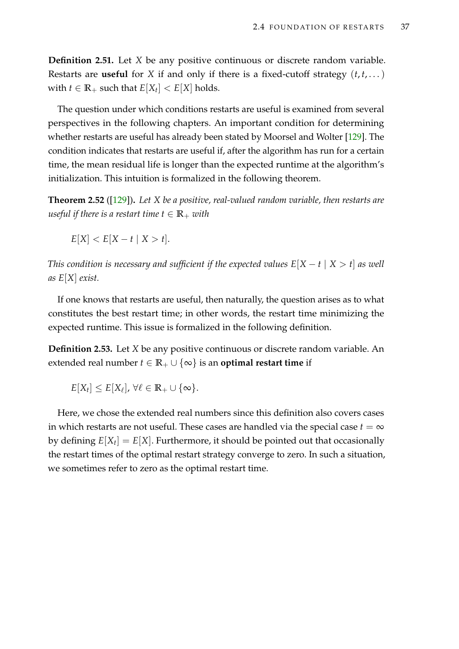**Definition 2.51.** Let *X* be any positive continuous or discrete random variable. Restarts are **useful** for *X* if and only if there is a fixed-cutoff strategy  $(t, t, \dots)$ with  $t \in \mathbb{R}_+$  such that  $E[X_t] < E[X]$  holds.

The question under which conditions restarts are useful is examined from several perspectives in the following chapters. An important condition for determining whether restarts are useful has already been stated by Moorsel and Wolter [\[129\]](#page-220-3). The condition indicates that restarts are useful if, after the algorithm has run for a certain time, the mean residual life is longer than the expected runtime at the algorithm's initialization. This intuition is formalized in the following theorem.

**Theorem 2.52** ([\[129\]](#page-220-3))**.** *Let X be a positive, real-valued random variable, then restarts are useful if there is a restart time t*  $\in \mathbb{R}_+$  *with* 

 $E[X] < E[X - t | X > t].$ 

*This condition is necessary and sufficient if the expected values*  $E[X - t | X > t]$  *as well as E*[*X*] *exist.*

If one knows that restarts are useful, then naturally, the question arises as to what constitutes the best restart time; in other words, the restart time minimizing the expected runtime. This issue is formalized in the following definition.

**Definition 2.53.** Let *X* be any positive continuous or discrete random variable. An extended real number  $t \in \mathbb{R}_+ \cup \{\infty\}$  is an **optimal restart time** if

 $E[X_t] \leq E[X_\ell], \,\forall \ell \in \mathbb{R}_+ \cup \{\infty\}.$ 

Here, we chose the extended real numbers since this definition also covers cases in which restarts are not useful. These cases are handled via the special case  $t = \infty$ by defining  $E[X_t] = E[X]$ . Furthermore, it should be pointed out that occasionally the restart times of the optimal restart strategy converge to zero. In such a situation, we sometimes refer to zero as the optimal restart time.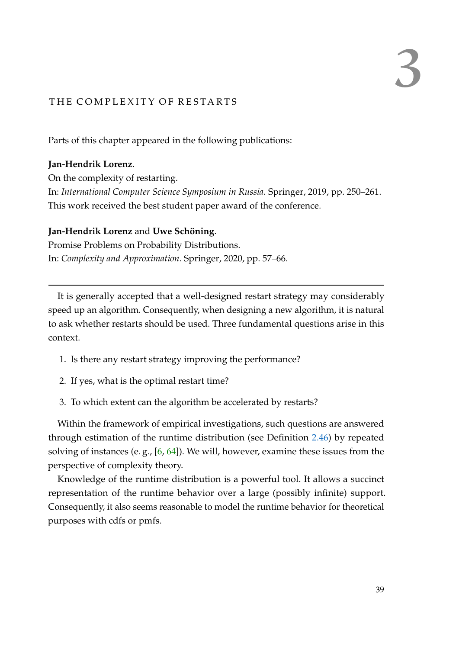# THE COMPLEXITY OF RESTARTS

Parts of this chapter appeared in the following publications:

# **Jan-Hendrik Lorenz**.

On the complexity of restarting. In: *International Computer Science Symposium in Russia*. Springer, 2019, pp. 250–261. This work received the best student paper award of the conference.

# **Jan-Hendrik Lorenz** and **Uwe Schöning**.

Promise Problems on Probability Distributions. In: *Complexity and Approximation*. Springer, 2020, pp. 57–66.

It is generally accepted that a well-designed restart strategy may considerably speed up an algorithm. Consequently, when designing a new algorithm, it is natural to ask whether restarts should be used. Three fundamental questions arise in this context.

- 1. Is there any restart strategy improving the performance?
- 2. If yes, what is the optimal restart time?
- 3. To which extent can the algorithm be accelerated by restarts?

Within the framework of empirical investigations, such questions are answered through estimation of the runtime distribution (see Definition [2.46\)](#page-48-1) by repeated solving of instances (e. g., [\[6,](#page-210-2) [64\]](#page-215-1)). We will, however, examine these issues from the perspective of complexity theory.

Knowledge of the runtime distribution is a powerful tool. It allows a succinct representation of the runtime behavior over a large (possibly infinite) support. Consequently, it also seems reasonable to model the runtime behavior for theoretical purposes with cdfs or pmfs.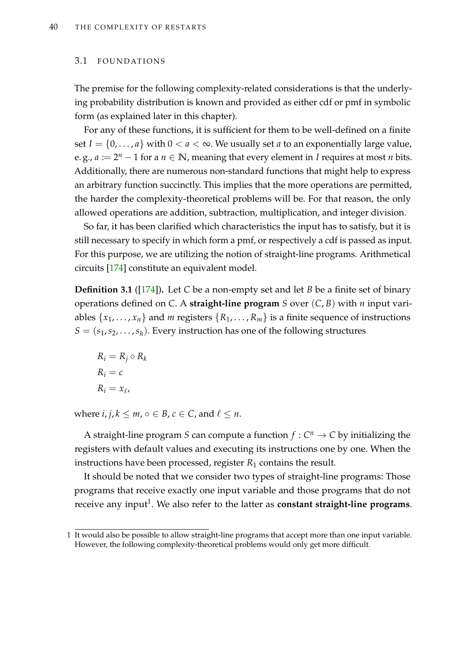#### 3.1 FOUNDATIONS

The premise for the following complexity-related considerations is that the underlying probability distribution is known and provided as either cdf or pmf in symbolic form (as explained later in this chapter).

For any of these functions, it is sufficient for them to be well-defined on a finite set  $I = \{0, \ldots, a\}$  with  $0 < a < \infty$ . We usually set *a* to an exponentially large value, e. g.,  $a := 2^n - 1$  for a  $n \in \mathbb{N}$ , meaning that every element in *I* requires at most *n* bits. Additionally, there are numerous non-standard functions that might help to express an arbitrary function succinctly. This implies that the more operations are permitted, the harder the complexity-theoretical problems will be. For that reason, the only allowed operations are addition, subtraction, multiplication, and integer division.

So far, it has been clarified which characteristics the input has to satisfy, but it is still necessary to specify in which form a pmf, or respectively a cdf is passed as input. For this purpose, we are utilizing the notion of straight-line programs. Arithmetical circuits [\[174\]](#page-224-3) constitute an equivalent model.

**Definition 3.1** ([\[174\]](#page-224-3))**.** Let *C* be a non-empty set and let *B* be a finite set of binary operations defined on *C*. A **straight-line program** *S* over (*C*, *B*) with *n* input variables  $\{x_1, \ldots, x_n\}$  and *m* registers  $\{R_1, \ldots, R_m\}$  is a finite sequence of instructions  $S = (s_1, s_2, \ldots, s_h)$ . Every instruction has one of the following structures

$$
R_i = R_j \circ R_k
$$
  

$$
R_i = c
$$
  

$$
R_i = x_{\ell},
$$

where  $i, j, k \leq m, o \in B, c \in C$ , and  $\ell \leq n$ .

A straight-line program *S* can compute a function  $f: C^n \to C$  by initializing the registers with default values and executing its instructions one by one. When the instructions have been processed, register  $R_1$  contains the result.

It should be noted that we consider two types of straight-line programs: Those programs that receive exactly one input variable and those programs that do not receive any input<sup>1</sup>. We also refer to the latter as **constant straight-line programs**.

<sup>1</sup> It would also be possible to allow straight-line programs that accept more than one input variable. However, the following complexity-theoretical problems would only get more difficult.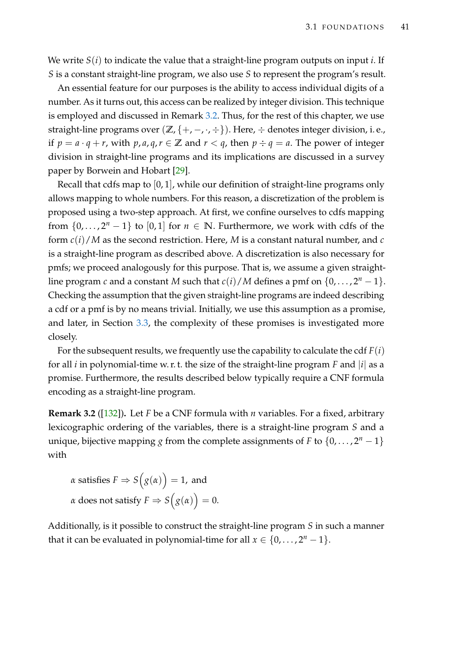We write *S*(*i*) to indicate the value that a straight-line program outputs on input *i*. If *S* is a constant straight-line program, we also use *S* to represent the program's result.

An essential feature for our purposes is the ability to access individual digits of a number. As it turns out, this access can be realized by integer division. This technique is employed and discussed in Remark [3.2.](#page-56-0) Thus, for the rest of this chapter, we use straight-line programs over  $(\mathbb{Z}, \{+,-,\cdot,\div\})$ . Here,  $\div$  denotes integer division, i.e., if  $p = a \cdot q + r$ , with  $p, a, q, r \in \mathbb{Z}$  and  $r < q$ , then  $p \div q = a$ . The power of integer division in straight-line programs and its implications are discussed in a survey paper by Borwein and Hobart [\[29\]](#page-212-0).

Recall that cdfs map to [0, 1], while our definition of straight-line programs only allows mapping to whole numbers. For this reason, a discretization of the problem is proposed using a two-step approach. At first, we confine ourselves to cdfs mapping from  $\{0, \ldots, 2^n - 1\}$  to  $[0, 1]$  for  $n \in \mathbb{N}$ . Furthermore, we work with cdfs of the form *c*(*i*)/*M* as the second restriction. Here, *M* is a constant natural number, and *c* is a straight-line program as described above. A discretization is also necessary for pmfs; we proceed analogously for this purpose. That is, we assume a given straightline program *c* and a constant *M* such that  $c(i)/M$  defines a pmf on  $\{0,\ldots,2^n-1\}$ . Checking the assumption that the given straight-line programs are indeed describing a cdf or a pmf is by no means trivial. Initially, we use this assumption as a promise, and later, in Section [3.3,](#page-78-0) the complexity of these promises is investigated more closely.

For the subsequent results, we frequently use the capability to calculate the cdf *F*(*i*) for all *i* in polynomial-time w. r. t. the size of the straight-line program *F* and |*i*| as a promise. Furthermore, the results described below typically require a CNF formula encoding as a straight-line program.

<span id="page-56-0"></span>**Remark 3.2** ([\[132\]](#page-221-1))**.** Let *F* be a CNF formula with *n* variables. For a fixed, arbitrary lexicographic ordering of the variables, there is a straight-line program *S* and a unique, bijective mapping *g* from the complete assignments of *F* to  $\{0,\ldots,2^n-1\}$ with

 $\alpha$  satisfies  $F \Rightarrow S\Big(g(\alpha)\Big)=1$ , and  $\alpha$  does not satisfy  $F \Rightarrow S\Big(g(\alpha)\Big) = 0.$ 

Additionally, is it possible to construct the straight-line program *S* in such a manner that it can be evaluated in polynomial-time for all  $x \in \{0, \ldots, 2^n - 1\}$ .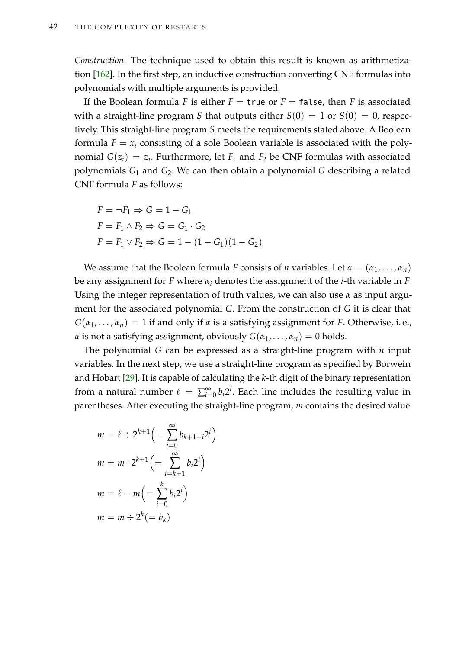*Construction.* The technique used to obtain this result is known as arithmetization [\[162\]](#page-223-2). In the first step, an inductive construction converting CNF formulas into polynomials with multiple arguments is provided.

If the Boolean formula *F* is either  $F =$  true or  $F =$  false, then *F* is associated with a straight-line program *S* that outputs either  $S(0) = 1$  or  $S(0) = 0$ , respectively. This straight-line program *S* meets the requirements stated above. A Boolean formula  $F = x_i$  consisting of a sole Boolean variable is associated with the polynomial  $G(z_i) = z_i$ . Furthermore, let  $F_1$  and  $F_2$  be CNF formulas with associated polynomials *G*<sup>1</sup> and *G*2. We can then obtain a polynomial *G* describing a related CNF formula *F* as follows:

$$
F = \neg F_1 \Rightarrow G = 1 - G_1
$$
  
\n
$$
F = F_1 \land F_2 \Rightarrow G = G_1 \cdot G_2
$$
  
\n
$$
F = F_1 \lor F_2 \Rightarrow G = 1 - (1 - G_1)(1 - G_2)
$$

We assume that the Boolean formula *F* consists of *n* variables. Let  $\alpha = (\alpha_1, \dots, \alpha_n)$ be any assignment for *F* where *α<sup>i</sup>* denotes the assignment of the *i*-th variable in *F*. Using the integer representation of truth values, we can also use *α* as input argument for the associated polynomial *G*. From the construction of *G* it is clear that  $G(\alpha_1, \ldots, \alpha_n) = 1$  if and only if  $\alpha$  is a satisfying assignment for *F*. Otherwise, i.e., *α* is not a satisfying assignment, obviously  $G(\alpha_1, \ldots, \alpha_n) = 0$  holds.

The polynomial *G* can be expressed as a straight-line program with *n* input variables. In the next step, we use a straight-line program as specified by Borwein and Hobart [\[29\]](#page-212-0). It is capable of calculating the *k*-th digit of the binary representation from a natural number  $\ell = \sum_{i=0}^{\infty} b_i 2^i$ . Each line includes the resulting value in parentheses. After executing the straight-line program, *m* contains the desired value.

$$
m = \ell \div 2^{k+1} \left( = \sum_{i=0}^{\infty} b_{k+1+i} 2^i \right)
$$
  

$$
m = m \cdot 2^{k+1} \left( = \sum_{i=k+1}^{\infty} b_i 2^i \right)
$$
  

$$
m = \ell - m \left( = \sum_{i=0}^k b_i 2^i \right)
$$
  

$$
m = m \div 2^k (= b_k)
$$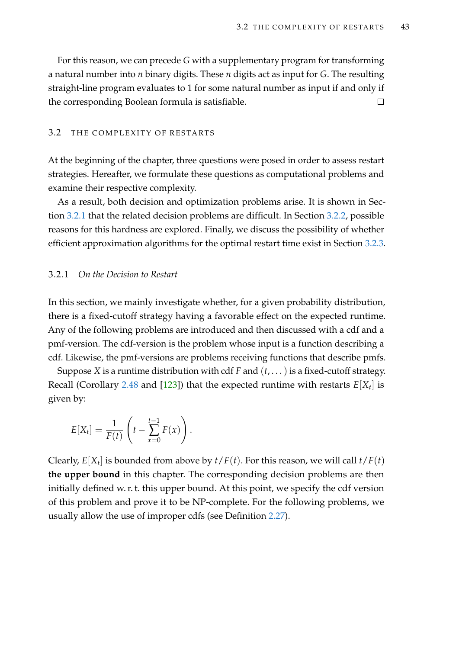For this reason, we can precede *G* with a supplementary program for transforming a natural number into *n* binary digits. These *n* digits act as input for *G*. The resulting straight-line program evaluates to 1 for some natural number as input if and only if the corresponding Boolean formula is satisfiable.  $\Box$ 

### 3.2 THE COMPLEXITY OF RESTARTS

At the beginning of the chapter, three questions were posed in order to assess restart strategies. Hereafter, we formulate these questions as computational problems and examine their respective complexity.

As a result, both decision and optimization problems arise. It is shown in Section [3.2.1](#page-58-0) that the related decision problems are difficult. In Section [3.2.2,](#page-64-0) possible reasons for this hardness are explored. Finally, we discuss the possibility of whether efficient approximation algorithms for the optimal restart time exist in Section [3.2.3.](#page-70-0)

### <span id="page-58-0"></span>3.2.1 *On the Decision to Restart*

In this section, we mainly investigate whether, for a given probability distribution, there is a fixed-cutoff strategy having a favorable effect on the expected runtime. Any of the following problems are introduced and then discussed with a cdf and a pmf-version. The cdf-version is the problem whose input is a function describing a cdf. Likewise, the pmf-versions are problems receiving functions that describe pmfs.

Suppose *X* is a runtime distribution with cdf *F* and  $(t, \ldots)$  is a fixed-cutoff strategy. Recall (Corollary [2.48](#page-50-2) and [\[123\]](#page-220-2)) that the expected runtime with restarts *E*[*X<sup>t</sup>* ] is given by:

$$
E[X_t] = \frac{1}{F(t)} \left( t - \sum_{x=0}^{t-1} F(x) \right).
$$

Clearly,  $E[X_t]$  is bounded from above by  $t/F(t)$ . For this reason, we will call  $t/F(t)$ **the upper bound** in this chapter. The corresponding decision problems are then initially defined w. r. t. this upper bound. At this point, we specify the cdf version of this problem and prove it to be NP-complete. For the following problems, we usually allow the use of improper cdfs (see Definition [2.27\)](#page-39-4).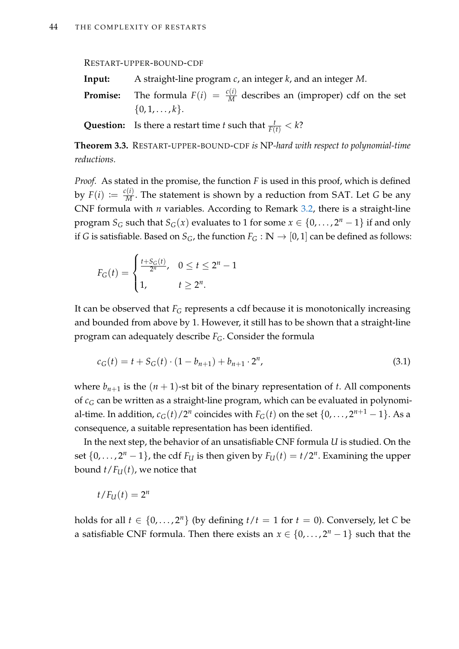RESTART-UPPER-BOUND-CDF

- **Input:** A straight-line program *c*, an integer *k*, and an integer *M*.
- **Promise:** The formula  $F(i) = \frac{c(i)}{M}$  describes an (improper) cdf on the set  $\{0, 1, \ldots, k\}.$

**Question:** Is there a restart time *t* such that  $\frac{t}{F(t)} < k$ ?

<span id="page-59-0"></span>**Theorem 3.3.** RESTART-UPPER-BOUND-CDF *is* NP*-hard with respect to polynomial-time reductions.*

*Proof.* As stated in the promise, the function *F* is used in this proof, which is defined by  $F(i) \coloneqq \frac{c(i)}{M}$ . The statement is shown by a reduction from SAT. Let *G* be any CNF formula with *n* variables. According to Remark [3.2,](#page-56-0) there is a straight-line program *S*<sub>*G*</sub> such that *S*<sub>*G*</sub>(*x*) evaluates to 1 for some  $x \in \{0, \ldots, 2^n - 1\}$  if and only if *G* is satisfiable. Based on  $S_G$ , the function  $F_G : \mathbb{N} \to [0,1]$  can be defined as follows:

$$
F_G(t) = \begin{cases} \frac{t + S_G(t)}{2^n}, & 0 \le t \le 2^n - 1\\ 1, & t \ge 2^n. \end{cases}
$$

It can be observed that  $F_G$  represents a cdf because it is monotonically increasing and bounded from above by 1. However, it still has to be shown that a straight-line program can adequately describe *FG*. Consider the formula

<span id="page-59-1"></span>
$$
c_G(t) = t + S_G(t) \cdot (1 - b_{n+1}) + b_{n+1} \cdot 2^n,
$$
\n(3.1)

where  $b_{n+1}$  is the  $(n+1)$ -st bit of the binary representation of *t*. All components of *c<sup>G</sup>* can be written as a straight-line program, which can be evaluated in polynomial-time. In addition*, c<sub>G</sub>*(*t*)/2<sup>*n*</sup> coincides with  $F_G(t)$  on the set  $\{0,\ldots,2^{n+1}-1\}.$  As a consequence, a suitable representation has been identified.

In the next step, the behavior of an unsatisfiable CNF formula *U* is studied. On the set  $\{0, \ldots, 2^n - 1\}$ , the cdf  $F_U$  is then given by  $F_U(t) = t/2^n$ . Examining the upper bound  $t/F<sub>U</sub>(t)$ , we notice that

$$
t/F_U(t)=2^n
$$

holds for all  $t \in \{0, \ldots, 2^n\}$  (by defining  $t/t = 1$  for  $t = 0$ ). Conversely, let C be a satisfiable CNF formula. Then there exists an  $x \in \{0, \ldots, 2^n - 1\}$  such that the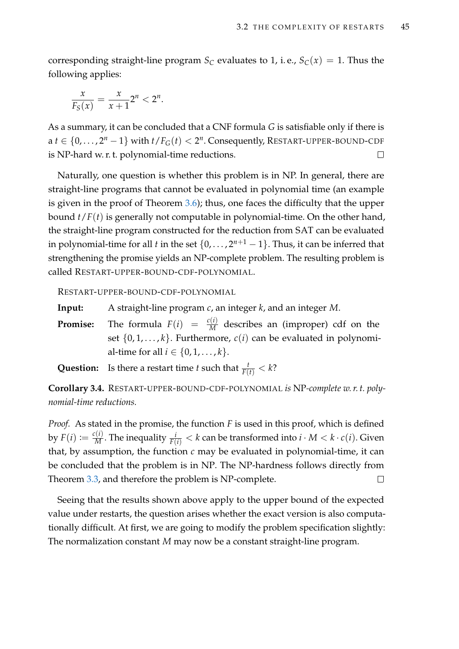corresponding straight-line program  $S_C$  evaluates to 1, i.e.,  $S_C(x) = 1$ . Thus the following applies:

$$
\frac{x}{F_S(x)} = \frac{x}{x+1}2^n < 2^n.
$$

As a summary, it can be concluded that a CNF formula *G* is satisfiable only if there is  $a\ t\in\{0,\ldots,2^n-1\}$  with  $t/F_G(t) < 2^n$ . Consequently, RESTART-UPPER-BOUND-CDF is NP-hard w. r. t. polynomial-time reductions.  $\Box$ 

Naturally, one question is whether this problem is in NP. In general, there are straight-line programs that cannot be evaluated in polynomial time (an example is given in the proof of Theorem [3.6\)](#page-62-0); thus, one faces the difficulty that the upper bound *t*/*F*(*t*) is generally not computable in polynomial-time. On the other hand, the straight-line program constructed for the reduction from SAT can be evaluated in polynomial-time for all *t* in the set  $\{0, \ldots, 2^{n+1} - 1\}$ . Thus, it can be inferred that strengthening the promise yields an NP-complete problem. The resulting problem is called RESTART-UPPER-BOUND-CDF-POLYNOMIAL.

RESTART-UPPER-BOUND-CDF-POLYNOMIAL

**Input:** A straight-line program *c*, an integer *k*, and an integer *M*.

**Promise:** The formula  $F(i) = \frac{c(i)}{M}$  describes an (improper) cdf on the set  $\{0, 1, \ldots, k\}$ . Furthermore,  $c(i)$  can be evaluated in polynomial-time for all *i* ∈ {0, 1, . . . , *k*}.

**Question:** Is there a restart time *t* such that  $\frac{t}{F(t)} < k$ ?

**Corollary 3.4.** RESTART-UPPER-BOUND-CDF-POLYNOMIAL *is* NP*-complete w. r. t. polynomial-time reductions.*

*Proof.* As stated in the promise, the function *F* is used in this proof, which is defined by  $F(i) \coloneqq \frac{c(i)}{M}$ . The inequality  $\frac{i}{F(i)} < k$  can be transformed into  $i \cdot M < k \cdot c(i)$ . Given that, by assumption, the function  $c$  may be evaluated in polynomial-time, it can be concluded that the problem is in NP. The NP-hardness follows directly from Theorem [3.3,](#page-59-0) and therefore the problem is NP-complete.  $\Box$ 

Seeing that the results shown above apply to the upper bound of the expected value under restarts, the question arises whether the exact version is also computationally difficult. At first, we are going to modify the problem specification slightly: The normalization constant *M* may now be a constant straight-line program.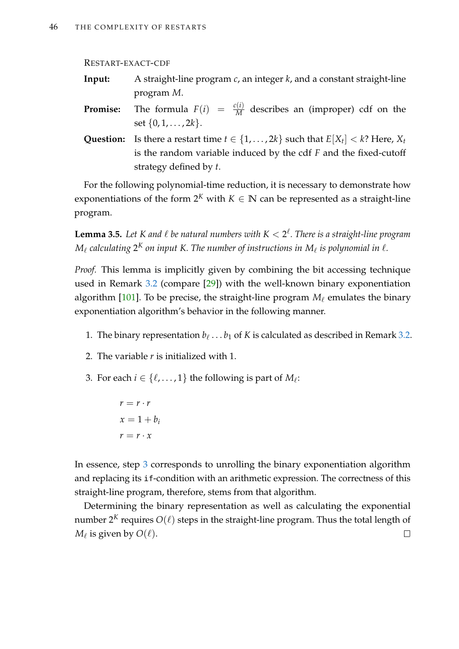#### RESTART-EXACT-CDF

- **Input:** A straight-line program *c*, an integer *k*, and a constant straight-line program *M*.
- **Promise:** The formula  $F(i) = \frac{c(i)}{M}$  describes an (improper) cdf on the set {0, 1, . . . , 2*k*}.
- **Question:** Is there a restart time  $t \in \{1, ..., 2k\}$  such that  $E[X_t] < k$ ? Here,  $X_t$ is the random variable induced by the cdf *F* and the fixed-cutoff strategy defined by *t*.

For the following polynomial-time reduction, it is necessary to demonstrate how exponentiations of the form  $2^K$  with  $K \in \mathbb{N}$  can be represented as a straight-line program.

<span id="page-61-1"></span>**Lemma 3.5.** Let K and  $\ell$  be natural numbers with  $K < 2^{\ell}$ . There is a straight-line program  $M_\ell$  calculating  $2^K$  on input K. The number of instructions in  $M_\ell$  is polynomial in  $\ell.$ 

*Proof.* This lemma is implicitly given by combining the bit accessing technique used in Remark [3.2](#page-56-0) (compare [\[29\]](#page-212-0)) with the well-known binary exponentiation algorithm  $[101]$ . To be precise, the straight-line program  $M_\ell$  emulates the binary exponentiation algorithm's behavior in the following manner.

- 1. The binary representation  $b_\ell \ldots b_1$  of  $K$  is calculated as described in Remark [3.2.](#page-56-0)
- 2. The variable *r* is initialized with 1.
- <span id="page-61-0"></span>3. For each  $i \in \{\ell, \ldots, 1\}$  the following is part of  $M_{\ell}$ :
	- $r = r \cdot r$  $x = 1 + b_i$  $r = r \cdot x$

In essence, step [3](#page-61-0) corresponds to unrolling the binary exponentiation algorithm and replacing its if-condition with an arithmetic expression. The correctness of this straight-line program, therefore, stems from that algorithm.

Determining the binary representation as well as calculating the exponential number 2<sup>K</sup> requires  $O(\ell)$  steps in the straight-line program. Thus the total length of  $M_\ell$  is given by  $O(\ell).$  $\Box$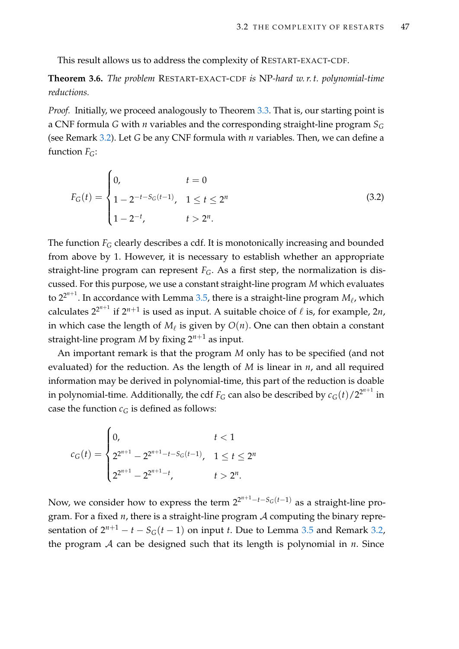This result allows us to address the complexity of RESTART-EXACT-CDF.

<span id="page-62-0"></span>**Theorem 3.6.** *The problem* RESTART-EXACT-CDF *is* NP*-hard w. r. t. polynomial-time reductions.*

*Proof.* Initially, we proceed analogously to Theorem [3.3.](#page-59-0) That is, our starting point is a CNF formula *G* with *n* variables and the corresponding straight-line program *S<sup>G</sup>* (see Remark [3.2\)](#page-56-0). Let *G* be any CNF formula with *n* variables. Then, we can define a function  $F_G$ :

<span id="page-62-1"></span>
$$
F_G(t) = \begin{cases} 0, & t = 0 \\ 1 - 2^{-t - S_G(t-1)}, & 1 \le t \le 2^n \\ 1 - 2^{-t}, & t > 2^n. \end{cases}
$$
(3.2)

The function *F<sub>G</sub>* clearly describes a cdf. It is monotonically increasing and bounded from above by 1. However, it is necessary to establish whether an appropriate straight-line program can represent  $F_G$ . As a first step, the normalization is discussed. For this purpose, we use a constant straight-line program *M* which evaluates to  $2^{2^{n+1}}.$  In accordance with Lemma [3.5,](#page-61-1) there is a straight-line program  $M_\ell$ , which calculates  $2^{2^{n+1}}$  if  $2^{n+1}$  is used as input. A suitable choice of  $\ell$  is, for example, 2*n*, in which case the length of  $M_\ell$  is given by  $O(n)$ . One can then obtain a constant straight-line program *M* by fixing 2*n*+<sup>1</sup> as input.

An important remark is that the program *M* only has to be specified (and not evaluated) for the reduction. As the length of *M* is linear in *n*, and all required information may be derived in polynomial-time, this part of the reduction is doable in polynomial-time. Additionally, the cdf  $F_G$  can also be described by  $c_G(t)/2^{2^{n+1}}$  in case the function  $c_G$  is defined as follows:

$$
c_G(t) = \begin{cases} 0, & t < 1 \\ 2^{2^{n+1}} - 2^{2^{n+1} - t - S_G(t-1)}, & 1 \le t \le 2^n \\ 2^{2^{n+1}} - 2^{2^{n+1} - t}, & t > 2^n. \end{cases}
$$

Now, we consider how to express the term  $2^{2^{n+1}-t-S_G(t-1)}$  as a straight-line program. For a fixed *n*, there is a straight-line program A computing the binary representation of  $2^{n+1} - t - S_G(t-1)$  on input *t*. Due to Lemma [3.5](#page-61-1) and Remark [3.2,](#page-56-0) the program  $A$  can be designed such that its length is polynomial in  $n$ . Since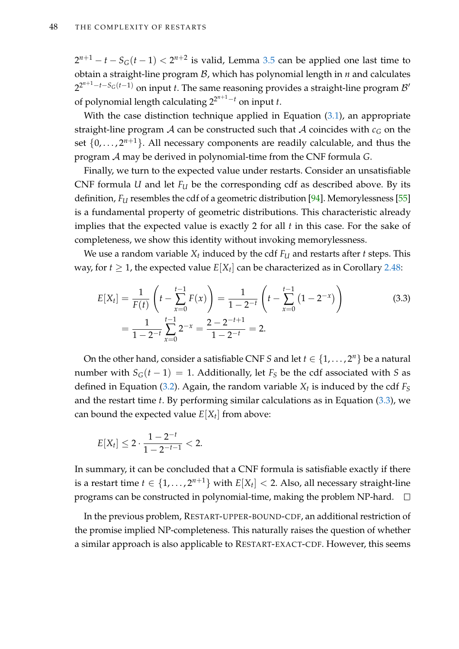$2^{n+1} - t - S_G(t-1) < 2^{n+2}$  is valid, Lemma [3.5](#page-61-1) can be applied one last time to obtain a straight-line program B, which has polynomial length in *n* and calculates 2<sup>2n+1</sup>−*t−S<sub>G</sub>*(*t−*1) on input *t*. The same reasoning provides a straight-line program *B'* of polynomial length calculating 2<sup>2</sup> *<sup>n</sup>*+1−*<sup>t</sup>* on input *t*.

With the case distinction technique applied in Equation [\(3.1\)](#page-59-1), an appropriate straight-line program A can be constructed such that A coincides with  $c_G$  on the set  $\{0, \ldots, 2^{n+1}\}\$ . All necessary components are readily calculable, and thus the program A may be derived in polynomial-time from the CNF formula *G*.

Finally, we turn to the expected value under restarts. Consider an unsatisfiable CNF formula *U* and let *F<sup>U</sup>* be the corresponding cdf as described above. By its definition, *F<sup>U</sup>* resembles the cdf of a geometric distribution [\[94\]](#page-218-3). Memorylessness [\[55\]](#page-214-0) is a fundamental property of geometric distributions. This characteristic already implies that the expected value is exactly 2 for all *t* in this case. For the sake of completeness, we show this identity without invoking memorylessness.

We use a random variable *X<sup>t</sup>* induced by the cdf *F<sup>U</sup>* and restarts after *t* steps. This way, for  $t \geq 1$ , the expected value  $E[X_t]$  can be characterized as in Corollary [2.48:](#page-50-2)

<span id="page-63-0"></span>
$$
E[X_t] = \frac{1}{F(t)} \left( t - \sum_{x=0}^{t-1} F(x) \right) = \frac{1}{1 - 2^{-t}} \left( t - \sum_{x=0}^{t-1} (1 - 2^{-x}) \right)
$$
(3.3)  
= 
$$
\frac{1}{1 - 2^{-t}} \sum_{x=0}^{t-1} 2^{-x} = \frac{2 - 2^{-t+1}}{1 - 2^{-t}} = 2.
$$

On the other hand, consider a satisfiable CNF *S* and let  $t \in \{1, \ldots, 2^n\}$  be a natural number with  $S_G(t-1) = 1$ . Additionally, let  $F_S$  be the cdf associated with *S* as defined in Equation [\(3.2\)](#page-62-1). Again, the random variable *X<sup>t</sup>* is induced by the cdf *F<sup>S</sup>* and the restart time *t*. By performing similar calculations as in Equation [\(3.3\)](#page-63-0), we can bound the expected value  $E[X_t]$  from above:

$$
E[X_t] \leq 2 \cdot \frac{1 - 2^{-t}}{1 - 2^{-t-1}} < 2.
$$

In summary, it can be concluded that a CNF formula is satisfiable exactly if there is a restart time  $t \in \{1, \ldots, 2^{n+1}\}$  with  $E[X_t] < 2$ . Also, all necessary straight-line programs can be constructed in polynomial-time, making the problem NP-hard.  $\square$ 

In the previous problem, RESTART-UPPER-BOUND-CDF, an additional restriction of the promise implied NP-completeness. This naturally raises the question of whether a similar approach is also applicable to RESTART-EXACT-CDF. However, this seems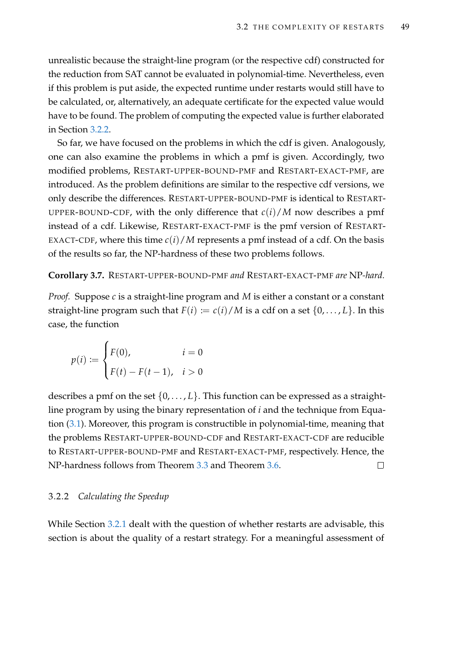unrealistic because the straight-line program (or the respective cdf) constructed for the reduction from SAT cannot be evaluated in polynomial-time. Nevertheless, even if this problem is put aside, the expected runtime under restarts would still have to be calculated, or, alternatively, an adequate certificate for the expected value would have to be found. The problem of computing the expected value is further elaborated in Section [3.2.2.](#page-64-0)

So far, we have focused on the problems in which the cdf is given. Analogously, one can also examine the problems in which a pmf is given. Accordingly, two modified problems, RESTART-UPPER-BOUND-PMF and RESTART-EXACT-PMF, are introduced. As the problem definitions are similar to the respective cdf versions, we only describe the differences. RESTART-UPPER-BOUND-PMF is identical to RESTART-UPPER-BOUND-CDF, with the only difference that  $c(i)/M$  now describes a pmf instead of a cdf. Likewise, RESTART-EXACT-PMF is the pmf version of RESTART-EXACT-CDF, where this time  $c(i)/M$  represents a pmf instead of a cdf. On the basis of the results so far, the NP-hardness of these two problems follows.

### <span id="page-64-1"></span>**Corollary 3.7.** RESTART-UPPER-BOUND-PMF *and* RESTART-EXACT-PMF *are* NP*-hard.*

*Proof.* Suppose *c* is a straight-line program and *M* is either a constant or a constant straight-line program such that  $F(i) := c(i)/M$  is a cdf on a set  $\{0, \ldots, L\}$ . In this case, the function

$$
p(i) := \begin{cases} F(0), & i = 0 \\ F(t) - F(t-1), & i > 0 \end{cases}
$$

describes a pmf on the set  $\{0, \ldots, L\}$ . This function can be expressed as a straightline program by using the binary representation of *i* and the technique from Equation [\(3.1\)](#page-59-1). Moreover, this program is constructible in polynomial-time, meaning that the problems RESTART-UPPER-BOUND-CDF and RESTART-EXACT-CDF are reducible to RESTART-UPPER-BOUND-PMF and RESTART-EXACT-PMF, respectively. Hence, the NP-hardness follows from Theorem [3.3](#page-59-0) and Theorem [3.6.](#page-62-0)  $\Box$ 

### <span id="page-64-0"></span>3.2.2 *Calculating the Speedup*

While Section [3.2.1](#page-58-0) dealt with the question of whether restarts are advisable, this section is about the quality of a restart strategy. For a meaningful assessment of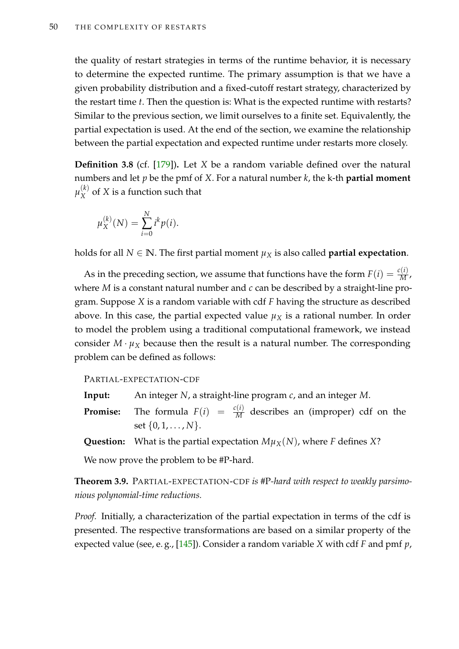the quality of restart strategies in terms of the runtime behavior, it is necessary to determine the expected runtime. The primary assumption is that we have a given probability distribution and a fixed-cutoff restart strategy, characterized by the restart time *t*. Then the question is: What is the expected runtime with restarts? Similar to the previous section, we limit ourselves to a finite set. Equivalently, the partial expectation is used. At the end of the section, we examine the relationship between the partial expectation and expected runtime under restarts more closely.

**Definition 3.8** (cf. [\[179\]](#page-224-4))**.** Let *X* be a random variable defined over the natural numbers and let *p* be the pmf of *X*. For a natural number *k*, the k-th **partial moment**  $\mu^{(k)}_X$  $X^{\left(\kappa\right)}$  of *X* is a function such that

$$
\mu_X^{(k)}(N) = \sum_{i=0}^N i^k p(i).
$$

holds for all  $N \in \mathbb{N}$ . The first partial moment  $\mu_X$  is also called **partial expectation**.

As in the preceding section, we assume that functions have the form  $F(i) = \frac{c(i)}{M}$ , where *M* is a constant natural number and *c* can be described by a straight-line program. Suppose *X* is a random variable with cdf *F* having the structure as described above. In this case, the partial expected value  $\mu_X$  is a rational number. In order to model the problem using a traditional computational framework, we instead consider  $M \cdot \mu_X$  because then the result is a natural number. The corresponding problem can be defined as follows:

### PARTIAL-EXPECTATION-CDF

- **Input:** An integer *N*, a straight-line program *c*, and an integer *M*.
- **Promise:** The formula  $F(i) = \frac{c(i)}{M}$  describes an (improper) cdf on the set {0, 1, . . . , *N*}.
- **Question:** What is the partial expectation  $M\mu_X(N)$ , where *F* defines *X*?

We now prove the problem to be #P-hard.

<span id="page-65-0"></span>**Theorem 3.9.** PARTIAL-EXPECTATION-CDF *is* #P*-hard with respect to weakly parsimonious polynomial-time reductions.*

*Proof.* Initially, a characterization of the partial expectation in terms of the cdf is presented. The respective transformations are based on a similar property of the expected value (see, e. g., [\[145\]](#page-222-3)). Consider a random variable *X* with cdf *F* and pmf *p*,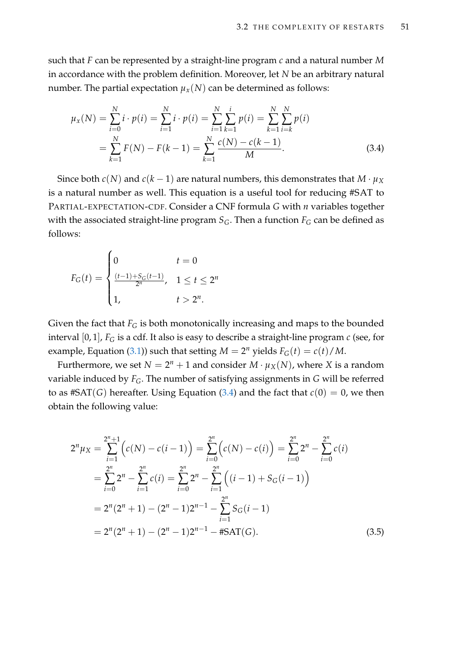such that *F* can be represented by a straight-line program *c* and a natural number *M* in accordance with the problem definition. Moreover, let *N* be an arbitrary natural number. The partial expectation  $\mu_X(N)$  can be determined as follows:

<span id="page-66-0"></span>
$$
\mu_X(N) = \sum_{i=0}^N i \cdot p(i) = \sum_{i=1}^N i \cdot p(i) = \sum_{i=1}^N \sum_{k=1}^i p(i) = \sum_{k=1}^N \sum_{i=k}^N p(i)
$$

$$
= \sum_{k=1}^N F(N) - F(k-1) = \sum_{k=1}^N \frac{c(N) - c(k-1)}{M}.
$$
(3.4)

Since both *c*(*N*) and *c*(*k* − 1) are natural numbers, this demonstrates that *M* ·  $\mu_X$ is a natural number as well. This equation is a useful tool for reducing #SAT to PARTIAL-EXPECTATION-CDF. Consider a CNF formula *G* with *n* variables together with the associated straight-line program  $S_G$ . Then a function  $F_G$  can be defined as follows:

$$
F_G(t) = \begin{cases} 0 & t = 0\\ \frac{(t-1) + S_G(t-1)}{2^n}, & 1 \le t \le 2^n\\ 1, & t > 2^n. \end{cases}
$$

Given the fact that  $F_G$  is both monotonically increasing and maps to the bounded interval [0, 1], *F<sup>G</sup>* is a cdf. It also is easy to describe a straight-line program *c* (see, for example, Equation [\(3.1\)](#page-59-1)) such that setting  $M = 2^n$  yields  $F_G(t) = c(t)/M$ .

Furthermore, we set  $N = 2^n + 1$  and consider  $M \cdot \mu_X(N)$ , where X is a random variable induced by *FG*. The number of satisfying assignments in *G* will be referred to as  $#SAT(G)$  hereafter. Using Equation [\(3.4\)](#page-66-0) and the fact that  $c(0) = 0$ , we then obtain the following value:

<span id="page-66-1"></span>
$$
2^{n} \mu_{X} = \sum_{i=1}^{2^{n}+1} \left( c(N) - c(i-1) \right) = \sum_{i=0}^{2^{n}} \left( c(N) - c(i) \right) = \sum_{i=0}^{2^{n}} 2^{n} - \sum_{i=0}^{2^{n}} c(i)
$$
  
= 
$$
\sum_{i=0}^{2^{n}} 2^{n} - \sum_{i=1}^{2^{n}} c(i) = \sum_{i=0}^{2^{n}} 2^{n} - \sum_{i=1}^{2^{n}} \left( (i-1) + S_{G}(i-1) \right)
$$
  
= 
$$
2^{n} (2^{n} + 1) - (2^{n} - 1) 2^{n-1} - \sum_{i=1}^{2^{n}} S_{G}(i-1)
$$
  
= 
$$
2^{n} (2^{n} + 1) - (2^{n} - 1) 2^{n-1} - \text{HSAT}(G).
$$
 (3.5)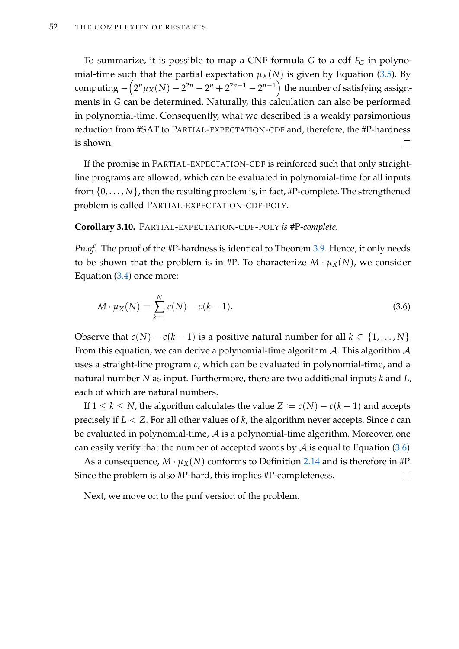To summarize, it is possible to map a CNF formula *G* to a cdf *F<sup>G</sup>* in polynomial-time such that the partial expectation  $\mu_X(N)$  is given by Equation [\(3.5\)](#page-66-1). By computing  $-\Big(2^n\mu_X(N)-2^{2n}-2^n+2^{2n-1}-2^{n-1}\Big)$  the number of satisfying assignments in *G* can be determined. Naturally, this calculation can also be performed in polynomial-time. Consequently, what we described is a weakly parsimonious reduction from #SAT to PARTIAL-EXPECTATION-CDF and, therefore, the #P-hardness is shown.  $\Box$ 

If the promise in PARTIAL-EXPECTATION-CDF is reinforced such that only straightline programs are allowed, which can be evaluated in polynomial-time for all inputs from {0, . . . , *N*}, then the resulting problem is, in fact, #P-complete. The strengthened problem is called PARTIAL-EXPECTATION-CDF-POLY.

#### <span id="page-67-1"></span>**Corollary 3.10.** PARTIAL-EXPECTATION-CDF-POLY *is* #P*-complete.*

*Proof.* The proof of the #P-hardness is identical to Theorem [3.9.](#page-65-0) Hence, it only needs to be shown that the problem is in #P. To characterize  $M \cdot \mu_X(N)$ , we consider Equation [\(3.4\)](#page-66-0) once more:

<span id="page-67-0"></span>
$$
M \cdot \mu_X(N) = \sum_{k=1}^{N} c(N) - c(k-1).
$$
 (3.6)

Observe that  $c(N) - c(k-1)$  is a positive natural number for all  $k \in \{1, ..., N\}$ . From this equation, we can derive a polynomial-time algorithm  $A$ . This algorithm  $A$ uses a straight-line program *c*, which can be evaluated in polynomial-time, and a natural number *N* as input. Furthermore, there are two additional inputs *k* and *L*, each of which are natural numbers.

If  $1 \leq k \leq N$ , the algorithm calculates the value  $Z := c(N) - c(k-1)$  and accepts precisely if *L* < *Z*. For all other values of *k*, the algorithm never accepts. Since *c* can be evaluated in polynomial-time,  $\mathcal A$  is a polynomial-time algorithm. Moreover, one can easily verify that the number of accepted words by  $A$  is equal to Equation [\(3.6\)](#page-67-0).

As a consequence,  $M \cdot \mu_X(N)$  conforms to Definition [2.14](#page-34-0) and is therefore in #P. Since the problem is also #P-hard, this implies #P-completeness.  $\Box$ 

Next, we move on to the pmf version of the problem.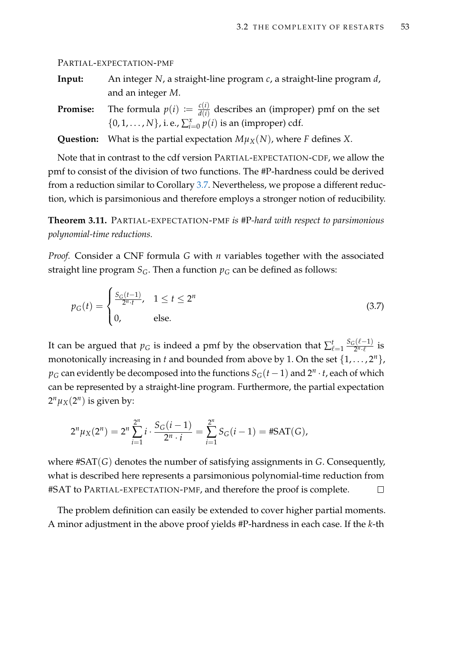PARTIAL-EXPECTATION-PMF

| Input: | An integer N, a straight-line program c, a straight-line program d, |
|--------|---------------------------------------------------------------------|
|        | and an integer $M$ .                                                |

**Promise:** The formula  $p(i) := \frac{c(i)}{d(i)}$  $\frac{\partial f(t)}{\partial f(t)}$  describes an (improper) pmf on the set {0, 1, . . . , *N*}, i. e.,  $\sum_{i=0}^{x} p(i)$  is an (improper) cdf.

**Question:** What is the partial expectation  $M\mu_X(N)$ , where *F* defines *X*.

Note that in contrast to the cdf version PARTIAL-EXPECTATION-CDF, we allow the pmf to consist of the division of two functions. The #P-hardness could be derived from a reduction similar to Corollary [3.7.](#page-64-1) Nevertheless, we propose a different reduction, which is parsimonious and therefore employs a stronger notion of reducibility.

<span id="page-68-1"></span>**Theorem 3.11.** PARTIAL-EXPECTATION-PMF *is* #P*-hard with respect to parsimonious polynomial-time reductions.*

*Proof.* Consider a CNF formula *G* with *n* variables together with the associated straight line program  $S_G$ . Then a function  $p_G$  can be defined as follows:

<span id="page-68-0"></span>
$$
p_G(t) = \begin{cases} \frac{S_G(t-1)}{2^{n} \cdot t}, & 1 \le t \le 2^n \\ 0, & \text{else.} \end{cases}
$$
 (3.7)

It can be argued that  $p_G$  is indeed a pmf by the observation that  $\sum_{\ell=1}^t$  $S_G(\ell-1)$  $rac{z^{(\ell-1)}}{2^n \cdot \ell}$  is monotonically increasing in *t* and bounded from above by 1. On the set  $\{1, \ldots, 2^n\}$ ,  $p_G$  can evidently be decomposed into the functions  $S_G(t-1)$  and  $2^n \cdot t$ , each of which can be represented by a straight-line program. Furthermore, the partial expectation  $2^n \mu_X(2^n)$  is given by:

$$
2^{n} \mu_{X}(2^{n}) = 2^{n} \sum_{i=1}^{2^{n}} i \cdot \frac{S_{G}(i-1)}{2^{n} \cdot i} = \sum_{i=1}^{2^{n}} S_{G}(i-1) = #SAT(G),
$$

where #SAT(*G*) denotes the number of satisfying assignments in *G*. Consequently, what is described here represents a parsimonious polynomial-time reduction from #SAT to PARTIAL-EXPECTATION-PMF, and therefore the proof is complete.  $\Box$ 

The problem definition can easily be extended to cover higher partial moments. A minor adjustment in the above proof yields #P-hardness in each case. If the *k*-th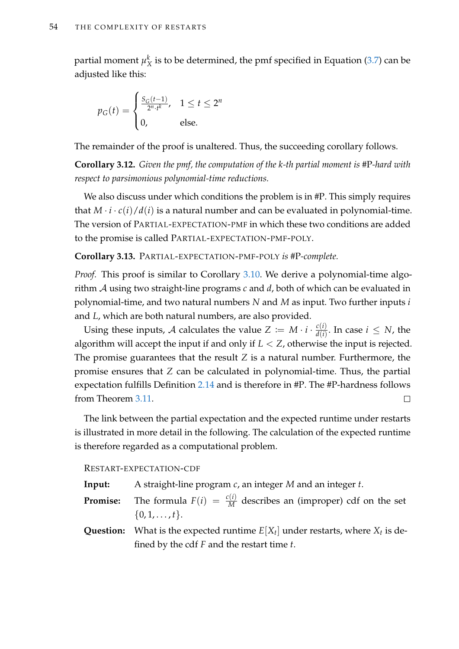partial moment *µ k*  $^{\kappa}_{X}$  is to be determined, the pmf specified in Equation [\(3.7\)](#page-68-0) can be adjusted like this:

$$
p_G(t) = \begin{cases} \frac{S_G(t-1)}{2^n \cdot t^k}, & 1 \le t \le 2^n \\ 0, & \text{else.} \end{cases}
$$

The remainder of the proof is unaltered. Thus, the succeeding corollary follows.

**Corollary 3.12.** *Given the pmf, the computation of the k-th partial moment is* #P*-hard with respect to parsimonious polynomial-time reductions.*

We also discuss under which conditions the problem is in #P. This simply requires that  $M \cdot i \cdot c(i) / d(i)$  is a natural number and can be evaluated in polynomial-time. The version of PARTIAL-EXPECTATION-PMF in which these two conditions are added to the promise is called PARTIAL-EXPECTATION-PMF-POLY.

**Corollary 3.13.** PARTIAL-EXPECTATION-PMF-POLY *is* #P*-complete.*

*Proof.* This proof is similar to Corollary [3.10.](#page-67-1) We derive a polynomial-time algorithm A using two straight-line programs *c* and *d*, both of which can be evaluated in polynomial-time, and two natural numbers *N* and *M* as input. Two further inputs *i* and *L*, which are both natural numbers, are also provided.

Using these inputs, A calculates the value  $Z := M \cdot i \cdot \frac{c(i)}{d(i)}$  $\frac{c(i)}{d(i)}$ . In case  $i \leq N$ , the algorithm will accept the input if and only if  $L < Z$ , otherwise the input is rejected. The promise guarantees that the result *Z* is a natural number. Furthermore, the promise ensures that *Z* can be calculated in polynomial-time. Thus, the partial expectation fulfills Definition [2.14](#page-34-0) and is therefore in #P. The #P-hardness follows from Theorem [3.11.](#page-68-1)  $\Box$ 

The link between the partial expectation and the expected runtime under restarts is illustrated in more detail in the following. The calculation of the expected runtime is therefore regarded as a computational problem.

RESTART-EXPECTATION-CDF

**Input:** A straight-line program *c*, an integer *M* and an integer *t*.

**Promise:** The formula  $F(i) = \frac{c(i)}{M}$  describes an (improper) cdf on the set  $\{0, 1, \ldots, t\}.$ 

**Question:** What is the expected runtime  $E[X_t]$  under restarts, where  $X_t$  is defined by the cdf *F* and the restart time *t*.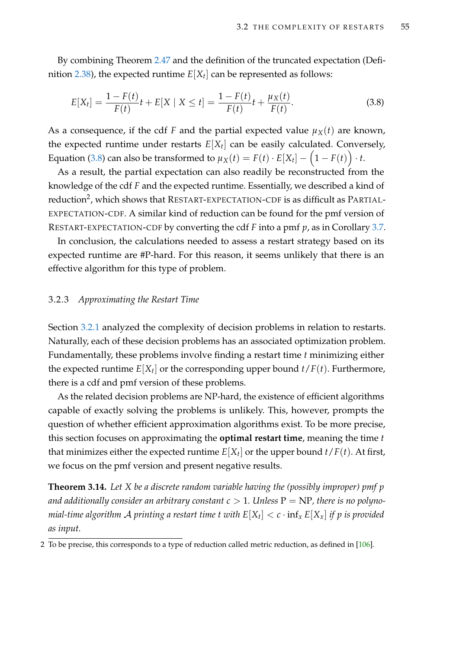By combining Theorem [2.47](#page-48-0) and the definition of the truncated expectation (Defi-nition [2.38\)](#page-43-0), the expected runtime  $E[X_t]$  can be represented as follows:

<span id="page-70-1"></span>
$$
E[X_t] = \frac{1 - F(t)}{F(t)}t + E[X \mid X \le t] = \frac{1 - F(t)}{F(t)}t + \frac{\mu_X(t)}{F(t)}.
$$
\n(3.8)

As a consequence, if the cdf *F* and the partial expected value  $\mu_X(t)$  are known, the expected runtime under restarts *E*[*X<sup>t</sup>* ] can be easily calculated. Conversely, Equation [\(3.8\)](#page-70-1) can also be transformed to  $\mu_X(t) = F(t) \cdot E[X_t] - \left(1 - F(t)\right) \cdot t.$ 

As a result, the partial expectation can also readily be reconstructed from the knowledge of the cdf *F* and the expected runtime. Essentially, we described a kind of reduction<sup>2</sup>, which shows that RESTART-EXPECTATION-CDF is as difficult as PARTIAL-EXPECTATION-CDF. A similar kind of reduction can be found for the pmf version of RESTART-EXPECTATION-CDF by converting the cdf *F* into a pmf *p*, as in Corollary [3.7.](#page-64-1)

In conclusion, the calculations needed to assess a restart strategy based on its expected runtime are #P-hard. For this reason, it seems unlikely that there is an effective algorithm for this type of problem.

#### <span id="page-70-0"></span>3.2.3 *Approximating the Restart Time*

Section [3.2.1](#page-58-0) analyzed the complexity of decision problems in relation to restarts. Naturally, each of these decision problems has an associated optimization problem. Fundamentally, these problems involve finding a restart time *t* minimizing either the expected runtime  $E[X_t]$  or the corresponding upper bound  $t/F(t)$ . Furthermore, there is a cdf and pmf version of these problems.

As the related decision problems are NP-hard, the existence of efficient algorithms capable of exactly solving the problems is unlikely. This, however, prompts the question of whether efficient approximation algorithms exist. To be more precise, this section focuses on approximating the **optimal restart time**, meaning the time *t* that minimizes either the expected runtime  $E[X_t]$  or the upper bound  $t/F(t)$ . At first, we focus on the pmf version and present negative results.

**Theorem 3.14.** *Let X be a discrete random variable having the (possibly improper) pmf p* and additionally consider an arbitrary constant  $c > 1$ . Unless  $P = NP$ , there is no polyno*mial-time algorithm*  ${\mathcal A}$  *printing a restart time t with*  $E[X_t] < c \cdot \inf_x E[X_x]$  *if*  $p$  *is provided as input.*

<sup>2</sup> To be precise, this corresponds to a type of reduction called metric reduction, as defined in [\[106\]](#page-218-4).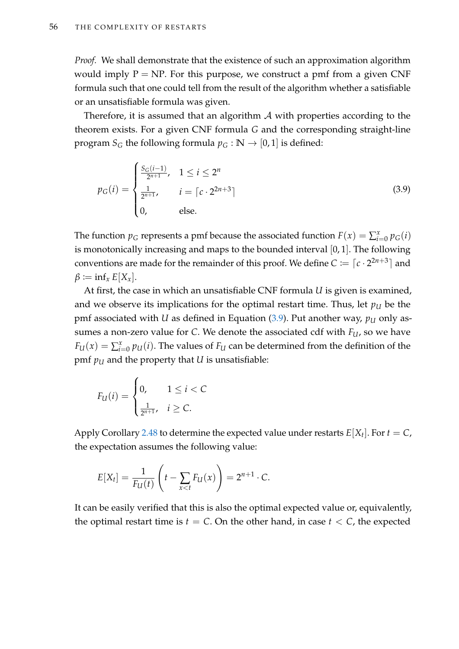*Proof.* We shall demonstrate that the existence of such an approximation algorithm would imply  $P = NP$ . For this purpose, we construct a pmf from a given CNF formula such that one could tell from the result of the algorithm whether a satisfiable or an unsatisfiable formula was given.

Therefore, it is assumed that an algorithm  $\mathcal A$  with properties according to the theorem exists. For a given CNF formula *G* and the corresponding straight-line program *S*<sup>*G*</sup> the following formula  $p$ <sup>*G*</sup> : **N**  $\rightarrow$  [0,1] is defined:

<span id="page-71-0"></span>
$$
p_G(i) = \begin{cases} \frac{S_G(i-1)}{2^{n+1}}, & 1 \le i \le 2^n\\ \frac{1}{2^{n+1}}, & i = \lceil c \cdot 2^{2n+3} \rceil\\ 0, & \text{else.} \end{cases}
$$
(3.9)

The function  $p_G$  represents a pmf because the associated function  $F(x) = \sum_{i=0}^{x} p_G(i)$ is monotonically increasing and maps to the bounded interval [0, 1]. The following conventions are made for the remainder of this proof. We define  $C \coloneqq \lceil c \cdot 2^{2n+3} \rceil$  and  $\beta \coloneqq \inf_x E[X_x].$ 

At first, the case in which an unsatisfiable CNF formula *U* is given is examined, and we observe its implications for the optimal restart time. Thus, let  $p_U$  be the pmf associated with *U* as defined in Equation  $(3.9)$ . Put another way,  $p_U$  only assumes a non-zero value for *C*. We denote the associated cdf with *FU*, so we have  $F_U(x) = \sum_{i=0}^{x} p_U(i)$ . The values of  $F_U$  can be determined from the definition of the pmf  $p_U$  and the property that *U* is unsatisfiable:

$$
F_U(i) = \begin{cases} 0, & 1 \leq i < C \\ \frac{1}{2^{n+1}}, & i \geq C. \end{cases}
$$

Apply Corollary [2.48](#page-50-2) to determine the expected value under restarts  $E[X_t]$ . For  $t = C$ , the expectation assumes the following value:

$$
E[X_t] = \frac{1}{F_U(t)} \left( t - \sum_{x < t} F_U(x) \right) = 2^{n+1} \cdot C.
$$

It can be easily verified that this is also the optimal expected value or, equivalently, the optimal restart time is  $t = C$ . On the other hand, in case  $t < C$ , the expected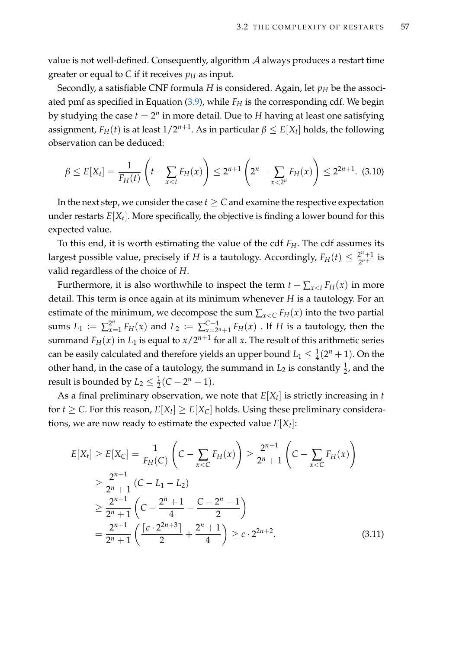value is not well-defined. Consequently, algorithm  $A$  always produces a restart time greater or equal to *C* if it receives  $p_U$  as input.

Secondly, a satisfiable CNF formula *H* is considered. Again, let  $p_H$  be the associated pmf as specified in Equation [\(3.9\)](#page-71-0), while *F<sup>H</sup>* is the corresponding cdf. We begin by studying the case  $t = 2^n$  in more detail. Due to  $H$  having at least one satisfying assignment*, F<sub>H</sub>*(*t*) is at least 1/2<sup>*n*+1</sup>. As in particular  $\beta \leq E[X_t]$  holds, the following observation can be deduced:

<span id="page-72-0"></span>
$$
\beta \le E[X_t] = \frac{1}{F_H(t)} \left( t - \sum_{x < t} F_H(x) \right) \le 2^{n+1} \left( 2^n - \sum_{x < 2^n} F_H(x) \right) \le 2^{2n+1}.\tag{3.10}
$$

In the next step, we consider the case  $t \geq C$  and examine the respective expectation under restarts *E*[*X<sup>t</sup>* ]. More specifically, the objective is finding a lower bound for this expected value.

To this end, it is worth estimating the value of the cdf *FH*. The cdf assumes its largest possible value, precisely if *H* is a tautology. Accordingly,  $F_H(t) \leq \frac{2^n + 1}{2^{n+1}}$  $\frac{2^{n}+1}{2^{n+1}}$  is valid regardless of the choice of *H*.

Furthermore, it is also worthwhile to inspect the term  $t - \sum_{x \le t} F_H(x)$  in more detail. This term is once again at its minimum whenever *H* is a tautology. For an estimate of the minimum, we decompose the sum  $\sum_{x \le C} F_H(x)$  into the two partial sums  $L_1 := \sum_{x=1}^{2^n} F_H(x)$  and  $L_2 := \sum_{x=2}^{C-1} F_H(x)$  $\sum_{x=2^n+1}^{C-1} F_H(x)$  . If *H* is a tautology, then the summand  $F_H(x)$  in  $L_1$  is equal to  $x/2^{n+1}$  for all  $x$ . The result of this arithmetic series can be easily calculated and therefore yields an upper bound  $L_1 \leq \frac{1}{4}(2^n + 1)$ . On the other hand, in the case of a tautology, the summand in  $L_2$  is constantly  $\frac{1}{2}$ , and the result is bounded by  $L_2 \leq \frac{1}{2}(C - 2^n - 1)$ .

As a final preliminary observation, we note that *E*[*X<sup>t</sup>* ] is strictly increasing in *t* for  $t \ge C$ . For this reason,  $E[X_t] \ge E[X_C]$  holds. Using these preliminary considerations, we are now ready to estimate the expected value  $E[X_t]$ :

<span id="page-72-1"></span>
$$
E[X_t] \ge E[X_C] = \frac{1}{F_H(C)} \left( C - \sum_{x < C} F_H(x) \right) \ge \frac{2^{n+1}}{2^n + 1} \left( C - \sum_{x < C} F_H(x) \right)
$$
\n
$$
\ge \frac{2^{n+1}}{2^n + 1} \left( C - L_1 - L_2 \right)
$$
\n
$$
\ge \frac{2^{n+1}}{2^n + 1} \left( C - \frac{2^n + 1}{4} - \frac{C - 2^n - 1}{2} \right)
$$
\n
$$
= \frac{2^{n+1}}{2^n + 1} \left( \frac{\left[ c \cdot 2^{2n+3} \right]}{2} + \frac{2^n + 1}{4} \right) \ge c \cdot 2^{2n+2}.
$$
\n(3.11)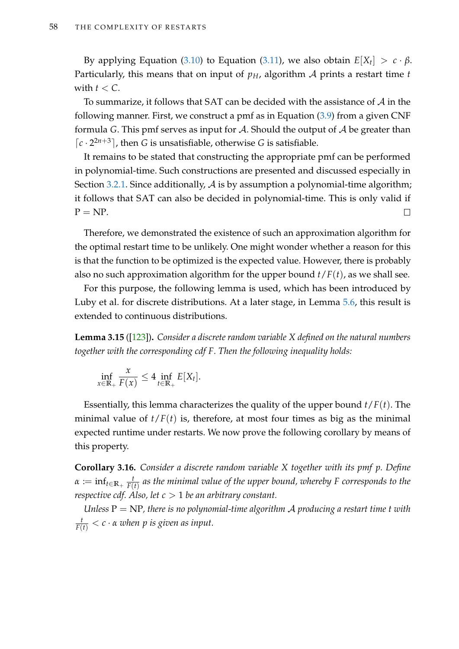By applying Equation [\(3.10\)](#page-72-0) to Equation [\(3.11\)](#page-72-1), we also obtain  $E[X_t] > c \cdot \beta$ . Particularly, this means that on input of  $p<sub>H</sub>$ , algorithm A prints a restart time *t* with  $t < C$ .

To summarize, it follows that SAT can be decided with the assistance of  $\mathcal A$  in the following manner. First, we construct a pmf as in Equation [\(3.9\)](#page-71-0) from a given CNF formula *G*. This pmf serves as input for  $A$ . Should the output of  $A$  be greater than  $\lceil c \cdot 2^{2n+3} \rceil$ , then *G* is unsatisfiable, otherwise *G* is satisfiable.

It remains to be stated that constructing the appropriate pmf can be performed in polynomial-time. Such constructions are presented and discussed especially in Section [3.2.1.](#page-58-0) Since additionally, A is by assumption a polynomial-time algorithm; it follows that SAT can also be decided in polynomial-time. This is only valid if  $\Box$  $P = NP$ .

Therefore, we demonstrated the existence of such an approximation algorithm for the optimal restart time to be unlikely. One might wonder whether a reason for this is that the function to be optimized is the expected value. However, there is probably also no such approximation algorithm for the upper bound *t*/*F*(*t*), as we shall see.

For this purpose, the following lemma is used, which has been introduced by Luby et al. for discrete distributions. At a later stage, in Lemma [5.6,](#page-131-0) this result is extended to continuous distributions.

<span id="page-73-0"></span>**Lemma 3.15** ([\[123\]](#page-220-0))**.** *Consider a discrete random variable X defined on the natural numbers together with the corresponding cdf F. Then the following inequality holds:*

$$
\inf_{x\in\mathbb{R}_+}\frac{x}{F(x)}\leq 4\inf_{t\in\mathbb{R}_+}E[X_t].
$$

Essentially, this lemma characterizes the quality of the upper bound *t*/*F*(*t*). The minimal value of  $t/F(t)$  is, therefore, at most four times as big as the minimal expected runtime under restarts. We now prove the following corollary by means of this property.

**Corollary 3.16.** *Consider a discrete random variable X together with its pmf p. Define*  $\alpha \coloneqq \inf_{t \in \mathbb{R}_+} \frac{t}{F(t)}$ *F*(*t*) *as the minimal value of the upper bound, whereby F corresponds to the respective cdf. Also, let c* > 1 *be an arbitrary constant.*

*Unless* P = NP*, there is no polynomial-time algorithm* A *producing a restart time t with*  $\frac{t}{F(t)} < c \cdot \alpha$  *when p is given as input.*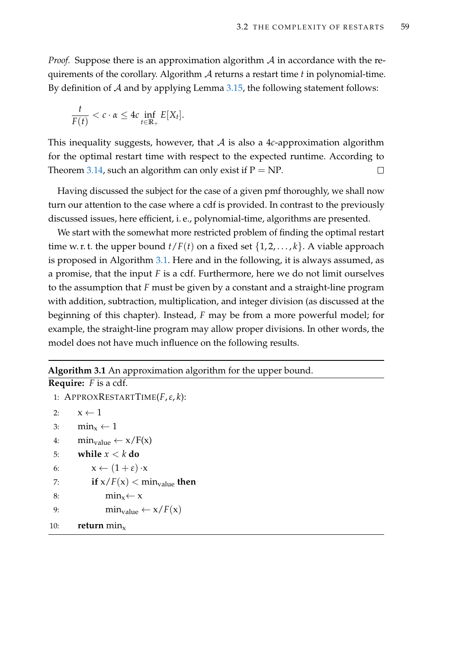*Proof.* Suppose there is an approximation algorithm A in accordance with the requirements of the corollary. Algorithm A returns a restart time *t* in polynomial-time. By definition of  $A$  and by applying Lemma [3.15,](#page-73-0) the following statement follows:

$$
\frac{t}{F(t)} < c \cdot \alpha \leq 4c \inf_{t \in \mathbb{R}_+} E[X_t].
$$

This inequality suggests, however, that A is also a 4*c*-approximation algorithm for the optimal restart time with respect to the expected runtime. According to Theorem [3.14,](#page-70-0) such an algorithm can only exist if  $P = NP$ .  $\Box$ 

Having discussed the subject for the case of a given pmf thoroughly, we shall now turn our attention to the case where a cdf is provided. In contrast to the previously discussed issues, here efficient, i. e., polynomial-time, algorithms are presented.

We start with the somewhat more restricted problem of finding the optimal restart time w. r. t. the upper bound  $t/F(t)$  on a fixed set  $\{1, 2, ..., k\}$ . A viable approach is proposed in Algorithm [3.1.](#page-74-0) Here and in the following, it is always assumed, as a promise, that the input *F* is a cdf. Furthermore, here we do not limit ourselves to the assumption that *F* must be given by a constant and a straight-line program with addition, subtraction, multiplication, and integer division (as discussed at the beginning of this chapter). Instead, *F* may be from a more powerful model; for example, the straight-line program may allow proper divisions. In other words, the model does not have much influence on the following results.

## <span id="page-74-0"></span>**Algorithm 3.1** An approximation algorithm for the upper bound.

```
Require: F is a cdf.
1: APPROXRESTARTTIME(F,ε, k):
2: x \leftarrow 13: \min_x \leftarrow 14: \min_{value} \leftarrow x/F(x)5: while x < k do
6: x \leftarrow (1 + \varepsilon) \cdot x7: if x/F(x) < min_{value} then
8: \min_x \leftarrow x9: \min_{value} \leftarrow x/F(x)10: return min<sub>x</sub>
```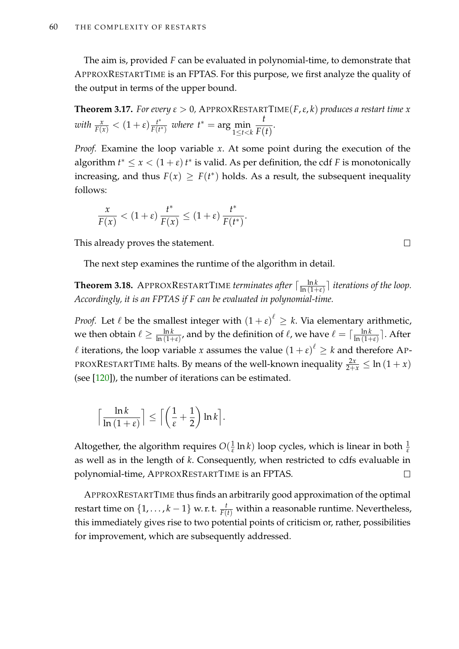The aim is, provided *F* can be evaluated in polynomial-time, to demonstrate that APPROXRESTARTTIME is an FPTAS. For this purpose, we first analyze the quality of the output in terms of the upper bound.

<span id="page-75-0"></span>**Theorem 3.17.** *For every*  $\varepsilon > 0$ , **APPROXRESTARTTIME(***F***,**  $\varepsilon$ **,** *k***)** *produces a restart time**x with*  $\frac{x}{F(x)} < (1 + \varepsilon) \frac{t^*}{F(t)}$  $\frac{t^*}{F(t^*)}$  *where*  $t^* = \arg\min_{1 \leq t < k}$ *t*  $\frac{\dot{r}}{F(t)}$ .

*Proof.* Examine the loop variable *x*. At some point during the execution of the algorithm  $t^* \leq x < (1 + \varepsilon) t^*$  is valid. As per definition, the cdf *F* is monotonically increasing, and thus  $F(x) \geq F(t^*)$  holds. As a result, the subsequent inequality follows:

$$
\frac{x}{F(x)} < (1+\varepsilon) \frac{t^*}{F(x)} \le (1+\varepsilon) \frac{t^*}{F(t^*)}.
$$

This already proves the statement.

The next step examines the runtime of the algorithm in detail.

**Theorem 3.18.** APPROXRESTARTTIME *terminates after*  $\lceil \frac{\ln k}{\ln (1 + \epsilon)} \rceil$  $\frac{\ln k}{\ln(1+\varepsilon)}$  *iterations of the loop. Accordingly, it is an FPTAS if F can be evaluated in polynomial-time.*

*Proof.* Let  $\ell$  be the smallest integer with  $(1 + \varepsilon)^{\ell} \geq k$ . Via elementary arithmetic, we then obtain  $\ell \ge \frac{\ln k}{\ln (1+\epsilon)}$ , and by the definition of  $\ell$ , we have  $\ell = \lceil \frac{\ln k}{\ln (1+\epsilon)} \rceil$  $\frac{\ln k}{\ln(1+\epsilon)}$ ]. After  $\ell$  iterations, the loop variable *x* assumes the value  $(1 + \epsilon)^{\ell} \geq k$  and therefore AP-PROXRESTARTTIME halts. By means of the well-known inequality  $\frac{2x}{2+x} \leq \ln{(1+x)}$ (see [\[120\]](#page-220-1)), the number of iterations can be estimated.

$$
\left\lceil \frac{\ln k}{\ln\left(1+\varepsilon\right)}\right\rceil \leq \left\lceil \left(\frac{1}{\varepsilon}+\frac{1}{2}\right)\ln k\right\rceil.
$$

Altogether, the algorithm requires  $O(\frac{1}{\epsilon})$  $\frac{1}{\varepsilon}$  ln *k*) loop cycles, which is linear in both  $\frac{1}{\varepsilon}$ as well as in the length of *k*. Consequently, when restricted to cdfs evaluable in polynomial-time, APPROXRESTARTTIME is an FPTAS.  $\Box$ 

APPROXRESTARTTIME thus finds an arbitrarily good approximation of the optimal restart time on  $\{1,\ldots,k-1\}$  w. r. t.  $\frac{t}{F(t)}$  within a reasonable runtime. Nevertheless, this immediately gives rise to two potential points of criticism or, rather, possibilities for improvement, which are subsequently addressed.

 $\Box$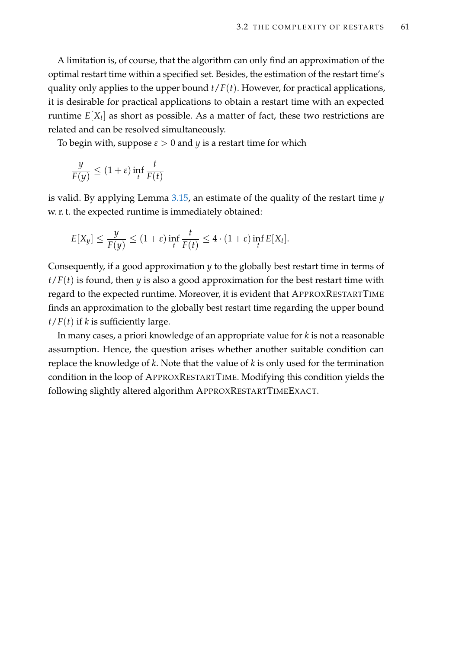A limitation is, of course, that the algorithm can only find an approximation of the optimal restart time within a specified set. Besides, the estimation of the restart time's quality only applies to the upper bound  $t/F(t)$ . However, for practical applications, it is desirable for practical applications to obtain a restart time with an expected runtime *E*[*X<sup>t</sup>* ] as short as possible. As a matter of fact, these two restrictions are related and can be resolved simultaneously.

To begin with, suppose  $\varepsilon > 0$  and  $y$  is a restart time for which

$$
\frac{y}{F(y)} \le (1+\varepsilon) \inf_t \frac{t}{F(t)}
$$

is valid. By applying Lemma [3.15,](#page-73-0) an estimate of the quality of the restart time *y* w. r. t. the expected runtime is immediately obtained:

$$
E[X_y] \leq \frac{y}{F(y)} \leq (1+\varepsilon) \inf_t \frac{t}{F(t)} \leq 4 \cdot (1+\varepsilon) \inf_t E[X_t].
$$

Consequently, if a good approximation *y* to the globally best restart time in terms of  $t/F(t)$  is found, then *y* is also a good approximation for the best restart time with regard to the expected runtime. Moreover, it is evident that APPROXRESTARTTIME finds an approximation to the globally best restart time regarding the upper bound  $t/F(t)$  if *k* is sufficiently large.

In many cases, a priori knowledge of an appropriate value for *k* is not a reasonable assumption. Hence, the question arises whether another suitable condition can replace the knowledge of *k*. Note that the value of *k* is only used for the termination condition in the loop of APPROXRESTARTTIME. Modifying this condition yields the following slightly altered algorithm APPROXRESTARTTIMEEXACT.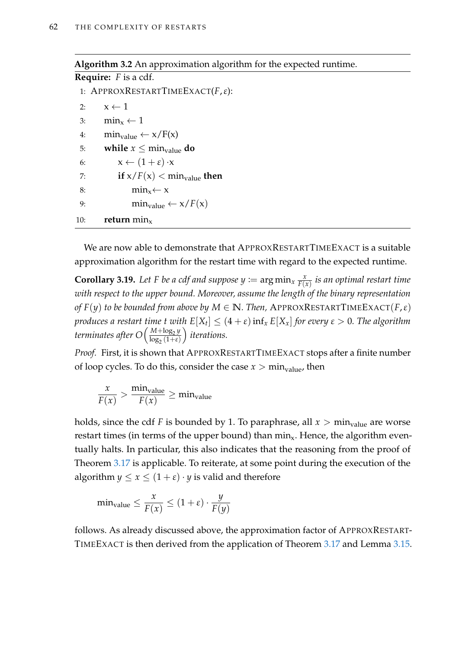## **Algorithm 3.2** An approximation algorithm for the expected runtime.

**Require:** *F* is a cdf. 1: APPROXRESTARTTIMEEXACT(*F*,*ε*): 2:  $x \leftarrow 1$ 3:  $\min_{x} \leftarrow 1$ 4:  $\min_{value} \leftarrow x/F(x)$ 5: **while**  $x \leq \text{min}_{value}$  **do** 6:  $x \leftarrow (1 + \varepsilon) \cdot x$ 7: **if**  $x/F(x) < min_{value}$  **then** 8:  $\text{min}_x \leftarrow x$ 9:  $\min_{value} \leftarrow x/F(x)$ 10: **return**  $\min_{x}$ 

We are now able to demonstrate that APPROXRESTARTTIMEEXACT is a suitable approximation algorithm for the restart time with regard to the expected runtime.

<span id="page-77-0"></span>**Corollary 3.19.** Let *F* be a cdf and suppose  $y := \arg \min_{x} \frac{x}{F(x)}$ *F*(*x*) *is an optimal restart time with respect to the upper bound. Moreover, assume the length of the binary representation of*  $F(y)$  *to be bounded from above by*  $M \in \mathbb{N}$ *. Then,* APPROXRESTARTTIMEEXACT(*F, ε*) *produces a restart time t with*  $E[X_t] \leq (4+\varepsilon) \inf_x E[X_x]$  *for every*  $\varepsilon > 0.$  *The algorithm terminates after*  $O\left(\frac{M + \log_2 y}{\log_2 \left(1 + \varepsilon\right)}\right)$  $log_2(1+\varepsilon)$ *iterations.*

*Proof.* First, it is shown that APPROXRESTARTTIMEEXACT stops after a finite number of loop cycles. To do this, consider the case  $x > min_{value}$ , then

$$
\frac{x}{F(x)} > \frac{\text{min}_{\text{value}}}{F(x)} \ge \text{min}_{\text{value}}
$$

holds, since the cdf *F* is bounded by 1. To paraphrase, all  $x > min_{value}$  are worse restart times (in terms of the upper bound) than  $\min_{x}$ . Hence, the algorithm eventually halts. In particular, this also indicates that the reasoning from the proof of Theorem [3.17](#page-75-0) is applicable. To reiterate, at some point during the execution of the algorithm  $y \le x \le (1 + \varepsilon) \cdot y$  is valid and therefore

$$
\min_{\text{value}} \le \frac{x}{F(x)} \le (1+\varepsilon) \cdot \frac{y}{F(y)}
$$

follows. As already discussed above, the approximation factor of APPROXRESTART-TIMEEXACT is then derived from the application of Theorem [3.17](#page-75-0) and Lemma [3.15.](#page-73-0)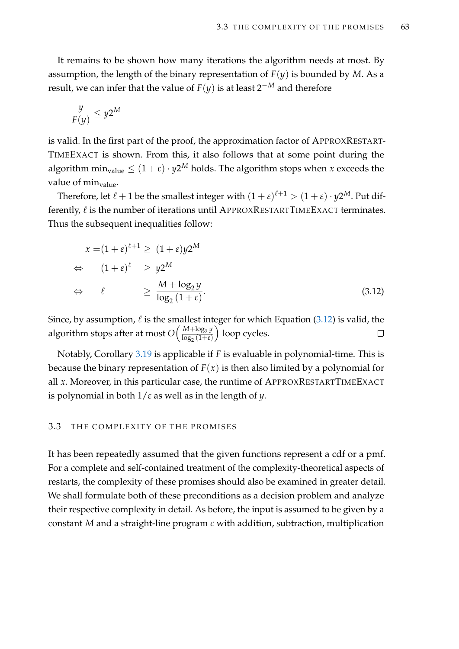It remains to be shown how many iterations the algorithm needs at most. By assumption, the length of the binary representation of  $F(y)$  is bounded by *M*. As a result, we can infer that the value of  $F(y)$  is at least  $2^{-M}$  and therefore

$$
\frac{y}{F(y)} \le y2^M
$$

is valid. In the first part of the proof, the approximation factor of APPROXRESTART-TIMEEXACT is shown. From this, it also follows that at some point during the algorithm  $\min_{\mathrm{value}} \leq (1+\varepsilon) \cdot y 2^M$  holds. The algorithm stops when  $x$  exceeds the value of  $min_{value}$ .

Therefore, let  $\ell + 1$  be the smallest integer with  $(1 + \varepsilon)^{\ell+1} > (1 + \varepsilon) \cdot y 2^M$ . Put differently,  $\ell$  is the number of iterations until APPROXRESTARTTIMEEXACT terminates. Thus the subsequent inequalities follow:

<span id="page-78-0"></span>
$$
x = (1 + \varepsilon)^{\ell+1} \ge (1 + \varepsilon)y^{2M}
$$
  
\n
$$
\Leftrightarrow (1 + \varepsilon)^{\ell} \ge y^{2M}
$$
  
\n
$$
\Leftrightarrow \ell \ge \frac{M + \log_2 y}{\log_2 (1 + \varepsilon)}.
$$
\n(3.12)

Since, by assumption,  $\ell$  is the smallest integer for which Equation [\(3.12\)](#page-78-0) is valid, the algorithm stops after at most  $O\left(\frac{M + \log_2 y}{\log_2 \left(1 + \epsilon\right)}\right)$  loop cycles.  $\Box$  $log_2(1+\epsilon)$ 

Notably, Corollary [3.19](#page-77-0) is applicable if *F* is evaluable in polynomial-time. This is because the binary representation of  $F(x)$  is then also limited by a polynomial for all *x*. Moreover, in this particular case, the runtime of APPROXRESTARTTIMEEXACT is polynomial in both 1/*ε* as well as in the length of *y*.

## <span id="page-78-1"></span>3.3 THE COMPLEXITY OF THE PROMISES

It has been repeatedly assumed that the given functions represent a cdf or a pmf. For a complete and self-contained treatment of the complexity-theoretical aspects of restarts, the complexity of these promises should also be examined in greater detail. We shall formulate both of these preconditions as a decision problem and analyze their respective complexity in detail. As before, the input is assumed to be given by a constant *M* and a straight-line program *c* with addition, subtraction, multiplication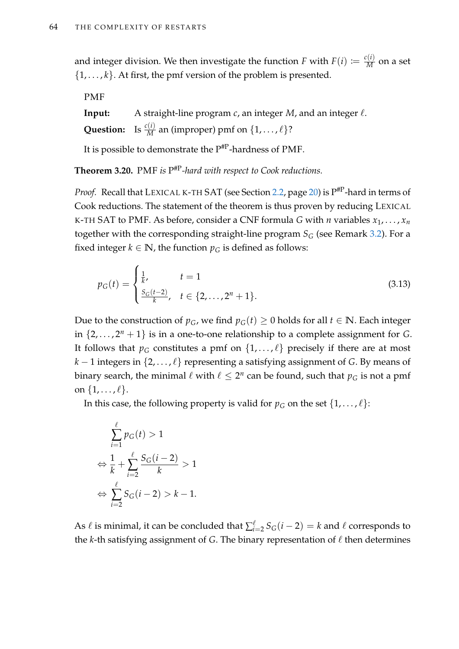and integer division. We then investigate the function  $F$  with  $F(i) \coloneqq \frac{c(i)}{M}$  on a set  $\{1, \ldots, k\}$ . At first, the pmf version of the problem is presented.

PMF

**Input:** A straight-line program  $c$ , an integer  $M$ , and an integer  $\ell$ . **Question:** Is  $\frac{c(i)}{M}$  an (improper) pmf on  $\{1, \ldots, \ell\}$ ?

It is possible to demonstrate the  $P^{HP}$ -hardness of PMF.

<span id="page-79-0"></span>**Theorem 3.20.** PMF *is* P #P*-hard with respect to Cook reductions.*

*Proof.* Recall that LEXICAL K-TH SAT (see Section [2.2,](#page-35-0) page [20\)](#page-35-0) is P #P-hard in terms of Cook reductions. The statement of the theorem is thus proven by reducing LEXICAL K-TH SAT to PMF. As before, consider a CNF formula *G* with *n* variables  $x_1, \ldots, x_n$ together with the corresponding straight-line program  $S_G$  (see Remark [3.2\)](#page-56-0). For a fixed integer  $k \in \mathbb{N}$ , the function  $p_G$  is defined as follows:

<span id="page-79-1"></span>
$$
p_G(t) = \begin{cases} \frac{1}{k}, & t = 1\\ \frac{S_G(t-2)}{k}, & t \in \{2,\dots,2^n+1\}. \end{cases}
$$
(3.13)

Due to the construction of  $p$ <sup>*G*</sup>, we find  $p$ <sup>*G*</sup>(*t*) ≥ 0 holds for all *t* ∈ **N**. Each integer in  $\{2, \ldots, 2^n + 1\}$  is in a one-to-one relationship to a complete assignment for *G*. It follows that  $p_G$  constitutes a pmf on  $\{1, \ldots, \ell\}$  precisely if there are at most *k* − 1 integers in  $\{2, \ldots, \ell\}$  representing a satisfying assignment of *G*. By means of binary search, the minimal  $\ell$  with  $\ell \leq 2^n$  can be found, such that  $p_G$  is not a pmf on  $\{1, \ldots, \ell\}.$ 

In this case, the following property is valid for  $p_G$  on the set  $\{1, \ldots, \ell\}$ :

$$
\sum_{i=1}^{\ell} p_G(t) > 1
$$
  
\n
$$
\Leftrightarrow \frac{1}{k} + \sum_{i=2}^{\ell} \frac{S_G(i-2)}{k} > 1
$$
  
\n
$$
\Leftrightarrow \sum_{i=2}^{\ell} S_G(i-2) > k - 1.
$$

As  $\ell$  is minimal, it can be concluded that  $\sum_{i=1}^{\ell}$  $\int_{i=2}^{l} S_G(i-2) = k$  and  $\ell$  corresponds to the  $k$ -th satisfying assignment of  $G$ . The binary representation of  $\ell$  then determines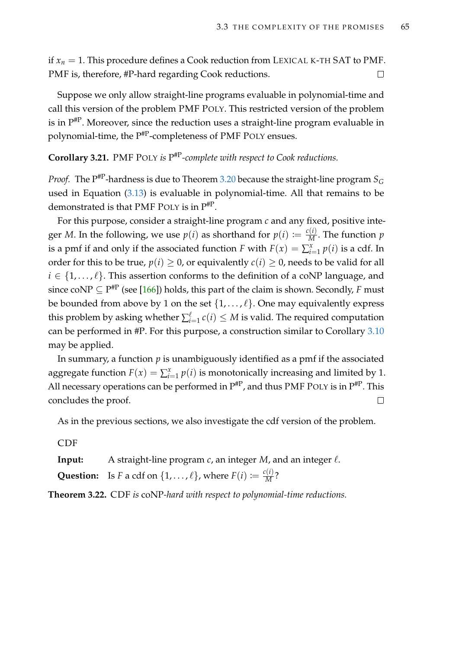if  $x_n = 1$ . This procedure defines a Cook reduction from LEXICAL K-TH SAT to PMF. PMF is, therefore, #P-hard regarding Cook reductions.  $\Box$ 

Suppose we only allow straight-line programs evaluable in polynomial-time and call this version of the problem PMF POLY. This restricted version of the problem is in  $\mathrm{P}^{\# \mathrm{P}}.$  Moreover, since the reduction uses a straight-line program evaluable in polynomial-time, the P<sup>#P</sup>-completeness of PMF POLY ensues.

## **Corollary 3.21.** PMF POLY *is* P #P*-complete with respect to Cook reductions.*

*Proof.* The P #P-hardness is due to Theorem [3.20](#page-79-0) because the straight-line program *S<sup>G</sup>* used in Equation  $(3.13)$  is evaluable in polynomial-time. All that remains to be demonstrated is that PMF POLY is in P#P .

For this purpose, consider a straight-line program *c* and any fixed, positive integer *M*. In the following, we use  $p(i)$  as shorthand for  $p(i) := \frac{c(i)}{M}$ . The function  $p$ is a pmf if and only if the associated function *F* with  $F(x) = \sum_{i=1}^{x} p(i)$  is a cdf. In order for this to be true,  $p(i) \geq 0$ , or equivalently  $c(i) \geq 0$ , needs to be valid for all  $i \in \{1, \ldots, \ell\}$ . This assertion conforms to the definition of a coNP language, and since coNP  $\subseteq$  P<sup>#P</sup> (see [\[166\]](#page-223-0)) holds, this part of the claim is shown. Secondly, *F* must be bounded from above by 1 on the set  $\{1, \ldots, \ell\}$ . One may equivalently express this problem by asking whether  $\sum_{i=1}^{\ell}$  $\sum_{i=1}^{l} c(i) \leq M$  is valid. The required computation can be performed in #P. For this purpose, a construction similar to Corollary [3.10](#page-67-0) may be applied.

In summary, a function *p* is unambiguously identified as a pmf if the associated aggregate function  $F(x) = \sum_{i=1}^{x} p(i)$  is monotonically increasing and limited by 1. All necessary operations can be performed in  $P^{HP}$ , and thus PMF POLY is in  $P^{HP}$ . This concludes the proof.  $\Box$ 

As in the previous sections, we also investigate the cdf version of the problem.

CDF

**Input:** A straight-line program  $c$ , an integer  $M$ , and an integer  $\ell$ .

**Question:** Is *F* a cdf on  $\{1, \ldots, \ell\}$ , where  $F(i) \coloneqq \frac{c(i)}{M}$ ?

<span id="page-80-0"></span>**Theorem 3.22.** CDF *is* coNP*-hard with respect to polynomial-time reductions.*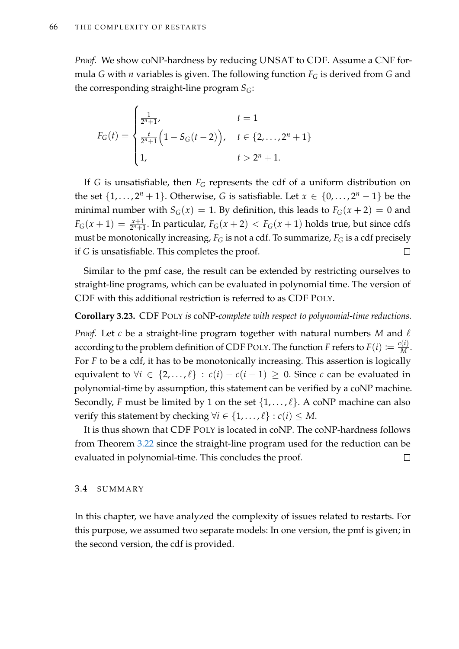*Proof.* We show coNP-hardness by reducing UNSAT to CDF. Assume a CNF formula *G* with *n* variables is given. The following function *F<sup>G</sup>* is derived from *G* and the corresponding straight-line program  $S_G$ :

$$
F_G(t) = \begin{cases} \frac{1}{2^n + 1}, & t = 1 \\ \frac{t}{2^n + 1} \left( 1 - S_G(t - 2) \right), & t \in \{2, \dots, 2^n + 1\} \\ 1, & t > 2^n + 1. \end{cases}
$$

If *G* is unsatisfiable, then  $F_G$  represents the cdf of a uniform distribution on the set  $\{1, \ldots, 2^n + 1\}$ . Otherwise, *G* is satisfiable. Let  $x \in \{0, \ldots, 2^n - 1\}$  be the minimal number with  $S_G(x) = 1$ . By definition, this leads to  $F_G(x + 2) = 0$  and  $F_G(x+1) = \frac{x+1}{2^n+1}$ . In particular,  $F_G(x+2) < F_G(x+1)$  holds true, but since cdfs must be monotonically increasing, *F<sup>G</sup>* is not a cdf. To summarize, *F<sup>G</sup>* is a cdf precisely if *G* is unsatisfiable. This completes the proof.  $\Box$ 

Similar to the pmf case, the result can be extended by restricting ourselves to straight-line programs, which can be evaluated in polynomial time. The version of CDF with this additional restriction is referred to as CDF POLY.

## **Corollary 3.23.** CDF POLY *is* coNP*-complete with respect to polynomial-time reductions.*

*Proof.* Let  $c$  be a straight-line program together with natural numbers M and  $\ell$ according to the problem definition of CDF POLY. The function *F* refers to  $F(i) := \frac{c(i)}{M}$ . For *F* to be a cdf, it has to be monotonically increasing. This assertion is logically equivalent to  $\forall i \in \{2,\ldots,\ell\} : c(i) - c(i-1) \geq 0$ . Since *c* can be evaluated in polynomial-time by assumption, this statement can be verified by a coNP machine. Secondly, *F* must be limited by 1 on the set  $\{1, \ldots, \ell\}$ . A coNP machine can also verify this statement by checking  $\forall i \in \{1, \ldots, \ell\} : c(i) \leq M$ .

It is thus shown that CDF POLY is located in coNP. The coNP-hardness follows from Theorem [3.22](#page-80-0) since the straight-line program used for the reduction can be evaluated in polynomial-time. This concludes the proof.  $\Box$ 

#### 3.4 SUMMARY

In this chapter, we have analyzed the complexity of issues related to restarts. For this purpose, we assumed two separate models: In one version, the pmf is given; in the second version, the cdf is provided.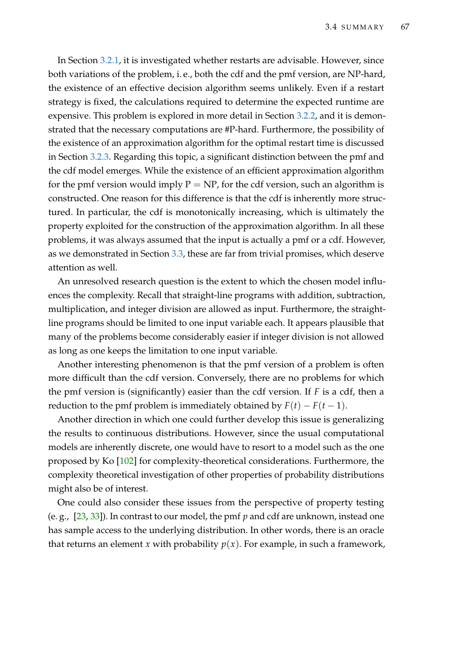In Section [3.2.1,](#page-58-0) it is investigated whether restarts are advisable. However, since both variations of the problem, i. e., both the cdf and the pmf version, are NP-hard, the existence of an effective decision algorithm seems unlikely. Even if a restart strategy is fixed, the calculations required to determine the expected runtime are expensive. This problem is explored in more detail in Section [3.2.2,](#page-64-0) and it is demonstrated that the necessary computations are #P-hard. Furthermore, the possibility of the existence of an approximation algorithm for the optimal restart time is discussed in Section [3.2.3.](#page-70-1) Regarding this topic, a significant distinction between the pmf and the cdf model emerges. While the existence of an efficient approximation algorithm for the pmf version would imply  $P = NP$ , for the cdf version, such an algorithm is constructed. One reason for this difference is that the cdf is inherently more structured. In particular, the cdf is monotonically increasing, which is ultimately the property exploited for the construction of the approximation algorithm. In all these problems, it was always assumed that the input is actually a pmf or a cdf. However, as we demonstrated in Section [3.3,](#page-78-1) these are far from trivial promises, which deserve attention as well.

An unresolved research question is the extent to which the chosen model influences the complexity. Recall that straight-line programs with addition, subtraction, multiplication, and integer division are allowed as input. Furthermore, the straightline programs should be limited to one input variable each. It appears plausible that many of the problems become considerably easier if integer division is not allowed as long as one keeps the limitation to one input variable.

Another interesting phenomenon is that the pmf version of a problem is often more difficult than the cdf version. Conversely, there are no problems for which the pmf version is (significantly) easier than the cdf version. If *F* is a cdf, then a reduction to the pmf problem is immediately obtained by  $F(t) - F(t-1)$ .

Another direction in which one could further develop this issue is generalizing the results to continuous distributions. However, since the usual computational models are inherently discrete, one would have to resort to a model such as the one proposed by Ko [\[102\]](#page-218-0) for complexity-theoretical considerations. Furthermore, the complexity theoretical investigation of other properties of probability distributions might also be of interest.

One could also consider these issues from the perspective of property testing (e. g., [\[23,](#page-212-0) [33\]](#page-213-0)). In contrast to our model, the pmf *p* and cdf are unknown, instead one has sample access to the underlying distribution. In other words, there is an oracle that returns an element *x* with probability  $p(x)$ . For example, in such a framework,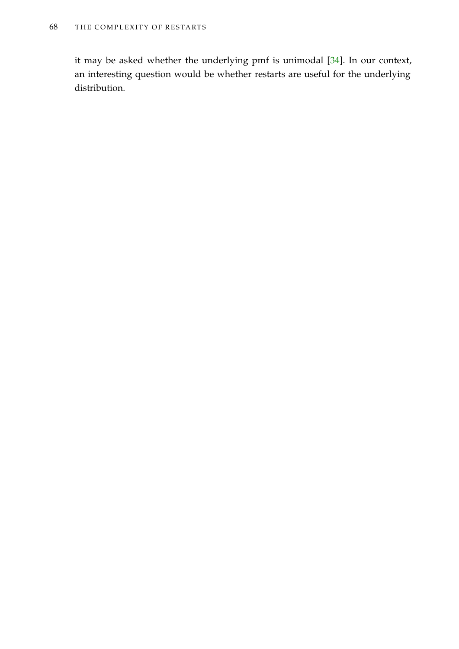it may be asked whether the underlying pmf is unimodal [\[34\]](#page-213-1). In our context, an interesting question would be whether restarts are useful for the underlying distribution.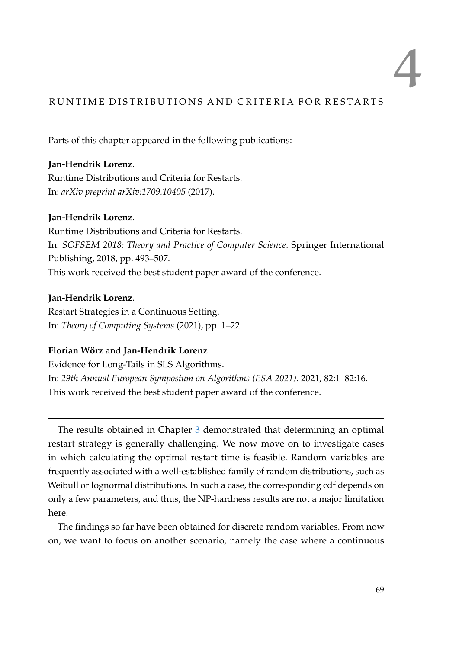# 4

# RUNTIME DISTRIBUTIONS AND CRITERIA FOR RESTARTS

Parts of this chapter appeared in the following publications:

**Jan-Hendrik Lorenz**. Runtime Distributions and Criteria for Restarts. In: *arXiv preprint arXiv:1709.10405* (2017).

# **Jan-Hendrik Lorenz**.

Runtime Distributions and Criteria for Restarts. In: *SOFSEM 2018: Theory and Practice of Computer Science*. Springer International Publishing, 2018, pp. 493–507. This work received the best student paper award of the conference.

# **Jan-Hendrik Lorenz**.

Restart Strategies in a Continuous Setting. In: *Theory of Computing Systems* (2021), pp. 1–22.

# **Florian Wörz** and **Jan-Hendrik Lorenz**.

Evidence for Long-Tails in SLS Algorithms. In: *29th Annual European Symposium on Algorithms (ESA 2021)*. 2021, 82:1–82:16. This work received the best student paper award of the conference.

The results obtained in Chapter [3](#page-54-0) demonstrated that determining an optimal restart strategy is generally challenging. We now move on to investigate cases in which calculating the optimal restart time is feasible. Random variables are frequently associated with a well-established family of random distributions, such as Weibull or lognormal distributions. In such a case, the corresponding cdf depends on only a few parameters, and thus, the NP-hardness results are not a major limitation here.

The findings so far have been obtained for discrete random variables. From now on, we want to focus on another scenario, namely the case where a continuous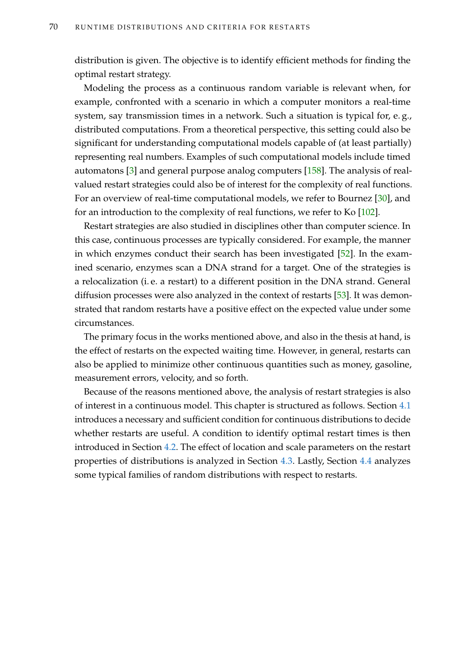distribution is given. The objective is to identify efficient methods for finding the optimal restart strategy.

Modeling the process as a continuous random variable is relevant when, for example, confronted with a scenario in which a computer monitors a real-time system, say transmission times in a network. Such a situation is typical for, e. g., distributed computations. From a theoretical perspective, this setting could also be significant for understanding computational models capable of (at least partially) representing real numbers. Examples of such computational models include timed automatons [\[3\]](#page-210-0) and general purpose analog computers [\[158\]](#page-223-1). The analysis of realvalued restart strategies could also be of interest for the complexity of real functions. For an overview of real-time computational models, we refer to Bournez [\[30\]](#page-212-1), and for an introduction to the complexity of real functions, we refer to Ko [\[102\]](#page-218-0).

Restart strategies are also studied in disciplines other than computer science. In this case, continuous processes are typically considered. For example, the manner in which enzymes conduct their search has been investigated [\[52\]](#page-214-0). In the examined scenario, enzymes scan a DNA strand for a target. One of the strategies is a relocalization (i. e. a restart) to a different position in the DNA strand. General diffusion processes were also analyzed in the context of restarts [\[53\]](#page-214-1). It was demonstrated that random restarts have a positive effect on the expected value under some circumstances.

The primary focus in the works mentioned above, and also in the thesis at hand, is the effect of restarts on the expected waiting time. However, in general, restarts can also be applied to minimize other continuous quantities such as money, gasoline, measurement errors, velocity, and so forth.

Because of the reasons mentioned above, the analysis of restart strategies is also of interest in a continuous model. This chapter is structured as follows. Section [4.1](#page-86-0) introduces a necessary and sufficient condition for continuous distributions to decide whether restarts are useful. A condition to identify optimal restart times is then introduced in Section [4.2.](#page-95-0) The effect of location and scale parameters on the restart properties of distributions is analyzed in Section [4.3.](#page-97-0) Lastly, Section [4.4](#page-103-0) analyzes some typical families of random distributions with respect to restarts.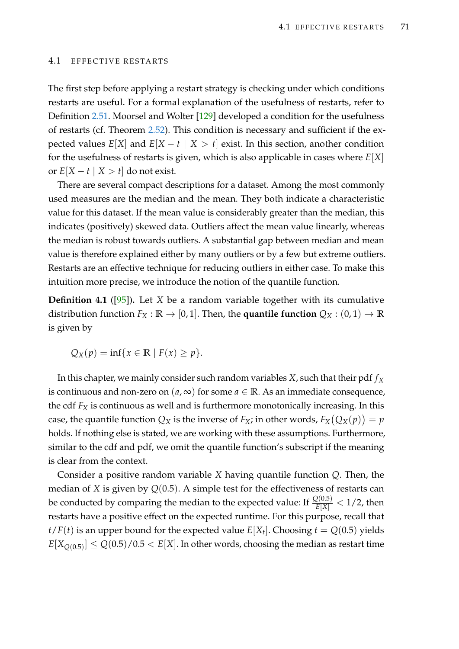#### <span id="page-86-0"></span>4.1 EFFECTIVE RESTARTS

The first step before applying a restart strategy is checking under which conditions restarts are useful. For a formal explanation of the usefulness of restarts, refer to Definition [2.51.](#page-52-0) Moorsel and Wolter [\[129\]](#page-220-2) developed a condition for the usefulness of restarts (cf. Theorem [2.52\)](#page-52-1). This condition is necessary and sufficient if the expected values  $E[X]$  and  $E[X - t | X > t]$  exist. In this section, another condition for the usefulness of restarts is given, which is also applicable in cases where *E*[*X*] or  $E[X - t | X > t]$  do not exist.

There are several compact descriptions for a dataset. Among the most commonly used measures are the median and the mean. They both indicate a characteristic value for this dataset. If the mean value is considerably greater than the median, this indicates (positively) skewed data. Outliers affect the mean value linearly, whereas the median is robust towards outliers. A substantial gap between median and mean value is therefore explained either by many outliers or by a few but extreme outliers. Restarts are an effective technique for reducing outliers in either case. To make this intuition more precise, we introduce the notion of the quantile function.

**Definition 4.1** ([\[95\]](#page-218-1))**.** Let *X* be a random variable together with its cumulative distribution function  $F_X : \mathbb{R} \to [0, 1]$ . Then, the **quantile function**  $Q_X : (0, 1) \to \mathbb{R}$ is given by

$$
Q_X(p) = \inf\{x \in \mathbb{R} \mid F(x) \ge p\}.
$$

In this chapter, we mainly consider such random variables *X*, such that their pdf *f<sup>X</sup>* is continuous and non-zero on  $(a, \infty)$  for some  $a \in \mathbb{R}$ . As an immediate consequence, the cdf *F<sup>X</sup>* is continuous as well and is furthermore monotonically increasing. In this case, the quantile function  $Q_X$  is the inverse of  $F_X$ ; in other words,  $F_X(Q_X(p)) = p$ holds. If nothing else is stated, we are working with these assumptions. Furthermore, similar to the cdf and pdf, we omit the quantile function's subscript if the meaning is clear from the context.

Consider a positive random variable *X* having quantile function *Q*. Then, the median of *X* is given by *Q*(0.5). A simple test for the effectiveness of restarts can be conducted by comparing the median to the expected value: If  $\frac{Q(0.5)}{E[X]} < 1/2$ , then restarts have a positive effect on the expected runtime. For this purpose, recall that  $t$ / $F(t)$  is an upper bound for the expected value  $E[X_t]$ . Choosing  $t = Q(0.5)$  yields  $E[X_{Q(0.5)}] \leq Q(0.5)/0.5 < E[X]$ . In other words, choosing the median as restart time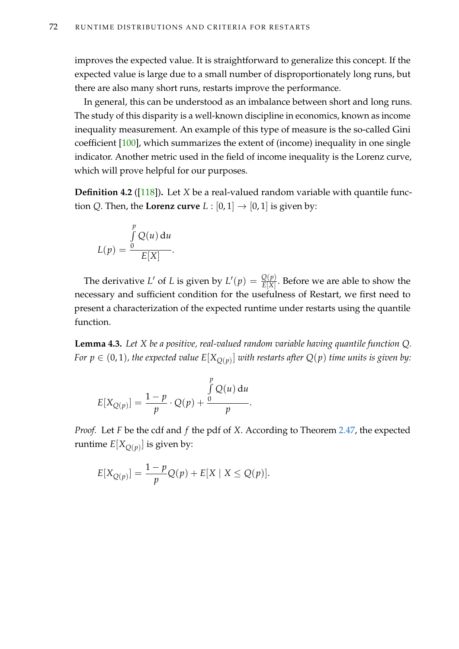improves the expected value. It is straightforward to generalize this concept. If the expected value is large due to a small number of disproportionately long runs, but there are also many short runs, restarts improve the performance.

In general, this can be understood as an imbalance between short and long runs. The study of this disparity is a well-known discipline in economics, known as income inequality measurement. An example of this type of measure is the so-called Gini coefficient [\[100\]](#page-218-2), which summarizes the extent of (income) inequality in one single indicator. Another metric used in the field of income inequality is the Lorenz curve, which will prove helpful for our purposes.

<span id="page-87-1"></span>**Definition 4.2** ([\[118\]](#page-220-3))**.** Let *X* be a real-valued random variable with quantile function *Q*. Then, the **Lorenz curve**  $L : [0,1] \rightarrow [0,1]$  is given by:

$$
L(p) = \frac{\int_{0}^{p} Q(u) du}{E[X]}.
$$

The derivative *L*' of *L* is given by  $L'(p) = \frac{Q(p)}{E[X]}$ . Before we are able to show the necessary and sufficient condition for the usefulness of Restart, we first need to present a characterization of the expected runtime under restarts using the quantile function.

<span id="page-87-0"></span>**Lemma 4.3.** *Let X be a positive, real-valued random variable having quantile function Q. For*  $p \in (0,1)$ *, the expected value*  $E[X_{Q(p)}]$  *with restarts after*  $Q(p)$  *time units is given by:* 

$$
E[X_{Q(p)}] = \frac{1-p}{p} \cdot Q(p) + \frac{\int_{0}^{p} Q(u) du}{p}.
$$

*Proof.* Let *F* be the cdf and *f* the pdf of *X*. According to Theorem [2.47,](#page-48-0) the expected runtime  $E[X_{Q(p)}]$  is given by:

$$
E[X_{Q(p)}] = \frac{1-p}{p}Q(p) + E[X \mid X \leq Q(p)].
$$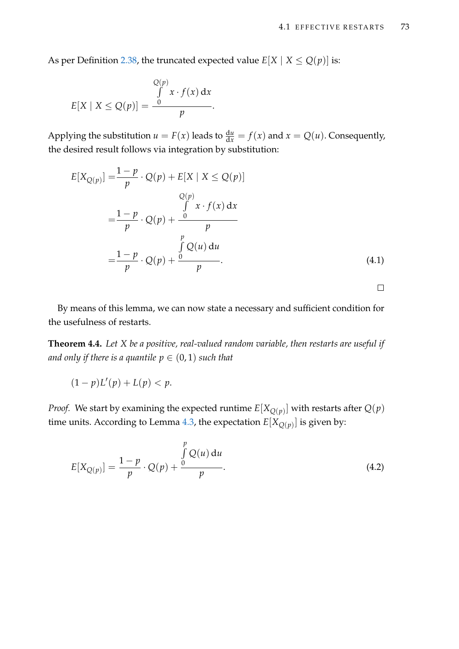As per Definition [2.38,](#page-43-0) the truncated expected value  $E[X \mid X \leq Q(p)]$  is:

$$
E[X \mid X \leq Q(p)] = \frac{\int_{0}^{Q(p)} x \cdot f(x) dx}{p}.
$$

Applying the substitution  $u = F(x)$  leads to  $\frac{du}{dx} = f(x)$  and  $x = Q(u)$ . Consequently, the desired result follows via integration by substitution:

<span id="page-88-2"></span>
$$
E[X_{Q(p)}] = \frac{1-p}{p} \cdot Q(p) + E[X \mid X \le Q(p)]
$$
  
\n
$$
= \frac{1-p}{p} \cdot Q(p) + \frac{\int_{p}^{p} x \cdot f(x) dx}{p}
$$
  
\n
$$
= \frac{1-p}{p} \cdot Q(p) + \frac{\int_{p}^{p} Q(u) du}{p}.
$$
  
\n(4.1)

By means of this lemma, we can now state a necessary and sufficient condition for the usefulness of restarts.

<span id="page-88-1"></span>**Theorem 4.4.** *Let X be a positive, real-valued random variable, then restarts are useful if and only if there is a quantile*  $p \in (0, 1)$  *such that* 

$$
(1-p)L'(p)+L(p)< p.
$$

*Proof.* We start by examining the expected runtime  $E[X_{Q(p)}]$  with restarts after  $Q(p)$ time units. According to Lemma [4.3,](#page-87-0) the expectation  $E[X_{Q(p)}]$  is given by:

<span id="page-88-0"></span>
$$
E[X_{Q(p)}] = \frac{1-p}{p} \cdot Q(p) + \frac{\int_{0}^{p} Q(u) du}{p}.
$$
 (4.2)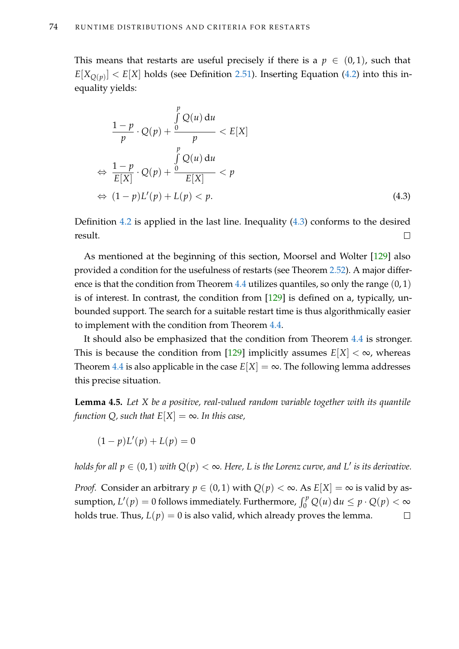This means that restarts are useful precisely if there is a  $p \in (0,1)$ , such that  $E[X_{Q(p)}] < E[X]$  holds (see Definition [2.51\)](#page-52-0). Inserting Equation [\(4.2\)](#page-88-0) into this inequality yields:

<span id="page-89-0"></span>
$$
\frac{1-p}{p} \cdot Q(p) + \frac{\int_{p}^{p} Q(u) du}{p} < E[X]
$$
\n
$$
\Leftrightarrow \frac{1-p}{E[X]} \cdot Q(p) + \frac{\int_{p}^{p} Q(u) du}{E[X]} < p
$$
\n
$$
\Leftrightarrow (1-p)L'(p) + L(p) < p. \tag{4.3}
$$

Definition [4.2](#page-87-1) is applied in the last line. Inequality [\(4.3\)](#page-89-0) conforms to the desired result.  $\Box$ 

As mentioned at the beginning of this section, Moorsel and Wolter [\[129\]](#page-220-2) also provided a condition for the usefulness of restarts (see Theorem [2.52\)](#page-52-1). A major differ-ence is that the condition from Theorem [4.4](#page-88-1) utilizes quantiles, so only the range  $(0, 1)$ is of interest. In contrast, the condition from [\[129\]](#page-220-2) is defined on a, typically, unbounded support. The search for a suitable restart time is thus algorithmically easier to implement with the condition from Theorem [4.4.](#page-88-1)

It should also be emphasized that the condition from Theorem [4.4](#page-88-1) is stronger. This is because the condition from [\[129\]](#page-220-2) implicitly assumes  $E[X] < \infty$ , whereas Theorem [4.4](#page-88-1) is also applicable in the case  $E[X] = \infty$ . The following lemma addresses this precise situation.

<span id="page-89-1"></span>**Lemma 4.5.** *Let X be a positive, real-valued random variable together with its quantile function Q, such that*  $E[X] = \infty$ *. In this case,* 

 $(1-p)L'(p) + L(p) = 0$ 

*holds for all*  $p \in (0, 1)$  *with*  $Q(p) < \infty$ *. Here, L is the Lorenz curve, and L' is its derivative.* 

*Proof.* Consider an arbitrary  $p \in (0,1)$  with  $Q(p) < \infty$ . As  $E[X] = \infty$  is valid by assumption,  $L'(p) = 0$  follows immediately. Furthermore,  $\int_0^p Q(u) du \leq p \cdot Q(p) < \infty$ holds true. Thus,  $L(p) = 0$  is also valid, which already proves the lemma.  $\Box$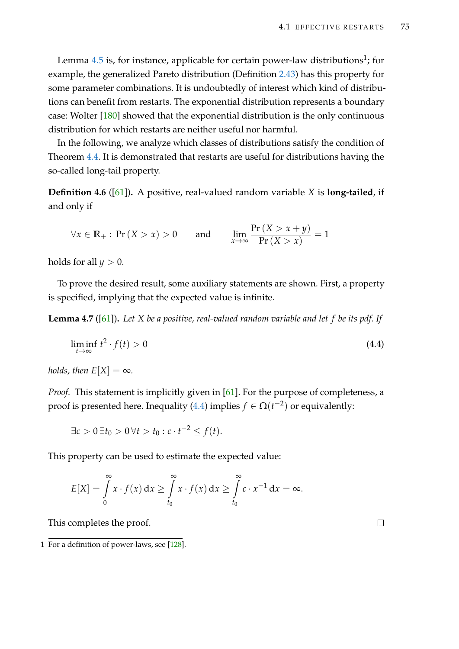Lemma  $4.5$  is, for instance, applicable for certain power-law distributions<sup>1</sup>; for example, the generalized Pareto distribution (Definition [2.43\)](#page-46-0) has this property for some parameter combinations. It is undoubtedly of interest which kind of distributions can benefit from restarts. The exponential distribution represents a boundary case: Wolter [\[180\]](#page-224-0) showed that the exponential distribution is the only continuous distribution for which restarts are neither useful nor harmful.

In the following, we analyze which classes of distributions satisfy the condition of Theorem [4.4.](#page-88-1) It is demonstrated that restarts are useful for distributions having the so-called long-tail property.

<span id="page-90-2"></span>**Definition 4.6** ([\[61\]](#page-215-0))**.** A positive, real-valued random variable *X* is **long-tailed**, if and only if

$$
\forall x \in \mathbb{R}_+ : \Pr\left(X > x\right) > 0 \qquad \text{and} \qquad \lim_{x \to \infty} \frac{\Pr\left(X > x + y\right)}{\Pr\left(X > x\right)} = 1
$$

holds for all  $y > 0$ .

To prove the desired result, some auxiliary statements are shown. First, a property is specified, implying that the expected value is infinite.

<span id="page-90-1"></span>**Lemma 4.7** ([\[61\]](#page-215-0))**.** *Let X be a positive, real-valued random variable and let f be its pdf. If*

$$
\liminf_{t \to \infty} t^2 \cdot f(t) > 0 \tag{4.4}
$$

*holds, then*  $E[X] = \infty$ *.* 

*Proof.* This statement is implicitly given in [\[61\]](#page-215-0). For the purpose of completeness, a proof is presented here. Inequality [\(4.4\)](#page-90-0) implies  $f \in \Omega(t^{-2})$  or equivalently:

$$
\exists c > 0 \, \exists t_0 > 0 \, \forall t > t_0 : c \cdot t^{-2} \le f(t).
$$

This property can be used to estimate the expected value:

$$
E[X] = \int_{0}^{\infty} x \cdot f(x) dx \ge \int_{t_0}^{\infty} x \cdot f(x) dx \ge \int_{t_0}^{\infty} c \cdot x^{-1} dx = \infty.
$$

This completes the proof.

<span id="page-90-0"></span> $\Box$ 

<sup>1</sup> For a definition of power-laws, see [\[128\]](#page-220-4).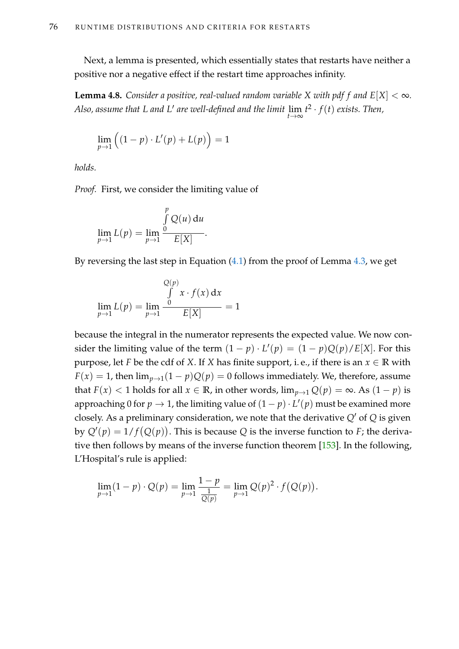Next, a lemma is presented, which essentially states that restarts have neither a positive nor a negative effect if the restart time approaches infinity.

<span id="page-91-0"></span>**Lemma 4.8.** *Consider a positive, real-valued random variable X with pdf f* and  $E[X] < \infty$ . *Also, assume that L and L' are well-defined and the limit*  $\lim_{t\to\infty} t^2\cdot f(t)$  *exists. Then,* 

$$
\lim_{p \to 1} \left( (1-p) \cdot L'(p) + L(p) \right) = 1
$$

*holds.*

*Proof.* First, we consider the limiting value of

$$
\lim_{p \to 1} L(p) = \lim_{p \to 1} \frac{\int_{0}^{p} Q(u) du}{E[X]}.
$$

By reversing the last step in Equation [\(4.1\)](#page-88-2) from the proof of Lemma [4.3,](#page-87-0) we get

$$
\lim_{p \to 1} L(p) = \lim_{p \to 1} \frac{\int_{0}^{Q(p)} x \cdot f(x) dx}{E[X]} = 1
$$

because the integral in the numerator represents the expected value. We now consider the limiting value of the term  $(1 - p) \cdot L'(p) = (1 - p)Q(p)/E[X]$ . For this purpose, let *F* be the cdf of *X*. If *X* has finite support, i.e., if there is an  $x \in \mathbb{R}$  with  $F(x) = 1$ , then  $\lim_{p\to 1}(1-p)Q(p) = 0$  follows immediately. We, therefore, assume that  $F(x) < 1$  holds for all  $x \in \mathbb{R}$ , in other words,  $\lim_{p\to 1} Q(p) = \infty$ . As  $(1-p)$  is approaching 0 for  $p \to 1$ , the limiting value of  $(1-p) \cdot L'(p)$  must be examined more closely. As a preliminary consideration, we note that the derivative  $Q'$  of  $Q$  is given by  $Q'(p) = 1/f(Q(p))$ . This is because Q is the inverse function to *F*; the derivative then follows by means of the inverse function theorem [\[153\]](#page-222-0). In the following, L'Hospital's rule is applied:

$$
\lim_{p \to 1} (1 - p) \cdot Q(p) = \lim_{p \to 1} \frac{1 - p}{\frac{1}{Q(p)}} = \lim_{p \to 1} Q(p)^2 \cdot f(Q(p)).
$$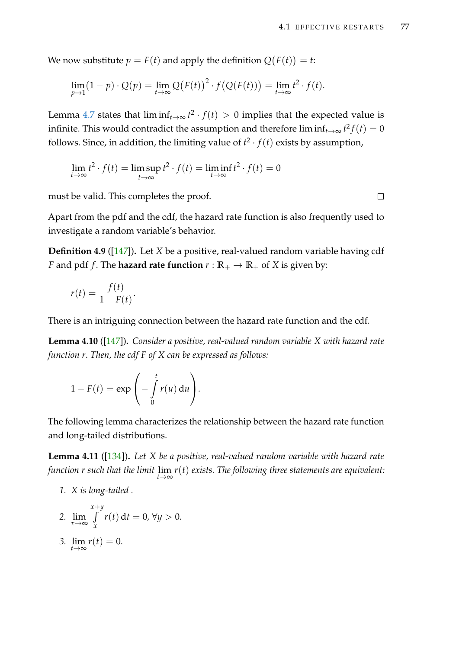We now substitute  $p = F(t)$  and apply the definition  $Q(F(t)) = t$ :

$$
\lim_{p\to 1} (1-p)\cdot Q(p) = \lim_{t\to\infty} Q\big(F(t)\big)^2\cdot f\big(Q(F(t))\big) = \lim_{t\to\infty} t^2\cdot f(t).
$$

Lemma [4.7](#page-90-1) states that  $\liminf_{t\to\infty} t^2 \cdot f(t) > 0$  implies that the expected value is infinite. This would contradict the assumption and therefore  $\liminf_{t\to\infty}t^2f(t)=0$ follows. Since, in addition, the limiting value of  $t^2 \cdot f(t)$  exists by assumption,

$$
\lim_{t \to \infty} t^2 \cdot f(t) = \limsup_{t \to \infty} t^2 \cdot f(t) = \liminf_{t \to \infty} t^2 \cdot f(t) = 0
$$

must be valid. This completes the proof.

Apart from the pdf and the cdf, the hazard rate function is also frequently used to investigate a random variable's behavior.

**Definition 4.9** ([\[147\]](#page-222-1))**.** Let *X* be a positive, real-valued random variable having cdf *F* and pdf *f*. The **hazard rate function**  $r : \mathbb{R}_+ \to \mathbb{R}_+$  of *X* is given by:

$$
r(t) = \frac{f(t)}{1 - F(t)}.
$$

There is an intriguing connection between the hazard rate function and the cdf.

<span id="page-92-2"></span>**Lemma 4.10** ([\[147\]](#page-222-1))**.** *Consider a positive, real-valued random variable X with hazard rate function r. Then, the cdf F of X can be expressed as follows:*

$$
1 - F(t) = \exp\left(-\int\limits_0^t r(u) \, \mathrm{d}u\right).
$$

The following lemma characterizes the relationship between the hazard rate function and long-tailed distributions.

<span id="page-92-4"></span>**Lemma 4.11** ([\[134\]](#page-221-0))**.** *Let X be a positive, real-valued random variable with hazard rate function r such that the limit* lim *t*→∞ *r*(*t*) *exists. The following three statements are equivalent:*

- <span id="page-92-0"></span>*1. X is long-tailed .*
- <span id="page-92-1"></span>*2.* lim*x*→<sup>∞</sup> *x*+*y* R *x r*(*t*) d*t* = 0, ∀*y* > 0.

<span id="page-92-3"></span>
$$
3. \lim_{t\to\infty}r(t)=0.
$$

 $\Box$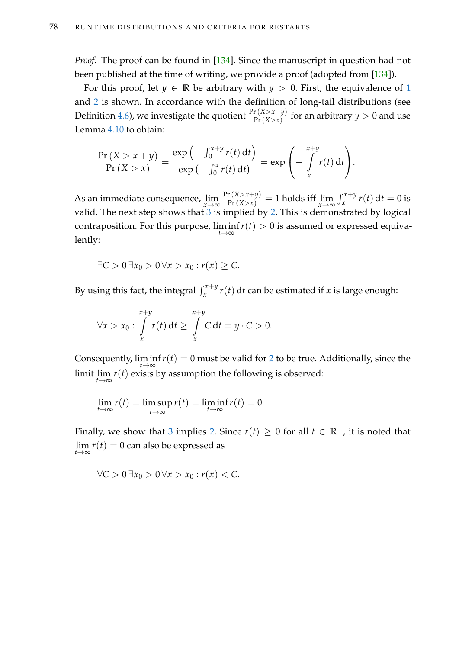*Proof.* The proof can be found in [\[134\]](#page-221-0). Since the manuscript in question had not been published at the time of writing, we provide a proof (adopted from [\[134\]](#page-221-0)).

For this proof, let  $y \in \mathbb{R}$  be arbitrary with  $y > 0$ . First, the equivalence of [1](#page-92-0) and [2](#page-92-1) is shown. In accordance with the definition of long-tail distributions (see Definition [4.6\)](#page-90-2), we investigate the quotient  $\frac{\Pr(X>x+y)}{\Pr(X>x)}$  for an arbitrary  $y>0$  and use Lemma [4.10](#page-92-2) to obtain:

$$
\frac{\Pr(X > x + y)}{\Pr(X > x)} = \frac{\exp(-\int_0^{x+y} r(t) dt)}{\exp(-\int_0^x r(t) dt)} = \exp\left(-\int_x^{x+y} r(t) dt\right).
$$

As an immediate consequence,  $\lim_{x \to \infty} \frac{\Pr(X > x + y)}{\Pr(X > x)} = 1$  holds iff  $\lim_{x \to \infty} \int_{x}^{x+y} r(t) dt = 0$  is valid. The next step shows that  $3$  is implied by  $2$ . This is demonstrated by logical contraposition. For this purpose, lim inf *t*→∞ *r*(*t*) > 0 is assumed or expressed equivalently:

$$
\exists C > 0 \ \exists x_0 > 0 \ \forall x > x_0 : r(x) \geq C.
$$

By using this fact, the integral  $\int_x^{x+y} r(t) dt$  can be estimated if *x* is large enough:

$$
\forall x > x_0 : \int\limits_x^{x+y} r(t) dt \geq \int\limits_x^{x+y} C dt = y \cdot C > 0.
$$

Consequently,  $\liminf_{t\to\infty} r(t) = 0$  must be valid for [2](#page-92-1) to be true. Additionally, since the limit  $\lim_{t\to\infty} r(t)$  exists by assumption the following is observed:

$$
\lim_{t \to \infty} r(t) = \limsup_{t \to \infty} r(t) = \liminf_{t \to \infty} r(t) = 0.
$$

Finally, we show that [3](#page-92-3) implies [2.](#page-92-1) Since  $r(t) \ge 0$  for all  $t \in \mathbb{R}_+$ , it is noted that  $\lim_{t\to\infty} r(t) = 0$  can also be expressed as

$$
\forall C>0\,\exists x_0>0\,\forall x>x_0: r(x)
$$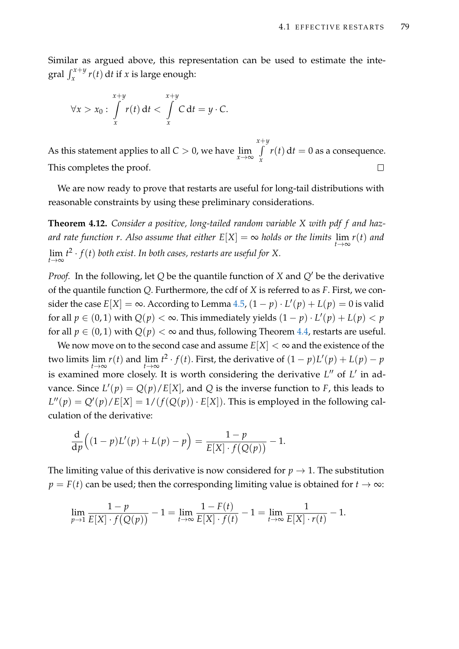Similar as argued above, this representation can be used to estimate the integral  $\int_x^{x+y} r(t) dt$  if *x* is large enough:

$$
\forall x > x_0 : \int\limits_x^{x+y} r(t) dt < \int\limits_x^{x+y} C dt = y \cdot C.
$$

*x*+*y* R As this statement applies to all  $C > 0$ , we have  $\lim_{x \to \infty}$  $r(t) dt = 0$  as a consequence. *x* This completes the proof.  $\Box$ 

We are now ready to prove that restarts are useful for long-tail distributions with reasonable constraints by using these preliminary considerations.

<span id="page-94-0"></span>**Theorem 4.12.** *Consider a positive, long-tailed random variable X with pdf f and hazard rate function r. Also assume that either*  $E[X] = \infty$  *holds or the limits*  $\lim_{t\to\infty} r(t)$  *and*  $\lim_{t\to\infty} t^2 \cdot f(t)$  *both exist. In both cases, restarts are useful for* X.

*Proof.* In the following, let *Q* be the quantile function of *X* and *Q'* be the derivative of the quantile function *Q*. Furthermore, the cdf of *X* is referred to as *F*. First, we consider the case  $E[X] = \infty$ . According to Lemma [4.5,](#page-89-1)  $(1 - p) \cdot L'(p) + L(p) = 0$  is valid for all  $p \in (0, 1)$  with  $Q(p) < \infty$ . This immediately yields  $(1 - p) \cdot L'(p) + L(p) < p$ for all  $p \in (0,1)$  with  $Q(p) < \infty$  and thus, following Theorem [4.4,](#page-88-1) restarts are useful.

We now move on to the second case and assume  $E[X] < \infty$  and the existence of the two limits  $\lim_{t\to\infty} r(t)$  and  $\lim_{t\to\infty} t^2 \cdot f(t)$ . First, the derivative of  $(1-p)L'(p) + L(p) - p$ is examined more closely. It is worth considering the derivative *L*<sup>*n*</sup> of *L'* in advance. Since  $L'(p) = Q(p)/E[X]$ , and Q is the inverse function to *F*, this leads to  $L''(p) = Q'(p)/E[X] = 1/(f(Q(p)) \cdot E[X])$ . This is employed in the following calculation of the derivative:

$$
\frac{\mathrm{d}}{\mathrm{d}p}\Big((1-p)L'(p)+L(p)-p\Big)=\frac{1-p}{E[X]\cdot f\big(Q(p)\big)}-1.
$$

The limiting value of this derivative is now considered for  $p \to 1$ . The substitution  $p = F(t)$  can be used; then the corresponding limiting value is obtained for  $t \to \infty$ :

$$
\lim_{p\to 1}\frac{1-p}{E[X]\cdot f(Q(p))}-1=\lim_{t\to\infty}\frac{1-F(t)}{E[X]\cdot f(t)}-1=\lim_{t\to\infty}\frac{1}{E[X]\cdot r(t)}-1.
$$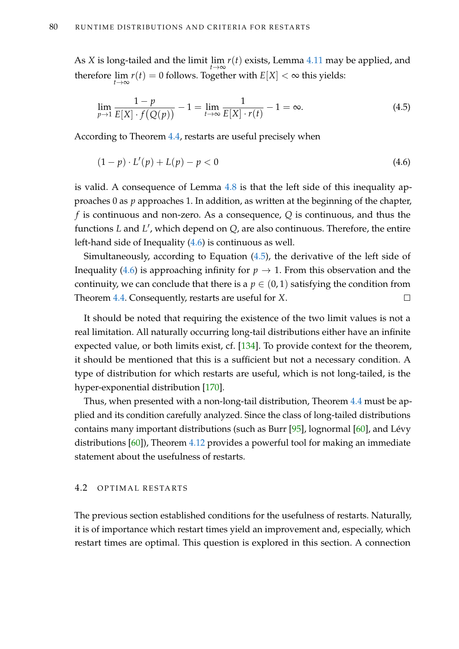As *X* is long-tailed and the limit  $\lim_{t\to\infty} r(t)$  exists, Lemma [4.11](#page-92-4) may be applied, and therefore  $\lim_{t\to\infty}r(t)=0$  follows. Together with  $E[X]<\infty$  this yields:

<span id="page-95-2"></span>
$$
\lim_{p \to 1} \frac{1 - p}{E[X] \cdot f(Q(p))} - 1 = \lim_{t \to \infty} \frac{1}{E[X] \cdot r(t)} - 1 = \infty.
$$
\n(4.5)

According to Theorem [4.4,](#page-88-1) restarts are useful precisely when

<span id="page-95-1"></span>
$$
(1 - p) \cdot L'(p) + L(p) - p < 0 \tag{4.6}
$$

is valid. A consequence of Lemma [4.8](#page-91-0) is that the left side of this inequality approaches 0 as *p* approaches 1. In addition, as written at the beginning of the chapter, *f* is continuous and non-zero. As a consequence, *Q* is continuous, and thus the functions *L* and *L'*, which depend on *Q*, are also continuous. Therefore, the entire left-hand side of Inequality [\(4.6\)](#page-95-1) is continuous as well.

Simultaneously, according to Equation [\(4.5\)](#page-95-2), the derivative of the left side of Inequality [\(4.6\)](#page-95-1) is approaching infinity for  $p \to 1$ . From this observation and the continuity, we can conclude that there is a  $p \in (0,1)$  satisfying the condition from Theorem [4.4.](#page-88-1) Consequently, restarts are useful for *X*.  $\Box$ 

It should be noted that requiring the existence of the two limit values is not a real limitation. All naturally occurring long-tail distributions either have an infinite expected value, or both limits exist, cf. [\[134\]](#page-221-0). To provide context for the theorem, it should be mentioned that this is a sufficient but not a necessary condition. A type of distribution for which restarts are useful, which is not long-tailed, is the hyper-exponential distribution [\[170\]](#page-223-2).

Thus, when presented with a non-long-tail distribution, Theorem [4.4](#page-88-1) must be applied and its condition carefully analyzed. Since the class of long-tailed distributions contains many important distributions (such as Burr [\[95\]](#page-218-1), lognormal [\[60\]](#page-215-1), and Lévy distributions [\[60\]](#page-215-1)), Theorem [4.12](#page-94-0) provides a powerful tool for making an immediate statement about the usefulness of restarts.

### <span id="page-95-0"></span>4.2 OPTIMAL RESTARTS

The previous section established conditions for the usefulness of restarts. Naturally, it is of importance which restart times yield an improvement and, especially, which restart times are optimal. This question is explored in this section. A connection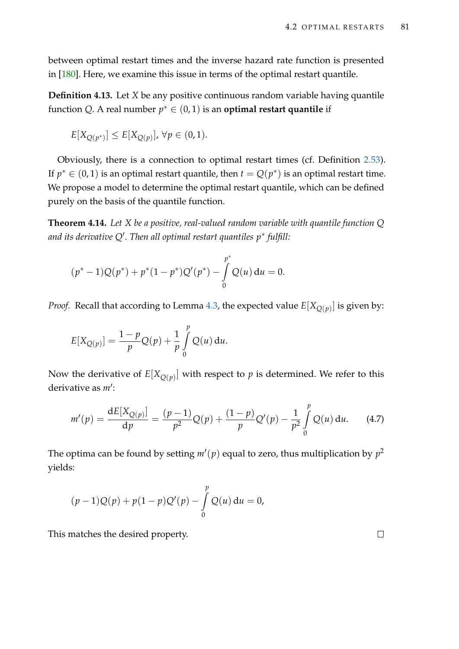between optimal restart times and the inverse hazard rate function is presented in [\[180\]](#page-224-0). Here, we examine this issue in terms of the optimal restart quantile.

**Definition 4.13.** Let *X* be any positive continuous random variable having quantile function *Q*. A real number  $p^* \in (0,1)$  is an **optimal restart quantile** if

$$
E[X_{Q(p^*)}] \leq E[X_{Q(p)}], \,\forall p \in (0,1).
$$

Obviously, there is a connection to optimal restart times (cf. Definition [2.53\)](#page-52-2). If  $p^* \in (0,1)$  is an optimal restart quantile, then  $t = Q(p^*)$  is an optimal restart time. We propose a model to determine the optimal restart quantile, which can be defined purely on the basis of the quantile function.

<span id="page-96-0"></span>**Theorem 4.14.** *Let X be a positive, real-valued random variable with quantile function Q and its derivative Q*<sup>0</sup> *. Then all optimal restart quantiles p*<sup>∗</sup> *fulfill:*

$$
(p^* - 1)Q(p^*) + p^*(1 - p^*)Q'(p^*) - \int_{0}^{p^*} Q(u) du = 0.
$$

*Proof.* Recall that according to Lemma [4.3,](#page-87-0) the expected value  $E[X_{Q(p)}]$  is given by:

$$
E[X_{Q(p)}] = \frac{1-p}{p}Q(p) + \frac{1}{p}\int_{0}^{p}Q(u) du.
$$

Now the derivative of  $E[X_{Q(p)}]$  with respect to  $p$  is determined. We refer to this derivative as *m'*:

$$
m'(p) = \frac{dE[X_{Q(p)}]}{dp} = \frac{(p-1)}{p^2}Q(p) + \frac{(1-p)}{p}Q'(p) - \frac{1}{p^2}\int_{0}^{p}Q(u) du.
$$
 (4.7)

The optima can be found by setting  $m'(p)$  equal to zero, thus multiplication by  $p^2$ yields:

$$
(p-1)Q(p) + p(1-p)Q'(p) - \int_{0}^{p} Q(u) du = 0,
$$

This matches the desired property.

 $\Box$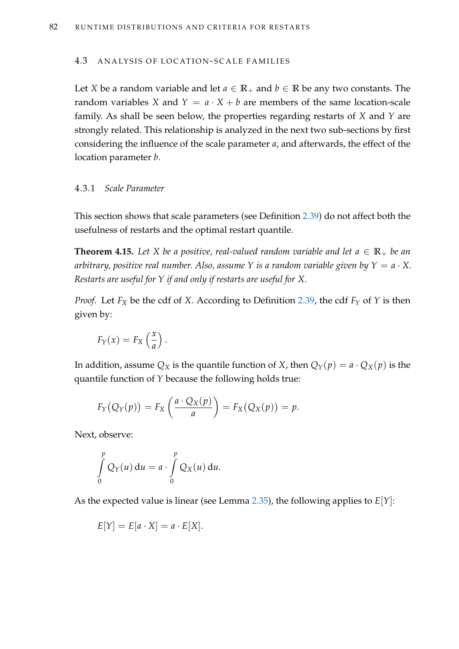#### <span id="page-97-0"></span>4.3 ANALYSIS OF LOCATION-SCALE FAMILIES

Let *X* be a random variable and let  $a \in \mathbb{R}_+$  and  $b \in \mathbb{R}$  be any two constants. The random variables *X* and  $Y = a \cdot X + b$  are members of the same location-scale family. As shall be seen below, the properties regarding restarts of *X* and *Y* are strongly related. This relationship is analyzed in the next two sub-sections by first considering the influence of the scale parameter *a*, and afterwards, the effect of the location parameter *b*.

## 4.3.1 *Scale Parameter*

This section shows that scale parameters (see Definition [2.39\)](#page-44-0) do not affect both the usefulness of restarts and the optimal restart quantile.

<span id="page-97-1"></span>**Theorem 4.15.** Let *X* be a positive, real-valued random variable and let  $a \in \mathbb{R}_+$  be an *arbitrary, positive real number. Also, assume Y is a random variable given by*  $Y = a \cdot X$ . *Restarts are useful for Y if and only if restarts are useful for X.*

*Proof.* Let  $F_X$  be the cdf of *X*. According to Definition [2.39,](#page-44-0) the cdf  $F_Y$  of *Y* is then given by:

$$
F_Y(x) = F_X\left(\frac{x}{a}\right).
$$

In addition, assume  $Q_X$  is the quantile function of *X*, then  $Q_Y(p) = a \cdot Q_X(p)$  is the quantile function of *Y* because the following holds true:

$$
F_Y(Q_Y(p)) = F_X\left(\frac{a \cdot Q_X(p)}{a}\right) = F_X(Q_X(p)) = p.
$$

Next, observe:

$$
\int\limits_{0}^{p} Q_Y(u) du = a \cdot \int\limits_{0}^{p} Q_X(u) du.
$$

As the expected value is linear (see Lemma [2.35\)](#page-42-0), the following applies to *E*[*Y*]:

$$
E[Y] = E[a \cdot X] = a \cdot E[X].
$$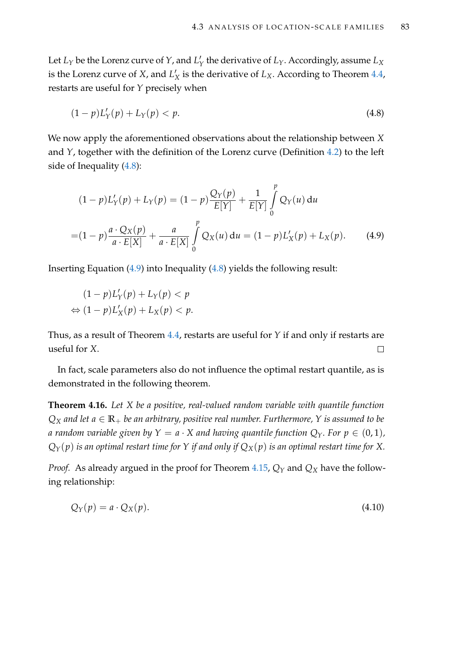Let  $L_Y$  be the Lorenz curve of  $Y$ , and  $L_Y'$ *Y* the derivative of *LY*. Accordingly, assume *L<sup>X</sup>* is the Lorenz curve of *X*, and  $L'$  $\frac{X}{X}$  is the derivative of  $L_X$ . According to Theorem [4.4,](#page-88-1) restarts are useful for *Y* precisely when

<span id="page-98-0"></span>
$$
(1-p)L'_{Y}(p) + L_{Y}(p) < p. \tag{4.8}
$$

We now apply the aforementioned observations about the relationship between *X* and *Y*, together with the definition of the Lorenz curve (Definition [4.2\)](#page-87-1) to the left side of Inequality [\(4.8\)](#page-98-0):

<span id="page-98-1"></span>
$$
(1-p)L'_{Y}(p) + L_{Y}(p) = (1-p)\frac{Q_{Y}(p)}{E[Y]} + \frac{1}{E[Y]}\int_{0}^{p} Q_{Y}(u) du
$$
  
=  $(1-p)\frac{a \cdot Q_{X}(p)}{a \cdot E[X]} + \frac{a}{a \cdot E[X]}\int_{0}^{p} Q_{X}(u) du = (1-p)L'_{X}(p) + L_{X}(p).$  (4.9)

Inserting Equation [\(4.9\)](#page-98-1) into Inequality [\(4.8\)](#page-98-0) yields the following result:

$$
(1-p)L'_{Y}(p) + L_{Y}(p) < p
$$
\n
$$
\Leftrightarrow (1-p)L'_{X}(p) + L_{X}(p) < p.
$$

Thus, as a result of Theorem [4.4,](#page-88-1) restarts are useful for *Y* if and only if restarts are useful for *X*.  $\Box$ 

In fact, scale parameters also do not influence the optimal restart quantile, as is demonstrated in the following theorem.

<span id="page-98-3"></span>**Theorem 4.16.** *Let X be a positive, real-valued random variable with quantile function*  $Q_X$  *and let*  $a \in \mathbb{R}_+$  *be an arbitrary, positive real number. Furthermore, Y is assumed to be a random variable given by*  $Y = a \cdot X$  *and having quantile function*  $Q_Y$ *. For*  $p \in (0,1)$ *,*  $Q_Y(p)$  *is an optimal restart time for Y if and only if*  $Q_X(p)$  *is an optimal restart time for X.* 

*Proof.* As already argued in the proof for Theorem [4.15,](#page-97-1) *Q<sup>Y</sup>* and *Q<sup>X</sup>* have the following relationship:

<span id="page-98-2"></span>
$$
Q_Y(p) = a \cdot Q_X(p). \tag{4.10}
$$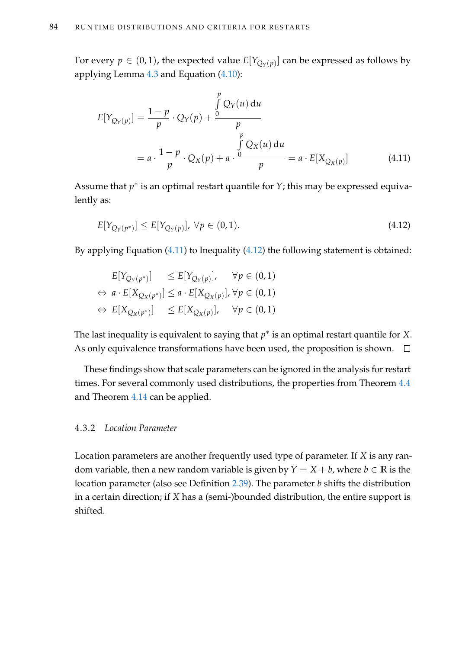For every  $p \in (0,1)$ , the expected value  $E[Y_{Q_Y(p)}]$  can be expressed as follows by applying Lemma [4.3](#page-87-0) and Equation [\(4.10\)](#page-98-2):

<span id="page-99-0"></span>
$$
E[Y_{Q_Y(p)}] = \frac{1-p}{p} \cdot Q_Y(p) + \frac{\int_{p}^{p} Q_Y(u) du}{p}
$$
  
=  $a \cdot \frac{1-p}{p} \cdot Q_X(p) + a \cdot \frac{\int_{p}^{p} Q_X(u) du}{p} = a \cdot E[X_{Q_X(p)}]$  (4.11)

Assume that  $p^*$  is an optimal restart quantile for  $Y$ ; this may be expressed equivalently as:

<span id="page-99-1"></span>
$$
E[Y_{Q_Y(p^*)}] \le E[Y_{Q_Y(p)}], \ \forall p \in (0,1). \tag{4.12}
$$

By applying Equation [\(4.11\)](#page-99-0) to Inequality [\(4.12\)](#page-99-1) the following statement is obtained:

$$
E[Y_{Q_Y(p^*)}] \le E[Y_{Q_Y(p)}], \quad \forall p \in (0, 1)
$$
  
\n
$$
\Leftrightarrow a \cdot E[X_{Q_X(p^*)}] \le a \cdot E[X_{Q_X(p)}], \forall p \in (0, 1)
$$
  
\n
$$
\Leftrightarrow E[X_{Q_X(p^*)}] \le E[X_{Q_X(p)}], \quad \forall p \in (0, 1)
$$

The last inequality is equivalent to saying that  $p^*$  is an optimal restart quantile for X. As only equivalence transformations have been used, the proposition is shown.  $\Box$ 

These findings show that scale parameters can be ignored in the analysis for restart times. For several commonly used distributions, the properties from Theorem [4.4](#page-88-1) and Theorem [4.14](#page-96-0) can be applied.

## 4.3.2 *Location Parameter*

Location parameters are another frequently used type of parameter. If *X* is any random variable, then a new random variable is given by  $Y = X + b$ , where  $b \in \mathbb{R}$  is the location parameter (also see Definition [2.39\)](#page-44-0). The parameter *b* shifts the distribution in a certain direction; if *X* has a (semi-)bounded distribution, the entire support is shifted.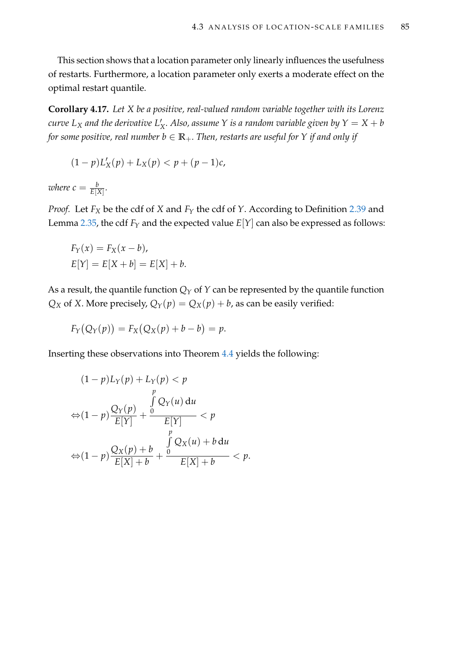This section shows that a location parameter only linearly influences the usefulness of restarts. Furthermore, a location parameter only exerts a moderate effect on the optimal restart quantile.

<span id="page-100-0"></span>**Corollary 4.17.** *Let X be a positive, real-valued random variable together with its Lorenz curve*  $L_X$  *and the derivative*  $L'_X$ *X . Also, assume Y is a random variable given by Y* = *X* + *b for some positive, real number b*  $\in \mathbb{R}_+$ *. Then, restarts are useful for Y if and only if* 

$$
(1-p)L'_{X}(p) + L_{X}(p) < p + (p-1)c,
$$

where  $c = \frac{b}{E[X]}.$ 

*Proof.* Let *F<sup>X</sup>* be the cdf of *X* and *F<sup>Y</sup>* the cdf of *Y*. According to Definition [2.39](#page-44-0) and Lemma [2.35,](#page-42-0) the cdf  $F_Y$  and the expected value  $E[Y]$  can also be expressed as follows:

$$
F_Y(x) = F_X(x - b),
$$
  

$$
E[Y] = E[X + b] = E[X] + b.
$$

As a result, the quantile function  $Q_Y$  of  $Y$  can be represented by the quantile function *Q*<sup>*X*</sup> of *X*. More precisely,  $Q_Y(p) = Q_X(p) + b$ , as can be easily verified:

$$
F_Y(Q_Y(p)) = F_X(Q_X(p) + b - b) = p.
$$

Inserting these observations into Theorem [4.4](#page-88-1) yields the following:

$$
(1-p)L_Y(p) + L_Y(p) < p
$$
\n
$$
\Leftrightarrow (1-p)\frac{Q_Y(p)}{E[Y]} + \frac{\int_{p}^{p} Q_Y(u) du}{E[Y]} < p
$$
\n
$$
\Leftrightarrow (1-p)\frac{Q_X(p) + b}{E[X] + b} + \frac{\int_{p}^{p} Q_X(u) + b du}{E[X] + b} < p.
$$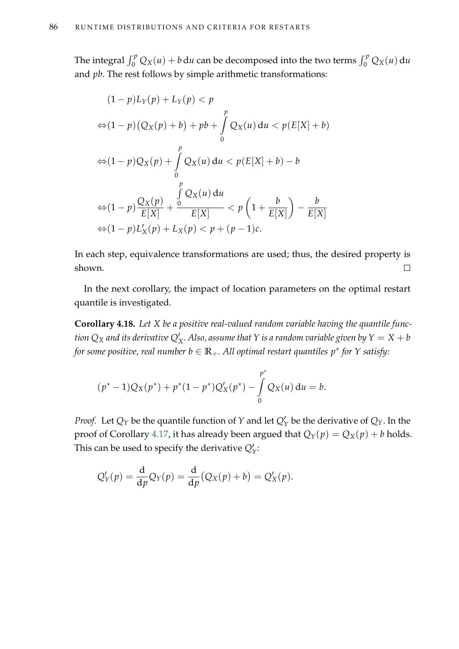The integral  $\int_0^p Q_X(u) + b \, \mathrm{d}u$  can be decomposed into the two terms  $\int_0^p Q_X(u) \, \mathrm{d}u$ and *pb*. The rest follows by simple arithmetic transformations:

$$
(1-p)L_Y(p) + L_Y(p) < p
$$
\n
$$
\Leftrightarrow (1-p)(Q_X(p) + b) + pb + \int_0^p Q_X(u) \, du < p(E[X] + b)
$$
\n
$$
\Leftrightarrow (1-p)Q_X(p) + \int_0^p Q_X(u) \, du < p(E[X] + b) - b
$$
\n
$$
\Leftrightarrow (1-p)\frac{Q_X(p)}{E[X]} + \frac{\int_0^p Q_X(u) \, du}{E[X]} < p\left(1 + \frac{b}{E[X]}\right) - \frac{b}{E[X]}
$$
\n
$$
\Leftrightarrow (1-p)L_X'(p) + L_X(p) < p + (p-1)c.
$$

In each step, equivalence transformations are used; thus, the desired property is shown.  $\Box$ 

In the next corollary, the impact of location parameters on the optimal restart quantile is investigated.

<span id="page-101-0"></span>**Corollary 4.18.** *Let X be a positive real-valued random variable having the quantile func* $t$ ion  $Q_X$  and its derivative  $Q'_X$ . Also, assume that  $Y$  is a random variable given by  $Y = X + b$ *for some positive, real number b* ∈ **R**+*. All optimal restart quantiles p*<sup>∗</sup> *for Y satisfy:*

$$
(p^* - 1)Q_X(p^*) + p^*(1 - p^*)Q'_X(p^*) - \int_{0}^{p^*} Q_X(u) du = b.
$$

*Proof.* Let  $Q_Y$  be the quantile function of  $Y$  and let  $Q'_Y$  be the derivative of  $Q_Y$ . In the proof of Corollary [4.17,](#page-100-0) it has already been argued that  $Q_Y(p) = Q_X(p) + b$  holds. This can be used to specify the derivative  $Q'_Y$ :

$$
Q'_Y(p) = \frac{\mathrm{d}}{\mathrm{d}p} Q_Y(p) = \frac{\mathrm{d}}{\mathrm{d}p} (Q_X(p) + b) = Q'_X(p).
$$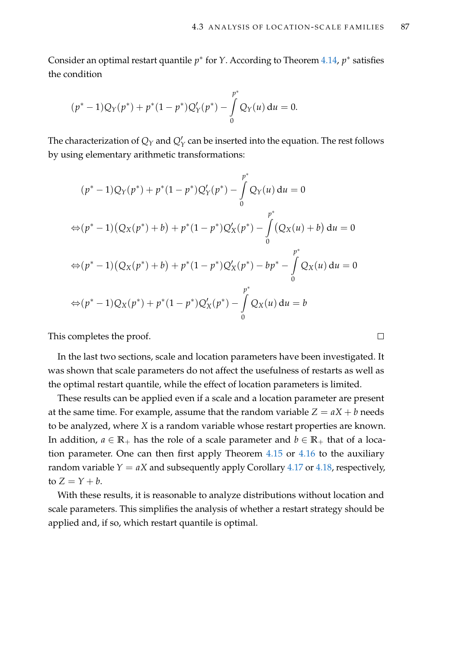Consider an optimal restart quantile *p*<sup>∗</sup> for *Y*. According to Theorem [4.14,](#page-96-0) *p*<sup>∗</sup> satisfies the condition

$$
(p^* - 1)Q_Y(p^*) + p^*(1 - p^*)Q'_Y(p^*) - \int_{0}^{p^*} Q_Y(u) du = 0.
$$

The characterization of  $Q_Y$  and  $Q'_Y$  can be inserted into the equation. The rest follows by using elementary arithmetic transformations:

$$
(p^* - 1)Q_Y(p^*) + p^*(1 - p^*)Q'_Y(p^*) - \int_0^{p^*} Q_Y(u) du = 0
$$
  
\n
$$
\Leftrightarrow (p^* - 1)(Q_X(p^*) + b) + p^*(1 - p^*)Q'_X(p^*) - \int_0^{p^*} (Q_X(u) + b) du = 0
$$
  
\n
$$
\Leftrightarrow (p^* - 1)(Q_X(p^*) + b) + p^*(1 - p^*)Q'_X(p^*) - bp^* - \int_0^{p^*} Q_X(u) du = 0
$$
  
\n
$$
\Leftrightarrow (p^* - 1)Q_X(p^*) + p^*(1 - p^*)Q'_X(p^*) - \int_0^{p^*} Q_X(u) du = b
$$

This completes the proof.

In the last two sections, scale and location parameters have been investigated. It was shown that scale parameters do not affect the usefulness of restarts as well as the optimal restart quantile, while the effect of location parameters is limited.

These results can be applied even if a scale and a location parameter are present at the same time. For example, assume that the random variable  $Z = aX + b$  needs to be analyzed, where *X* is a random variable whose restart properties are known. In addition,  $a \in \mathbb{R}_+$  has the role of a scale parameter and  $b \in \mathbb{R}_+$  that of a location parameter. One can then first apply Theorem [4.15](#page-97-1) or [4.16](#page-98-3) to the auxiliary random variable  $Y = aX$  and subsequently apply Corollary [4.17](#page-100-0) or [4.18,](#page-101-0) respectively, to  $Z = Y + b$ .

With these results, it is reasonable to analyze distributions without location and scale parameters. This simplifies the analysis of whether a restart strategy should be applied and, if so, which restart quantile is optimal.

 $\Box$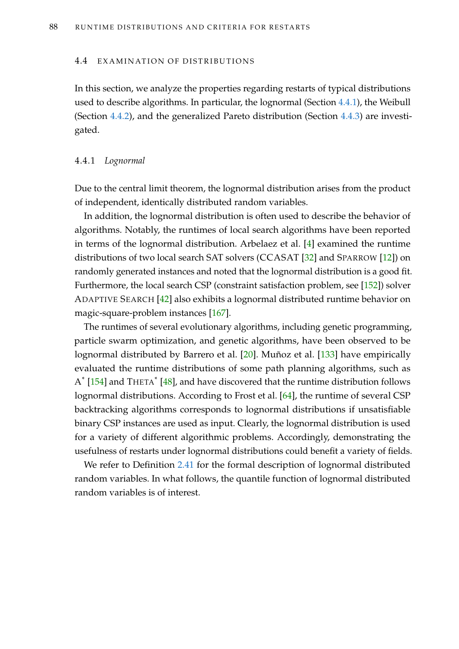#### <span id="page-103-0"></span>4.4 EXAMINATION OF DISTRIBUTIONS

In this section, we analyze the properties regarding restarts of typical distributions used to describe algorithms. In particular, the lognormal (Section [4.4.1\)](#page-103-1), the Weibull (Section [4.4.2\)](#page-110-0), and the generalized Pareto distribution (Section [4.4.3\)](#page-112-0) are investigated.

#### <span id="page-103-1"></span>4.4.1 *Lognormal*

Due to the central limit theorem, the lognormal distribution arises from the product of independent, identically distributed random variables.

In addition, the lognormal distribution is often used to describe the behavior of algorithms. Notably, the runtimes of local search algorithms have been reported in terms of the lognormal distribution. Arbelaez et al. [\[4\]](#page-210-1) examined the runtime distributions of two local search SAT solvers (CCASAT [\[32\]](#page-212-2) and SPARROW [\[12\]](#page-211-0)) on randomly generated instances and noted that the lognormal distribution is a good fit. Furthermore, the local search CSP (constraint satisfaction problem, see [\[152\]](#page-222-2)) solver ADAPTIVE SEARCH [\[42\]](#page-213-2) also exhibits a lognormal distributed runtime behavior on magic-square-problem instances [\[167\]](#page-223-3).

The runtimes of several evolutionary algorithms, including genetic programming, particle swarm optimization, and genetic algorithms, have been observed to be lognormal distributed by Barrero et al. [\[20\]](#page-211-1). Muñoz et al. [\[133\]](#page-221-1) have empirically evaluated the runtime distributions of some path planning algorithms, such as  $A^*$  [\[154\]](#page-222-3) and THETA $^*$  [\[48\]](#page-214-2), and have discovered that the runtime distribution follows lognormal distributions. According to Frost et al. [\[64\]](#page-215-2), the runtime of several CSP backtracking algorithms corresponds to lognormal distributions if unsatisfiable binary CSP instances are used as input. Clearly, the lognormal distribution is used for a variety of different algorithmic problems. Accordingly, demonstrating the usefulness of restarts under lognormal distributions could benefit a variety of fields.

We refer to Definition [2.41](#page-45-0) for the formal description of lognormal distributed random variables. In what follows, the quantile function of lognormal distributed random variables is of interest.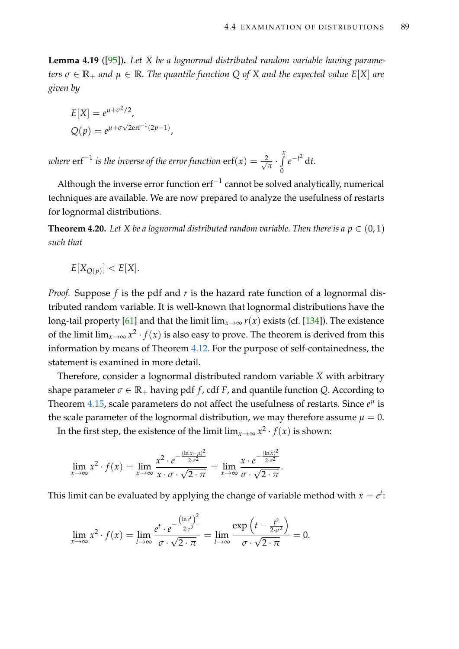<span id="page-104-0"></span>**Lemma 4.19** ([\[95\]](#page-218-1))**.** *Let X be a lognormal distributed random variable having parameters*  $\sigma \in \mathbb{R}_+$  *and*  $\mu \in \mathbb{R}$ *. The quantile function* Q *of* X *and the expected value*  $E[X]$  *are given by*

$$
E[X] = e^{\mu + \sigma^2/2},
$$
  
 
$$
Q(p) = e^{\mu + \sigma\sqrt{2}\text{erf}^{-1}(2p-1)}
$$

where  $\text{erf}^{-1}$  is the inverse of the error function  $\text{erf}(x) = \frac{2}{\sqrt{2}}$  $\frac{\partial}{\partial \overline{x}} \cdot \int_{0}^{x}$  $\theta$  $e^{-t^2}$  d*t*.

,

Although the inverse error function  $\mathrm{erf}^{-1}$  cannot be solved analytically, numerical techniques are available. We are now prepared to analyze the usefulness of restarts for lognormal distributions.

**Theorem 4.20.** Let *X* be a lognormal distributed random variable. Then there is a  $p \in (0,1)$ *such that*

$$
E[X_{Q(p)}] < E[X].
$$

*Proof.* Suppose *f* is the pdf and *r* is the hazard rate function of a lognormal distributed random variable. It is well-known that lognormal distributions have the long-tail property [\[61\]](#page-215-0) and that the limit  $\lim_{x\to\infty} r(x)$  exists (cf. [\[134\]](#page-221-0)). The existence of the limit  $\lim_{x\to\infty} x^2 \cdot f(x)$  is also easy to prove. The theorem is derived from this information by means of Theorem [4.12.](#page-94-0) For the purpose of self-containedness, the statement is examined in more detail.

Therefore, consider a lognormal distributed random variable *X* with arbitrary shape parameter  $\sigma \in \mathbb{R}_+$  having pdf *f*, cdf *F*, and quantile function *Q*. According to Theorem [4.15,](#page-97-1) scale parameters do not affect the usefulness of restarts. Since  $e^{\mu}$  is the scale parameter of the lognormal distribution, we may therefore assume  $\mu = 0$ .

In the first step, the existence of the limit  $\lim_{x\to\infty} x^2 \cdot f(x)$  is shown:

$$
\lim_{x \to \infty} x^2 \cdot f(x) = \lim_{x \to \infty} \frac{x^2 \cdot e^{-\frac{(\ln x - \mu)^2}{2\sigma^2}}}{x \cdot \sigma \cdot \sqrt{2 \cdot \pi}} = \lim_{x \to \infty} \frac{x \cdot e^{-\frac{(\ln x)^2}{2\sigma^2}}}{\sigma \cdot \sqrt{2 \cdot \pi}}.
$$

This limit can be evaluated by applying the change of variable method with  $x = e^t$ :

$$
\lim_{x \to \infty} x^2 \cdot f(x) = \lim_{t \to \infty} \frac{e^t \cdot e^{-\frac{(\ln e^t)^2}{2\sigma^2}}}{\sigma \cdot \sqrt{2 \cdot \pi}} = \lim_{t \to \infty} \frac{\exp\left(t - \frac{t^2}{2\sigma^2}\right)}{\sigma \cdot \sqrt{2 \cdot \pi}} = 0.
$$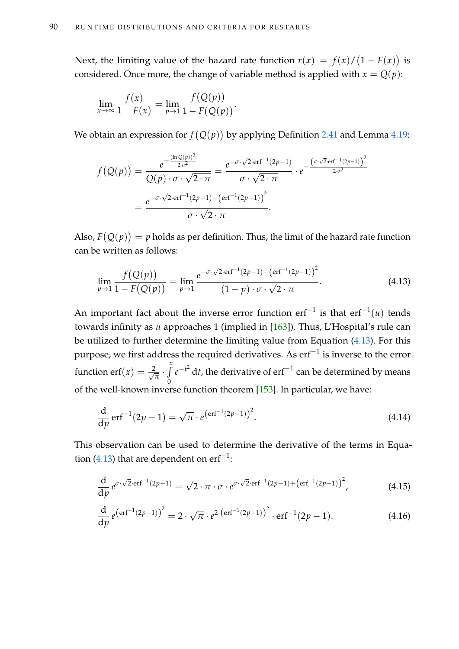Next, the limiting value of the hazard rate function  $r(x) = f(x)/(1 - F(x))$  is considered. Once more, the change of variable method is applied with  $x = Q(p)$ :

$$
\lim_{x \to \infty} \frac{f(x)}{1 - F(x)} = \lim_{p \to 1} \frac{f(Q(p))}{1 - F(Q(p))}.
$$

We obtain an expression for  $f(Q(p))$  by applying Definition [2.41](#page-45-0) and Lemma [4.19:](#page-104-0)

$$
f(Q(p)) = \frac{e^{-\frac{(\ln Q(p))^2}{2\cdot \sigma^2}}}{Q(p)\cdot \sigma \cdot \sqrt{2\cdot \pi}} = \frac{e^{-\sigma \cdot \sqrt{2}\cdot \text{erf}^{-1}(2p-1)}}{\sigma \cdot \sqrt{2\cdot \pi}} \cdot e^{-\frac{(\sigma \cdot \sqrt{2}\cdot \text{erf}^{-1}(2p-1))^{2}}{2\cdot \sigma^2}} = \frac{e^{-\sigma \cdot \sqrt{2}\cdot \text{erf}^{-1}(2p-1) - (\text{erf}^{-1}(2p-1))^{2}}}{\sigma \cdot \sqrt{2\cdot \pi}}.
$$

Also,  $F(Q(p)) = p$  holds as per definition. Thus, the limit of the hazard rate function can be written as follows:

<span id="page-105-0"></span>
$$
\lim_{p \to 1} \frac{f(Q(p))}{1 - F(Q(p))} = \lim_{p \to 1} \frac{e^{-\sigma \cdot \sqrt{2} \cdot \text{erf}^{-1}(2p - 1) - \left(\text{erf}^{-1}(2p - 1)\right)^2}}{(1 - p) \cdot \sigma \cdot \sqrt{2 \cdot \pi}}.
$$
\n(4.13)

An important fact about the inverse error function erf−<sup>1</sup> is that erf−<sup>1</sup> (*u*) tends towards infinity as *u* approaches 1 (implied in [\[163\]](#page-223-4)). Thus, L'Hospital's rule can be utilized to further determine the limiting value from Equation [\(4.13\)](#page-105-0). For this purpose, we first address the required derivatives. As  $\mathrm{erf}^{-1}$  is inverse to the error function erf $(x) = \frac{2}{\sqrt{2}}$  $\frac{x}{\overline{\pi}} \cdot \int_{0}^{x}$  $\boldsymbol{0}$ *e*<sup>−*t*2</sup> d*t,* the derivative of erf<sup>−1</sup> can be determined by means of the well-known inverse function theorem [\[153\]](#page-222-0). In particular, we have:

<span id="page-105-3"></span>
$$
\frac{d}{dp}\,\text{erf}^{-1}(2p-1) = \sqrt{\pi} \cdot e^{\left(\text{erf}^{-1}(2p-1)\right)^2}.\tag{4.14}
$$

This observation can be used to determine the derivative of the terms in Equa-tion [\(4.13\)](#page-105-0) that are dependent on  $\mathrm{erf}^{-1}$ :

<span id="page-105-1"></span>
$$
\frac{d}{dp} e^{\sigma \cdot \sqrt{2} \cdot erf^{-1}(2p-1)} = \sqrt{2 \cdot \pi} \cdot \sigma \cdot e^{\sigma \cdot \sqrt{2} \cdot erf^{-1}(2p-1) + (erf^{-1}(2p-1))^{2}},
$$
\n(4.15)

<span id="page-105-2"></span>
$$
\frac{d}{dp} e^{\left(\text{erf}^{-1}(2p-1)\right)^2} = 2 \cdot \sqrt{\pi} \cdot e^{2 \cdot \left(\text{erf}^{-1}(2p-1)\right)^2} \cdot \text{erf}^{-1}(2p-1). \tag{4.16}
$$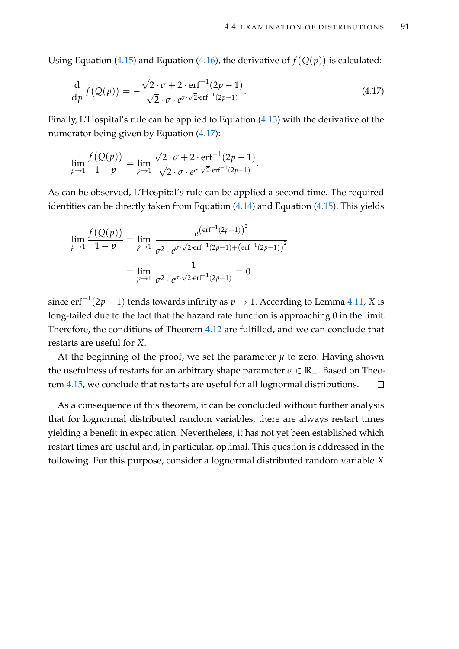Using Equation [\(4.15\)](#page-105-1) and Equation [\(4.16\)](#page-105-2), the derivative of  $f(Q(p))$  is calculated:

<span id="page-106-0"></span>
$$
\frac{\mathrm{d}}{\mathrm{d}p} f\big(Q(p)\big) = -\frac{\sqrt{2} \cdot \sigma + 2 \cdot \mathrm{erf}^{-1}(2p-1)}{\sqrt{2} \cdot \sigma \cdot e^{\sigma \cdot \sqrt{2} \cdot \mathrm{erf}^{-1}(2p-1)}}.
$$
\n(4.17)

Finally, L'Hospital's rule can be applied to Equation [\(4.13\)](#page-105-0) with the derivative of the numerator being given by Equation [\(4.17\)](#page-106-0):

$$
\lim_{p \to 1} \frac{f(Q(p))}{1-p} = \lim_{p \to 1} \frac{\sqrt{2} \cdot \sigma + 2 \cdot \text{erf}^{-1}(2p-1)}{\sqrt{2} \cdot \sigma \cdot e^{\sigma \cdot \sqrt{2} \cdot \text{erf}^{-1}(2p-1)}}.
$$

As can be observed, L'Hospital's rule can be applied a second time. The required identities can be directly taken from Equation [\(4.14\)](#page-105-3) and Equation [\(4.15\)](#page-105-1). This yields

$$
\lim_{p \to 1} \frac{f(Q(p))}{1 - p} = \lim_{p \to 1} \frac{e^{(\text{erf}^{-1}(2p - 1))^{2}}}{\sigma^{2} \cdot e^{\sigma \cdot \sqrt{2} \cdot \text{erf}^{-1}(2p - 1) + (\text{erf}^{-1}(2p - 1))^{2}}}
$$
\n
$$
= \lim_{p \to 1} \frac{1}{\sigma^{2} \cdot e^{\sigma \cdot \sqrt{2} \cdot \text{erf}^{-1}(2p - 1)}} = 0
$$

since erf−<sup>1</sup> (2*p* − 1) tends towards infinity as *p* → 1. According to Lemma [4.11,](#page-92-4) *X* is long-tailed due to the fact that the hazard rate function is approaching 0 in the limit. Therefore, the conditions of Theorem [4.12](#page-94-0) are fulfilled, and we can conclude that restarts are useful for *X*.

At the beginning of the proof, we set the parameter  $\mu$  to zero. Having shown the usefulness of restarts for an arbitrary shape parameter  $\sigma \in \mathbb{R}_+$ . Based on Theorem [4.15,](#page-97-1) we conclude that restarts are useful for all lognormal distributions.  $\Box$ 

As a consequence of this theorem, it can be concluded without further analysis that for lognormal distributed random variables, there are always restart times yielding a benefit in expectation. Nevertheless, it has not yet been established which restart times are useful and, in particular, optimal. This question is addressed in the following. For this purpose, consider a lognormal distributed random variable *X*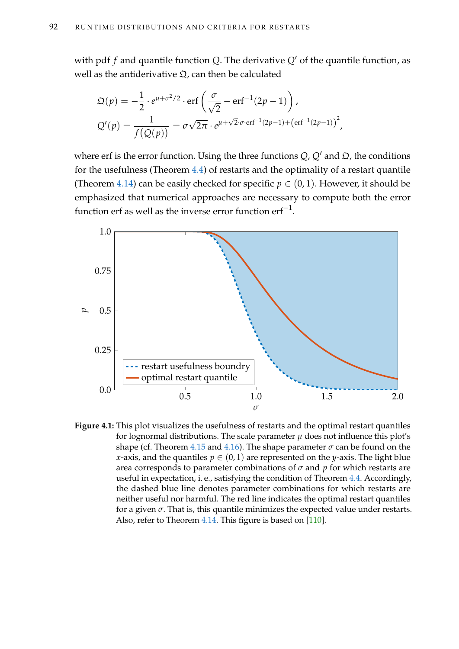with pdf *f* and quantile function *Q*. The derivative *Q'* of the quantile function, as well as the antiderivative  $\Omega$ , can then be calculated

$$
\mathfrak{Q}(p) = -\frac{1}{2} \cdot e^{\mu + \sigma^2/2} \cdot \text{erf}\left(\frac{\sigma}{\sqrt{2}} - \text{erf}^{-1}(2p - 1)\right),
$$
  

$$
\mathcal{Q}'(p) = \frac{1}{f(Q(p))} = \sigma\sqrt{2\pi} \cdot e^{\mu + \sqrt{2}\cdot\sigma \cdot \text{erf}^{-1}(2p - 1) + (\text{erf}^{-1}(2p - 1))^2},
$$

where erf is the error function. Using the three functions  $Q$ ,  $Q'$  and  $\Omega$ , the conditions for the usefulness (Theorem [4.4\)](#page-88-1) of restarts and the optimality of a restart quantile (Theorem [4.14\)](#page-96-0) can be easily checked for specific  $p \in (0, 1)$ . However, it should be emphasized that numerical approaches are necessary to compute both the error function erf as well as the inverse error function  $\mathrm{erf}^{-1}.$ 



**Figure 4.1:** This plot visualizes the usefulness of restarts and the optimal restart quantiles for lognormal distributions. The scale parameter  $\mu$  does not influence this plot's shape (cf. Theorem [4.15](#page-97-1) and [4.16\)](#page-98-3). The shape parameter  $\sigma$  can be found on the *x*-axis, and the quantiles  $p \in (0, 1)$  are represented on the *y*-axis. The light blue area corresponds to parameter combinations of  $\sigma$  and  $p$  for which restarts are useful in expectation, i. e., satisfying the condition of Theorem [4.4.](#page-88-1) Accordingly, the dashed blue line denotes parameter combinations for which restarts are neither useful nor harmful. The red line indicates the optimal restart quantiles for a given  $\sigma$ . That is, this quantile minimizes the expected value under restarts. Also, refer to Theorem [4.14.](#page-96-0) This figure is based on [\[110\]](#page-219-0).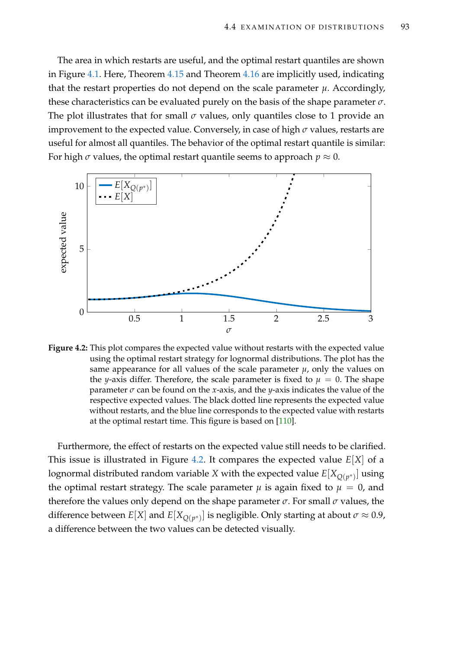The area in which restarts are useful, and the optimal restart quantiles are shown in Figure [4.1.](#page-107-0) Here, Theorem [4.15](#page-97-0) and Theorem [4.16](#page-98-0) are implicitly used, indicating that the restart properties do not depend on the scale parameter  $\mu$ . Accordingly, these characteristics can be evaluated purely on the basis of the shape parameter *σ*. The plot illustrates that for small  $\sigma$  values, only quantiles close to 1 provide an improvement to the expected value. Conversely, in case of high *σ* values, restarts are useful for almost all quantiles. The behavior of the optimal restart quantile is similar: For high  $\sigma$  values, the optimal restart quantile seems to approach  $p \approx 0$ .

<span id="page-108-0"></span>

**Figure 4.2:** This plot compares the expected value without restarts with the expected value using the optimal restart strategy for lognormal distributions. The plot has the same appearance for all values of the scale parameter  $\mu$ , only the values on the *y*-axis differ. Therefore, the scale parameter is fixed to  $\mu = 0$ . The shape parameter  $\sigma$  can be found on the *x*-axis, and the *y*-axis indicates the value of the respective expected values. The black dotted line represents the expected value without restarts, and the blue line corresponds to the expected value with restarts at the optimal restart time. This figure is based on [\[110\]](#page-219-0).

Furthermore, the effect of restarts on the expected value still needs to be clarified. This issue is illustrated in Figure [4.2.](#page-108-0) It compares the expected value *E*[*X*] of a lognormal distributed random variable  $X$  with the expected value  $E[X_{Q(p^*)}]$  using the optimal restart strategy. The scale parameter  $\mu$  is again fixed to  $\mu = 0$ , and therefore the values only depend on the shape parameter *σ*. For small *σ* values, the difference between  $E[X]$  and  $E[X_{Q(p^*)}]$  is negligible. Only starting at about  $\sigma \approx 0.9$ , a difference between the two values can be detected visually.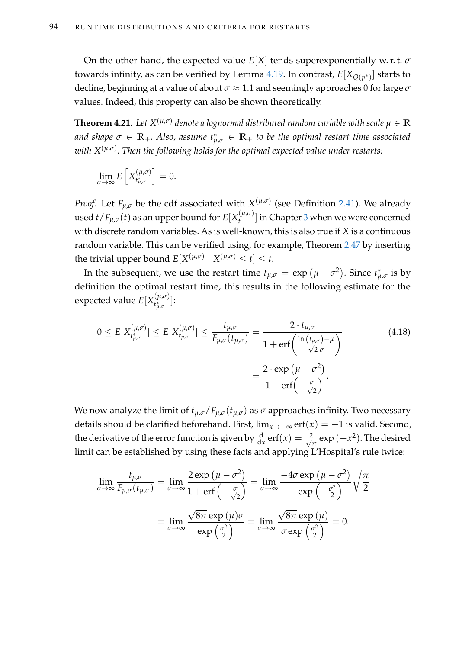On the other hand, the expected value *E*[*X*] tends superexponentially w. r. t. *σ* towards infinity, as can be verified by Lemma [4.19.](#page-104-0) In contrast, *E*[*XQ*(*<sup>p</sup>* ∗) ] starts to decline, beginning at a value of about *σ* ≈ 1.1 and seemingly approaches 0 for large *σ* values. Indeed, this property can also be shown theoretically.

 $\bf{Theorem~4.21.}$   $\ Let \ X^{(\mu,\sigma)}$  denote a lognormal distributed random variable with scale  $\mu \in \mathbb{R}$ and shape  $\sigma \in \mathbb{R}_+$ . Also, assume  $t^*_{\mu,\sigma} \in \mathbb{R}_+$  to be the optimal restart time associated *with X*(*µ*,*σ*) *. Then the following holds for the optimal expected value under restarts:*

$$
\lim_{\sigma \to \infty} E\left[X_{t_{\mu,\sigma}}^{(\mu,\sigma)}\right] = 0.
$$

*Proof.* Let  $F_{\mu,\sigma}$  be the cdf associated with  $X^{(\mu,\sigma)}$  (see Definition [2.41\)](#page-45-0). We already  $\cos\theta~t$  /  $F_{\mu,\sigma}(t)$  as an upper bound for  $E[X_{t}^{(\mu,\sigma)}]$  $\binom{\mu,\nu}{t}$  in Chapter [3](#page-54-0) when we were concerned with discrete random variables. As is well-known, this is also true if *X* is a continuous random variable. This can be verified using, for example, Theorem [2.47](#page-48-0) by inserting the trivial upper bound  $E[X^{(\mu,\sigma)} \mid X^{(\mu,\sigma)} \leq t] \leq t$ .

In the subsequent, we use the restart time  $t_{\mu,\sigma} = \exp \left( \mu - \sigma^2 \right)$ . Since  $t_{\mu}^*$  $_{\mu,\sigma}^*$  is by definition the optimal restart time, this results in the following estimate for the expected value  $E[X(t^{\mu,\sigma})]$  $\binom{\mu,\nu}{t_{\mu,\sigma}}$ :

<span id="page-109-0"></span>
$$
0 \le E[X_{t_{\mu,\sigma}^{(\mu,\sigma)}}^{(\mu,\sigma)}] \le E[X_{t_{\mu,\sigma}}^{(\mu,\sigma)}] \le \frac{t_{\mu,\sigma}}{F_{\mu,\sigma}(t_{\mu,\sigma})} = \frac{2 \cdot t_{\mu,\sigma}}{1 + \text{erf}\left(\frac{\ln(t_{\mu,\sigma}) - \mu}{\sqrt{2} \cdot \sigma}\right)}
$$
(4.18)  
= 
$$
\frac{2 \cdot \exp(\mu - \sigma^2)}{1 + \text{erf}\left(-\frac{\sigma}{\sqrt{2}}\right)}.
$$

We now analyze the limit of  $t_{\mu,\sigma}/F_{\mu,\sigma}(t_{\mu,\sigma})$  as  $\sigma$  approaches infinity. Two necessary details should be clarified beforehand. First,  $\lim_{x\to-\infty}$  erf(*x*) = −1 is valid. Second, the derivative of the error function is given by  $\frac{d}{dx}$  erf $(x) = \frac{2}{\sqrt{x}}$  $\frac{p}{\pi}$  exp  $(-x^2)$ . The desired limit can be established by using these facts and applying L'Hospital's rule twice:

$$
\lim_{\sigma \to \infty} \frac{t_{\mu,\sigma}}{F_{\mu,\sigma}(t_{\mu,\sigma})} = \lim_{\sigma \to \infty} \frac{2 \exp(\mu - \sigma^2)}{1 + \text{erf}\left(-\frac{\sigma}{\sqrt{2}}\right)} = \lim_{\sigma \to \infty} \frac{-4\sigma \exp(\mu - \sigma^2)}{-\exp\left(-\frac{\sigma^2}{2}\right)} \sqrt{\frac{\pi}{2}}
$$
\n
$$
= \lim_{\sigma \to \infty} \frac{\sqrt{8\pi} \exp(\mu)\sigma}{\exp\left(\frac{\sigma^2}{2}\right)} = \lim_{\sigma \to \infty} \frac{\sqrt{8\pi} \exp(\mu)}{\sigma \exp\left(\frac{\sigma^2}{2}\right)} = 0.
$$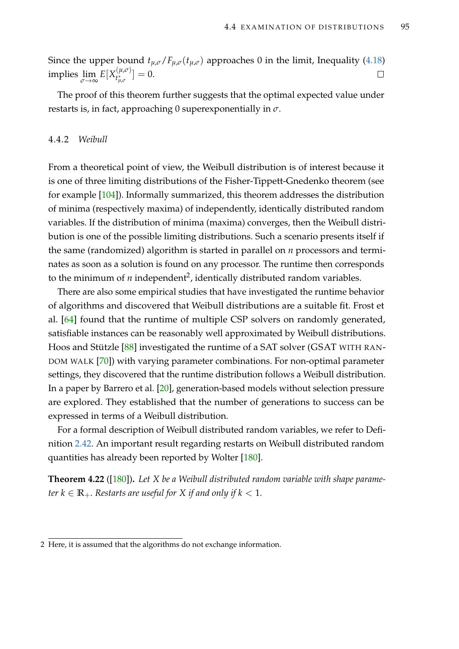Since the upper bound  $t_{\mu,\sigma}/F_{\mu,\sigma}(t_{\mu,\sigma})$  approaches 0 in the limit, Inequality [\(4.18\)](#page-109-0)  $\displaystyle \lim_{\sigma\to\infty}E[X_{t_{\mu,\sigma}^*}^{(\mu,\sigma)}]$  $\left[\begin{smallmatrix} (\mu,\nu) \ t^*_{\mu,\sigma} \end{smallmatrix}\right] = 0.$  $\Box$ 

The proof of this theorem further suggests that the optimal expected value under restarts is, in fact, approaching 0 superexponentially in *σ*.

## 4.4.2 *Weibull*

From a theoretical point of view, the Weibull distribution is of interest because it is one of three limiting distributions of the Fisher-Tippett-Gnedenko theorem (see for example [\[104\]](#page-218-0)). Informally summarized, this theorem addresses the distribution of minima (respectively maxima) of independently, identically distributed random variables. If the distribution of minima (maxima) converges, then the Weibull distribution is one of the possible limiting distributions. Such a scenario presents itself if the same (randomized) algorithm is started in parallel on *n* processors and terminates as soon as a solution is found on any processor. The runtime then corresponds to the minimum of  $n$  independent<sup>2</sup>, identically distributed random variables.

There are also some empirical studies that have investigated the runtime behavior of algorithms and discovered that Weibull distributions are a suitable fit. Frost et al. [\[64\]](#page-215-0) found that the runtime of multiple CSP solvers on randomly generated, satisfiable instances can be reasonably well approximated by Weibull distributions. Hoos and Stützle [\[88\]](#page-217-0) investigated the runtime of a SAT solver (GSAT WITH RAN-DOM WALK [\[70\]](#page-216-0)) with varying parameter combinations. For non-optimal parameter settings, they discovered that the runtime distribution follows a Weibull distribution. In a paper by Barrero et al. [\[20\]](#page-211-0), generation-based models without selection pressure are explored. They established that the number of generations to success can be expressed in terms of a Weibull distribution.

For a formal description of Weibull distributed random variables, we refer to Definition [2.42.](#page-46-0) An important result regarding restarts on Weibull distributed random quantities has already been reported by Wolter [\[180\]](#page-224-0).

**Theorem 4.22** ([\[180\]](#page-224-0))**.** *Let X be a Weibull distributed random variable with shape parameter*  $k \in \mathbb{R}_+$ *. Restarts are useful for X if and only if*  $k < 1$ *.* 

<sup>2</sup> Here, it is assumed that the algorithms do not exchange information.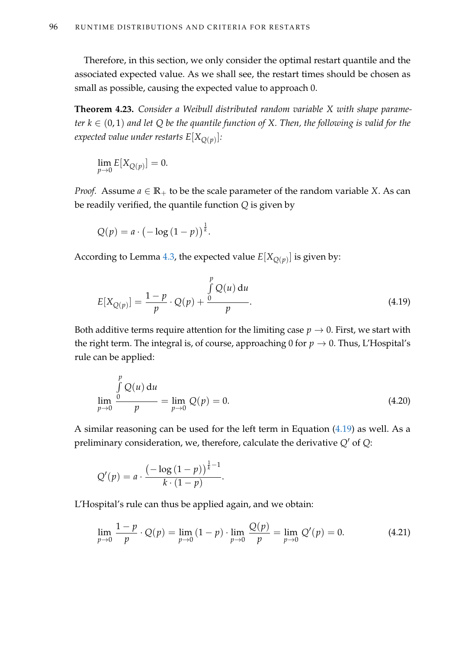Therefore, in this section, we only consider the optimal restart quantile and the associated expected value. As we shall see, the restart times should be chosen as small as possible, causing the expected value to approach 0.

<span id="page-111-3"></span>**Theorem 4.23.** *Consider a Weibull distributed random variable X with shape parameter*  $k \in (0,1)$  *and let*  $Q$  *be the quantile function of*  $X$ *. Then, the following is valid for the expected value under restarts E*[*XQ*(*p*) ]*:*

$$
\lim_{p \to 0} E[X_{Q(p)}] = 0.
$$

*Proof.* Assume  $a \in \mathbb{R}_+$  to be the scale parameter of the random variable *X*. As can be readily verified, the quantile function *Q* is given by

$$
Q(p) = a \cdot \left(-\log\left(1-p\right)\right)^{\frac{1}{k}}.
$$

According to Lemma [4.3,](#page-87-0) the expected value  $E[X_{Q(p)}]$  is given by:

<span id="page-111-0"></span>
$$
E[X_{Q(p)}] = \frac{1-p}{p} \cdot Q(p) + \frac{\int_{0}^{p} Q(u) du}{p}.
$$
 (4.19)

Both additive terms require attention for the limiting case  $p \to 0$ . First, we start with the right term. The integral is, of course, approaching 0 for  $p \to 0$ . Thus, L'Hospital's rule can be applied:

<span id="page-111-1"></span>
$$
\lim_{p \to 0} \frac{\int_{0}^{p} Q(u) du}{p} = \lim_{p \to 0} Q(p) = 0.
$$
\n(4.20)

A similar reasoning can be used for the left term in Equation [\(4.19\)](#page-111-0) as well. As a preliminary consideration, we, therefore, calculate the derivative  $Q'$  of  $Q$ :

$$
Q'(p) = a \cdot \frac{\left(-\log\left(1-p\right)\right)^{\frac{1}{k}-1}}{k \cdot (1-p)}.
$$

L'Hospital's rule can thus be applied again, and we obtain:

<span id="page-111-2"></span>
$$
\lim_{p \to 0} \frac{1 - p}{p} \cdot Q(p) = \lim_{p \to 0} (1 - p) \cdot \lim_{p \to 0} \frac{Q(p)}{p} = \lim_{p \to 0} Q'(p) = 0.
$$
 (4.21)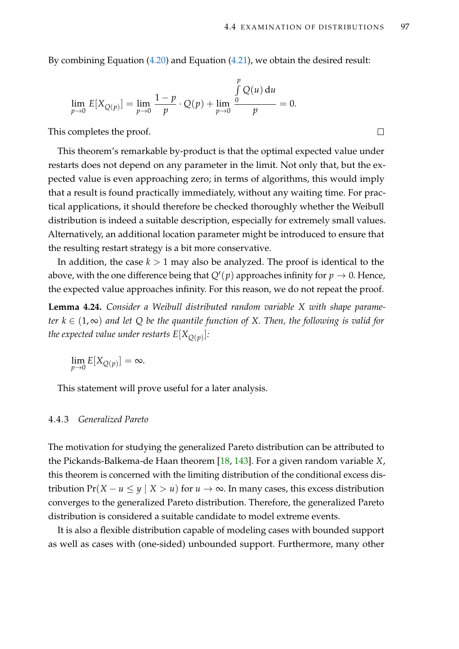By combining Equation [\(4.20\)](#page-111-1) and Equation [\(4.21\)](#page-111-2), we obtain the desired result:

$$
\lim_{p \to 0} E[X_{Q(p)}] = \lim_{p \to 0} \frac{1-p}{p} \cdot Q(p) + \lim_{p \to 0} \frac{\int_{0}^{p} Q(u) du}{p} = 0.
$$

This completes the proof.

This theorem's remarkable by-product is that the optimal expected value under restarts does not depend on any parameter in the limit. Not only that, but the expected value is even approaching zero; in terms of algorithms, this would imply that a result is found practically immediately, without any waiting time. For practical applications, it should therefore be checked thoroughly whether the Weibull distribution is indeed a suitable description, especially for extremely small values. Alternatively, an additional location parameter might be introduced to ensure that the resulting restart strategy is a bit more conservative.

In addition, the case  $k > 1$  may also be analyzed. The proof is identical to the above, with the one difference being that  $Q'(p)$  approaches infinity for  $p \to 0$ . Hence, the expected value approaches infinity. For this reason, we do not repeat the proof.

<span id="page-112-0"></span>**Lemma 4.24.** *Consider a Weibull distributed random variable X with shape parameter*  $k \in (1, ∞)$  *and let*  $Q$  *be the quantile function of*  $X$ *. Then, the following is valid for the expected value under restarts E*[*XQ*(*p*) ]*:*

$$
\lim_{p \to 0} E[X_{Q(p)}] = \infty.
$$

This statement will prove useful for a later analysis.

## 4.4.3 *Generalized Pareto*

The motivation for studying the generalized Pareto distribution can be attributed to the Pickands-Balkema-de Haan theorem [\[18,](#page-211-1) [143\]](#page-222-0). For a given random variable *X*, this theorem is concerned with the limiting distribution of the conditional excess distribution  $Pr(X - u \le y \mid X > u)$  for  $u \to \infty$ . In many cases, this excess distribution converges to the generalized Pareto distribution. Therefore, the generalized Pareto distribution is considered a suitable candidate to model extreme events.

It is also a flexible distribution capable of modeling cases with bounded support as well as cases with (one-sided) unbounded support. Furthermore, many other

 $\Box$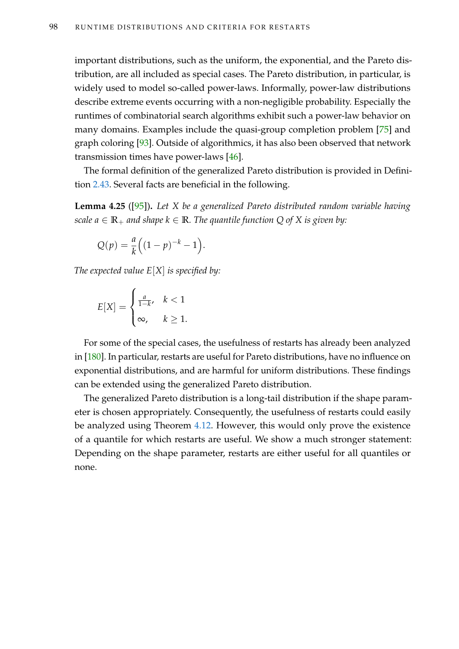important distributions, such as the uniform, the exponential, and the Pareto distribution, are all included as special cases. The Pareto distribution, in particular, is widely used to model so-called power-laws. Informally, power-law distributions describe extreme events occurring with a non-negligible probability. Especially the runtimes of combinatorial search algorithms exhibit such a power-law behavior on many domains. Examples include the quasi-group completion problem [\[75\]](#page-216-1) and graph coloring [\[93\]](#page-217-1). Outside of algorithmics, it has also been observed that network transmission times have power-laws [\[46\]](#page-214-0).

The formal definition of the generalized Pareto distribution is provided in Definition [2.43.](#page-46-1) Several facts are beneficial in the following.

<span id="page-113-0"></span>**Lemma 4.25** ([\[95\]](#page-218-1))**.** *Let X be a generalized Pareto distributed random variable having scale a*  $\in \mathbb{R}_+$  *and shape*  $k \in \mathbb{R}$ *. The quantile function* Q of X is given by:

$$
Q(p) = \frac{a}{k} \Big( (1-p)^{-k} - 1 \Big).
$$

*The expected value E*[*X*] *is specified by:*

$$
E[X] = \begin{cases} \frac{a}{1-k}, & k < 1\\ \infty, & k \ge 1. \end{cases}
$$

For some of the special cases, the usefulness of restarts has already been analyzed in [\[180\]](#page-224-0). In particular, restarts are useful for Pareto distributions, have no influence on exponential distributions, and are harmful for uniform distributions. These findings can be extended using the generalized Pareto distribution.

The generalized Pareto distribution is a long-tail distribution if the shape parameter is chosen appropriately. Consequently, the usefulness of restarts could easily be analyzed using Theorem [4.12.](#page-94-0) However, this would only prove the existence of a quantile for which restarts are useful. We show a much stronger statement: Depending on the shape parameter, restarts are either useful for all quantiles or none.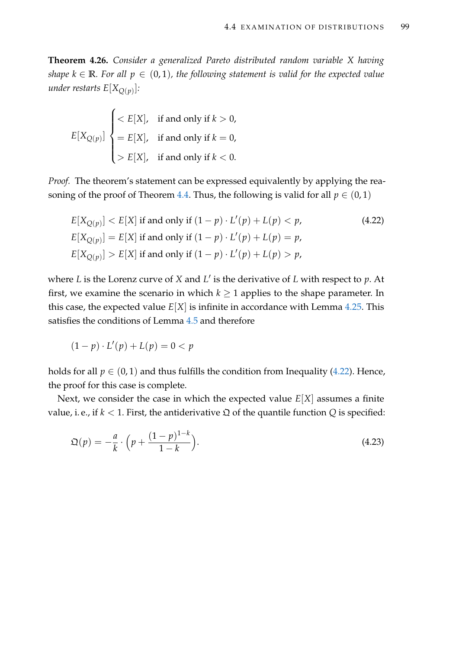**Theorem 4.26.** *Consider a generalized Pareto distributed random variable X having shape*  $k \in \mathbb{R}$ *. For all*  $p \in (0,1)$ *, the following statement is valid for the expected value under restarts E*[*XQ*(*p*) ]*:*

$$
E[X_{Q(p)}]
$$

$$
\begin{cases} < E[X], \text{ if and only if } k > 0, \\ = & E[X], \text{ if and only if } k = 0, \\ > E[X], \text{ if and only if } k < 0. \end{cases}
$$

*Proof.* The theorem's statement can be expressed equivalently by applying the rea-soning of the proof of Theorem [4.4.](#page-88-0) Thus, the following is valid for all  $p \in (0,1)$ 

<span id="page-114-0"></span>
$$
E[X_{Q(p)}] < E[X] \text{ if and only if } (1 - p) \cdot L'(p) + L(p) < p,\tag{4.22}
$$
\n
$$
E[X_{Q(p)}] = E[X] \text{ if and only if } (1 - p) \cdot L'(p) + L(p) = p,\tag{4.23}
$$
\n
$$
E[X_{Q(p)}] > E[X] \text{ if and only if } (1 - p) \cdot L'(p) + L(p) > p,
$$

where *L* is the Lorenz curve of *X* and *L'* is the derivative of *L* with respect to *p*. At first, we examine the scenario in which  $k \geq 1$  applies to the shape parameter. In this case, the expected value  $E[X]$  is infinite in accordance with Lemma [4.25.](#page-113-0) This satisfies the conditions of Lemma [4.5](#page-89-0) and therefore

$$
(1-p)\cdot L'(p) + L(p) = 0 < p
$$

holds for all  $p \in (0, 1)$  and thus fulfills the condition from Inequality [\(4.22\)](#page-114-0). Hence, the proof for this case is complete.

Next, we consider the case in which the expected value *E*[*X*] assumes a finite value, i. e., if  $k < 1$ . First, the antiderivative  $\mathfrak Q$  of the quantile function  $Q$  is specified:

<span id="page-114-1"></span>
$$
\mathfrak{Q}(p) = -\frac{a}{k} \cdot \left( p + \frac{(1-p)^{1-k}}{1-k} \right). \tag{4.23}
$$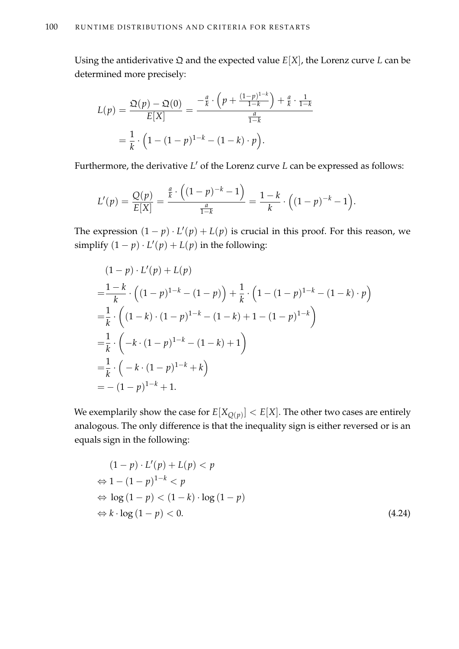Using the antiderivative  $\Omega$  and the expected value  $E[X]$ , the Lorenz curve *L* can be determined more precisely:

$$
L(p) = \frac{\mathfrak{Q}(p) - \mathfrak{Q}(0)}{E[X]} = \frac{-\frac{a}{k} \cdot \left(p + \frac{(1-p)^{1-k}}{1-k}\right) + \frac{a}{k} \cdot \frac{1}{1-k}}{\frac{a}{1-k}}
$$

$$
= \frac{1}{k} \cdot \left(1 - (1-p)^{1-k} - (1-k) \cdot p\right).
$$

Furthermore, the derivative *L'* of the Lorenz curve *L* can be expressed as follows:

$$
L'(p) = \frac{Q(p)}{E[X]} = \frac{\frac{a}{k} \cdot \left( (1-p)^{-k} - 1 \right)}{\frac{a}{1-k}} = \frac{1-k}{k} \cdot \left( (1-p)^{-k} - 1 \right).
$$

The expression  $(1 - p) \cdot L'(p) + L(p)$  is crucial in this proof. For this reason, we simplify  $(1 - p) \cdot L'(p) + L(p)$  in the following:

$$
(1-p) \cdot L'(p) + L(p)
$$
  
=  $\frac{1-k}{k} \cdot ((1-p)^{1-k} - (1-p)) + \frac{1}{k} \cdot (1 - (1-p)^{1-k} - (1-k) \cdot p)$   
=  $\frac{1}{k} \cdot ((1-k) \cdot (1-p)^{1-k} - (1-k) + 1 - (1-p)^{1-k})$   
=  $\frac{1}{k} \cdot (-k \cdot (1-p)^{1-k} - (1-k) + 1)$   
=  $\frac{1}{k} \cdot (-k \cdot (1-p)^{1-k} + k)$   
=  $-(1-p)^{1-k} + 1$ .

We exemplarily show the case for  $E[X_{Q(p)}] < E[X]$ . The other two cases are entirely analogous. The only difference is that the inequality sign is either reversed or is an equals sign in the following:

<span id="page-115-0"></span>
$$
(1-p) \cdot L'(p) + L(p) < p
$$
\n
$$
\Leftrightarrow 1 - (1-p)^{1-k} < p
$$
\n
$$
\Leftrightarrow \log(1-p) < (1-k) \cdot \log(1-p)
$$
\n
$$
\Leftrightarrow k \cdot \log(1-p) < 0. \tag{4.24}
$$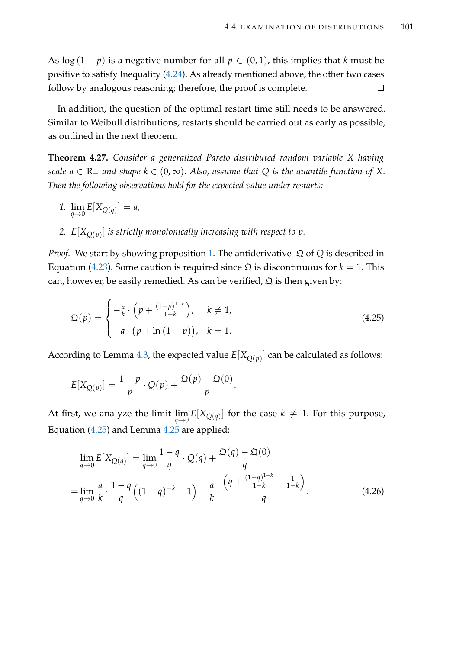As  $\log (1-p)$  is a negative number for all  $p \in (0,1)$ , this implies that *k* must be positive to satisfy Inequality [\(4.24\)](#page-115-0). As already mentioned above, the other two cases follow by analogous reasoning; therefore, the proof is complete.  $\Box$ 

In addition, the question of the optimal restart time still needs to be answered. Similar to Weibull distributions, restarts should be carried out as early as possible, as outlined in the next theorem.

**Theorem 4.27.** *Consider a generalized Pareto distributed random variable X having scale*  $a \in \mathbb{R}_+$  *and shape*  $k \in (0, \infty)$ *. Also, assume that* Q *is the quantile function of* X. *Then the following observations hold for the expected value under restarts:*

- <span id="page-116-0"></span>*1.*  $\lim_{q \to 0} E[X_{Q(q)}] = a$ ,
- <span id="page-116-3"></span>*2. E*[*XQ*(*p*) ] *is strictly monotonically increasing with respect to p.*

*Proof.* We start by showing proposition [1.](#page-116-0) The antiderivative  $\Omega$  of  $Q$  is described in Equation [\(4.23\)](#page-114-1). Some caution is required since  $\Omega$  is discontinuous for  $k = 1$ . This can, however, be easily remedied. As can be verified,  $\mathfrak D$  is then given by:

<span id="page-116-1"></span>
$$
\mathfrak{Q}(p) = \begin{cases}\n-\frac{a}{k} \cdot \left(p + \frac{(1-p)^{1-k}}{1-k}\right), & k \neq 1, \\
-a \cdot \left(p + \ln\left(1-p\right)\right), & k = 1.\n\end{cases}
$$
\n(4.25)

According to Lemma [4.3,](#page-87-0) the expected value  $E[X_{Q(p)}]$  can be calculated as follows:

$$
E[X_{Q(p)}] = \frac{1-p}{p} \cdot Q(p) + \frac{\mathfrak{Q}(p) - \mathfrak{Q}(0)}{p}.
$$

At first, we analyze the limit  $\lim_{q\to 0} E[X_{Q(q)}]$  for the case  $k\neq 1$ . For this purpose, Equation [\(4.25\)](#page-116-1) and Lemma [4.25](#page-113-0) are applied:

<span id="page-116-2"></span>
$$
\lim_{q \to 0} E[X_{Q(q)}] = \lim_{q \to 0} \frac{1 - q}{q} \cdot Q(q) + \frac{\mathfrak{Q}(q) - \mathfrak{Q}(0)}{q}
$$
\n
$$
= \lim_{q \to 0} \frac{a}{k} \cdot \frac{1 - q}{q} \left( (1 - q)^{-k} - 1 \right) - \frac{a}{k} \cdot \frac{\left( q + \frac{(1 - q)^{1 - k}}{1 - k} - \frac{1}{1 - k} \right)}{q}.
$$
\n(4.26)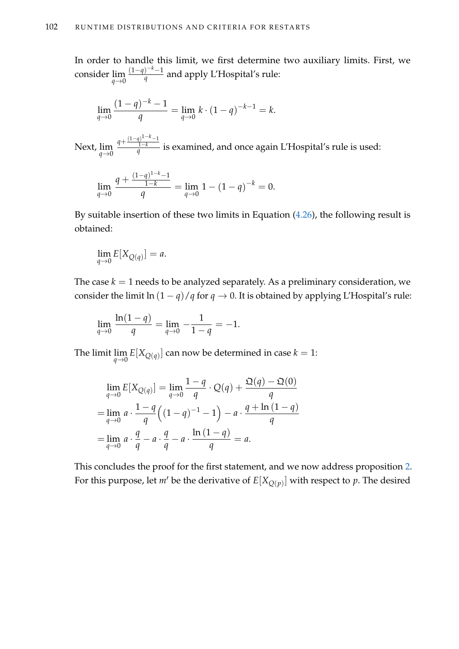In order to handle this limit, we first determine two auxiliary limits. First, we consider lim *q*→0 (1−*q*) <sup>−</sup>*k*−1 *q* and apply L'Hospital's rule:

$$
\lim_{q \to 0} \frac{(1-q)^{-k} - 1}{q} = \lim_{q \to 0} k \cdot (1-q)^{-k-1} = k.
$$

Next, lim *q*→0  $q + \frac{(1-q)^{1-k}-1}{1-k}$ 1−*k q* is examined, and once again L'Hospital's rule is used:

$$
\lim_{q \to 0} \frac{q + \frac{(1-q)^{1-k} - 1}{1-k}}{q} = \lim_{q \to 0} 1 - (1 - q)^{-k} = 0.
$$

By suitable insertion of these two limits in Equation [\(4.26\)](#page-116-2), the following result is obtained:

$$
\lim_{q \to 0} E[X_{Q(q)}] = a.
$$

The case  $k = 1$  needs to be analyzed separately. As a preliminary consideration, we consider the limit  $\ln (1 - q)/q$  for  $q \to 0$ . It is obtained by applying L'Hospital's rule:

$$
\lim_{q \to 0} \frac{\ln(1-q)}{q} = \lim_{q \to 0} -\frac{1}{1-q} = -1.
$$

The limit  $\lim_{q\to 0}E[X_{Q(q)}]$  can now be determined in case  $k=1$ :

$$
\lim_{q \to 0} E[X_{Q(q)}] = \lim_{q \to 0} \frac{1 - q}{q} \cdot Q(q) + \frac{\mathfrak{Q}(q) - \mathfrak{Q}(0)}{q}
$$
  
= 
$$
\lim_{q \to 0} a \cdot \frac{1 - q}{q} \left( (1 - q)^{-1} - 1 \right) - a \cdot \frac{q + \ln(1 - q)}{q}
$$
  
= 
$$
\lim_{q \to 0} a \cdot \frac{q}{q} - a \cdot \frac{q}{q} - a \cdot \frac{\ln(1 - q)}{q} = a.
$$

This concludes the proof for the first statement, and we now address proposition [2.](#page-116-3) For this purpose, let  $m'$  be the derivative of  $E[X_{Q(p)}]$  with respect to  $p$ . The desired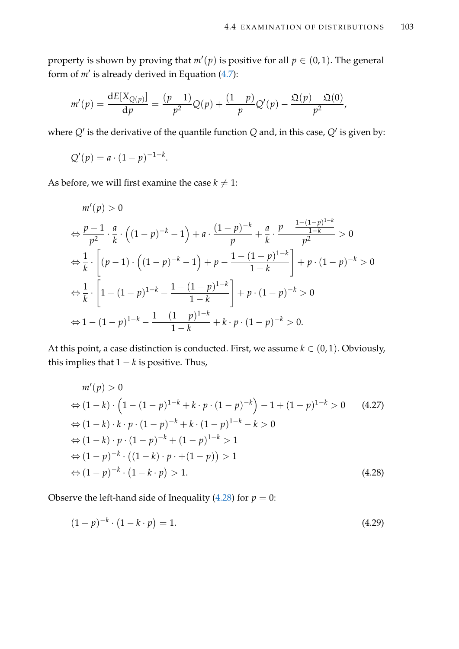property is shown by proving that  $m'(p)$  is positive for all  $p \in (0,1)$ . The general form of  $m'$  is already derived in Equation  $(4.7)$ :

$$
m'(p) = \frac{dE[X_{Q(p)}]}{dp} = \frac{(p-1)}{p^2}Q(p) + \frac{(1-p)}{p}Q'(p) - \frac{\mathfrak{Q}(p) - \mathfrak{Q}(0)}{p^2},
$$

where  $Q'$  is the derivative of the quantile function  $Q$  and, in this case,  $Q'$  is given by:

$$
Q'(p) = a \cdot (1-p)^{-1-k}.
$$

As before, we will first examine the case  $k \neq 1$ :

$$
m'(p) > 0
$$
  
\n
$$
\Leftrightarrow \frac{p-1}{p^2} \cdot \frac{a}{k} \cdot \left( (1-p)^{-k} - 1 \right) + a \cdot \frac{(1-p)^{-k}}{p} + \frac{a}{k} \cdot \frac{p - \frac{1 - (1-p)^{1-k}}{1-k}}{p^2} > 0
$$
  
\n
$$
\Leftrightarrow \frac{1}{k} \cdot \left[ (p-1) \cdot \left( (1-p)^{-k} - 1 \right) + p - \frac{1 - (1-p)^{1-k}}{1-k} \right] + p \cdot (1-p)^{-k} > 0
$$
  
\n
$$
\Leftrightarrow \frac{1}{k} \cdot \left[ 1 - (1-p)^{1-k} - \frac{1 - (1-p)^{1-k}}{1-k} \right] + p \cdot (1-p)^{-k} > 0
$$
  
\n
$$
\Leftrightarrow 1 - (1-p)^{1-k} - \frac{1 - (1-p)^{1-k}}{1-k} + k \cdot p \cdot (1-p)^{-k} > 0.
$$

At this point, a case distinction is conducted. First, we assume  $k \in (0, 1)$ . Obviously, this implies that  $1 - k$  is positive. Thus,

<span id="page-118-2"></span>
$$
m'(p) > 0
$$
  
\n
$$
\Leftrightarrow (1-k) \cdot \left(1 - (1-p)^{1-k} + k \cdot p \cdot (1-p)^{-k}\right) - 1 + (1-p)^{1-k} > 0 \qquad (4.27)
$$
  
\n
$$
\Leftrightarrow (1-k) \cdot k \cdot p \cdot (1-p)^{-k} + k \cdot (1-p)^{1-k} - k > 0
$$
  
\n
$$
\Leftrightarrow (1-k) \cdot p \cdot (1-p)^{-k} + (1-p)^{1-k} > 1
$$
  
\n
$$
\Leftrightarrow (1-p)^{-k} \cdot \left((1-k) \cdot p + (1-p)\right) > 1
$$
  
\n
$$
\Leftrightarrow (1-p)^{-k} \cdot (1-k \cdot p) > 1.
$$
  
\n(4.28)

Observe the left-hand side of Inequality [\(4.28\)](#page-118-0) for  $p = 0$ :

<span id="page-118-1"></span><span id="page-118-0"></span>
$$
(1-p)^{-k} \cdot (1-k \cdot p) = 1. \tag{4.29}
$$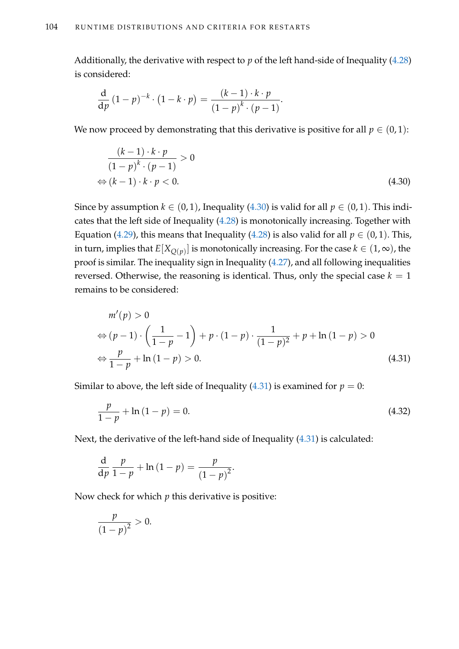Additionally, the derivative with respect to *p* of the left hand-side of Inequality [\(4.28\)](#page-118-0) is considered:

$$
\frac{\mathrm{d}}{\mathrm{d}p} (1-p)^{-k} \cdot (1-k \cdot p) = \frac{(k-1) \cdot k \cdot p}{(1-p)^{k} \cdot (p-1)}.
$$

We now proceed by demonstrating that this derivative is positive for all  $p \in (0,1)$ :

<span id="page-119-0"></span>
$$
\frac{(k-1)\cdot k\cdot p}{(1-p)^k\cdot (p-1)} > 0
$$
  
\n
$$
\Leftrightarrow (k-1)\cdot k\cdot p < 0.
$$
\n(4.30)

Since by assumption  $k \in (0, 1)$ , Inequality [\(4.30\)](#page-119-0) is valid for all  $p \in (0, 1)$ . This indicates that the left side of Inequality [\(4.28\)](#page-118-0) is monotonically increasing. Together with Equation [\(4.29\)](#page-118-1), this means that Inequality [\(4.28\)](#page-118-0) is also valid for all  $p \in (0,1)$ . This, in turn, implies that  $E[X_{Q(p)}]$  is monotonically increasing. For the case  $k \in (1,\infty)$ , the proof is similar. The inequality sign in Inequality [\(4.27\)](#page-118-2), and all following inequalities reversed. Otherwise, the reasoning is identical. Thus, only the special case  $k = 1$ remains to be considered:

<span id="page-119-1"></span>
$$
m'(p) > 0
$$
  
\n
$$
\Leftrightarrow (p-1) \cdot \left(\frac{1}{1-p} - 1\right) + p \cdot (1-p) \cdot \frac{1}{(1-p)^2} + p + \ln(1-p) > 0
$$
  
\n
$$
\Leftrightarrow \frac{p}{1-p} + \ln(1-p) > 0.
$$
\n(4.31)

Similar to above, the left side of Inequality  $(4.31)$  is examined for  $p = 0$ :

<span id="page-119-2"></span>
$$
\frac{p}{1-p} + \ln(1-p) = 0.
$$
\n(4.32)

Next, the derivative of the left-hand side of Inequality [\(4.31\)](#page-119-1) is calculated:

$$
\frac{\mathrm{d}}{\mathrm{d}p}\frac{p}{1-p} + \ln\left(1-p\right) = \frac{p}{\left(1-p\right)^2}.
$$

Now check for which *p* this derivative is positive:

$$
\frac{p}{\left(1-p\right)^2} > 0.
$$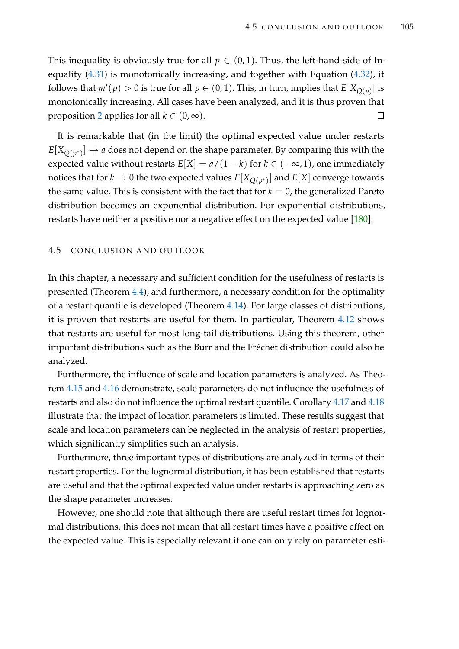This inequality is obviously true for all  $p \in (0,1)$ . Thus, the left-hand-side of Inequality [\(4.31\)](#page-119-1) is monotonically increasing, and together with Equation [\(4.32\)](#page-119-2), it follows that  $m'(p) > 0$  is true for all  $p \in (0, 1)$ . This, in turn, implies that  $E[X_{Q(p)}]$  is monotonically increasing. All cases have been analyzed, and it is thus proven that proposition [2](#page-116-3) applies for all  $k \in (0, \infty)$ .  $\Box$ 

It is remarkable that (in the limit) the optimal expected value under restarts  $E[X_{Q(p^*)}] \to a$  does not depend on the shape parameter. By comparing this with the expected value without restarts  $E[X] = a/(1-k)$  for  $k \in (-\infty, 1)$ , one immediately notices that for  $k\to 0$  the two expected values  $E[X_{Q(p^*)}]$  and  $E[X]$  converge towards the same value. This is consistent with the fact that for  $k = 0$ , the generalized Pareto distribution becomes an exponential distribution. For exponential distributions, restarts have neither a positive nor a negative effect on the expected value [\[180\]](#page-224-0).

# 4.5 CONCLUSION AND OUTLOOK

In this chapter, a necessary and sufficient condition for the usefulness of restarts is presented (Theorem [4.4\)](#page-88-0), and furthermore, a necessary condition for the optimality of a restart quantile is developed (Theorem [4.14\)](#page-96-1). For large classes of distributions, it is proven that restarts are useful for them. In particular, Theorem [4.12](#page-94-0) shows that restarts are useful for most long-tail distributions. Using this theorem, other important distributions such as the Burr and the Fréchet distribution could also be analyzed.

Furthermore, the influence of scale and location parameters is analyzed. As Theorem [4.15](#page-97-0) and [4.16](#page-98-0) demonstrate, scale parameters do not influence the usefulness of restarts and also do not influence the optimal restart quantile. Corollary [4.17](#page-100-0) and [4.18](#page-101-0) illustrate that the impact of location parameters is limited. These results suggest that scale and location parameters can be neglected in the analysis of restart properties, which significantly simplifies such an analysis.

Furthermore, three important types of distributions are analyzed in terms of their restart properties. For the lognormal distribution, it has been established that restarts are useful and that the optimal expected value under restarts is approaching zero as the shape parameter increases.

However, one should note that although there are useful restart times for lognormal distributions, this does not mean that all restart times have a positive effect on the expected value. This is especially relevant if one can only rely on parameter esti-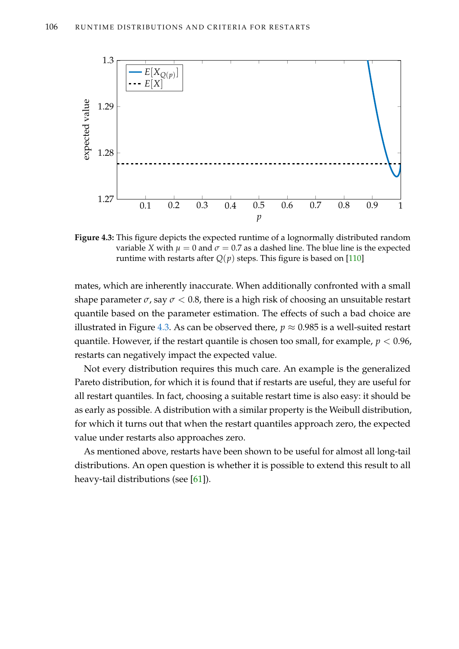<span id="page-121-0"></span>

**Figure 4.3:** This figure depicts the expected runtime of a lognormally distributed random variable *X* with  $\mu = 0$  and  $\sigma = 0.7$  as a dashed line. The blue line is the expected runtime with restarts after  $Q(p)$  steps. This figure is based on [\[110\]](#page-219-0)

mates, which are inherently inaccurate. When additionally confronted with a small shape parameter  $\sigma$ , say  $\sigma$  < 0.8, there is a high risk of choosing an unsuitable restart quantile based on the parameter estimation. The effects of such a bad choice are illustrated in Figure [4.3.](#page-121-0) As can be observed there,  $p \approx 0.985$  is a well-suited restart quantile. However, if the restart quantile is chosen too small, for example,  $p < 0.96$ , restarts can negatively impact the expected value.

Not every distribution requires this much care. An example is the generalized Pareto distribution, for which it is found that if restarts are useful, they are useful for all restart quantiles. In fact, choosing a suitable restart time is also easy: it should be as early as possible. A distribution with a similar property is the Weibull distribution, for which it turns out that when the restart quantiles approach zero, the expected value under restarts also approaches zero.

As mentioned above, restarts have been shown to be useful for almost all long-tail distributions. An open question is whether it is possible to extend this result to all heavy-tail distributions (see [\[61\]](#page-215-1)).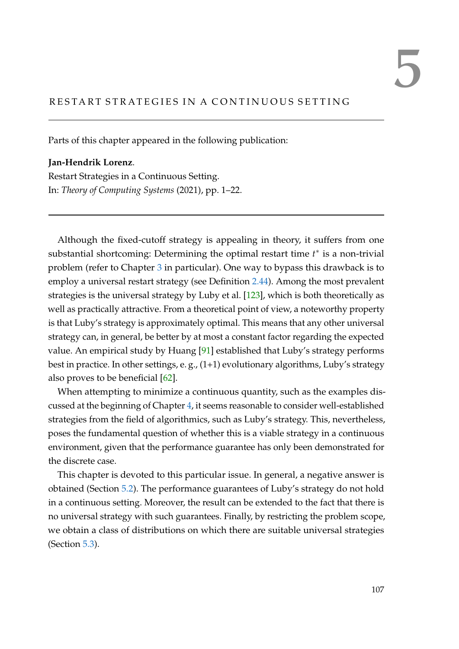# RESTART STRATEGIES IN A CONTINUOUS SETTING

Parts of this chapter appeared in the following publication:

**Jan-Hendrik Lorenz**. Restart Strategies in a Continuous Setting. In: *Theory of Computing Systems* (2021), pp. 1–22.

Although the fixed-cutoff strategy is appealing in theory, it suffers from one substantial shortcoming: Determining the optimal restart time *t*<sup>∗</sup> is a non-trivial problem (refer to Chapter [3](#page-54-0) in particular). One way to bypass this drawback is to employ a universal restart strategy (see Definition [2.44\)](#page-47-0). Among the most prevalent strategies is the universal strategy by Luby et al. [\[123\]](#page-220-0), which is both theoretically as well as practically attractive. From a theoretical point of view, a noteworthy property is that Luby's strategy is approximately optimal. This means that any other universal strategy can, in general, be better by at most a constant factor regarding the expected value. An empirical study by Huang [\[91\]](#page-217-2) established that Luby's strategy performs best in practice. In other settings, e. g., (1+1) evolutionary algorithms, Luby's strategy also proves to be beneficial [\[62\]](#page-215-2).

When attempting to minimize a continuous quantity, such as the examples discussed at the beginning of Chapter [4,](#page-84-0) it seems reasonable to consider well-established strategies from the field of algorithmics, such as Luby's strategy. This, nevertheless, poses the fundamental question of whether this is a viable strategy in a continuous environment, given that the performance guarantee has only been demonstrated for the discrete case.

This chapter is devoted to this particular issue. In general, a negative answer is obtained (Section [5.2\)](#page-128-0). The performance guarantees of Luby's strategy do not hold in a continuous setting. Moreover, the result can be extended to the fact that there is no universal strategy with such guarantees. Finally, by restricting the problem scope, we obtain a class of distributions on which there are suitable universal strategies (Section [5.3\)](#page-130-0).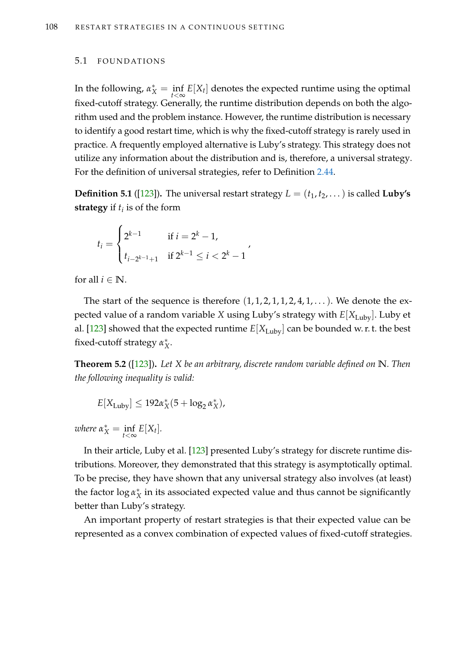### 5.1 FOUNDATIONS

In the following,  $\alpha_X^* = \inf_{t < \infty} E[X_t]$  denotes the expected runtime using the optimal fixed-cutoff strategy. Generally, the runtime distribution depends on both the algorithm used and the problem instance. However, the runtime distribution is necessary to identify a good restart time, which is why the fixed-cutoff strategy is rarely used in practice. A frequently employed alternative is Luby's strategy. This strategy does not utilize any information about the distribution and is, therefore, a universal strategy. For the definition of universal strategies, refer to Definition [2.44.](#page-47-0)

**Definition 5.1** ([\[123\]](#page-220-0)). The universal restart strategy  $L = (t_1, t_2, \dots)$  is called **Luby's strategy** if  $t_i$  is of the form

$$
t_i = \begin{cases} 2^{k-1} & \text{if } i = 2^k - 1, \\ t_{i-2^{k-1}+1} & \text{if } 2^{k-1} \le i < 2^k - 1 \end{cases}
$$

for all  $i \in \mathbb{N}$ .

The start of the sequence is therefore  $(1, 1, 2, 1, 1, 2, 4, 1, ...)$ . We denote the expected value of a random variable *X* using Luby's strategy with  $E[X_{\text{Lubv}}]$ . Luby et al. [\[123\]](#page-220-0) showed that the expected runtime  $E[X_{\text{Lubv}}]$  can be bounded w. r. t. the best fixed-cutoff strategy *α* ∗ *X* .

<span id="page-123-0"></span>**Theorem 5.2** ([\[123\]](#page-220-0))**.** *Let X be an arbitrary, discrete random variable defined on* **N***. Then the following inequality is valid:*

$$
E[X_{\text{Luby}}] \leq 192\alpha_X^*(5 + \log_2 \alpha_X^*),
$$

 $where \ \alpha_X^* = \inf_{t < \infty} E[X_t].$ 

In their article, Luby et al. [\[123\]](#page-220-0) presented Luby's strategy for discrete runtime distributions. Moreover, they demonstrated that this strategy is asymptotically optimal. To be precise, they have shown that any universal strategy also involves (at least) the factor log *α* ∗  $^*_X$  in its associated expected value and thus cannot be significantly better than Luby's strategy.

An important property of restart strategies is that their expected value can be represented as a convex combination of expected values of fixed-cutoff strategies.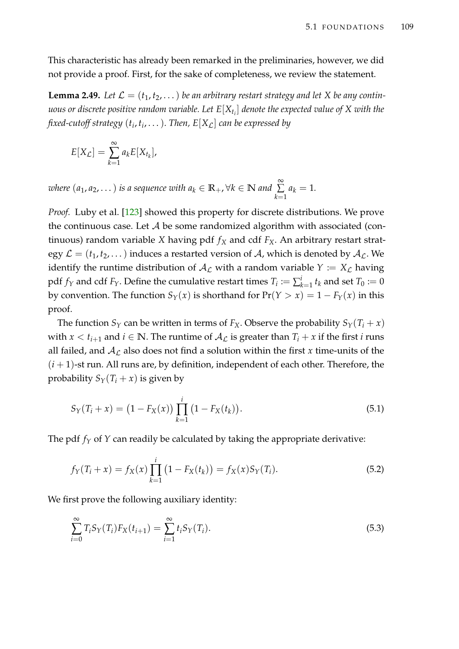This characteristic has already been remarked in the preliminaries, however, we did not provide a proof. First, for the sake of completeness, we review the statement.

**Lemma 2.49.** Let  $\mathcal{L} = (t_1, t_2, ...)$  be an arbitrary restart strategy and let X be any contin*uous or discrete positive random variable. Let E*[*Xt<sup>i</sup>* ] *denote the expected value of X with the fixed-cutoff strategy* (*t<sup>i</sup>* , *ti* , . . .)*. Then, E*[*X*L] *can be expressed by*

$$
E[X_{\mathcal{L}}] = \sum_{k=1}^{\infty} a_k E[X_{t_k}],
$$

*where*  $(a_1, a_2, ...)$  *is a sequence with*  $a_k \in \mathbb{R}_+$ ,  $\forall k \in \mathbb{N}$  and  $\sum_{k=1}^{\infty}$ ∑ *k*=1  $a_k = 1$ .

*Proof.* Luby et al. [\[123\]](#page-220-0) showed this property for discrete distributions. We prove the continuous case. Let  $A$  be some randomized algorithm with associated (continuous) random variable *X* having pdf  $f_X$  and cdf  $F_X$ . An arbitrary restart strategy  $\mathcal{L} = (t_1, t_2, \dots)$  induces a restarted version of A, which is denoted by  $\mathcal{A}_{\mathcal{L}}$ . We identify the runtime distribution of  $A_{\mathcal{L}}$  with a random variable  $Y := X_{\mathcal{L}}$  having pdf  $f_Y$  and cdf  $F_Y$ . Define the cumulative restart times  $T_i := \sum_{k=1}^i t_k$  and set  $T_0 := 0$ by convention. The function  $S_Y(x)$  is shorthand for  $Pr(Y > x) = 1 - F_Y(x)$  in this proof.

The function  $S_Y$  can be written in terms of  $F_X$ . Observe the probability  $S_Y(T_i + x)$ with  $x < t_{i+1}$  and  $i \in \mathbb{N}$ . The runtime of  $\mathcal{A}_{\mathcal{L}}$  is greater than  $T_i + x$  if the first *i* runs all failed, and  $A_{\mathcal{L}}$  also does not find a solution within the first x time-units of the  $(i+1)$ -st run. All runs are, by definition, independent of each other. Therefore, the probability  $S_Y(T_i + x)$  is given by

$$
S_Y(T_i + x) = (1 - F_X(x)) \prod_{k=1}^i (1 - F_X(t_k)).
$$
\n(5.1)

The pdf  $f_Y$  of  $Y$  can readily be calculated by taking the appropriate derivative:

<span id="page-124-0"></span>
$$
f_Y(T_i + x) = f_X(x) \prod_{k=1}^i (1 - F_X(t_k)) = f_X(x) S_Y(T_i).
$$
 (5.2)

We first prove the following auxiliary identity:

<span id="page-124-1"></span>
$$
\sum_{i=0}^{\infty} T_i S_Y(T_i) F_X(t_{i+1}) = \sum_{i=1}^{\infty} t_i S_Y(T_i).
$$
\n(5.3)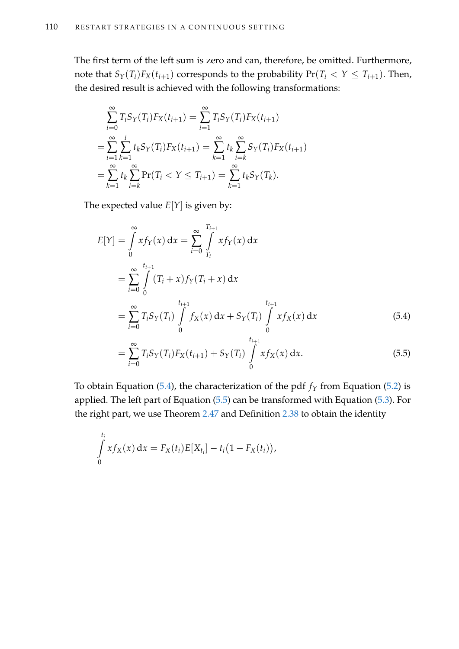The first term of the left sum is zero and can, therefore, be omitted. Furthermore, note that  $S_Y(T_i)F_X(t_{i+1})$  corresponds to the probability  $Pr(T_i \leq Y \leq T_{i+1})$ . Then, the desired result is achieved with the following transformations:

$$
\sum_{i=0}^{\infty} T_i S_Y(T_i) F_X(t_{i+1}) = \sum_{i=1}^{\infty} T_i S_Y(T_i) F_X(t_{i+1})
$$
  
= 
$$
\sum_{i=1}^{\infty} \sum_{k=1}^{i} t_k S_Y(T_i) F_X(t_{i+1}) = \sum_{k=1}^{\infty} t_k \sum_{i=k}^{\infty} S_Y(T_i) F_X(t_{i+1})
$$
  
= 
$$
\sum_{k=1}^{\infty} t_k \sum_{i=k}^{\infty} \Pr(T_i < Y \leq T_{i+1}) = \sum_{k=1}^{\infty} t_k S_Y(T_k).
$$

The expected value  $E[Y]$  is given by:

$$
E[Y] = \int_{0}^{\infty} x f_{Y}(x) dx = \sum_{i=0}^{\infty} \int_{T_{i}}^{T_{i+1}} x f_{Y}(x) dx
$$
  
\n
$$
= \sum_{i=0}^{\infty} \int_{0}^{t_{i+1}} (T_{i} + x) f_{Y}(T_{i} + x) dx
$$
  
\n
$$
= \sum_{i=0}^{\infty} T_{i} S_{Y}(T_{i}) \int_{0}^{t_{i+1}} f_{X}(x) dx + S_{Y}(T_{i}) \int_{0}^{t_{i+1}} x f_{X}(x) dx
$$
(5.4)

<span id="page-125-1"></span><span id="page-125-0"></span>
$$
= \sum_{i=0}^{\infty} T_i S_Y(T_i) F_X(t_{i+1}) + S_Y(T_i) \int_{0}^{t_{i+1}} x f_X(x) dx.
$$
 (5.5)

To obtain Equation [\(5.4\)](#page-125-0), the characterization of the pdf  $f_Y$  from Equation [\(5.2\)](#page-124-0) is applied. The left part of Equation [\(5.5\)](#page-125-1) can be transformed with Equation [\(5.3\)](#page-124-1). For the right part, we use Theorem [2.47](#page-48-0) and Definition [2.38](#page-43-0) to obtain the identity

$$
\int_{0}^{t_i} x f_X(x) \, dx = F_X(t_i) E[X_{t_i}] - t_i (1 - F_X(t_i)),
$$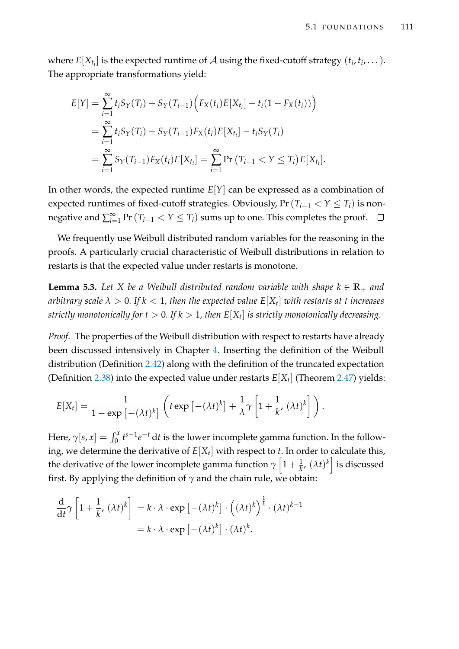where  $E[X_{t_i}]$  is the expected runtime of  $\mathcal A$  using the fixed-cutoff strategy  $(t_i, t_i, \dots).$ The appropriate transformations yield:

$$
E[Y] = \sum_{i=1}^{\infty} t_i S_Y(T_i) + S_Y(T_{i-1}) \Big( F_X(t_i) E[X_{t_i}] - t_i (1 - F_X(t_i)) \Big)
$$
  
= 
$$
\sum_{i=1}^{\infty} t_i S_Y(T_i) + S_Y(T_{i-1}) F_X(t_i) E[X_{t_i}] - t_i S_Y(T_i)
$$
  
= 
$$
\sum_{i=1}^{\infty} S_Y(T_{i-1}) F_X(t_i) E[X_{t_i}] = \sum_{i=1}^{\infty} \Pr(T_{i-1} < Y \leq T_i) E[X_{t_i}].
$$

In other words, the expected runtime *E*[*Y*] can be expressed as a combination of expected runtimes of fixed-cutoff strategies. Obviously,  $Pr(T_{i-1} < Y \leq T_i)$  is nonnegative and  $\sum_{i=1}^{\infty} \Pr(T_{i-1} < Y \leq T_i)$  sums up to one. This completes the proof.

We frequently use Weibull distributed random variables for the reasoning in the proofs. A particularly crucial characteristic of Weibull distributions in relation to restarts is that the expected value under restarts is monotone.

<span id="page-126-0"></span>**Lemma 5.3.** Let *X* be a Weibull distributed random variable with shape  $k \in \mathbb{R}_+$  and *arbitrary scale λ* > 0*. If k* < 1*, then the expected value E*[*X<sup>t</sup>* ] *with restarts at t increases strictly monotonically for t* > 0*. If k* > 1*, then E*[*X<sup>t</sup>* ] *is strictly monotonically decreasing.*

*Proof.* The properties of the Weibull distribution with respect to restarts have already been discussed intensively in Chapter [4.](#page-84-0) Inserting the definition of the Weibull distribution (Definition [2.42\)](#page-46-0) along with the definition of the truncated expectation (Definition [2.38\)](#page-43-0) into the expected value under restarts  $E[X_t]$  (Theorem [2.47\)](#page-48-0) yields:

$$
E[X_t] = \frac{1}{1 - \exp\left[-(\lambda t)^k\right]} \left( t \exp\left[-(\lambda t)^k\right] + \frac{1}{\lambda} \gamma \left[1 + \frac{1}{k}, (\lambda t)^k\right] \right).
$$

Here,  $\gamma[s, x] = \int_0^x t^{s-1} e^{-t} dt$  is the lower incomplete gamma function. In the following, we determine the derivative of *E*[*X<sup>t</sup>* ] with respect to *t*. In order to calculate this, the derivative of the lower incomplete gamma function  $\gamma\left[1+\frac{1}{k},\,(\lambda t)^k\right]$  is discussed first. By applying the definition of  $\gamma$  and the chain rule, we obtain:

$$
\frac{d}{dt}\gamma \left[1 + \frac{1}{k}, (\lambda t)^k\right] = k \cdot \lambda \cdot \exp\left[-(\lambda t)^k\right] \cdot \left((\lambda t)^k\right)^{\frac{1}{k}} \cdot (\lambda t)^{k-1}
$$

$$
= k \cdot \lambda \cdot \exp\left[-(\lambda t)^k\right] \cdot (\lambda t)^k.
$$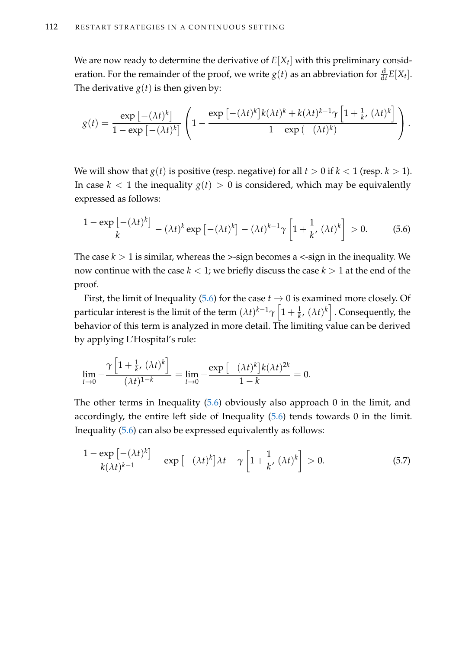We are now ready to determine the derivative of  $E[X_t]$  with this preliminary consideration. For the remainder of the proof, we write  $g(t)$  as an abbreviation for  $\frac{d}{dt}E[X_t]$ . The derivative  $g(t)$  is then given by:

$$
g(t) = \frac{\exp\left[-(\lambda t)^k\right]}{1 - \exp\left[-(\lambda t)^k\right]} \left(1 - \frac{\exp\left[-(\lambda t)^k\right]k(\lambda t)^k + k(\lambda t)^{k-1}\gamma\left[1 + \frac{1}{k}, (\lambda t)^k\right]}{1 - \exp\left(-(\lambda t)^k\right)}\right).
$$

We will show that  $g(t)$  is positive (resp. negative) for all  $t > 0$  if  $k < 1$  (resp.  $k > 1$ ). In case  $k < 1$  the inequality  $g(t) > 0$  is considered, which may be equivalently expressed as follows:

<span id="page-127-0"></span>
$$
\frac{1-\exp\left[-(\lambda t)^{k}\right]}{k} - (\lambda t)^{k} \exp\left[-(\lambda t)^{k}\right] - (\lambda t)^{k-1} \gamma \left[1 + \frac{1}{k}, (\lambda t)^{k}\right] > 0. \tag{5.6}
$$

The case  $k > 1$  is similar, whereas the  $>$ -sign becomes a  $\lt$ -sign in the inequality. We now continue with the case  $k < 1$ ; we briefly discuss the case  $k > 1$  at the end of the proof.

First, the limit of Inequality [\(5.6\)](#page-127-0) for the case  $t \to 0$  is examined more closely. Of particular interest is the limit of the term  $(\lambda t)^{k-1}\gamma\left[1+\frac{1}{k},\,(\lambda t)^k\right]$  . Consequently, the behavior of this term is analyzed in more detail. The limiting value can be derived by applying L'Hospital's rule:

$$
\lim_{t \to 0} -\frac{\gamma \left[1 + \frac{1}{k}, (\lambda t)^k\right]}{(\lambda t)^{1-k}} = \lim_{t \to 0} -\frac{\exp \left[-(\lambda t)^k\right] k (\lambda t)^{2k}}{1-k} = 0.
$$

The other terms in Inequality [\(5.6\)](#page-127-0) obviously also approach 0 in the limit, and accordingly, the entire left side of Inequality [\(5.6\)](#page-127-0) tends towards 0 in the limit. Inequality [\(5.6\)](#page-127-0) can also be expressed equivalently as follows:

<span id="page-127-1"></span>
$$
\frac{1 - \exp\left[-(\lambda t)^k\right]}{k(\lambda t)^{k-1}} - \exp\left[-(\lambda t)^k\right]\lambda t - \gamma\left[1 + \frac{1}{k}, (\lambda t)^k\right] > 0. \tag{5.7}
$$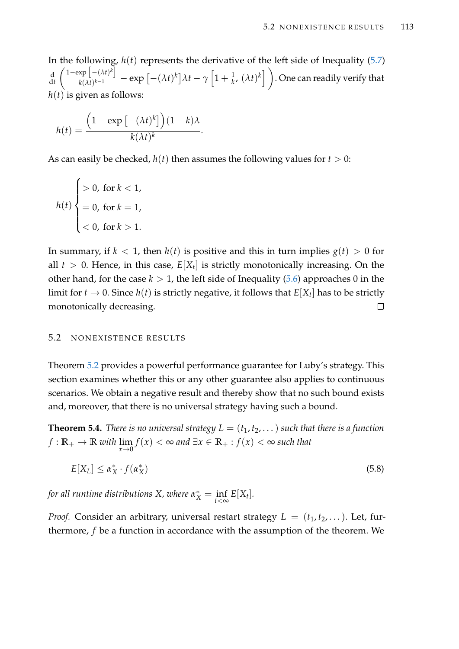In the following, *h*(*t*) represents the derivative of the left side of Inequality [\(5.7\)](#page-127-1) d d*t*  $\left[ -( \lambda t)^k \right]$  $\frac{\exp\left[-(\lambda t)^k\right]}{k(\lambda t)^{k-1}}-\exp\left[-(\lambda t)^k\right]\lambda t-\gamma\left[1+\frac{1}{k},\,(\lambda t)^k\right]\bigg).$  One can readily verify that  $h(t)$  is given as follows:

$$
h(t) = \frac{\left(1 - \exp\left[-(\lambda t)^k\right]\right)(1 - k)\lambda}{k(\lambda t)^k}.
$$

As can easily be checked,  $h(t)$  then assumes the following values for  $t > 0$ :

$$
h(t) \begin{cases} > 0, \text{ for } k < 1, \\ &= 0, \text{ for } k = 1, \\ &< 0, \text{ for } k > 1. \end{cases}
$$

In summary, if  $k < 1$ , then  $h(t)$  is positive and this in turn implies  $g(t) > 0$  for all  $t > 0$ . Hence, in this case,  $E[X_t]$  is strictly monotonically increasing. On the other hand, for the case  $k > 1$ , the left side of Inequality [\(5.6\)](#page-127-0) approaches 0 in the limit for  $t\to 0.$  Since  $h(t)$  is strictly negative, it follows that  $E[X_t]$  has to be strictly monotonically decreasing.  $\Box$ 

# <span id="page-128-0"></span>5.2 NONEXISTENCE RESULTS

Theorem [5.2](#page-123-0) provides a powerful performance guarantee for Luby's strategy. This section examines whether this or any other guarantee also applies to continuous scenarios. We obtain a negative result and thereby show that no such bound exists and, moreover, that there is no universal strategy having such a bound.

<span id="page-128-2"></span>**Theorem 5.4.** *There is no universal strategy*  $L = (t_1, t_2, ...)$  *such that there is a function*  $f: \mathbb{R}_+ \to \mathbb{R}$  *with*  $\lim_{x \to 0} f(x) < \infty$  and  $\exists x \in \mathbb{R}_+ : f(x) < \infty$  such that

<span id="page-128-1"></span>
$$
E[X_L] \le \alpha_X^* \cdot f(\alpha_X^*) \tag{5.8}
$$

*for all runtime distributions X, where*  $\alpha_X^* = \inf_{t < \infty} E[X_t].$ 

*Proof.* Consider an arbitrary, universal restart strategy  $L = (t_1, t_2, \dots)$ . Let, furthermore, *f* be a function in accordance with the assumption of the theorem. We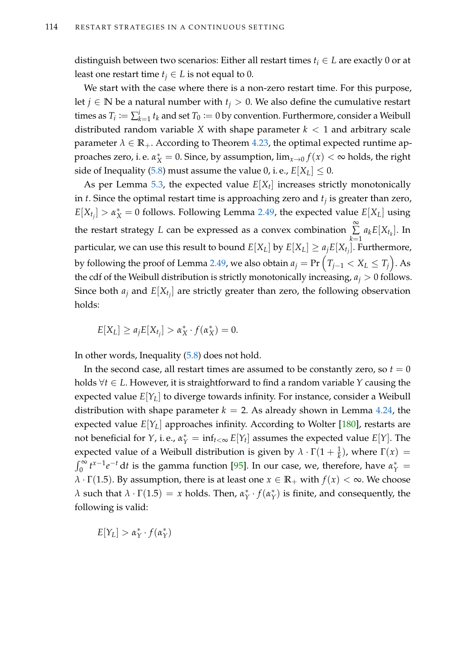distinguish between two scenarios: Either all restart times *t<sup>i</sup>* ∈ *L* are exactly 0 or at least one restart time  $t_j \in L$  is not equal to 0.

We start with the case where there is a non-zero restart time. For this purpose, let *j* ∈ **N** be a natural number with  $t$ <sup>*j*</sup> > 0. We also define the cumulative restart times as  $T_i := \sum_{k=1}^i t_k$  and set  $T_0 := 0$  by convention. Furthermore, consider a Weibull distributed random variable *X* with shape parameter  $k < 1$  and arbitrary scale parameter  $\lambda \in \mathbb{R}_+$ . According to Theorem [4.23,](#page-111-3) the optimal expected runtime approaches zero, i. e.  $\alpha_X^* = 0$ . Since, by assumption,  $\lim_{x\to 0} f(x) < \infty$  holds, the right side of Inequality [\(5.8\)](#page-128-1) must assume the value 0, i. e.,  $E[X_L] \leq 0$ .

As per Lemma [5.3,](#page-126-0) the expected value  $E[X_t]$  increases strictly monotonically in *t*. Since the optimal restart time is approaching zero and *t<sup>j</sup>* is greater than zero,  $E[X_{t_j}] > \alpha_X^* = 0$  follows. Following Lemma [2.49,](#page-51-0) the expected value  $E[X_L]$  using the restart strategy *L* can be expressed as a convex combination ∞  $\sum a_k E[X_{t_k}]$ . In *k*=1 particular, we can use this result to bound  $E[X_L]$  by  $E[X_L] \ge a_j E[X_{t_j}]$ . Furthermore, by following the proof of Lemma [2.49,](#page-51-0) we also obtain  $a_j = \Pr\left( \left. T_{j-1} < X_L \leq T_j \right. \right)$ . As the cdf of the Weibull distribution is strictly monotonically increasing,  $a_j > 0$  follows. Since both  $a_j$  and  $E[X_{t_j}]$  are strictly greater than zero, the following observation holds:

 $E[X_L] \ge a_j E[X_{t_j}] > \alpha_X^* \cdot f(\alpha_X^*) = 0.$ 

In other words, Inequality [\(5.8\)](#page-128-1) does not hold.

In the second case, all restart times are assumed to be constantly zero, so  $t = 0$ holds ∀*t* ∈ *L*. However, it is straightforward to find a random variable *Y* causing the expected value *E*[*YL*] to diverge towards infinity. For instance, consider a Weibull distribution with shape parameter  $k = 2$ . As already shown in Lemma [4.24,](#page-112-0) the expected value  $E[Y_L]$  approaches infinity. According to Wolter [\[180\]](#page-224-0), restarts are not beneficial for *Y*, i.e.,  $\alpha_Y^* = \inf_{t < \infty} E[Y_t]$  assumes the expected value  $E[Y]$ . The expected value of a Weibull distribution is given by  $\lambda \cdot \Gamma(1 + \frac{1}{k})$ , where  $\Gamma(x) =$  $\int_0^\infty t^{x-1} e^{-t} dt$  is the gamma function [\[95\]](#page-218-1). In our case, we, therefore, have  $\alpha_Y^* =$ *λ* · Γ(1.5). By assumption, there is at least one  $x \in \mathbb{R}_+$  with  $f(x) < ∞$ . We choose *λ* such that  $λ \cdot Γ(1.5) = x$  holds. Then,  $α_γ^*$ *Y* · *f*(*α* ∗  $Y(Y)$  is finite, and consequently, the following is valid:

 $E[Y_L] > \alpha_Y^*$ *Y* · *f*(*α* ∗ *Y* )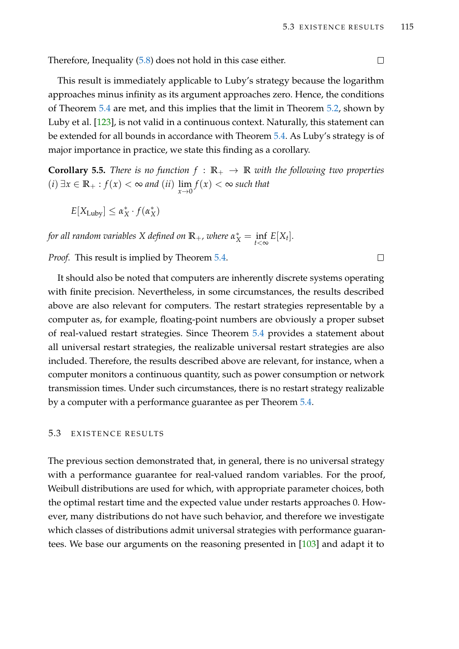Therefore, Inequality [\(5.8\)](#page-128-1) does not hold in this case either.

This result is immediately applicable to Luby's strategy because the logarithm approaches minus infinity as its argument approaches zero. Hence, the conditions of Theorem [5.4](#page-128-2) are met, and this implies that the limit in Theorem [5.2,](#page-123-0) shown by Luby et al. [\[123\]](#page-220-0), is not valid in a continuous context. Naturally, this statement can be extended for all bounds in accordance with Theorem [5.4.](#page-128-2) As Luby's strategy is of major importance in practice, we state this finding as a corollary.

**Corollary 5.5.** *There is no function*  $f : \mathbb{R}_+ \to \mathbb{R}$  *with the following two properties* (*i*) ∃*x* ∈ **R**<sup>+</sup> : *f*(*x*) < ∞ *and* (*ii*) lim *x*→0 *f*(*x*) < ∞ *such that*

 $E[X_{\text{Luby}}] \leq \alpha_X^* \cdot f(\alpha_X^*)$ 

*for all random variables*  $X$  *defined on*  $\mathbb{R}_+$ *, where*  $\alpha^*_X = \inf_{t < \infty} E[X_t]$ *.* 

*Proof.* This result is implied by Theorem [5.4.](#page-128-2)

It should also be noted that computers are inherently discrete systems operating with finite precision. Nevertheless, in some circumstances, the results described above are also relevant for computers. The restart strategies representable by a computer as, for example, floating-point numbers are obviously a proper subset of real-valued restart strategies. Since Theorem [5.4](#page-128-2) provides a statement about all universal restart strategies, the realizable universal restart strategies are also included. Therefore, the results described above are relevant, for instance, when a computer monitors a continuous quantity, such as power consumption or network transmission times. Under such circumstances, there is no restart strategy realizable by a computer with a performance guarantee as per Theorem [5.4.](#page-128-2)

# <span id="page-130-0"></span>5.3 EXISTENCE RESULTS

The previous section demonstrated that, in general, there is no universal strategy with a performance guarantee for real-valued random variables. For the proof, Weibull distributions are used for which, with appropriate parameter choices, both the optimal restart time and the expected value under restarts approaches 0. However, many distributions do not have such behavior, and therefore we investigate which classes of distributions admit universal strategies with performance guarantees. We base our arguments on the reasoning presented in [\[103\]](#page-218-2) and adapt it to

 $\Box$ 

 $\Box$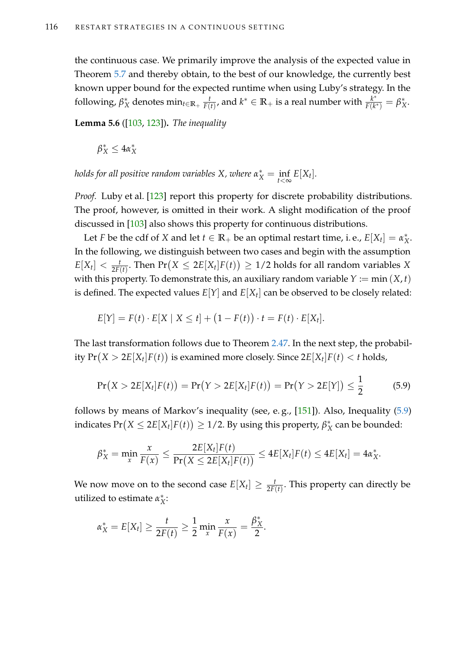the continuous case. We primarily improve the analysis of the expected value in Theorem [5.7](#page-132-0) and thereby obtain, to the best of our knowledge, the currently best known upper bound for the expected runtime when using Luby's strategy. In the following,  $β_2^*$ *X* denotes min*t*∈**R**<sup>+</sup> *t*  $\frac{t}{F(t)}$ , and  $k^* \in \mathbb{R}_+$  is a real number with  $\frac{k^*}{F(k)}$  $\frac{k^*}{F(k^*)}=\beta^*_\lambda$ *X* .

<span id="page-131-1"></span>**Lemma 5.6** ([\[103,](#page-218-2) [123\]](#page-220-0))**.** *The inequality*

 $\beta_X^* \leq 4\alpha_X^*$ *X*

*holds for all positive random variables X, where*  $\alpha_X^* = \inf_{t < \infty} E[X_t].$ 

*Proof.* Luby et al. [\[123\]](#page-220-0) report this property for discrete probability distributions. The proof, however, is omitted in their work. A slight modification of the proof discussed in [\[103\]](#page-218-2) also shows this property for continuous distributions.

Let *F* be the cdf of *X* and let  $t \in \mathbb{R}_+$  be an optimal restart time, i. e.,  $E[X_t] = \alpha_{\lambda}^*$ *X* . In the following, we distinguish between two cases and begin with the assumption  $E[X_t] < \frac{t}{2F(t)}$ . Then  $\Pr(X \leq 2E[X_t]F(t)) \geq 1/2$  holds for all random variables *X* with this property. To demonstrate this, an auxiliary random variable  $Y := min(X, t)$ is defined. The expected values *E*[*Y*] and *E*[*X<sup>t</sup>* ] can be observed to be closely related:

$$
E[Y] = F(t) \cdot E[X \mid X \leq t] + (1 - F(t)) \cdot t = F(t) \cdot E[X_t].
$$

The last transformation follows due to Theorem [2.47.](#page-48-0) In the next step, the probability  $\Pr(X > 2E[X_t]F(t))$  is examined more closely. Since  $2E[X_t]F(t) < t$  holds,

<span id="page-131-0"></span>
$$
Pr(X > 2E[X_t]F(t)) = Pr(Y > 2E[X_t]F(t)) = Pr(Y > 2E[Y]) \le \frac{1}{2}
$$
 (5.9)

follows by means of Markov's inequality (see, e. g., [\[151\]](#page-222-1)). Also, Inequality [\(5.9\)](#page-131-0) indicates  $Pr(X \leq 2E[X_t]F(t)) \geq 1/2$ . By using this property,  $\beta_{\Sigma}^{*}$  $^*_X$  can be bounded:

$$
\beta_X^*=\min_x \frac{x}{F(x)} \leq \frac{2E[X_t]F(t)}{\Pr(X \leq 2E[X_t]F(t))} \leq 4E[X_t]F(t) \leq 4E[X_t] = 4\alpha_X^*.
$$

We now move on to the second case  $E[X_t] \,\geq\, \frac{t}{2F(t)}.$  This property can directly be utilized to estimate *α* ∗ *X* :

$$
\alpha_X^* = E[X_t] \ge \frac{t}{2F(t)} \ge \frac{1}{2} \min_x \frac{x}{F(x)} = \frac{\beta_X^*}{2}.
$$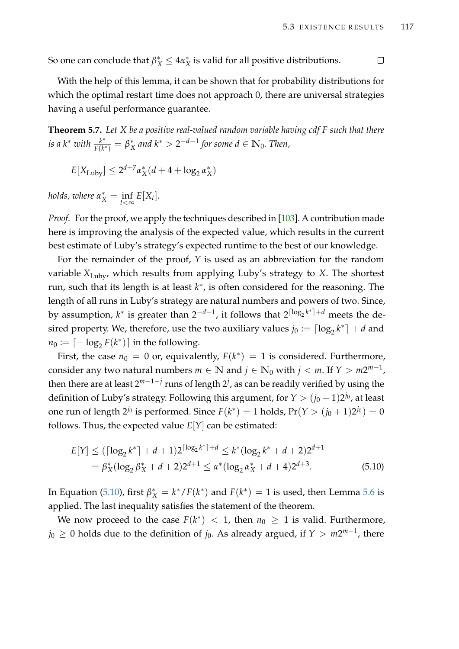So one can conclude that  $\beta_X^* \le 4\alpha_X^*$  $^*_X$  is valid for all positive distributions.  $\Box$ 

With the help of this lemma, it can be shown that for probability distributions for which the optimal restart time does not approach 0, there are universal strategies having a useful performance guarantee.

<span id="page-132-0"></span>**Theorem 5.7.** *Let X be a positive real-valued random variable having cdf F such that there is a*  $k^*$  *with*  $\frac{k^*}{F(k)}$  $\frac{k^*}{F(k^*)}=\beta^*_\lambda$  $X^*$  and  $k^* > 2^{-d-1}$  for some  $d \in \mathbb{N}_0$ . Then,

$$
E[X_{\text{Luby}}] \le 2^{d+7} \alpha_X^*(d+4+\log_2 \alpha_X^*)
$$

*holds, where*  $\alpha_X^* = \inf_{t < \infty} E[X_t].$ 

*Proof.* For the proof, we apply the techniques described in [\[103\]](#page-218-2). A contribution made here is improving the analysis of the expected value, which results in the current best estimate of Luby's strategy's expected runtime to the best of our knowledge.

For the remainder of the proof, *Y* is used as an abbreviation for the random variable *X*Luby, which results from applying Luby's strategy to *X*. The shortest run, such that its length is at least *k* ∗ , is often considered for the reasoning. The length of all runs in Luby's strategy are natural numbers and powers of two. Since, by assumption*, k*\* is greater than 2<sup>-d-1</sup>, it follows that 2<sup>[log<sub>2</sub>k\*]+d</sup> meets the desired property. We, therefore, use the two auxiliary values  $j_0 := \lceil \log_2 k^* \rceil + d$  and  $n_0 := \lceil -\log_2 F(k^*) \rceil$  in the following.

First, the case  $n_0 = 0$  or, equivalently,  $F(k^*) = 1$  is considered. Furthermore, consider any two natural numbers  $m \in \mathbb{N}$  and  $j \in \mathbb{N}_0$  with  $j < m$ . If  $Y > m2^{m-1}$ , then there are at least 2 *m*−1−*j* runs of length 2 *j* , as can be readily verified by using the definition of Luby's strategy. Following this argument, for  $Y > (j_0 + 1)2^{j_0}$ , at least one run of length 2<sup>j<sub>0</sub></sup> is performed. Since  $F(k^*) = 1$  holds,  $Pr(Y > (j_0 + 1)2^{j_0}) = 0$ follows. Thus, the expected value  $E[Y]$  can be estimated:

<span id="page-132-1"></span>
$$
E[Y] \leq (\lceil \log_2 k^* \rceil + d + 1)2^{\lceil \log_2 k^* \rceil + d} \leq k^*(\log_2 k^* + d + 2)2^{d+1}
$$
  
=  $\beta_X^*(\log_2 \beta_X^* + d + 2)2^{d+1} \leq \alpha^*(\log_2 \alpha_X^* + d + 4)2^{d+3}$ . (5.10)

In Equation [\(5.10\)](#page-132-1), first  $\beta_X^* = k^* / F(k^*)$  and  $F(k^*) = 1$  is used, then Lemma [5.6](#page-131-1) is applied. The last inequality satisfies the statement of the theorem.

We now proceed to the case  $F(k^*) < 1$ , then  $n_0 \geq 1$  is valid. Furthermore,  $j_0 \geq 0$  holds due to the definition of  $j_0$ . As already argued, if  $Y > m2^{m-1}$ , there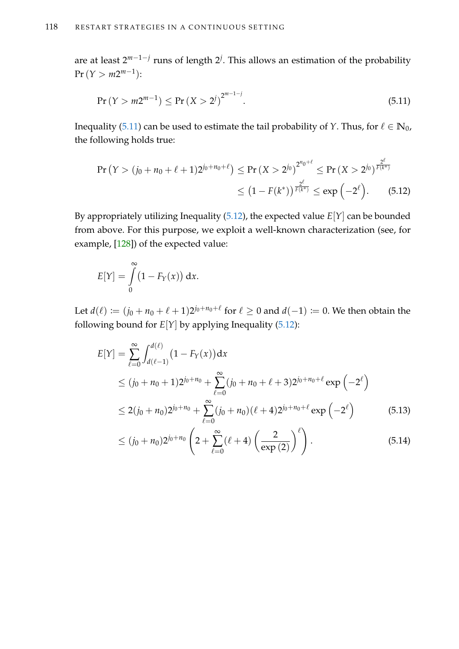are at least 2<sup>m−1−*j*</sup> runs of length 2<sup>*j*</sup>. This allows an estimation of the probability  $Pr(Y > m2^{m-1})$ :

<span id="page-133-0"></span>
$$
Pr(Y > m2^{m-1}) \le Pr(X > 2^{j})^{2^{m-1-j}}.
$$
\n(5.11)

Inequality [\(5.11\)](#page-133-0) can be used to estimate the tail probability of *Y*. Thus, for  $\ell \in \mathbb{N}_0$ , the following holds true:

<span id="page-133-1"></span>
$$
\begin{split} \Pr\left(Y > (j_0 + n_0 + \ell + 1)2^{j_0 + n_0 + \ell}\right) &\leq \Pr\left(X > 2^{j_0}\right)^{2^{n_0 + \ell}} \leq \Pr\left(X > 2^{j_0}\right)^{\frac{2^{\ell}}{F(k^*)}} \\ &\leq \left(1 - F(k^*)\right)^{\frac{2^{\ell}}{F(k^*)}} \leq \exp\left(-2^{\ell}\right). \end{split} \tag{5.12}
$$

By appropriately utilizing Inequality  $(5.12)$ , the expected value  $E[Y]$  can be bounded from above. For this purpose, we exploit a well-known characterization (see, for example, [\[128\]](#page-220-1)) of the expected value:

$$
E[Y] = \int_{0}^{\infty} (1 - F_Y(x)) dx.
$$

Let  $d(\ell) \coloneqq (j_0 + n_0 + \ell + 1)2^{j_0 + n_0 + \ell}$  for  $\ell \geq 0$  and  $d(-1) \coloneqq 0$ . We then obtain the following bound for  $E[Y]$  by applying Inequality [\(5.12\)](#page-133-1):

$$
E[Y] = \sum_{\ell=0}^{\infty} \int_{d(\ell-1)}^{d(\ell)} (1 - F_Y(x)) dx
$$
  
\n
$$
\leq (j_0 + n_0 + 1) 2^{j_0 + n_0} + \sum_{\ell=0}^{\infty} (j_0 + n_0 + \ell + 3) 2^{j_0 + n_0 + \ell} \exp(-2^{\ell})
$$
  
\n
$$
\leq 2(j_0 + n_0) 2^{j_0 + n_0} + \sum_{\ell=0}^{\infty} (j_0 + n_0) (\ell + 4) 2^{j_0 + n_0 + \ell} \exp(-2^{\ell})
$$
(5.13)

<span id="page-133-3"></span><span id="page-133-2"></span>
$$
\leq (j_0 + n_0) 2^{j_0 + n_0} \left( 2 + \sum_{\ell=0}^{\infty} (\ell+4) \left( \frac{2}{\exp(2)} \right)^{\ell} \right).
$$
 (5.14)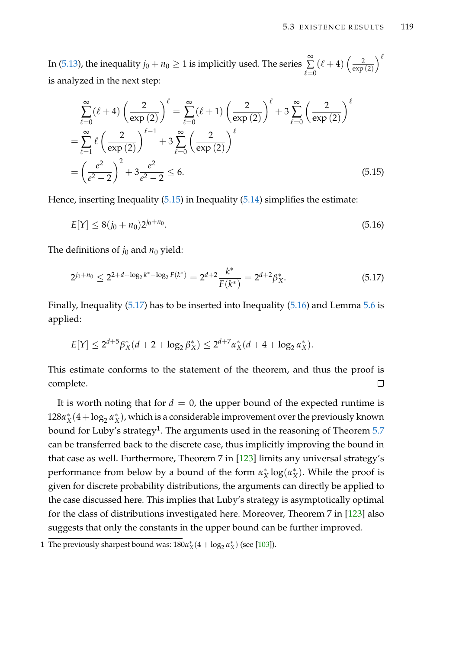In [\(5.13\)](#page-133-2), the inequality  $j_0 + n_0 \ge 1$  is implicitly used. The series  $\sum_{n=1}^{\infty}$ ∑  $\ell = 0$  $(\ell + 4) \left( \frac{2}{\exp{\}}right)$ exp (2)  $\setminus^{\ell}$ is analyzed in the next step:

$$
\sum_{\ell=0}^{\infty} (\ell+4) \left( \frac{2}{\exp(2)} \right)^{\ell} = \sum_{\ell=0}^{\infty} (\ell+1) \left( \frac{2}{\exp(2)} \right)^{\ell} + 3 \sum_{\ell=0}^{\infty} \left( \frac{2}{\exp(2)} \right)^{\ell}
$$

$$
= \sum_{\ell=1}^{\infty} \ell \left( \frac{2}{\exp(2)} \right)^{\ell-1} + 3 \sum_{\ell=0}^{\infty} \left( \frac{2}{\exp(2)} \right)^{\ell}
$$

$$
= \left( \frac{e^2}{e^2 - 2} \right)^2 + 3 \frac{e^2}{e^2 - 2} \le 6.
$$
(5.15)

Hence, inserting Inequality [\(5.15\)](#page-134-0) in Inequality [\(5.14\)](#page-133-3) simplifies the estimate:

<span id="page-134-2"></span><span id="page-134-0"></span>
$$
E[Y] \le 8(j_0 + n_0)2^{j_0 + n_0}.\tag{5.16}
$$

The definitions of  $j_0$  and  $n_0$  yield:

<span id="page-134-1"></span>
$$
2^{j_0+n_0} \le 2^{2+d+\log_2 k^* - \log_2 F(k^*)} = 2^{d+2} \frac{k^*}{F(k^*)} = 2^{d+2} \beta_X^*.
$$
 (5.17)

Finally, Inequality [\(5.17\)](#page-134-1) has to be inserted into Inequality [\(5.16\)](#page-134-2) and Lemma [5.6](#page-131-1) is applied:

$$
E[Y] \le 2^{d+5} \beta_X^*(d+2+\log_2 \beta_X^*) \le 2^{d+7} \alpha_X^*(d+4+\log_2 \alpha_X^*).
$$

This estimate conforms to the statement of the theorem, and thus the proof is  $\Box$ complete.

It is worth noting that for  $d = 0$ , the upper bound of the expected runtime is 128*α* ∗  $<sup>*</sup><sub>X</sub>(4 + log<sub>2</sub> α<sup>*</sup><sub>X</sub>$ </sup>  $^*_X$ ), which is a considerable improvement over the previously known bound for Luby's strategy $^1$ . The arguments used in the reasoning of Theorem [5.7](#page-132-0)  $\,$ can be transferred back to the discrete case, thus implicitly improving the bound in that case as well. Furthermore, Theorem 7 in [\[123\]](#page-220-0) limits any universal strategy's performance from below by a bound of the form *α* ∗ *X* log(*α* ∗ *X* ). While the proof is given for discrete probability distributions, the arguments can directly be applied to the case discussed here. This implies that Luby's strategy is asymptotically optimal for the class of distributions investigated here. Moreover, Theorem 7 in [\[123\]](#page-220-0) also suggests that only the constants in the upper bound can be further improved.

<sup>1</sup> The previously sharpest bound was:  $180\alpha_X^*(4 + \log_2 \alpha_X^*)$  (see [\[103\]](#page-218-2)).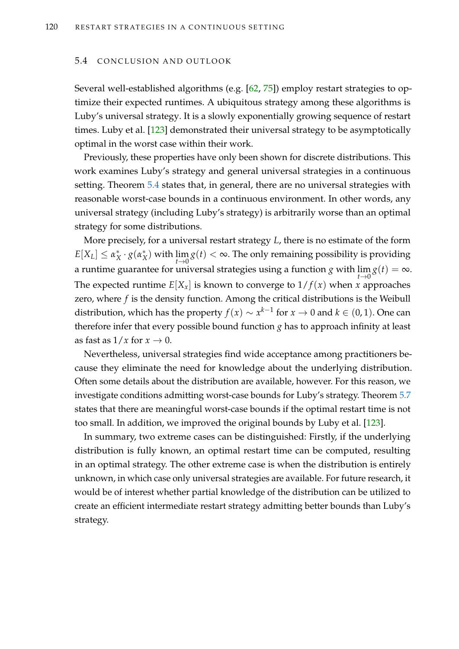#### 5.4 CONCLUSION AND OUTLOOK

Several well-established algorithms (e.g. [\[62,](#page-215-2) [75\]](#page-216-1)) employ restart strategies to optimize their expected runtimes. A ubiquitous strategy among these algorithms is Luby's universal strategy. It is a slowly exponentially growing sequence of restart times. Luby et al. [\[123\]](#page-220-0) demonstrated their universal strategy to be asymptotically optimal in the worst case within their work.

Previously, these properties have only been shown for discrete distributions. This work examines Luby's strategy and general universal strategies in a continuous setting. Theorem [5.4](#page-128-2) states that, in general, there are no universal strategies with reasonable worst-case bounds in a continuous environment. In other words, any universal strategy (including Luby's strategy) is arbitrarily worse than an optimal strategy for some distributions.

More precisely, for a universal restart strategy *L*, there is no estimate of the form  $E[X_L] \leq \alpha_X^*$ *X* · *g*(*α* ∗  $\binom{*}{X}$  with  $\lim\limits_{t\to 0} g(t) < \infty$ . The only remaining possibility is providing a runtime guarantee for universal strategies using a function  $g$  with  $\lim_{\alpha} g(t) = \infty$ . *t*→0 The expected runtime  $E[X_x]$  is known to converge to  $1/f(x)$  when *x* approaches zero, where *f* is the density function. Among the critical distributions is the Weibull distribution, which has the property  $f(x) \sim x^{k-1}$  for  $x \to 0$  and  $k \in (0,1).$  One can therefore infer that every possible bound function *g* has to approach infinity at least as fast as  $1/x$  for  $x \to 0$ .

Nevertheless, universal strategies find wide acceptance among practitioners because they eliminate the need for knowledge about the underlying distribution. Often some details about the distribution are available, however. For this reason, we investigate conditions admitting worst-case bounds for Luby's strategy. Theorem [5.7](#page-132-0) states that there are meaningful worst-case bounds if the optimal restart time is not too small. In addition, we improved the original bounds by Luby et al. [\[123\]](#page-220-0).

In summary, two extreme cases can be distinguished: Firstly, if the underlying distribution is fully known, an optimal restart time can be computed, resulting in an optimal strategy. The other extreme case is when the distribution is entirely unknown, in which case only universal strategies are available. For future research, it would be of interest whether partial knowledge of the distribution can be utilized to create an efficient intermediate restart strategy admitting better bounds than Luby's strategy.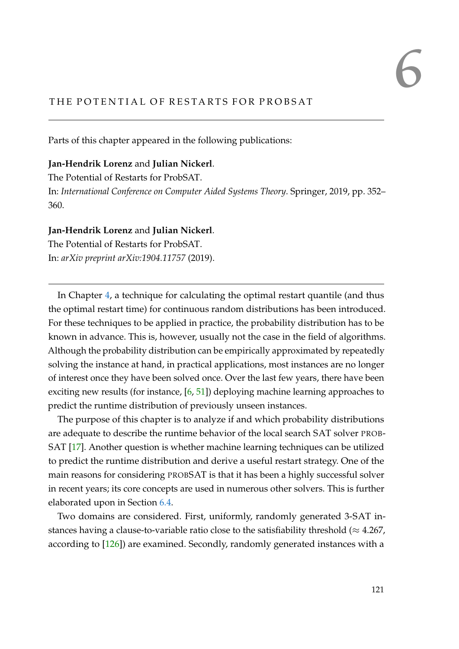# THE POTENTIAL OF RESTARTS FOR PROBSAT

Parts of this chapter appeared in the following publications:

# **Jan-Hendrik Lorenz** and **Julian Nickerl**.

The Potential of Restarts for ProbSAT. In: *International Conference on Computer Aided Systems Theory*. Springer, 2019, pp. 352– 360.

# **Jan-Hendrik Lorenz** and **Julian Nickerl**.

The Potential of Restarts for ProbSAT. In: *arXiv preprint arXiv:1904.11757* (2019).

In Chapter [4,](#page-84-0) a technique for calculating the optimal restart quantile (and thus the optimal restart time) for continuous random distributions has been introduced. For these techniques to be applied in practice, the probability distribution has to be known in advance. This is, however, usually not the case in the field of algorithms. Although the probability distribution can be empirically approximated by repeatedly solving the instance at hand, in practical applications, most instances are no longer of interest once they have been solved once. Over the last few years, there have been exciting new results (for instance, [\[6,](#page-210-0) [51\]](#page-214-1)) deploying machine learning approaches to predict the runtime distribution of previously unseen instances.

The purpose of this chapter is to analyze if and which probability distributions are adequate to describe the runtime behavior of the local search SAT solver PROB-SAT [\[17\]](#page-211-2). Another question is whether machine learning techniques can be utilized to predict the runtime distribution and derive a useful restart strategy. One of the main reasons for considering PROBSAT is that it has been a highly successful solver in recent years; its core concepts are used in numerous other solvers. This is further elaborated upon in Section [6.4.](#page-145-0)

Two domains are considered. First, uniformly, randomly generated 3-SAT instances having a clause-to-variable ratio close to the satisfiability threshold ( $\approx 4.267$ , according to [\[126\]](#page-220-2)) are examined. Secondly, randomly generated instances with a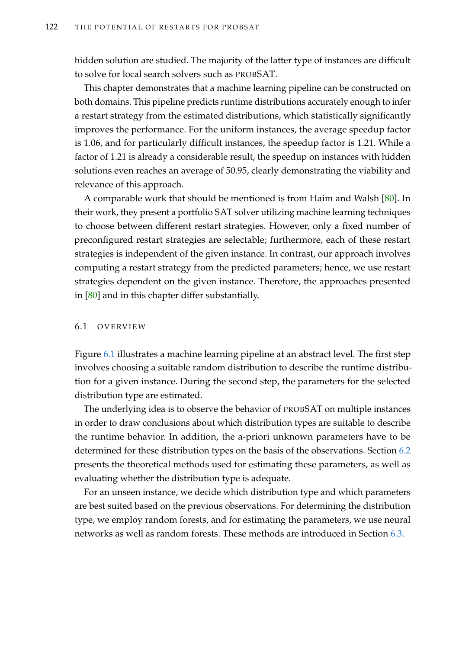hidden solution are studied. The majority of the latter type of instances are difficult to solve for local search solvers such as PROBSAT.

This chapter demonstrates that a machine learning pipeline can be constructed on both domains. This pipeline predicts runtime distributions accurately enough to infer a restart strategy from the estimated distributions, which statistically significantly improves the performance. For the uniform instances, the average speedup factor is 1.06, and for particularly difficult instances, the speedup factor is 1.21. While a factor of 1.21 is already a considerable result, the speedup on instances with hidden solutions even reaches an average of 50.95, clearly demonstrating the viability and relevance of this approach.

A comparable work that should be mentioned is from Haim and Walsh [\[80\]](#page-216-2). In their work, they present a portfolio SAT solver utilizing machine learning techniques to choose between different restart strategies. However, only a fixed number of preconfigured restart strategies are selectable; furthermore, each of these restart strategies is independent of the given instance. In contrast, our approach involves computing a restart strategy from the predicted parameters; hence, we use restart strategies dependent on the given instance. Therefore, the approaches presented in [\[80\]](#page-216-2) and in this chapter differ substantially.

## 6.1 O V E RV I EW

Figure [6.1](#page-138-0) illustrates a machine learning pipeline at an abstract level. The first step involves choosing a suitable random distribution to describe the runtime distribution for a given instance. During the second step, the parameters for the selected distribution type are estimated.

The underlying idea is to observe the behavior of PROBSAT on multiple instances in order to draw conclusions about which distribution types are suitable to describe the runtime behavior. In addition, the a-priori unknown parameters have to be determined for these distribution types on the basis of the observations. Section [6.2](#page-139-0) presents the theoretical methods used for estimating these parameters, as well as evaluating whether the distribution type is adequate.

For an unseen instance, we decide which distribution type and which parameters are best suited based on the previous observations. For determining the distribution type, we employ random forests, and for estimating the parameters, we use neural networks as well as random forests. These methods are introduced in Section [6.3.](#page-141-0)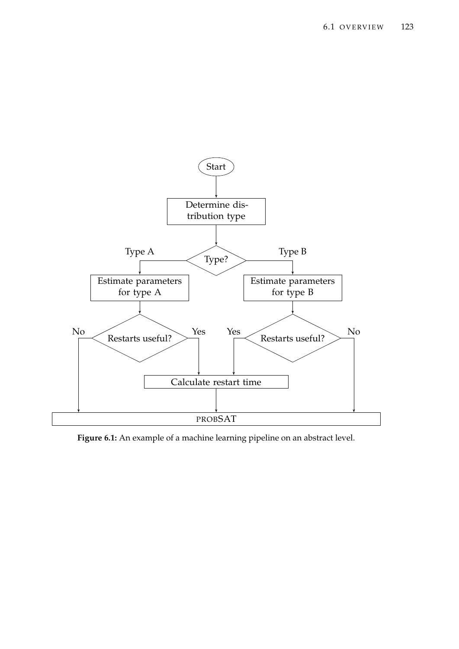<span id="page-138-0"></span>

**Figure 6.1:** An example of a machine learning pipeline on an abstract level.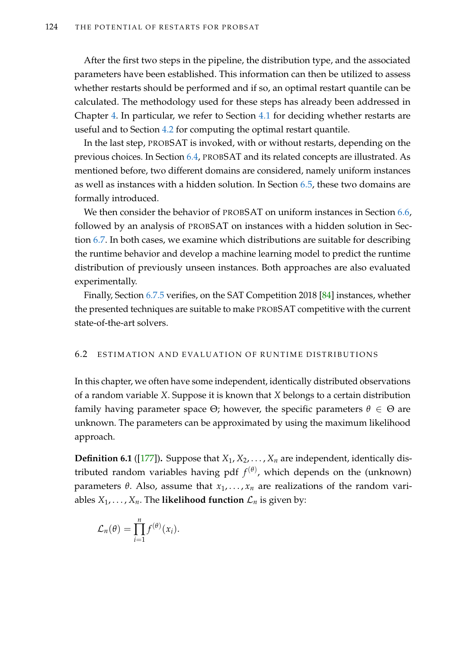After the first two steps in the pipeline, the distribution type, and the associated parameters have been established. This information can then be utilized to assess whether restarts should be performed and if so, an optimal restart quantile can be calculated. The methodology used for these steps has already been addressed in Chapter [4.](#page-84-0) In particular, we refer to Section [4.1](#page-86-0) for deciding whether restarts are useful and to Section [4.2](#page-95-0) for computing the optimal restart quantile.

In the last step, PROBSAT is invoked, with or without restarts, depending on the previous choices. In Section [6.4,](#page-145-0) PROBSAT and its related concepts are illustrated. As mentioned before, two different domains are considered, namely uniform instances as well as instances with a hidden solution. In Section [6.5,](#page-147-0) these two domains are formally introduced.

We then consider the behavior of PROBSAT on uniform instances in Section [6.6,](#page-148-0) followed by an analysis of PROBSAT on instances with a hidden solution in Section [6.7.](#page-169-0) In both cases, we examine which distributions are suitable for describing the runtime behavior and develop a machine learning model to predict the runtime distribution of previously unseen instances. Both approaches are also evaluated experimentally.

Finally, Section [6.7.5](#page-178-0) verifies, on the SAT Competition 2018 [\[84\]](#page-217-3) instances, whether the presented techniques are suitable to make PROBSAT competitive with the current state-of-the-art solvers.

## <span id="page-139-0"></span>6.2 ESTIMATION AND EVALUATION OF RUNTIME DISTRIBUTIONS

In this chapter, we often have some independent, identically distributed observations of a random variable *X*. Suppose it is known that *X* belongs to a certain distribution family having parameter space  $\Theta$ ; however, the specific parameters  $\theta \in \Theta$  are unknown. The parameters can be approximated by using the maximum likelihood approach.

**Definition 6.1** ([\[177\]](#page-224-1)). Suppose that  $X_1, X_2, \ldots, X_n$  are independent, identically distributed random variables having pdf *f* (*θ*) , which depends on the (unknown) parameters *θ*. Also, assume that  $x_1, \ldots, x_n$  are realizations of the random variables  $X_1, \ldots, X_n$ . The **likelihood function**  $\mathcal{L}_n$  is given by:

$$
\mathcal{L}_n(\theta) = \prod_{i=1}^n f^{(\theta)}(x_i).
$$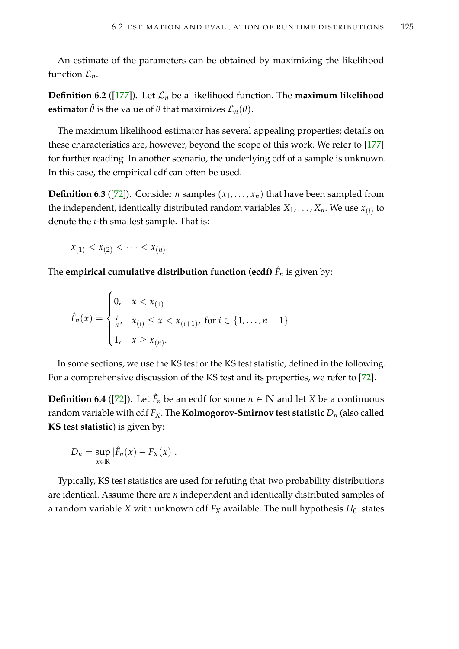An estimate of the parameters can be obtained by maximizing the likelihood function  $\mathcal{L}_n$ .

**Definition 6.2** ([\[177\]](#page-224-1)). Let  $\mathcal{L}_n$  be a likelihood function. The **maximum likelihood estimator**  $\hat{\theta}$  is the value of  $\theta$  that maximizes  $\mathcal{L}_n(\theta)$ .

The maximum likelihood estimator has several appealing properties; details on these characteristics are, however, beyond the scope of this work. We refer to [\[177\]](#page-224-1) for further reading. In another scenario, the underlying cdf of a sample is unknown. In this case, the empirical cdf can often be used.

**Definition 6.3** ([\[72\]](#page-216-3)). Consider *n* samples  $(x_1, \ldots, x_n)$  that have been sampled from the independent, identically distributed random variables  $X_1,\ldots,X_n.$  We use  $x_{(i)}$  to denote the *i*-th smallest sample. That is:

$$
x_{(1)} < x_{(2)} < \cdots < x_{(n)}.
$$

The **empirical cumulative distribution function (ecdf)** *F*ˆ *n* is given by:

$$
\hat{F}_n(x) = \begin{cases} 0, & x < x_{(1)} \\ \frac{i}{n}, & x_{(i)} \leq x < x_{(i+1)}, \text{ for } i \in \{1, \dots, n-1\} \\ 1, & x \geq x_{(n)}. \end{cases}
$$

In some sections, we use the KS test or the KS test statistic, defined in the following. For a comprehensive discussion of the KS test and its properties, we refer to [\[72\]](#page-216-3).

**Definition 6.4** ([\[72\]](#page-216-3)). Let  $\hat{F}_n$  be an ecdf for some  $n \in \mathbb{N}$  and let *X* be a continuous random variable with cdf  $F_X$ . The **Kolmogorov-Smirnov test statistic**  $D_n$  (also called **KS test statistic**) is given by:

$$
D_n = \sup_{x \in \mathbb{R}} |\hat{F}_n(x) - F_X(x)|.
$$

Typically, KS test statistics are used for refuting that two probability distributions are identical. Assume there are *n* independent and identically distributed samples of a random variable *X* with unknown cdf  $F_X$  available. The null hypothesis  $H_0$  states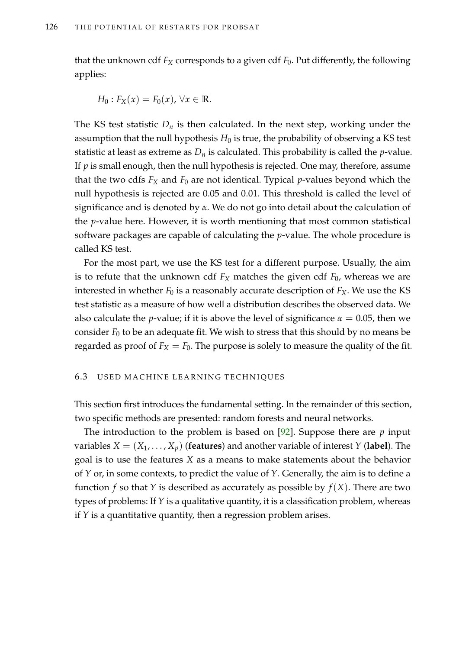that the unknown cdf *F<sup>X</sup>* corresponds to a given cdf *F*0. Put differently, the following applies:

$$
H_0: F_X(x) = F_0(x), \forall x \in \mathbb{R}.
$$

The KS test statistic  $D_n$  is then calculated. In the next step, working under the assumption that the null hypothesis  $H_0$  is true, the probability of observing a KS test statistic at least as extreme as  $D_n$  is calculated. This probability is called the *p*-value. If *p* is small enough, then the null hypothesis is rejected. One may, therefore, assume that the two cdfs  $F_X$  and  $F_0$  are not identical. Typical *p*-values beyond which the null hypothesis is rejected are 0.05 and 0.01. This threshold is called the level of significance and is denoted by *α*. We do not go into detail about the calculation of the *p*-value here. However, it is worth mentioning that most common statistical software packages are capable of calculating the *p*-value. The whole procedure is called KS test.

For the most part, we use the KS test for a different purpose. Usually, the aim is to refute that the unknown cdf  $F_X$  matches the given cdf  $F_0$ , whereas we are interested in whether  $F_0$  is a reasonably accurate description of  $F_X$ . We use the KS test statistic as a measure of how well a distribution describes the observed data. We also calculate the *p*-value; if it is above the level of significance  $\alpha = 0.05$ , then we consider  $F_0$  to be an adequate fit. We wish to stress that this should by no means be regarded as proof of  $F_X = F_0$ . The purpose is solely to measure the quality of the fit.

# <span id="page-141-0"></span>6.3 USED MACHINE LEARNING TECHNIQUES

This section first introduces the fundamental setting. In the remainder of this section, two specific methods are presented: random forests and neural networks.

The introduction to the problem is based on [\[92\]](#page-217-4). Suppose there are *p* input variables  $X = (X_1, \ldots, X_p)$  (**features**) and another variable of interest *Y* (**label**). The goal is to use the features *X* as a means to make statements about the behavior of *Y* or, in some contexts, to predict the value of *Y*. Generally, the aim is to define a function *f* so that *Y* is described as accurately as possible by  $f(X)$ . There are two types of problems: If *Y* is a qualitative quantity, it is a classification problem, whereas if *Y* is a quantitative quantity, then a regression problem arises.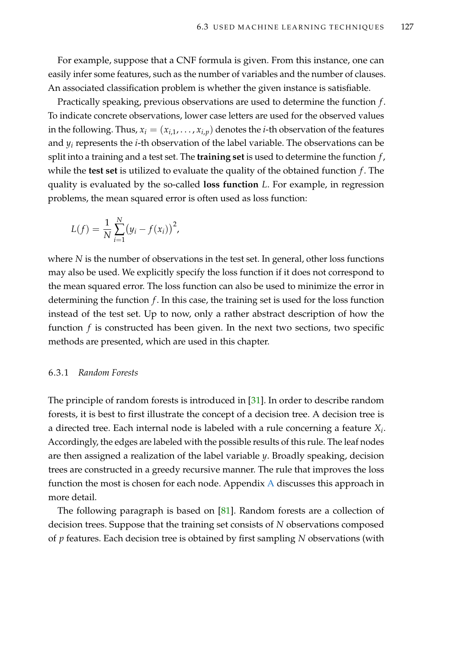For example, suppose that a CNF formula is given. From this instance, one can easily infer some features, such as the number of variables and the number of clauses. An associated classification problem is whether the given instance is satisfiable.

Practically speaking, previous observations are used to determine the function *f* . To indicate concrete observations, lower case letters are used for the observed values in the following. Thus,  $x_i = (x_{i,1}, \ldots, x_{i,p})$  denotes the *i*-th observation of the features and *y<sup>i</sup>* represents the *i*-th observation of the label variable. The observations can be split into a training and a test set. The **training set** is used to determine the function *f* , while the **test set** is utilized to evaluate the quality of the obtained function *f* . The quality is evaluated by the so-called **loss function** *L*. For example, in regression problems, the mean squared error is often used as loss function:

$$
L(f) = \frac{1}{N} \sum_{i=1}^{N} (y_i - f(x_i))^2,
$$

where *N* is the number of observations in the test set. In general, other loss functions may also be used. We explicitly specify the loss function if it does not correspond to the mean squared error. The loss function can also be used to minimize the error in determining the function *f* . In this case, the training set is used for the loss function instead of the test set. Up to now, only a rather abstract description of how the function *f* is constructed has been given. In the next two sections, two specific methods are presented, which are used in this chapter.

# 6.3.1 *Random Forests*

The principle of random forests is introduced in [\[31\]](#page-212-0). In order to describe random forests, it is best to first illustrate the concept of a decision tree. A decision tree is a directed tree. Each internal node is labeled with a rule concerning a feature *X<sup>i</sup>* . Accordingly, the edges are labeled with the possible results of this rule. The leaf nodes are then assigned a realization of the label variable *y*. Broadly speaking, decision trees are constructed in a greedy recursive manner. The rule that improves the loss function the most is chosen for each node. Appendix [A](#page-232-0) discusses this approach in more detail.

The following paragraph is based on [\[81\]](#page-216-4). Random forests are a collection of decision trees. Suppose that the training set consists of *N* observations composed of *p* features. Each decision tree is obtained by first sampling *N* observations (with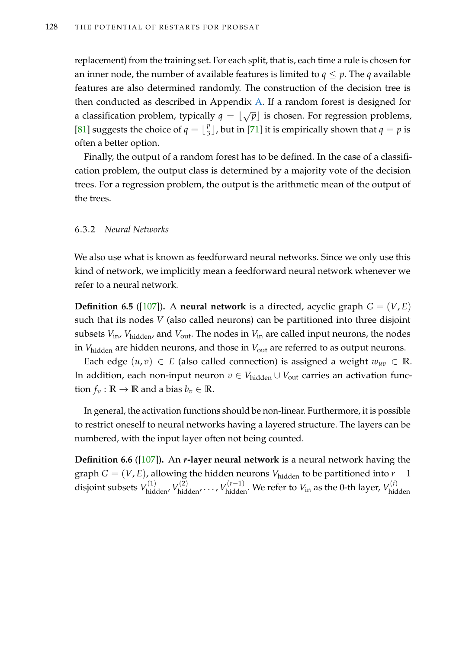replacement) from the training set. For each split, that is, each time a rule is chosen for an inner node, the number of available features is limited to  $q \leq p$ . The *q* available features are also determined randomly. The construction of the decision tree is then conducted as described in Appendix [A.](#page-232-0) If a random forest is designed for a classification problem, typically  $q = \lfloor \sqrt{p} \rfloor$  is chosen. For regression problems, [\[81\]](#page-216-4) suggests the choice of  $q = \lfloor \frac{p}{3} \rfloor$  $\frac{p}{3}$ ], but in [\[71\]](#page-216-5) it is empirically shown that  $q = p$  is often a better option.

Finally, the output of a random forest has to be defined. In the case of a classification problem, the output class is determined by a majority vote of the decision trees. For a regression problem, the output is the arithmetic mean of the output of the trees.

## 6.3.2 *Neural Networks*

We also use what is known as feedforward neural networks. Since we only use this kind of network, we implicitly mean a feedforward neural network whenever we refer to a neural network.

**Definition 6.5** ([\[107\]](#page-219-1)). A **neural network** is a directed, acyclic graph  $G = (V, E)$ such that its nodes *V* (also called neurons) can be partitioned into three disjoint subsets  $V_{\text{in}}$ ,  $V_{\text{hidden}}$ , and  $V_{\text{out}}$ . The nodes in  $V_{\text{in}}$  are called input neurons, the nodes in *V*<sub>hidden</sub> are hidden neurons, and those in *V*<sub>out</sub> are referred to as output neurons.

Each edge  $(u, v) \in E$  (also called connection) is assigned a weight  $w_{uv} \in \mathbb{R}$ . In addition, each non-input neuron  $v \in V_{\text{hidden}} \cup V_{\text{out}}$  carries an activation func- $\text{tion } f_v : \mathbb{R} \to \mathbb{R} \text{ and a bias } b_v \in \mathbb{R}.$ 

In general, the activation functions should be non-linear. Furthermore, it is possible to restrict oneself to neural networks having a layered structure. The layers can be numbered, with the input layer often not being counted.

**Definition 6.6** ([\[107\]](#page-219-1))**.** An *r***-layer neural network** is a neural network having the graph  $G = (V, E)$ , allowing the hidden neurons  $V_{hidden}$  to be partitioned into  $r - 1$ disjoint subsets  $V^{(1)}_{\rm hidden}$ ,  $V^{(2)}_{\rm hidden}$ ,  $\ldots$ ,  $V^{(r-1)}_{\rm hidden}$ . We refer to  $V_{\rm in}$  as the 0-th layer,  $V^{(i)}_{\rm hid}$ hidden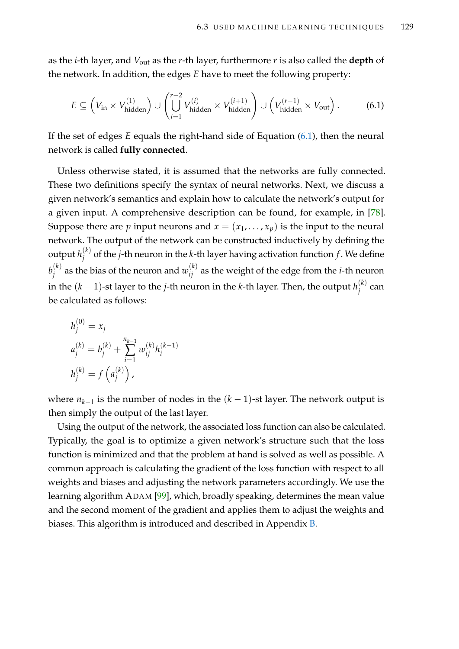as the *i*-th layer, and *V*out as the *r*-th layer, furthermore *r* is also called the **depth** of the network. In addition, the edges *E* have to meet the following property:

<span id="page-144-0"></span>
$$
E \subseteq \left(V_{\text{in}} \times V_{\text{hidden}}^{(1)}\right) \cup \left(\bigcup_{i=1}^{r-2} V_{\text{hidden}}^{(i)} \times V_{\text{hidden}}^{(i+1)}\right) \cup \left(V_{\text{hidden}}^{(r-1)} \times V_{\text{out}}\right). \tag{6.1}
$$

If the set of edges *E* equals the right-hand side of Equation [\(6.1\)](#page-144-0), then the neural network is called **fully connected**.

Unless otherwise stated, it is assumed that the networks are fully connected. These two definitions specify the syntax of neural networks. Next, we discuss a given network's semantics and explain how to calculate the network's output for a given input. A comprehensive description can be found, for example, in [\[78\]](#page-216-0). Suppose there are *p* input neurons and  $x = (x_1, \ldots, x_p)$  is the input to the neural network. The output of the network can be constructed inductively by defining the output  $h_i^{(k)}$ *j* of the *j*-th neuron in the *k*-th layer having activation function *f* . We define  $b_i^{(k)}$  $j^{(k)}_j$  as the bias of the neuron and  $w_{ij}^{(k)}$  as the weight of the edge from the *i*-th neuron in the  $(k-1)$ -st layer to the *j*-th neuron in the *k*-th layer. Then, the output  $h^{(k)}_i$  $j^{(n)}$  can be calculated as follows:

$$
h_j^{(0)} = x_j
$$
  
\n
$$
a_j^{(k)} = b_j^{(k)} + \sum_{i=1}^{n_{k-1}} w_{ij}^{(k)} h_i^{(k-1)}
$$
  
\n
$$
h_j^{(k)} = f\left(a_j^{(k)}\right),
$$

where *nk*−<sup>1</sup> is the number of nodes in the (*k* − 1)-st layer. The network output is then simply the output of the last layer.

Using the output of the network, the associated loss function can also be calculated. Typically, the goal is to optimize a given network's structure such that the loss function is minimized and that the problem at hand is solved as well as possible. A common approach is calculating the gradient of the loss function with respect to all weights and biases and adjusting the network parameters accordingly. We use the learning algorithm ADAM [\[99\]](#page-218-0), which, broadly speaking, determines the mean value and the second moment of the gradient and applies them to adjust the weights and biases. This algorithm is introduced and described in Appendix [B.](#page-234-0)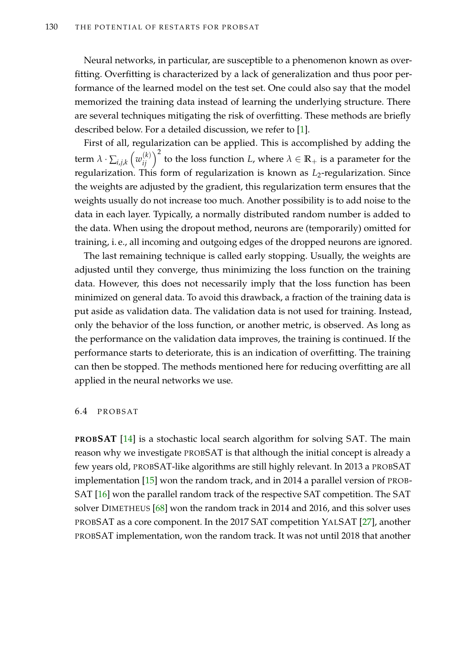Neural networks, in particular, are susceptible to a phenomenon known as overfitting. Overfitting is characterized by a lack of generalization and thus poor performance of the learned model on the test set. One could also say that the model memorized the training data instead of learning the underlying structure. There are several techniques mitigating the risk of overfitting. These methods are briefly described below. For a detailed discussion, we refer to [\[1\]](#page-210-0).

First of all, regularization can be applied. This is accomplished by adding the term  $\lambda \cdot \sum_{i,j,k} \left( w_{ij}^{(k)} \right)^2$  to the loss function *L,* where  $\lambda \in \mathbb{R}_+$  is a parameter for the regularization. This form of regularization is known as *L*<sub>2</sub>-regularization. Since the weights are adjusted by the gradient, this regularization term ensures that the weights usually do not increase too much. Another possibility is to add noise to the data in each layer. Typically, a normally distributed random number is added to the data. When using the dropout method, neurons are (temporarily) omitted for training, i. e., all incoming and outgoing edges of the dropped neurons are ignored.

The last remaining technique is called early stopping. Usually, the weights are adjusted until they converge, thus minimizing the loss function on the training data. However, this does not necessarily imply that the loss function has been minimized on general data. To avoid this drawback, a fraction of the training data is put aside as validation data. The validation data is not used for training. Instead, only the behavior of the loss function, or another metric, is observed. As long as the performance on the validation data improves, the training is continued. If the performance starts to deteriorate, this is an indication of overfitting. The training can then be stopped. The methods mentioned here for reducing overfitting are all applied in the neural networks we use.

## 6.4 PROBSAT

**PROBSAT** [\[14\]](#page-211-0) is a stochastic local search algorithm for solving SAT. The main reason why we investigate PROBSAT is that although the initial concept is already a few years old, PROBSAT-like algorithms are still highly relevant. In 2013 a PROBSAT implementation [\[15\]](#page-211-1) won the random track, and in 2014 a parallel version of PROB-SAT [\[16\]](#page-211-2) won the parallel random track of the respective SAT competition. The SAT solver DIMETHEUS [\[68\]](#page-215-0) won the random track in 2014 and 2016, and this solver uses PROBSAT as a core component. In the 2017 SAT competition YALSAT [\[27\]](#page-212-0), another PROBSAT implementation, won the random track. It was not until 2018 that another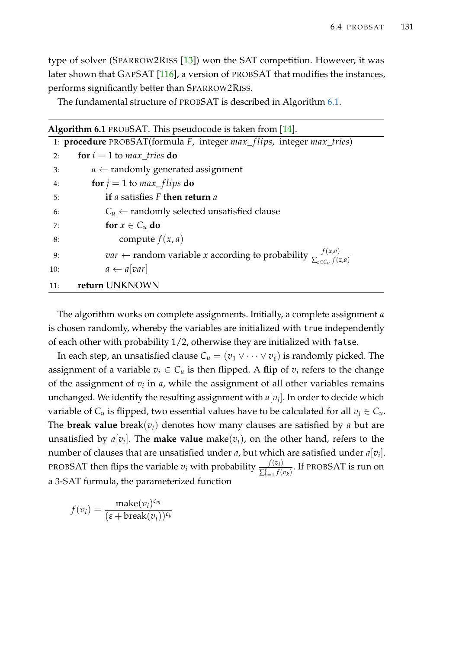type of solver (SPARROW2RISS [\[13\]](#page-211-3)) won the SAT competition. However, it was later shown that GAPSAT [\[116\]](#page-219-0), a version of PROBSAT that modifies the instances, performs significantly better than SPARROW2RISS.

The fundamental structure of PROBSAT is described in Algorithm [6.1.](#page-146-0)

<span id="page-146-0"></span>

|     | <b>Algorithm 6.1</b> PROBSAT. This pseudocode is taken from $[14]$ .                                                  |
|-----|-----------------------------------------------------------------------------------------------------------------------|
|     | 1: <b>procedure</b> PROBSAT(formula F, integer max_flips, integer max_tries)                                          |
| 2:  | for $i = 1$ to max tries do                                                                                           |
| 3:  | $a \leftarrow$ randomly generated assignment                                                                          |
| 4:  | for $j = 1$ to $max_{-f}$ lips do                                                                                     |
| 5:  | <b>if</b> a satisfies F then return a                                                                                 |
| 6:  | $C_u \leftarrow$ randomly selected unsatisfied clause                                                                 |
| 7:  | for $x \in C_u$ do                                                                                                    |
| 8:  | compute $f(x, a)$                                                                                                     |
| 9:  | <i>var</i> $\leftarrow$ random variable <i>x</i> according to probability $\frac{f(x,a)}{\sum_{a \in C \cup f(z,a)}}$ |
| 10: | $a \leftarrow a[var]$                                                                                                 |
| 11: | return UNKNOWN                                                                                                        |

The algorithm works on complete assignments. Initially, a complete assignment *a* is chosen randomly, whereby the variables are initialized with true independently of each other with probability 1/2, otherwise they are initialized with false.

In each step, an unsatisfied clause  $C_u = (v_1 \vee \cdots \vee v_\ell)$  is randomly picked. The assignment of a variable  $v_i \in C_u$  is then flipped. A flip of  $v_i$  refers to the change of the assignment of *v<sup>i</sup>* in *a*, while the assignment of all other variables remains unchanged. We identify the resulting assignment with  $a[v_i]$ . In order to decide which variable of  $C_u$  is flipped, two essential values have to be calculated for all  $v_i \in C_u$ . The **break value** break( $v_i$ ) denotes how many clauses are satisfied by *a* but are unsatisfied by  $a[v_i]$ . The **make value** make( $v_i$ ), on the other hand, refers to the number of clauses that are unsatisfied under *a,* but which are satisfied under  $a[v_i].$ PROBSAT then flips the variable  $v_i$  with probability  $\frac{f(v_i)}{\nabla^{\ell}}$  $\frac{f(v_i)}{\sum_{k=1}^{\ell} f(v_k)}$ . If PROBSAT is run on a 3-SAT formula, the parameterized function

$$
f(v_i) = \frac{\text{make}(v_i)^{c_m}}{(\varepsilon + \text{break}(v_i))^{c_b}}
$$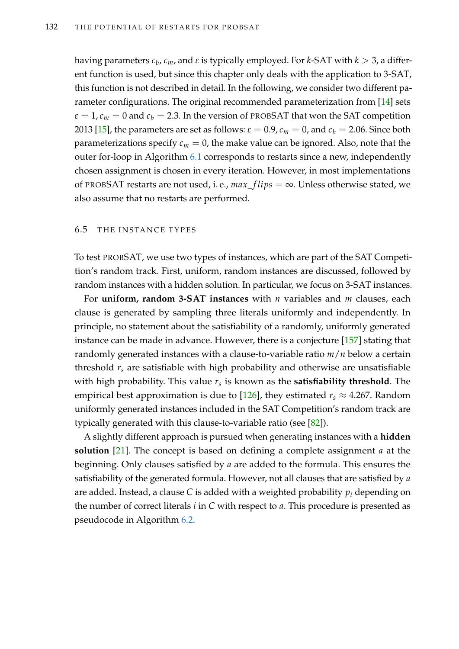having parameters *c<sup>b</sup>* , *cm*, and *ε* is typically employed. For *k*-SAT with *k* > 3, a different function is used, but since this chapter only deals with the application to 3-SAT, this function is not described in detail. In the following, we consider two different parameter configurations. The original recommended parameterization from [\[14\]](#page-211-0) sets  $\varepsilon = 1$ ,  $c_m = 0$  and  $c_b = 2.3$ . In the version of PROBSAT that won the SAT competition 2013 [\[15\]](#page-211-1), the parameters are set as follows:  $\varepsilon = 0.9$ ,  $c_m = 0$ , and  $c_b = 2.06$ . Since both parameterizations specify  $c_m = 0$ , the make value can be ignored. Also, note that the outer for-loop in Algorithm [6.1](#page-146-0) corresponds to restarts since a new, independently chosen assignment is chosen in every iteration. However, in most implementations of PROBSAT restarts are not used, i. e.,  $max\_flips = \infty$ . Unless otherwise stated, we also assume that no restarts are performed.

## <span id="page-147-0"></span>6.5 THE INSTANCE TYPES

To test PROBSAT, we use two types of instances, which are part of the SAT Competition's random track. First, uniform, random instances are discussed, followed by random instances with a hidden solution. In particular, we focus on 3-SAT instances.

For **uniform, random 3-SAT instances** with *n* variables and *m* clauses, each clause is generated by sampling three literals uniformly and independently. In principle, no statement about the satisfiability of a randomly, uniformly generated instance can be made in advance. However, there is a conjecture [\[157\]](#page-222-0) stating that randomly generated instances with a clause-to-variable ratio *m*/*n* below a certain threshold *r<sup>s</sup>* are satisfiable with high probability and otherwise are unsatisfiable with high probability. This value *r<sup>s</sup>* is known as the **satisfiability threshold**. The empirical best approximation is due to [\[126\]](#page-220-0), they estimated  $r_s \approx 4.267$ . Random uniformly generated instances included in the SAT Competition's random track are typically generated with this clause-to-variable ratio (see [\[82\]](#page-216-1)).

A slightly different approach is pursued when generating instances with a **hidden solution** [\[21\]](#page-212-1). The concept is based on defining a complete assignment *a* at the beginning. Only clauses satisfied by *a* are added to the formula. This ensures the satisfiability of the generated formula. However, not all clauses that are satisfied by *a* are added. Instead, a clause *C* is added with a weighted probability *p<sup>i</sup>* depending on the number of correct literals *i* in *C* with respect to *a*. This procedure is presented as pseudocode in Algorithm [6.2.](#page-148-0)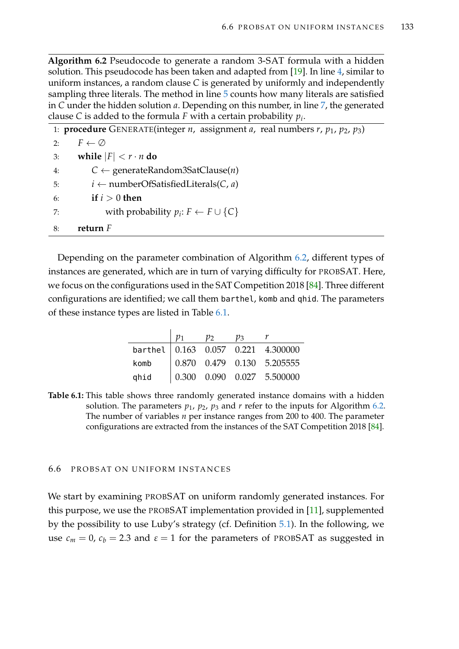**Algorithm 6.2** Pseudocode to generate a random 3-SAT formula with a hidden solution. This pseudocode has been taken and adapted from [\[19\]](#page-211-4). In line [4,](#page-148-0) similar to uniform instances, a random clause *C* is generated by uniformly and independently sampling three literals. The method in line [5](#page-148-0) counts how many literals are satisfied in *C* under the hidden solution *a*. Depending on this number, in line [7,](#page-148-0) the generated clause *C* is added to the formula *F* with a certain probability *p<sup>i</sup>* .

<span id="page-148-0"></span>

| 1: <b>procedure</b> GENERATE(integer <i>n</i> , assignment <i>a</i> , real numbers <i>r</i> , $p_1$ , $p_2$ , $p_3$ ) |
|-----------------------------------------------------------------------------------------------------------------------|
| $F \leftarrow \emptyset$<br>2:                                                                                        |
| while $ F  < r \cdot n$ do<br>3:                                                                                      |
| $C \leftarrow$ generateRandom3SatClause( <i>n</i> )<br>4:                                                             |
| $i \leftarrow$ numberOfSatisfiedLiterals(C, a)<br>5:                                                                  |
| if $i > 0$ then<br>6:                                                                                                 |
| with probability $p_i: F \leftarrow F \cup \{C\}$<br>7:                                                               |
| return $F$<br>8:                                                                                                      |

Depending on the parameter combination of Algorithm [6.2,](#page-148-0) different types of instances are generated, which are in turn of varying difficulty for PROBSAT. Here, we focus on the configurations used in the SAT Competition 2018 [\[84\]](#page-217-0). Three different configurations are identified; we call them barthel, komb and qhid. The parameters of these instance types are listed in Table [6.1.](#page-148-1)

|      | $p_2$ | $p_3$ |                                                                       |
|------|-------|-------|-----------------------------------------------------------------------|
|      |       |       | barthel 0.163 0.057 0.221 4.300000                                    |
| komb |       |       | $\begin{array}{cccc} \n0.870 & 0.479 & 0.130 & 5.205555\n\end{array}$ |
| ghid |       |       | $\begin{array}{ ccc} 0.300 & 0.090 & 0.027 & 5.500000 \end{array}$    |

<span id="page-148-1"></span>**Table 6.1:** This table shows three randomly generated instance domains with a hidden solution. The parameters  $p_1$ ,  $p_2$ ,  $p_3$  and  $r$  refer to the inputs for Algorithm [6.2.](#page-148-0) The number of variables *n* per instance ranges from 200 to 400. The parameter configurations are extracted from the instances of the SAT Competition 2018 [\[84\]](#page-217-0).

# 6.6 PROBSAT ON UNIFORM INSTANCES

We start by examining PROBSAT on uniform randomly generated instances. For this purpose, we use the PROBSAT implementation provided in [\[11\]](#page-211-5), supplemented by the possibility to use Luby's strategy (cf. Definition [5.1\)](#page-123-0). In the following, we use  $c_m = 0$ ,  $c_b = 2.3$  and  $\varepsilon = 1$  for the parameters of PROBSAT as suggested in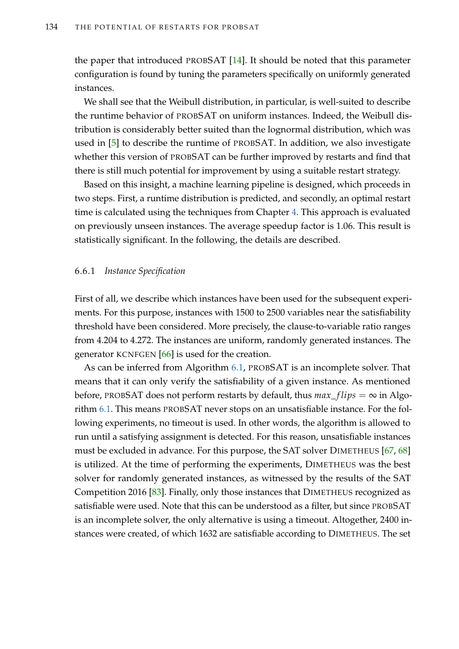the paper that introduced PROBSAT [\[14\]](#page-211-0). It should be noted that this parameter configuration is found by tuning the parameters specifically on uniformly generated instances.

We shall see that the Weibull distribution, in particular, is well-suited to describe the runtime behavior of PROBSAT on uniform instances. Indeed, the Weibull distribution is considerably better suited than the lognormal distribution, which was used in [\[5\]](#page-210-1) to describe the runtime of PROBSAT. In addition, we also investigate whether this version of PROBSAT can be further improved by restarts and find that there is still much potential for improvement by using a suitable restart strategy.

Based on this insight, a machine learning pipeline is designed, which proceeds in two steps. First, a runtime distribution is predicted, and secondly, an optimal restart time is calculated using the techniques from Chapter [4.](#page-84-0) This approach is evaluated on previously unseen instances. The average speedup factor is 1.06. This result is statistically significant. In the following, the details are described.

## <span id="page-149-0"></span>6.6.1 *Instance Specification*

First of all, we describe which instances have been used for the subsequent experiments. For this purpose, instances with 1500 to 2500 variables near the satisfiability threshold have been considered. More precisely, the clause-to-variable ratio ranges from 4.204 to 4.272. The instances are uniform, randomly generated instances. The generator KCNFGEN [\[66\]](#page-215-1) is used for the creation.

As can be inferred from Algorithm [6.1,](#page-146-0) PROBSAT is an incomplete solver. That means that it can only verify the satisfiability of a given instance. As mentioned before, PROBSAT does not perform restarts by default, thus  $max_{f}lips = \infty$  in Algorithm [6.1.](#page-146-0) This means PROBSAT never stops on an unsatisfiable instance. For the following experiments, no timeout is used. In other words, the algorithm is allowed to run until a satisfying assignment is detected. For this reason, unsatisfiable instances must be excluded in advance. For this purpose, the SAT solver DIMETHEUS [\[67,](#page-215-2) [68\]](#page-215-0) is utilized. At the time of performing the experiments, DIMETHEUS was the best solver for randomly generated instances, as witnessed by the results of the SAT Competition 2016 [\[83\]](#page-217-1). Finally, only those instances that DIMETHEUS recognized as satisfiable were used. Note that this can be understood as a filter, but since PROBSAT is an incomplete solver, the only alternative is using a timeout. Altogether, 2400 instances were created, of which 1632 are satisfiable according to DIMETHEUS. The set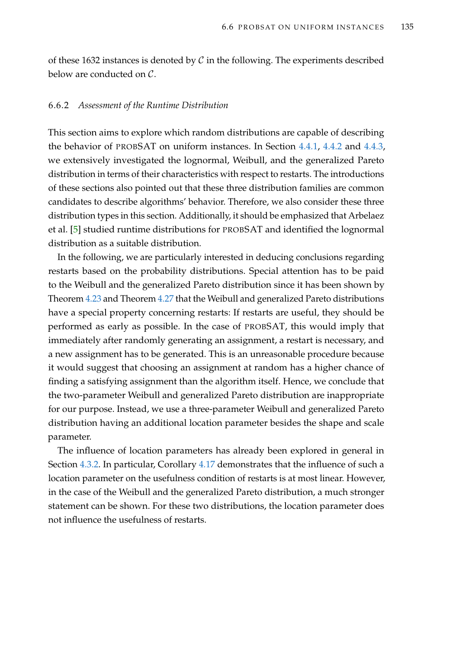of these 1632 instances is denoted by  $\mathcal C$  in the following. The experiments described below are conducted on C.

## 6.6.2 *Assessment of the Runtime Distribution*

This section aims to explore which random distributions are capable of describing the behavior of PROBSAT on uniform instances. In Section [4.4.1,](#page-103-0) [4.4.2](#page-110-0) and [4.4.3,](#page-112-0) we extensively investigated the lognormal, Weibull, and the generalized Pareto distribution in terms of their characteristics with respect to restarts. The introductions of these sections also pointed out that these three distribution families are common candidates to describe algorithms' behavior. Therefore, we also consider these three distribution types in this section. Additionally, it should be emphasized that Arbelaez et al. [\[5\]](#page-210-1) studied runtime distributions for PROBSAT and identified the lognormal distribution as a suitable distribution.

In the following, we are particularly interested in deducing conclusions regarding restarts based on the probability distributions. Special attention has to be paid to the Weibull and the generalized Pareto distribution since it has been shown by Theorem [4.23](#page-111-0) and Theorem [4.27](#page-116-0) that the Weibull and generalized Pareto distributions have a special property concerning restarts: If restarts are useful, they should be performed as early as possible. In the case of PROBSAT, this would imply that immediately after randomly generating an assignment, a restart is necessary, and a new assignment has to be generated. This is an unreasonable procedure because it would suggest that choosing an assignment at random has a higher chance of finding a satisfying assignment than the algorithm itself. Hence, we conclude that the two-parameter Weibull and generalized Pareto distribution are inappropriate for our purpose. Instead, we use a three-parameter Weibull and generalized Pareto distribution having an additional location parameter besides the shape and scale parameter.

The influence of location parameters has already been explored in general in Section [4.3.2.](#page-99-0) In particular, Corollary [4.17](#page-100-0) demonstrates that the influence of such a location parameter on the usefulness condition of restarts is at most linear. However, in the case of the Weibull and the generalized Pareto distribution, a much stronger statement can be shown. For these two distributions, the location parameter does not influence the usefulness of restarts.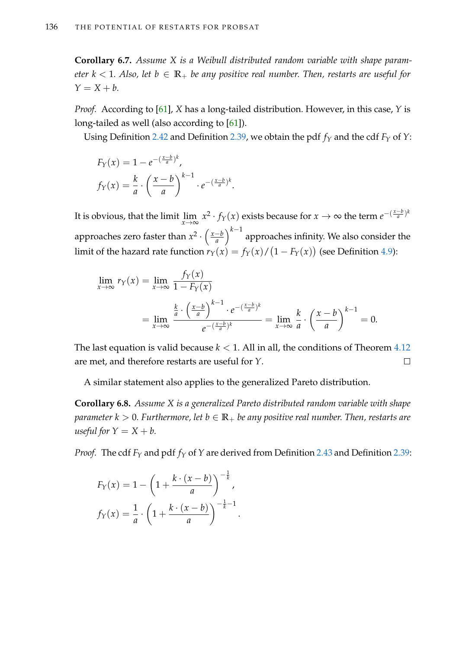<span id="page-151-0"></span>**Corollary 6.7.** *Assume X is a Weibull distributed random variable with shape parameter*  $k < 1$ *. Also, let*  $b \in \mathbb{R}_+$  *be any positive real number. Then, restarts are useful for*  $Y = X + b$ .

*Proof.* According to [\[61\]](#page-215-3), *X* has a long-tailed distribution. However, in this case, *Y* is long-tailed as well (also according to [\[61\]](#page-215-3)).

Using Definition [2.42](#page-46-0) and Definition [2.39,](#page-44-0) we obtain the pdf *f<sup>Y</sup>* and the cdf *F<sup>Y</sup>* of *Y*:

$$
F_Y(x) = 1 - e^{-(\frac{x-b}{a})^k},
$$
  

$$
f_Y(x) = \frac{k}{a} \cdot \left(\frac{x-b}{a}\right)^{k-1} \cdot e^{-(\frac{x-b}{a})^k}.
$$

It is obvious, that the limit  $\lim_{x\to\infty} x^2 \cdot f_Y(x)$  exists because for  $x\to\infty$  the term  $e^{-\left(\frac{x-b}{a}\right)^k}$ approaches zero faster than  $x^2 \cdot \left(\frac{x-b}{a}\right)$ *a*  $\big) ^{k-1}$  approaches infinity. We also consider the  $\text{limit of the hazard rate function } r_Y(x) = f_Y(x) / \big(1 - F_Y(x)\big) \text{ (see Definition 4.9):}$  $\text{limit of the hazard rate function } r_Y(x) = f_Y(x) / \big(1 - F_Y(x)\big) \text{ (see Definition 4.9):}$  $\text{limit of the hazard rate function } r_Y(x) = f_Y(x) / \big(1 - F_Y(x)\big) \text{ (see Definition 4.9):}$ 

$$
\lim_{x \to \infty} r_Y(x) = \lim_{x \to \infty} \frac{f_Y(x)}{1 - F_Y(x)}
$$
\n
$$
= \lim_{x \to \infty} \frac{\frac{k}{a} \cdot \left(\frac{x - b}{a}\right)^{k - 1} \cdot e^{-\left(\frac{x - b}{a}\right)^k}}{e^{-\left(\frac{x - b}{a}\right)^k}} = \lim_{x \to \infty} \frac{k}{a} \cdot \left(\frac{x - b}{a}\right)^{k - 1} = 0.
$$

The last equation is valid because  $k < 1$ . All in all, the conditions of Theorem [4.12](#page-94-0) are met, and therefore restarts are useful for *Y*.  $\Box$ 

A similar statement also applies to the generalized Pareto distribution.

<span id="page-151-1"></span>**Corollary 6.8.** *Assume X is a generalized Pareto distributed random variable with shape parameter*  $k > 0$ . Furthermore, let  $b \in \mathbb{R}_+$  be any positive real number. Then, restarts are *useful for*  $Y = X + b$ .

*Proof.* The cdf *F<sup>Y</sup>* and pdf *f<sup>Y</sup>* of *Y* are derived from Definition [2.43](#page-46-1) and Definition [2.39:](#page-44-0)

.

$$
F_Y(x) = 1 - \left(1 + \frac{k \cdot (x - b)}{a}\right)^{-\frac{1}{k}},
$$

$$
f_Y(x) = \frac{1}{a} \cdot \left(1 + \frac{k \cdot (x - b)}{a}\right)^{-\frac{1}{k} - 1}
$$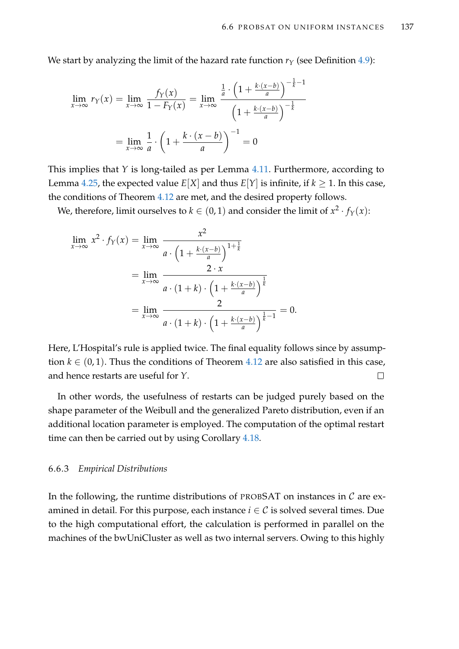We start by analyzing the limit of the hazard rate function  $r_Y$  (see Definition [4.9\)](#page-92-0):

$$
\lim_{x \to \infty} r_Y(x) = \lim_{x \to \infty} \frac{f_Y(x)}{1 - F_Y(x)} = \lim_{x \to \infty} \frac{\frac{1}{a} \cdot \left(1 + \frac{k \cdot (x - b)}{a}\right)^{-\frac{1}{k} - 1}}{\left(1 + \frac{k \cdot (x - b)}{a}\right)^{-\frac{1}{k}}}
$$
\n
$$
= \lim_{x \to \infty} \frac{1}{a} \cdot \left(1 + \frac{k \cdot (x - b)}{a}\right)^{-1} = 0
$$

This implies that *Y* is long-tailed as per Lemma [4.11.](#page-92-1) Furthermore, according to Lemma [4.25,](#page-113-0) the expected value  $E[X]$  and thus  $E[Y]$  is infinite, if  $k \geq 1$ . In this case, the conditions of Theorem [4.12](#page-94-0) are met, and the desired property follows.

We, therefore, limit ourselves to  $k \in (0,1)$  and consider the limit of  $x^2 \cdot f_Y(x)$ :

$$
\lim_{x \to \infty} x^2 \cdot f_Y(x) = \lim_{x \to \infty} \frac{x^2}{a \cdot \left(1 + \frac{k \cdot (x - b)}{a}\right)^{1 + \frac{1}{k}}}
$$
\n
$$
= \lim_{x \to \infty} \frac{2 \cdot x}{a \cdot (1 + k) \cdot \left(1 + \frac{k \cdot (x - b)}{a}\right)^{\frac{1}{k}}}
$$
\n
$$
= \lim_{x \to \infty} \frac{2}{a \cdot (1 + k) \cdot \left(1 + \frac{k \cdot (x - b)}{a}\right)^{\frac{1}{k} - 1}} = 0.
$$

Here, L'Hospital's rule is applied twice. The final equality follows since by assumption  $k \in (0, 1)$ . Thus the conditions of Theorem [4.12](#page-94-0) are also satisfied in this case, and hence restarts are useful for *Y*.  $\Box$ 

In other words, the usefulness of restarts can be judged purely based on the shape parameter of the Weibull and the generalized Pareto distribution, even if an additional location parameter is employed. The computation of the optimal restart time can then be carried out by using Corollary [4.18.](#page-101-0)

# <span id="page-152-0"></span>6.6.3 *Empirical Distributions*

In the following, the runtime distributions of PROBSAT on instances in  $\mathcal C$  are examined in detail. For this purpose, each instance  $i \in C$  is solved several times. Due to the high computational effort, the calculation is performed in parallel on the machines of the bwUniCluster as well as two internal servers. Owing to this highly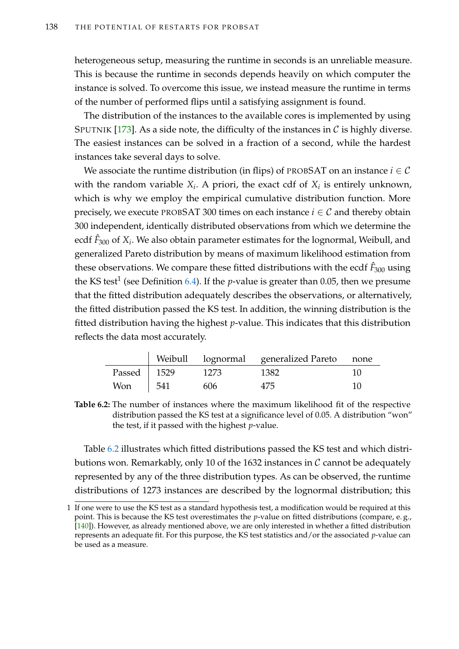heterogeneous setup, measuring the runtime in seconds is an unreliable measure. This is because the runtime in seconds depends heavily on which computer the instance is solved. To overcome this issue, we instead measure the runtime in terms of the number of performed flips until a satisfying assignment is found.

The distribution of the instances to the available cores is implemented by using SPUTNIK [\[173\]](#page-224-0). As a side note, the difficulty of the instances in  $\mathcal C$  is highly diverse. The easiest instances can be solved in a fraction of a second, while the hardest instances take several days to solve.

We associate the runtime distribution (in flips) of PROBSAT on an instance  $i \in \mathcal{C}$ with the random variable  $X_i$ . A priori, the exact cdf of  $X_i$  is entirely unknown, which is why we employ the empirical cumulative distribution function. More precisely, we execute PROBSAT 300 times on each instance  $i \in \mathcal{C}$  and thereby obtain 300 independent, identically distributed observations from which we determine the ecdf *F*ˆ <sup>300</sup> of *X<sup>i</sup>* . We also obtain parameter estimates for the lognormal, Weibull, and generalized Pareto distribution by means of maximum likelihood estimation from these observations. We compare these fitted distributions with the ecdf  $\hat{F}_{300}$  using the KS test<sup>1</sup> (see Definition [6.4\)](#page-140-0). If the *p*-value is greater than 0.05, then we presume that the fitted distribution adequately describes the observations, or alternatively, the fitted distribution passed the KS test. In addition, the winning distribution is the fitted distribution having the highest *p*-value. This indicates that this distribution reflects the data most accurately.

<span id="page-153-0"></span>

|               |      |      | Weibull lognormal generalized Pareto none |    |
|---------------|------|------|-------------------------------------------|----|
| Passed   1529 |      | 1273 | 1382                                      |    |
| <b>Won</b>    | .541 | 606  | 475                                       | 10 |

**Table 6.2:** The number of instances where the maximum likelihood fit of the respective distribution passed the KS test at a significance level of 0.05. A distribution "won" the test, if it passed with the highest *p*-value.

Table [6.2](#page-153-0) illustrates which fitted distributions passed the KS test and which distributions won. Remarkably, only 10 of the 1632 instances in  $\mathcal C$  cannot be adequately represented by any of the three distribution types. As can be observed, the runtime distributions of 1273 instances are described by the lognormal distribution; this

<sup>1</sup> If one were to use the KS test as a standard hypothesis test, a modification would be required at this point. This is because the KS test overestimates the *p*-value on fitted distributions (compare, e. g., [\[140\]](#page-221-0)). However, as already mentioned above, we are only interested in whether a fitted distribution represents an adequate fit. For this purpose, the KS test statistics and/or the associated *p*-value can be used as a measure.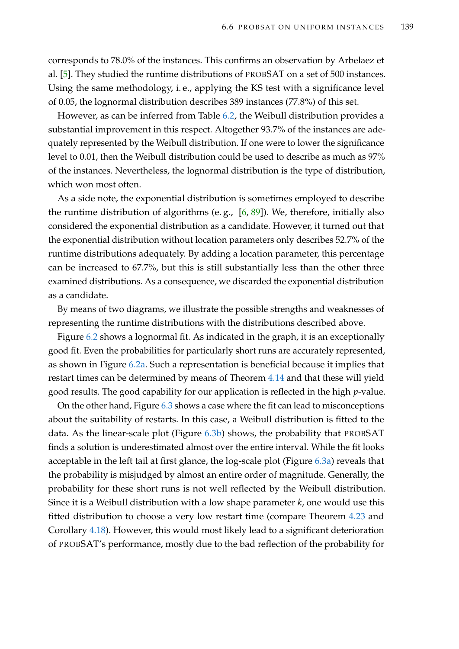corresponds to 78.0% of the instances. This confirms an observation by Arbelaez et al. [\[5\]](#page-210-1). They studied the runtime distributions of PROBSAT on a set of 500 instances. Using the same methodology, i. e., applying the KS test with a significance level of 0.05, the lognormal distribution describes 389 instances (77.8%) of this set.

However, as can be inferred from Table [6.2,](#page-153-0) the Weibull distribution provides a substantial improvement in this respect. Altogether 93.7% of the instances are adequately represented by the Weibull distribution. If one were to lower the significance level to 0.01, then the Weibull distribution could be used to describe as much as 97% of the instances. Nevertheless, the lognormal distribution is the type of distribution, which won most often.

As a side note, the exponential distribution is sometimes employed to describe the runtime distribution of algorithms (e.g.,  $[6, 89]$  $[6, 89]$  $[6, 89]$ ). We, therefore, initially also considered the exponential distribution as a candidate. However, it turned out that the exponential distribution without location parameters only describes 52.7% of the runtime distributions adequately. By adding a location parameter, this percentage can be increased to 67.7%, but this is still substantially less than the other three examined distributions. As a consequence, we discarded the exponential distribution as a candidate.

By means of two diagrams, we illustrate the possible strengths and weaknesses of representing the runtime distributions with the distributions described above.

Figure [6.2](#page-155-0) shows a lognormal fit. As indicated in the graph, it is an exceptionally good fit. Even the probabilities for particularly short runs are accurately represented, as shown in Figure [6.2a.](#page-155-0) Such a representation is beneficial because it implies that restart times can be determined by means of Theorem [4.14](#page-96-0) and that these will yield good results. The good capability for our application is reflected in the high *p*-value.

On the other hand, Figure [6.3](#page-156-0) shows a case where the fit can lead to misconceptions about the suitability of restarts. In this case, a Weibull distribution is fitted to the data. As the linear-scale plot (Figure [6.3b\)](#page-156-0) shows, the probability that PROBSAT finds a solution is underestimated almost over the entire interval. While the fit looks acceptable in the left tail at first glance, the log-scale plot (Figure [6.3a\)](#page-156-0) reveals that the probability is misjudged by almost an entire order of magnitude. Generally, the probability for these short runs is not well reflected by the Weibull distribution. Since it is a Weibull distribution with a low shape parameter *k*, one would use this fitted distribution to choose a very low restart time (compare Theorem [4.23](#page-111-0) and Corollary [4.18\)](#page-101-0). However, this would most likely lead to a significant deterioration of PROBSAT's performance, mostly due to the bad reflection of the probability for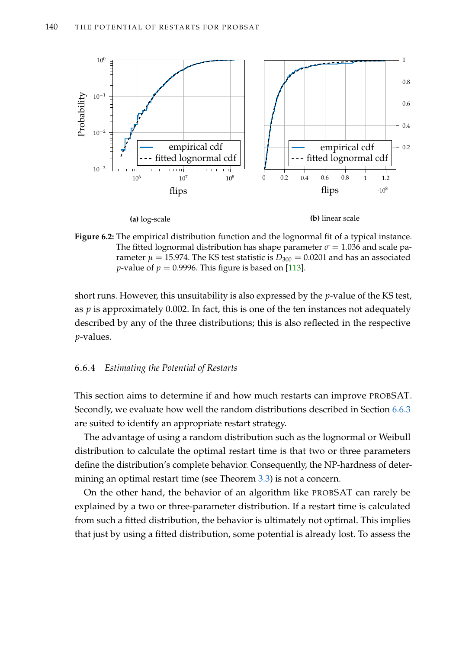<span id="page-155-0"></span>

**Figure 6.2:** The empirical distribution function and the lognormal fit of a typical instance. The fitted lognormal distribution has shape parameter  $\sigma = 1.036$  and scale parameter  $\mu = 15.974$ . The KS test statistic is  $D_{300} = 0.0201$  and has an associated *p*-value of  $p = 0.9996$ . This figure is based on [\[113\]](#page-219-1).

short runs. However, this unsuitability is also expressed by the *p*-value of the KS test, as *p* is approximately 0.002. In fact, this is one of the ten instances not adequately described by any of the three distributions; this is also reflected in the respective *p*-values.

# <span id="page-155-1"></span>6.6.4 *Estimating the Potential of Restarts*

This section aims to determine if and how much restarts can improve PROBSAT. Secondly, we evaluate how well the random distributions described in Section [6.6.3](#page-152-0) are suited to identify an appropriate restart strategy.

The advantage of using a random distribution such as the lognormal or Weibull distribution to calculate the optimal restart time is that two or three parameters define the distribution's complete behavior. Consequently, the NP-hardness of determining an optimal restart time (see Theorem [3.3\)](#page-59-0) is not a concern.

On the other hand, the behavior of an algorithm like PROBSAT can rarely be explained by a two or three-parameter distribution. If a restart time is calculated from such a fitted distribution, the behavior is ultimately not optimal. This implies that just by using a fitted distribution, some potential is already lost. To assess the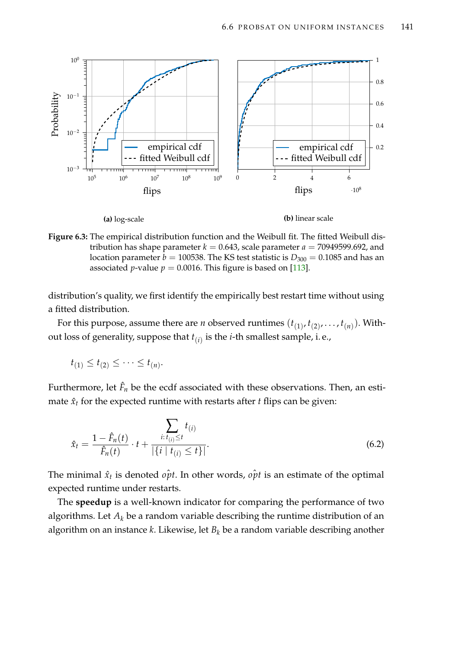<span id="page-156-0"></span>



distribution's quality, we first identify the empirically best restart time without using a fitted distribution.

For this purpose, assume there are *n* observed runtimes  $(t_{(1)}, t_{(2)}, \ldots, t_{(n)})$ . Without loss of generality, suppose that *t*(*i*) is the *i*-th smallest sample, i. e.,

$$
t_{(1)} \leq t_{(2)} \leq \cdots \leq t_{(n)}.
$$

Furthermore, let  $\hat{F}_n$  be the ecdf associated with these observations. Then, an estimate  $\hat{x}_t$  for the expected runtime with restarts after  $t$  flips can be given:

<span id="page-156-1"></span>
$$
\hat{x}_t = \frac{1 - \hat{F}_n(t)}{\hat{F}_n(t)} \cdot t + \frac{\sum_{i: t_{(i)} \le t} t_{(i)}}{|\{i \mid t_{(i)} \le t\}|}.
$$
\n(6.2)

The minimal  $\hat{x}_t$  is denoted  $o\hat{p}t$ . In other words,  $o\hat{p}t$  is an estimate of the optimal expected runtime under restarts.

The **speedup** is a well-known indicator for comparing the performance of two algorithms. Let *A<sup>k</sup>* be a random variable describing the runtime distribution of an algorithm on an instance *k*. Likewise, let *B<sup>k</sup>* be a random variable describing another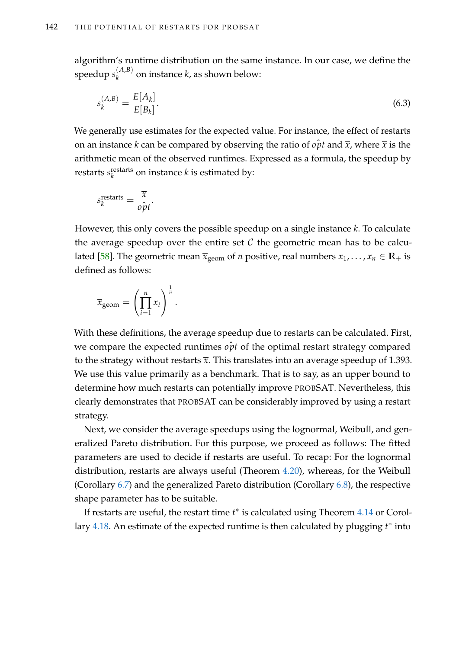algorithm's runtime distribution on the same instance. In our case, we define the  ${\rm speedup~}$   $s_k^{(A,B)}$  $\binom{A,B}{k}$  on instance *k*, as shown below:

$$
s_k^{(A,B)} = \frac{E[A_k]}{E[B_k]}.
$$
\n(6.3)

We generally use estimates for the expected value. For instance, the effect of restarts on an instance *k* can be compared by observing the ratio of *opt* and  $\bar{x}$ , where  $\bar{x}$  is the arithmetic mean of the observed runtimes. Expressed as a formula, the speedup by restarts *s* restarts  $\frac{R}{k}$ <sup>restarts</sup> on instance  $k$  is estimated by:

$$
s_k^{\text{restarts}} = \frac{\overline{x}}{\rho \hat{p}t}.
$$

However, this only covers the possible speedup on a single instance *k*. To calculate the average speedup over the entire set  $\mathcal C$  the geometric mean has to be calcu-lated [\[58\]](#page-215-4). The geometric mean  $\bar{x}_{\text{geom}}$  of *n* positive, real numbers  $x_1, \ldots, x_n \in \mathbb{R}_+$  is defined as follows:

$$
\overline{x}_{\text{geom}} = \left(\prod_{i=1}^n x_i\right)^{\frac{1}{n}}.
$$

With these definitions, the average speedup due to restarts can be calculated. First, we compare the expected runtimes  $\hat{opt}$  of the optimal restart strategy compared to the strategy without restarts  $\bar{x}$ . This translates into an average speedup of 1.393. We use this value primarily as a benchmark. That is to say, as an upper bound to determine how much restarts can potentially improve PROBSAT. Nevertheless, this clearly demonstrates that PROBSAT can be considerably improved by using a restart strategy.

Next, we consider the average speedups using the lognormal, Weibull, and generalized Pareto distribution. For this purpose, we proceed as follows: The fitted parameters are used to decide if restarts are useful. To recap: For the lognormal distribution, restarts are always useful (Theorem [4.20\)](#page-104-0), whereas, for the Weibull (Corollary [6.7\)](#page-151-0) and the generalized Pareto distribution (Corollary [6.8\)](#page-151-1), the respective shape parameter has to be suitable.

If restarts are useful, the restart time  $t^*$  is calculated using Theorem [4.14](#page-96-0) or Corol-lary [4.18.](#page-101-0) An estimate of the expected runtime is then calculated by plugging *t*<sup>\*</sup> into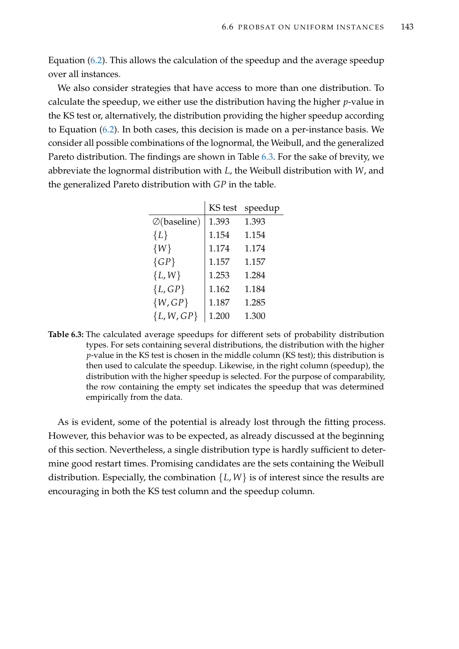Equation [\(6.2\)](#page-156-1). This allows the calculation of the speedup and the average speedup over all instances.

We also consider strategies that have access to more than one distribution. To calculate the speedup, we either use the distribution having the higher *p*-value in the KS test or, alternatively, the distribution providing the higher speedup according to Equation [\(6.2\)](#page-156-1). In both cases, this decision is made on a per-instance basis. We consider all possible combinations of the lognormal, the Weibull, and the generalized Pareto distribution. The findings are shown in Table [6.3.](#page-158-0) For the sake of brevity, we abbreviate the lognormal distribution with *L*, the Weibull distribution with *W*, and the generalized Pareto distribution with *GP* in the table.

<span id="page-158-0"></span>

|                      | <b>KS</b> test | speedup |
|----------------------|----------------|---------|
| $\oslash$ (baseline) | 1.393          | 1.393   |
| $\{L\}$              | 1.154          | 1.154   |
| $\{W\}$              | 1.174          | 1.174   |
| $\{GP\}$             | 1.157          | 1.157   |
| $\{L, W\}$           | 1.253          | 1.284   |
| ${L, GP}$            | 1.162          | 1.184   |
| $\{W,GP\}$           | 1.187          | 1.285   |
| ${L, W, GP}$         | 1.200          | 1.300   |

**Table 6.3:** The calculated average speedups for different sets of probability distribution types. For sets containing several distributions, the distribution with the higher *p*-value in the KS test is chosen in the middle column (KS test); this distribution is then used to calculate the speedup. Likewise, in the right column (speedup), the distribution with the higher speedup is selected. For the purpose of comparability, the row containing the empty set indicates the speedup that was determined empirically from the data.

As is evident, some of the potential is already lost through the fitting process. However, this behavior was to be expected, as already discussed at the beginning of this section. Nevertheless, a single distribution type is hardly sufficient to determine good restart times. Promising candidates are the sets containing the Weibull distribution. Especially, the combination  $\{L, W\}$  is of interest since the results are encouraging in both the KS test column and the speedup column.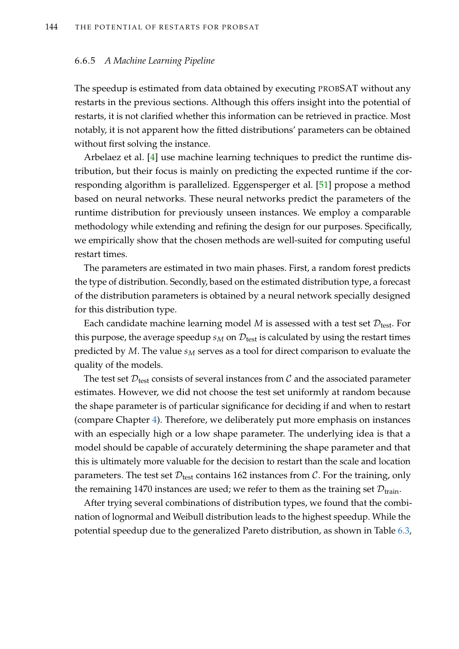## <span id="page-159-0"></span>6.6.5 *A Machine Learning Pipeline*

The speedup is estimated from data obtained by executing PROBSAT without any restarts in the previous sections. Although this offers insight into the potential of restarts, it is not clarified whether this information can be retrieved in practice. Most notably, it is not apparent how the fitted distributions' parameters can be obtained without first solving the instance.

Arbelaez et al. [\[4\]](#page-210-3) use machine learning techniques to predict the runtime distribution, but their focus is mainly on predicting the expected runtime if the corresponding algorithm is parallelized. Eggensperger et al. [\[51\]](#page-214-0) propose a method based on neural networks. These neural networks predict the parameters of the runtime distribution for previously unseen instances. We employ a comparable methodology while extending and refining the design for our purposes. Specifically, we empirically show that the chosen methods are well-suited for computing useful restart times.

The parameters are estimated in two main phases. First, a random forest predicts the type of distribution. Secondly, based on the estimated distribution type, a forecast of the distribution parameters is obtained by a neural network specially designed for this distribution type.

Each candidate machine learning model M is assessed with a test set  $\mathcal{D}_{\text{test}}$ . For this purpose, the average speedup  $s_M$  on  $\mathcal{D}_{\text{test}}$  is calculated by using the restart times predicted by *M*. The value *s<sup>M</sup>* serves as a tool for direct comparison to evaluate the quality of the models.

The test set  $\mathcal{D}_{\text{test}}$  consists of several instances from  $\mathcal C$  and the associated parameter estimates. However, we did not choose the test set uniformly at random because the shape parameter is of particular significance for deciding if and when to restart (compare Chapter [4\)](#page-84-0). Therefore, we deliberately put more emphasis on instances with an especially high or a low shape parameter. The underlying idea is that a model should be capable of accurately determining the shape parameter and that this is ultimately more valuable for the decision to restart than the scale and location parameters. The test set  $\mathcal{D}_{\text{test}}$  contains 162 instances from  $\mathcal{C}$ . For the training, only the remaining 1470 instances are used; we refer to them as the training set  $\mathcal{D}_{train}$ .

After trying several combinations of distribution types, we found that the combination of lognormal and Weibull distribution leads to the highest speedup. While the potential speedup due to the generalized Pareto distribution, as shown in Table [6.3,](#page-158-0)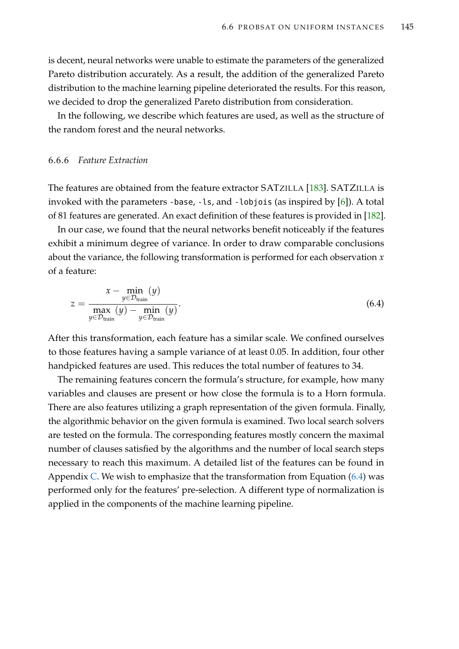is decent, neural networks were unable to estimate the parameters of the generalized Pareto distribution accurately. As a result, the addition of the generalized Pareto distribution to the machine learning pipeline deteriorated the results. For this reason, we decided to drop the generalized Pareto distribution from consideration.

In the following, we describe which features are used, as well as the structure of the random forest and the neural networks.

# <span id="page-160-1"></span>6.6.6 *Feature Extraction*

The features are obtained from the feature extractor SATZILLA [\[183\]](#page-224-1). SATZILLA is invoked with the parameters -base, -ls, and -lobjois (as inspired by [\[6\]](#page-210-2)). A total of 81 features are generated. An exact definition of these features is provided in [\[182\]](#page-224-2).

In our case, we found that the neural networks benefit noticeably if the features exhibit a minimum degree of variance. In order to draw comparable conclusions about the variance, the following transformation is performed for each observation *x* of a feature:

<span id="page-160-0"></span>
$$
z = \frac{x - \min_{y \in \mathcal{D}_{\text{train}}} (y)}{\max_{y \in \mathcal{D}_{\text{train}}} (y) - \min_{y \in \mathcal{D}_{\text{train}}} (y)}.
$$
\n(6.4)

After this transformation, each feature has a similar scale. We confined ourselves to those features having a sample variance of at least 0.05. In addition, four other handpicked features are used. This reduces the total number of features to 34.

The remaining features concern the formula's structure, for example, how many variables and clauses are present or how close the formula is to a Horn formula. There are also features utilizing a graph representation of the given formula. Finally, the algorithmic behavior on the given formula is examined. Two local search solvers are tested on the formula. The corresponding features mostly concern the maximal number of clauses satisfied by the algorithms and the number of local search steps necessary to reach this maximum. A detailed list of the features can be found in Appendix [C.](#page-238-0) We wish to emphasize that the transformation from Equation  $(6.4)$  was performed only for the features' pre-selection. A different type of normalization is applied in the components of the machine learning pipeline.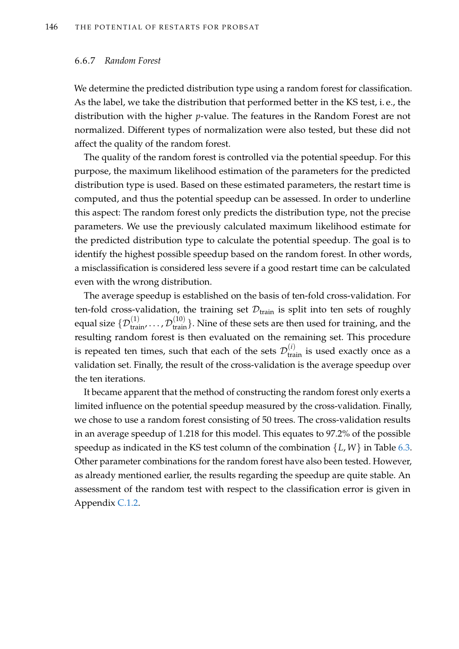#### <span id="page-161-0"></span>6.6.7 *Random Forest*

We determine the predicted distribution type using a random forest for classification. As the label, we take the distribution that performed better in the KS test, i. e., the distribution with the higher *p*-value. The features in the Random Forest are not normalized. Different types of normalization were also tested, but these did not affect the quality of the random forest.

The quality of the random forest is controlled via the potential speedup. For this purpose, the maximum likelihood estimation of the parameters for the predicted distribution type is used. Based on these estimated parameters, the restart time is computed, and thus the potential speedup can be assessed. In order to underline this aspect: The random forest only predicts the distribution type, not the precise parameters. We use the previously calculated maximum likelihood estimate for the predicted distribution type to calculate the potential speedup. The goal is to identify the highest possible speedup based on the random forest. In other words, a misclassification is considered less severe if a good restart time can be calculated even with the wrong distribution.

The average speedup is established on the basis of ten-fold cross-validation. For ten-fold cross-validation, the training set  $\mathcal{D}_{\text{train}}$  is split into ten sets of roughly equal size  $\{\mathcal{D}_{\textrm{train}}^{(1)}, \dots, \mathcal{D}_{\textrm{train}}^{(10)}\}.$  Nine of these sets are then used for training, and the resulting random forest is then evaluated on the remaining set. This procedure is repeated ten times, such that each of the sets  $\mathcal{D}_{\textrm{train}}^{(i)}$  is used exactly once as a validation set. Finally, the result of the cross-validation is the average speedup over the ten iterations.

It became apparent that the method of constructing the random forest only exerts a limited influence on the potential speedup measured by the cross-validation. Finally, we chose to use a random forest consisting of 50 trees. The cross-validation results in an average speedup of 1.218 for this model. This equates to 97.2% of the possible speedup as indicated in the KS test column of the combination {*L*, *W*} in Table [6.3.](#page-158-0) Other parameter combinations for the random forest have also been tested. However, as already mentioned earlier, the results regarding the speedup are quite stable. An assessment of the random test with respect to the classification error is given in Appendix [C.1.2.](#page-240-0)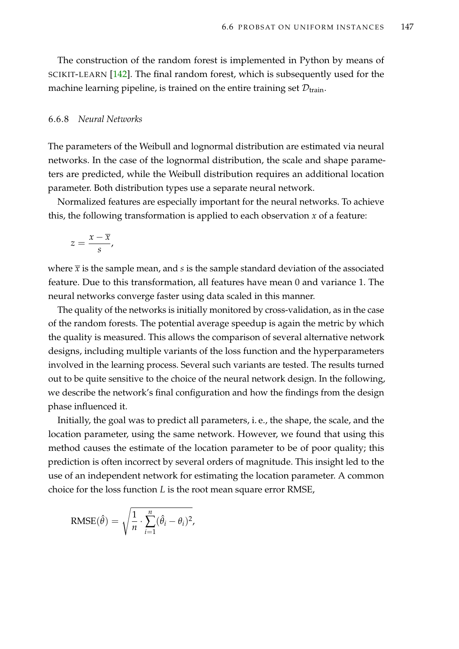The construction of the random forest is implemented in Python by means of SCIKIT-LEARN [\[142\]](#page-222-1). The final random forest, which is subsequently used for the machine learning pipeline, is trained on the entire training set  $\mathcal{D}_{train}$ .

## <span id="page-162-0"></span>6.6.8 *Neural Networks*

The parameters of the Weibull and lognormal distribution are estimated via neural networks. In the case of the lognormal distribution, the scale and shape parameters are predicted, while the Weibull distribution requires an additional location parameter. Both distribution types use a separate neural network.

Normalized features are especially important for the neural networks. To achieve this, the following transformation is applied to each observation *x* of a feature:

$$
z=\frac{x-\overline{x}}{s},
$$

where  $\bar{x}$  is the sample mean, and  $s$  is the sample standard deviation of the associated feature. Due to this transformation, all features have mean 0 and variance 1. The neural networks converge faster using data scaled in this manner.

The quality of the networks is initially monitored by cross-validation, as in the case of the random forests. The potential average speedup is again the metric by which the quality is measured. This allows the comparison of several alternative network designs, including multiple variants of the loss function and the hyperparameters involved in the learning process. Several such variants are tested. The results turned out to be quite sensitive to the choice of the neural network design. In the following, we describe the network's final configuration and how the findings from the design phase influenced it.

Initially, the goal was to predict all parameters, i. e., the shape, the scale, and the location parameter, using the same network. However, we found that using this method causes the estimate of the location parameter to be of poor quality; this prediction is often incorrect by several orders of magnitude. This insight led to the use of an independent network for estimating the location parameter. A common choice for the loss function *L* is the root mean square error RMSE,

RMSE
$$
(\hat{\theta}) = \sqrt{\frac{1}{n} \cdot \sum_{i=1}^{n} (\hat{\theta}_i - \theta_i)^2}
$$
,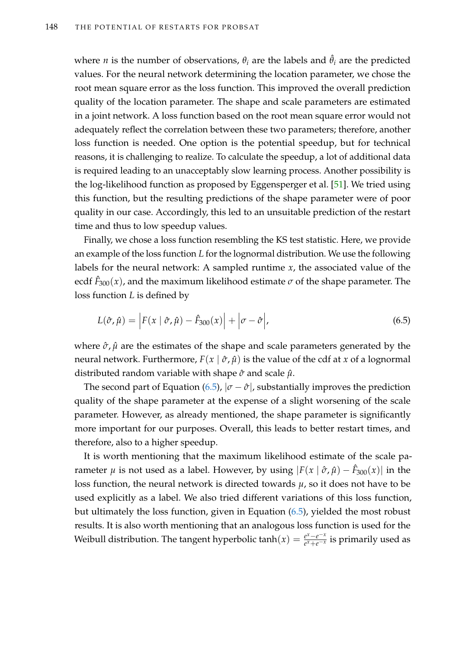where *n* is the number of observations,  $\theta_i$  are the labels and  $\hat{\theta}_i$  are the predicted values. For the neural network determining the location parameter, we chose the root mean square error as the loss function. This improved the overall prediction quality of the location parameter. The shape and scale parameters are estimated in a joint network. A loss function based on the root mean square error would not adequately reflect the correlation between these two parameters; therefore, another loss function is needed. One option is the potential speedup, but for technical reasons, it is challenging to realize. To calculate the speedup, a lot of additional data is required leading to an unacceptably slow learning process. Another possibility is the log-likelihood function as proposed by Eggensperger et al. [\[51\]](#page-214-0). We tried using this function, but the resulting predictions of the shape parameter were of poor quality in our case. Accordingly, this led to an unsuitable prediction of the restart time and thus to low speedup values.

Finally, we chose a loss function resembling the KS test statistic. Here, we provide an example of the loss function *L* for the lognormal distribution. We use the following labels for the neural network: A sampled runtime *x*, the associated value of the ecdf  $\hat{F}_{300}(x)$ , and the maximum likelihood estimate  $\sigma$  of the shape parameter. The loss function *L* is defined by

<span id="page-163-0"></span>
$$
L(\hat{\sigma}, \hat{\mu}) = \left| F(x \mid \hat{\sigma}, \hat{\mu}) - \hat{F}_{300}(x) \right| + \left| \sigma - \hat{\sigma} \right|,
$$
\n(6.5)

where  $\hat{\sigma}$ ,  $\hat{\mu}$  are the estimates of the shape and scale parameters generated by the neural network. Furthermore,  $F(x | \hat{\sigma}, \hat{\mu})$  is the value of the cdf at *x* of a lognormal distributed random variable with shape *σ*ˆ and scale *µ*ˆ.

The second part of Equation [\(6.5\)](#page-163-0),  $|\sigma - \hat{\sigma}|$ , substantially improves the prediction quality of the shape parameter at the expense of a slight worsening of the scale parameter. However, as already mentioned, the shape parameter is significantly more important for our purposes. Overall, this leads to better restart times, and therefore, also to a higher speedup.

It is worth mentioning that the maximum likelihood estimate of the scale parameter  $\mu$  is not used as a label. However, by using  $|F(x \mid \hat{\sigma}, \hat{\mu}) - \hat{F}_{300}(x)|$  in the loss function, the neural network is directed towards *µ*, so it does not have to be used explicitly as a label. We also tried different variations of this loss function, but ultimately the loss function, given in Equation [\(6.5\)](#page-163-0), yielded the most robust results. It is also worth mentioning that an analogous loss function is used for the Weibull distribution. The tangent hyperbolic tanh $(x) = \frac{e^{x} - e^{-x}}{e^{x} + e^{-x}}$ *e*<sup>*x*</sup> +*e*<sup>−*x*</sup></sub> is primarily used as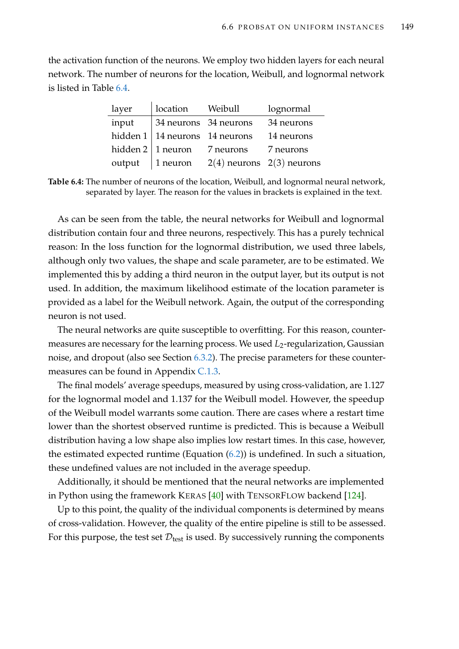<span id="page-164-0"></span>the activation function of the neurons. We employ two hidden layers for each neural network. The number of neurons for the location, Weibull, and lognormal network is listed in Table [6.4.](#page-164-0)

| layer | location Weibull                      |                                           | lognormal                     |
|-------|---------------------------------------|-------------------------------------------|-------------------------------|
| input | 34 neurons 34 neurons                 |                                           | 34 neurons                    |
|       | hidden $1 \mid 14$ neurons 14 neurons |                                           | 14 neurons                    |
|       |                                       | hidden $2 \mid 1$ neuron $\mid$ 7 neurons | 7 neurons                     |
|       | output $\vert$ 1 neuron               |                                           | $2(4)$ neurons $2(3)$ neurons |

**Table 6.4:** The number of neurons of the location, Weibull, and lognormal neural network, separated by layer. The reason for the values in brackets is explained in the text.

As can be seen from the table, the neural networks for Weibull and lognormal distribution contain four and three neurons, respectively. This has a purely technical reason: In the loss function for the lognormal distribution, we used three labels, although only two values, the shape and scale parameter, are to be estimated. We implemented this by adding a third neuron in the output layer, but its output is not used. In addition, the maximum likelihood estimate of the location parameter is provided as a label for the Weibull network. Again, the output of the corresponding neuron is not used.

The neural networks are quite susceptible to overfitting. For this reason, countermeasures are necessary for the learning process. We used L<sub>2</sub>-regularization, Gaussian noise, and dropout (also see Section [6.3.2\)](#page-143-0). The precise parameters for these countermeasures can be found in Appendix [C.1.3.](#page-241-0)

The final models' average speedups, measured by using cross-validation, are 1.127 for the lognormal model and 1.137 for the Weibull model. However, the speedup of the Weibull model warrants some caution. There are cases where a restart time lower than the shortest observed runtime is predicted. This is because a Weibull distribution having a low shape also implies low restart times. In this case, however, the estimated expected runtime (Equation [\(6.2\)](#page-156-1)) is undefined. In such a situation, these undefined values are not included in the average speedup.

Additionally, it should be mentioned that the neural networks are implemented in Python using the framework KERAS [\[40\]](#page-213-0) with TENSORFLOW backend [\[124\]](#page-220-1).

Up to this point, the quality of the individual components is determined by means of cross-validation. However, the quality of the entire pipeline is still to be assessed. For this purpose, the test set  $\mathcal{D}_{\text{test}}$  is used. By successively running the components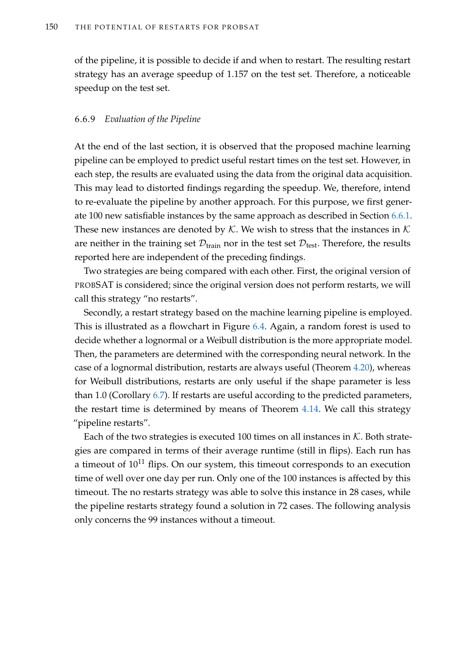of the pipeline, it is possible to decide if and when to restart. The resulting restart strategy has an average speedup of 1.157 on the test set. Therefore, a noticeable speedup on the test set.

## 6.6.9 *Evaluation of the Pipeline*

At the end of the last section, it is observed that the proposed machine learning pipeline can be employed to predict useful restart times on the test set. However, in each step, the results are evaluated using the data from the original data acquisition. This may lead to distorted findings regarding the speedup. We, therefore, intend to re-evaluate the pipeline by another approach. For this purpose, we first generate 100 new satisfiable instances by the same approach as described in Section [6.6.1.](#page-149-0) These new instances are denoted by  $K$ . We wish to stress that the instances in  $K$ are neither in the training set  $\mathcal{D}_{\text{train}}$  nor in the test set  $\mathcal{D}_{\text{test}}$ . Therefore, the results reported here are independent of the preceding findings.

Two strategies are being compared with each other. First, the original version of PROBSAT is considered; since the original version does not perform restarts, we will call this strategy "no restarts".

Secondly, a restart strategy based on the machine learning pipeline is employed. This is illustrated as a flowchart in Figure [6.4.](#page-166-0) Again, a random forest is used to decide whether a lognormal or a Weibull distribution is the more appropriate model. Then, the parameters are determined with the corresponding neural network. In the case of a lognormal distribution, restarts are always useful (Theorem [4.20\)](#page-104-0), whereas for Weibull distributions, restarts are only useful if the shape parameter is less than 1.0 (Corollary [6.7\)](#page-151-0). If restarts are useful according to the predicted parameters, the restart time is determined by means of Theorem [4.14.](#page-96-0) We call this strategy "pipeline restarts".

Each of the two strategies is executed 100 times on all instances in  $K$ . Both strategies are compared in terms of their average runtime (still in flips). Each run has a timeout of  $10^{11}$  flips. On our system, this timeout corresponds to an execution time of well over one day per run. Only one of the 100 instances is affected by this timeout. The no restarts strategy was able to solve this instance in 28 cases, while the pipeline restarts strategy found a solution in 72 cases. The following analysis only concerns the 99 instances without a timeout.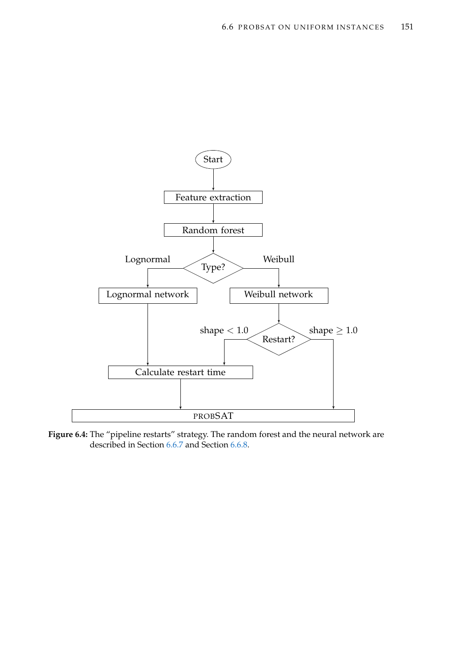<span id="page-166-0"></span>

**Figure 6.4:** The "pipeline restarts" strategy. The random forest and the neural network are described in Section [6.6.7](#page-161-0) and Section [6.6.8.](#page-162-0)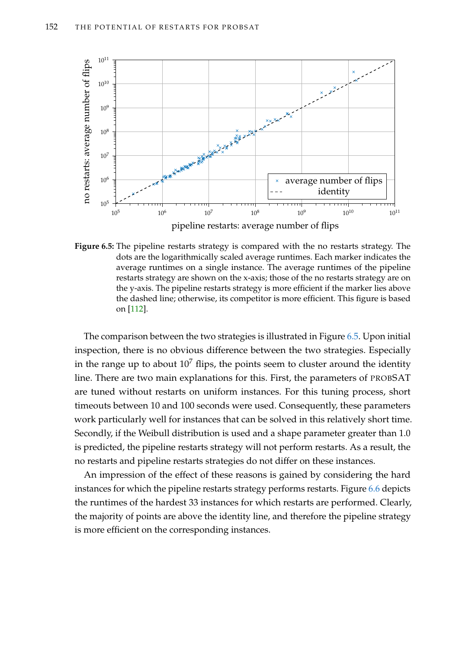<span id="page-167-0"></span>

**Figure 6.5:** The pipeline restarts strategy is compared with the no restarts strategy. The dots are the logarithmically scaled average runtimes. Each marker indicates the average runtimes on a single instance. The average runtimes of the pipeline restarts strategy are shown on the x-axis; those of the no restarts strategy are on the y-axis. The pipeline restarts strategy is more efficient if the marker lies above the dashed line; otherwise, its competitor is more efficient. This figure is based on [\[112\]](#page-219-2).

The comparison between the two strategies is illustrated in Figure [6.5.](#page-167-0) Upon initial inspection, there is no obvious difference between the two strategies. Especially in the range up to about  $10^7$  flips, the points seem to cluster around the identity line. There are two main explanations for this. First, the parameters of PROBSAT are tuned without restarts on uniform instances. For this tuning process, short timeouts between 10 and 100 seconds were used. Consequently, these parameters work particularly well for instances that can be solved in this relatively short time. Secondly, if the Weibull distribution is used and a shape parameter greater than 1.0 is predicted, the pipeline restarts strategy will not perform restarts. As a result, the no restarts and pipeline restarts strategies do not differ on these instances.

An impression of the effect of these reasons is gained by considering the hard instances for which the pipeline restarts strategy performs restarts. Figure [6.6](#page-168-0) depicts the runtimes of the hardest 33 instances for which restarts are performed. Clearly, the majority of points are above the identity line, and therefore the pipeline strategy is more efficient on the corresponding instances.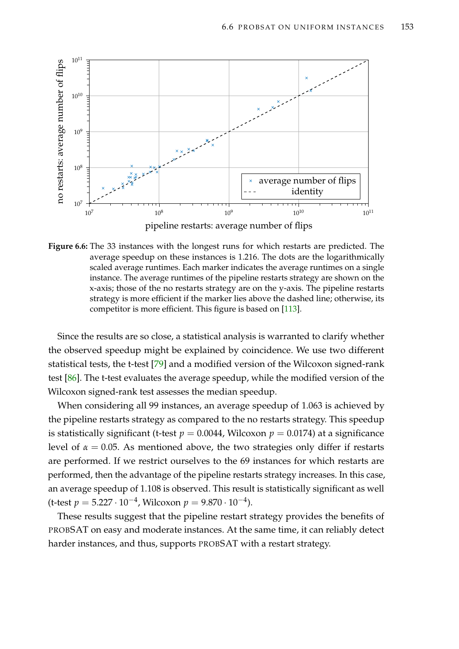<span id="page-168-0"></span>

pipeline restarts: average number of flips



Since the results are so close, a statistical analysis is warranted to clarify whether the observed speedup might be explained by coincidence. We use two different statistical tests, the t-test [\[79\]](#page-216-2) and a modified version of the Wilcoxon signed-rank test [\[86\]](#page-217-3). The t-test evaluates the average speedup, while the modified version of the Wilcoxon signed-rank test assesses the median speedup.

When considering all 99 instances, an average speedup of 1.063 is achieved by the pipeline restarts strategy as compared to the no restarts strategy. This speedup is statistically significant (t-test  $p = 0.0044$ , Wilcoxon  $p = 0.0174$ ) at a significance level of  $\alpha = 0.05$ . As mentioned above, the two strategies only differ if restarts are performed. If we restrict ourselves to the 69 instances for which restarts are performed, then the advantage of the pipeline restarts strategy increases. In this case, an average speedup of 1.108 is observed. This result is statistically significant as well (t-test *p* = 5.227 · 10−<sup>4</sup> , Wilcoxon *p* = 9.870 · 10−<sup>4</sup> ).

These results suggest that the pipeline restart strategy provides the benefits of PROBSAT on easy and moderate instances. At the same time, it can reliably detect harder instances, and thus, supports PROBSAT with a restart strategy.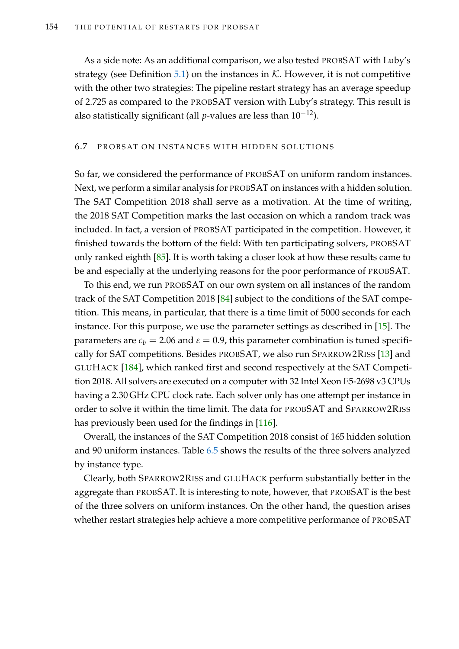As a side note: As an additional comparison, we also tested PROBSAT with Luby's strategy (see Definition [5.1\)](#page-123-0) on the instances in  $K$ . However, it is not competitive with the other two strategies: The pipeline restart strategy has an average speedup of 2.725 as compared to the PROBSAT version with Luby's strategy. This result is also statistically significant (all *p*-values are less than 10−12).

# 6.7 PROBSAT ON INSTANCES WITH HIDDEN SOLUTIONS

So far, we considered the performance of PROBSAT on uniform random instances. Next, we perform a similar analysis for PROBSAT on instances with a hidden solution. The SAT Competition 2018 shall serve as a motivation. At the time of writing, the 2018 SAT Competition marks the last occasion on which a random track was included. In fact, a version of PROBSAT participated in the competition. However, it finished towards the bottom of the field: With ten participating solvers, PROBSAT only ranked eighth [\[85\]](#page-217-4). It is worth taking a closer look at how these results came to be and especially at the underlying reasons for the poor performance of PROBSAT.

To this end, we run PROBSAT on our own system on all instances of the random track of the SAT Competition 2018 [\[84\]](#page-217-0) subject to the conditions of the SAT competition. This means, in particular, that there is a time limit of 5000 seconds for each instance. For this purpose, we use the parameter settings as described in [\[15\]](#page-211-1). The parameters are  $c_b = 2.06$  and  $\varepsilon = 0.9$ , this parameter combination is tuned specifically for SAT competitions. Besides PROBSAT, we also run SPARROW2RISS [\[13\]](#page-211-3) and GLUHACK [\[184\]](#page-224-3), which ranked first and second respectively at the SAT Competition 2018. All solvers are executed on a computer with 32 Intel Xeon E5-2698 v3 CPUs having a 2.30 GHz CPU clock rate. Each solver only has one attempt per instance in order to solve it within the time limit. The data for PROBSAT and SPARROW2RISS has previously been used for the findings in [\[116\]](#page-219-0).

Overall, the instances of the SAT Competition 2018 consist of 165 hidden solution and 90 uniform instances. Table [6.5](#page-170-0) shows the results of the three solvers analyzed by instance type.

Clearly, both SPARROW2RISS and GLUHACK perform substantially better in the aggregate than PROBSAT. It is interesting to note, however, that PROBSAT is the best of the three solvers on uniform instances. On the other hand, the question arises whether restart strategies help achieve a more competitive performance of PROBSAT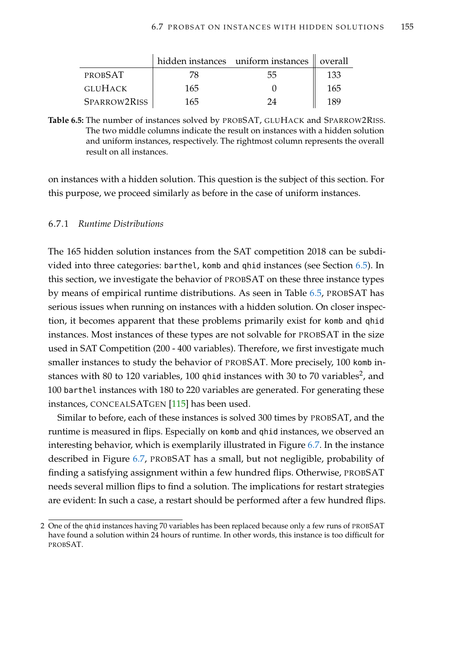<span id="page-170-0"></span>

|                |     | hidden instances uniform instances   overall |     |
|----------------|-----|----------------------------------------------|-----|
| <b>PROBSAT</b> | 78  | 55                                           | 133 |
| GLUHACK        | 165 |                                              | 165 |
| SPARROW2RISS   | 165 | 24                                           | 189 |

**Table 6.5:** The number of instances solved by PROBSAT, GLUHACK and SPARROW2RISS. The two middle columns indicate the result on instances with a hidden solution and uniform instances, respectively. The rightmost column represents the overall result on all instances.

on instances with a hidden solution. This question is the subject of this section. For this purpose, we proceed similarly as before in the case of uniform instances.

# 6.7.1 *Runtime Distributions*

The 165 hidden solution instances from the SAT competition 2018 can be subdivided into three categories: barthel, komb and qhid instances (see Section [6.5\)](#page-147-0). In this section, we investigate the behavior of PROBSAT on these three instance types by means of empirical runtime distributions. As seen in Table [6.5,](#page-170-0) PROBSAT has serious issues when running on instances with a hidden solution. On closer inspection, it becomes apparent that these problems primarily exist for komb and qhid instances. Most instances of these types are not solvable for PROBSAT in the size used in SAT Competition (200 - 400 variables). Therefore, we first investigate much smaller instances to study the behavior of PROBSAT. More precisely, 100 komb instances with 80 to 120 variables, 100 <code>qhid</code> instances with 30 to 70 variables $^2$ , and 100 barthel instances with 180 to 220 variables are generated. For generating these instances, CONCEALSATGEN [\[115\]](#page-219-3) has been used.

Similar to before, each of these instances is solved 300 times by PROBSAT, and the runtime is measured in flips. Especially on komb and qhid instances, we observed an interesting behavior, which is exemplarily illustrated in Figure [6.7.](#page-171-0) In the instance described in Figure [6.7,](#page-171-0) PROBSAT has a small, but not negligible, probability of finding a satisfying assignment within a few hundred flips. Otherwise, PROBSAT needs several million flips to find a solution. The implications for restart strategies are evident: In such a case, a restart should be performed after a few hundred flips.

<sup>2</sup> One of the qhid instances having 70 variables has been replaced because only a few runs of PROBSAT have found a solution within 24 hours of runtime. In other words, this instance is too difficult for PROBSAT.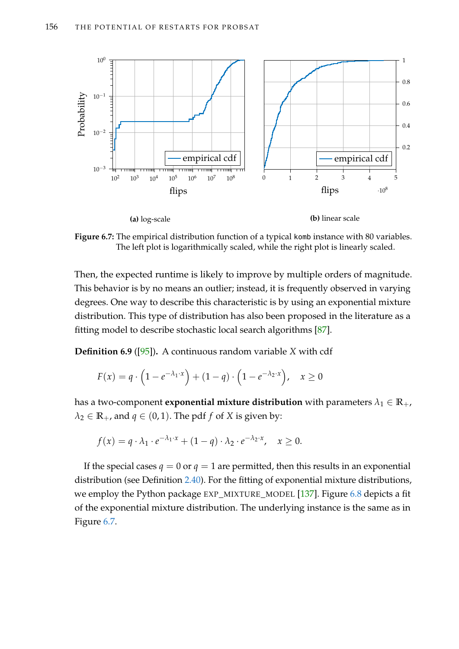<span id="page-171-0"></span>

**Figure 6.7:** The empirical distribution function of a typical komb instance with 80 variables. The left plot is logarithmically scaled, while the right plot is linearly scaled.

Then, the expected runtime is likely to improve by multiple orders of magnitude. This behavior is by no means an outlier; instead, it is frequently observed in varying degrees. One way to describe this characteristic is by using an exponential mixture distribution. This type of distribution has also been proposed in the literature as a fitting model to describe stochastic local search algorithms [\[87\]](#page-217-5).

**Definition 6.9** ([\[95\]](#page-218-1))**.** A continuous random variable *X* with cdf

$$
F(x) = q \cdot \left(1 - e^{-\lambda_1 \cdot x}\right) + (1 - q) \cdot \left(1 - e^{-\lambda_2 \cdot x}\right), \quad x \ge 0
$$

has a two-component **exponential mixture distribution** with parameters  $\lambda_1 \in \mathbb{R}_+$ ,  $\lambda_2 \in \mathbb{R}_+$ , and  $q \in (0,1)$ . The pdf *f* of *X* is given by:

$$
f(x) = q \cdot \lambda_1 \cdot e^{-\lambda_1 \cdot x} + (1 - q) \cdot \lambda_2 \cdot e^{-\lambda_2 \cdot x}, \quad x \ge 0.
$$

If the special cases  $q = 0$  or  $q = 1$  are permitted, then this results in an exponential distribution (see Definition [2.40\)](#page-44-1). For the fitting of exponential mixture distributions, we employ the Python package EXP\_MIXTURE\_MODEL [\[137\]](#page-221-1). Figure [6.8](#page-172-0) depicts a fit of the exponential mixture distribution. The underlying instance is the same as in Figure [6.7.](#page-171-0)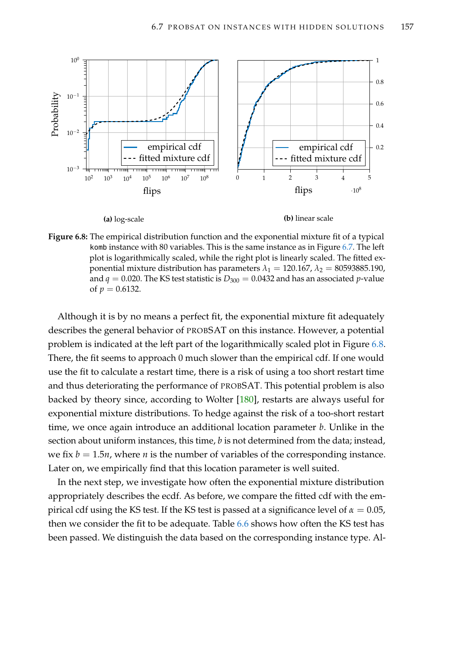<span id="page-172-0"></span>

**Figure 6.8:** The empirical distribution function and the exponential mixture fit of a typical komb instance with 80 variables. This is the same instance as in Figure [6.7.](#page-171-0) The left plot is logarithmically scaled, while the right plot is linearly scaled. The fitted exponential mixture distribution has parameters  $\lambda_1 = 120.167$ ,  $\lambda_2 = 80593885.190$ , and  $q = 0.020$ . The KS test statistic is  $D_{300} = 0.0432$  and has an associated *p*-value of  $p = 0.6132$ .

Although it is by no means a perfect fit, the exponential mixture fit adequately describes the general behavior of PROBSAT on this instance. However, a potential problem is indicated at the left part of the logarithmically scaled plot in Figure [6.8.](#page-172-0) There, the fit seems to approach 0 much slower than the empirical cdf. If one would use the fit to calculate a restart time, there is a risk of using a too short restart time and thus deteriorating the performance of PROBSAT. This potential problem is also backed by theory since, according to Wolter [\[180\]](#page-224-4), restarts are always useful for exponential mixture distributions. To hedge against the risk of a too-short restart time, we once again introduce an additional location parameter *b*. Unlike in the section about uniform instances, this time, *b* is not determined from the data; instead, we fix  $b = 1.5n$ , where *n* is the number of variables of the corresponding instance. Later on, we empirically find that this location parameter is well suited.

In the next step, we investigate how often the exponential mixture distribution appropriately describes the ecdf. As before, we compare the fitted cdf with the empirical cdf using the KS test. If the KS test is passed at a significance level of  $\alpha = 0.05$ , then we consider the fit to be adequate. Table [6.6](#page-173-0) shows how often the KS test has been passed. We distinguish the data based on the corresponding instance type. Al-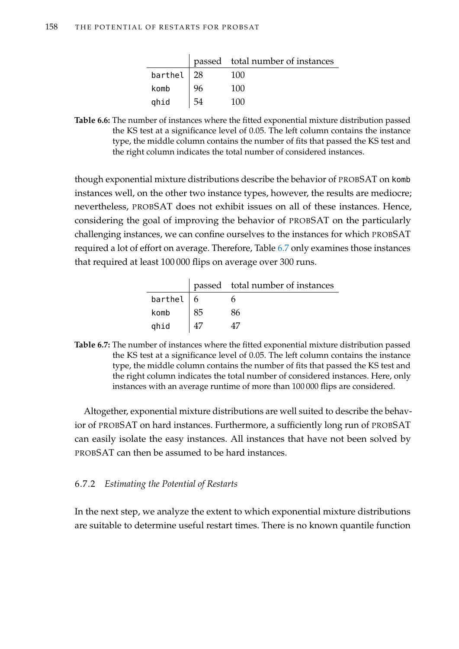|               |    | passed total number of instances |
|---------------|----|----------------------------------|
| barthel $ 28$ |    | 100                              |
| komb          | 96 | 100                              |
| ghid          | 54 | 100                              |

<span id="page-173-0"></span>**Table 6.6:** The number of instances where the fitted exponential mixture distribution passed the KS test at a significance level of 0.05. The left column contains the instance type, the middle column contains the number of fits that passed the KS test and the right column indicates the total number of considered instances.

though exponential mixture distributions describe the behavior of PROBSAT on komb instances well, on the other two instance types, however, the results are mediocre; nevertheless, PROBSAT does not exhibit issues on all of these instances. Hence, considering the goal of improving the behavior of PROBSAT on the particularly challenging instances, we can confine ourselves to the instances for which PROBSAT required a lot of effort on average. Therefore, Table [6.7](#page-173-1) only examines those instances that required at least 100 000 flips on average over 300 runs.

|              |    | passed total number of instances |
|--------------|----|----------------------------------|
| barthel $ 6$ |    |                                  |
| komb         | 85 | 86                               |
| ghid         |    |                                  |

<span id="page-173-1"></span>**Table 6.7:** The number of instances where the fitted exponential mixture distribution passed the KS test at a significance level of 0.05. The left column contains the instance type, the middle column contains the number of fits that passed the KS test and the right column indicates the total number of considered instances. Here, only instances with an average runtime of more than 100 000 flips are considered.

Altogether, exponential mixture distributions are well suited to describe the behavior of PROBSAT on hard instances. Furthermore, a sufficiently long run of PROBSAT can easily isolate the easy instances. All instances that have not been solved by PROBSAT can then be assumed to be hard instances.

# 6.7.2 *Estimating the Potential of Restarts*

In the next step, we analyze the extent to which exponential mixture distributions are suitable to determine useful restart times. There is no known quantile function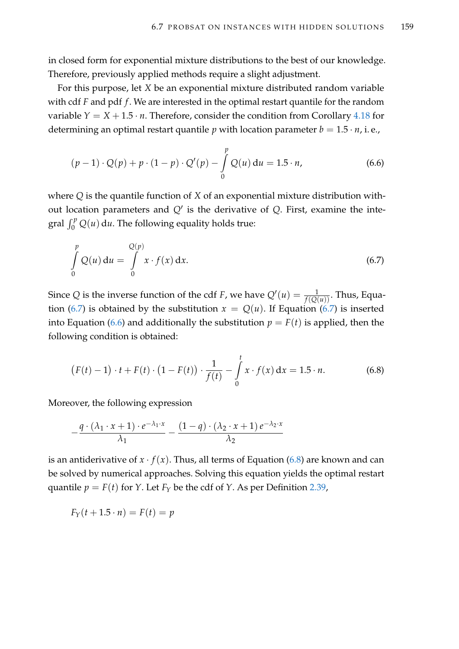in closed form for exponential mixture distributions to the best of our knowledge. Therefore, previously applied methods require a slight adjustment.

For this purpose, let *X* be an exponential mixture distributed random variable with cdf *F* and pdf *f* . We are interested in the optimal restart quantile for the random variable  $Y = X + 1.5 \cdot n$ . Therefore, consider the condition from Corollary [4.18](#page-101-0) for determining an optimal restart quantile *p* with location parameter  $b = 1.5 \cdot n$ , i.e.,

<span id="page-174-1"></span>
$$
(p-1)\cdot Q(p) + p\cdot (1-p)\cdot Q'(p) - \int_{0}^{p} Q(u) du = 1.5 \cdot n,
$$
 (6.6)

where *Q* is the quantile function of *X* of an exponential mixture distribution without location parameters and  $Q'$  is the derivative of  $Q$ . First, examine the integral  $\int_0^p Q(u) du$ . The following equality holds true:

<span id="page-174-0"></span>
$$
\int_{0}^{p} Q(u) du = \int_{0}^{Q(p)} x \cdot f(x) dx.
$$
\n(6.7)

Since *Q* is the inverse function of the cdf *F*, we have  $Q'(u) = \frac{1}{f(Q(u))}$ . Thus, Equa-tion [\(6.7\)](#page-174-0) is obtained by the substitution  $x = Q(u)$ . If Equation (6.7) is inserted into Equation [\(6.6\)](#page-174-1) and additionally the substitution  $p = F(t)$  is applied, then the following condition is obtained:

<span id="page-174-2"></span>
$$
(F(t) - 1) \cdot t + F(t) \cdot (1 - F(t)) \cdot \frac{1}{f(t)} - \int_{0}^{t} x \cdot f(x) dx = 1.5 \cdot n.
$$
 (6.8)

Moreover, the following expression

$$
-\frac{q\cdot(\lambda_1\cdot x+1)\cdot e^{-\lambda_1\cdot x}}{\lambda_1}-\frac{(1-q)\cdot(\lambda_2\cdot x+1)\,e^{-\lambda_2\cdot x}}{\lambda_2}
$$

is an antiderivative of  $x \cdot f(x)$ . Thus, all terms of Equation [\(6.8\)](#page-174-2) are known and can be solved by numerical approaches. Solving this equation yields the optimal restart quantile  $p = F(t)$  for *Y*. Let  $F_Y$  be the cdf of *Y*. As per Definition [2.39,](#page-44-0)

$$
F_Y(t+1.5\cdot n) = F(t) = p
$$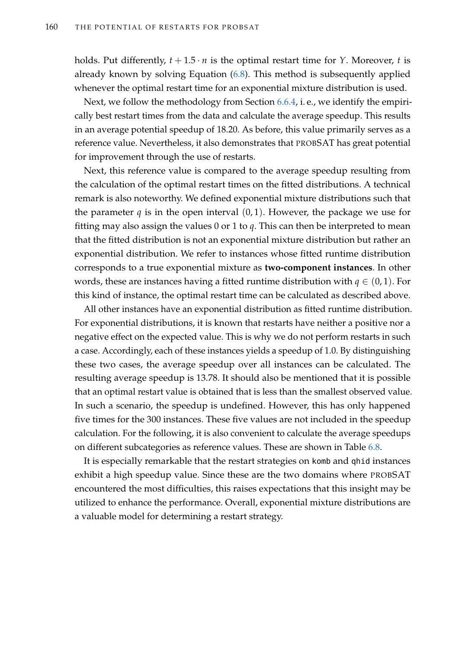holds. Put differently,  $t + 1.5 \cdot n$  is the optimal restart time for *Y*. Moreover, *t* is already known by solving Equation [\(6.8\)](#page-174-2). This method is subsequently applied whenever the optimal restart time for an exponential mixture distribution is used.

Next, we follow the methodology from Section [6.6.4,](#page-155-1) i. e., we identify the empirically best restart times from the data and calculate the average speedup. This results in an average potential speedup of 18.20. As before, this value primarily serves as a reference value. Nevertheless, it also demonstrates that PROBSAT has great potential for improvement through the use of restarts.

Next, this reference value is compared to the average speedup resulting from the calculation of the optimal restart times on the fitted distributions. A technical remark is also noteworthy. We defined exponential mixture distributions such that the parameter  $q$  is in the open interval  $(0, 1)$ . However, the package we use for fitting may also assign the values 0 or 1 to *q*. This can then be interpreted to mean that the fitted distribution is not an exponential mixture distribution but rather an exponential distribution. We refer to instances whose fitted runtime distribution corresponds to a true exponential mixture as **two-component instances**. In other words, these are instances having a fitted runtime distribution with  $q \in (0,1)$ . For this kind of instance, the optimal restart time can be calculated as described above.

All other instances have an exponential distribution as fitted runtime distribution. For exponential distributions, it is known that restarts have neither a positive nor a negative effect on the expected value. This is why we do not perform restarts in such a case. Accordingly, each of these instances yields a speedup of 1.0. By distinguishing these two cases, the average speedup over all instances can be calculated. The resulting average speedup is 13.78. It should also be mentioned that it is possible that an optimal restart value is obtained that is less than the smallest observed value. In such a scenario, the speedup is undefined. However, this has only happened five times for the 300 instances. These five values are not included in the speedup calculation. For the following, it is also convenient to calculate the average speedups on different subcategories as reference values. These are shown in Table [6.8.](#page-176-0)

It is especially remarkable that the restart strategies on komb and qhid instances exhibit a high speedup value. Since these are the two domains where PROBSAT encountered the most difficulties, this raises expectations that this insight may be utilized to enhance the performance. Overall, exponential mixture distributions are a valuable model for determining a restart strategy.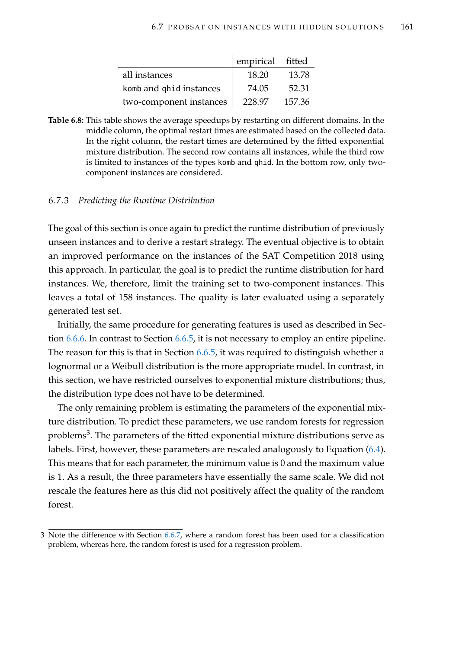|                         | empirical fitted |        |
|-------------------------|------------------|--------|
| all instances           | 18.20            | 13.78  |
| komb and qhid instances | 74.05            | 52.31  |
| two-component instances | 228.97           | 157.36 |

<span id="page-176-0"></span>**Table 6.8:** This table shows the average speedups by restarting on different domains. In the middle column, the optimal restart times are estimated based on the collected data. In the right column, the restart times are determined by the fitted exponential mixture distribution. The second row contains all instances, while the third row is limited to instances of the types komb and qhid. In the bottom row, only twocomponent instances are considered.

## <span id="page-176-1"></span>6.7.3 *Predicting the Runtime Distribution*

The goal of this section is once again to predict the runtime distribution of previously unseen instances and to derive a restart strategy. The eventual objective is to obtain an improved performance on the instances of the SAT Competition 2018 using this approach. In particular, the goal is to predict the runtime distribution for hard instances. We, therefore, limit the training set to two-component instances. This leaves a total of 158 instances. The quality is later evaluated using a separately generated test set.

Initially, the same procedure for generating features is used as described in Section [6.6.6.](#page-160-1) In contrast to Section [6.6.5,](#page-159-0) it is not necessary to employ an entire pipeline. The reason for this is that in Section [6.6.5,](#page-159-0) it was required to distinguish whether a lognormal or a Weibull distribution is the more appropriate model. In contrast, in this section, we have restricted ourselves to exponential mixture distributions; thus, the distribution type does not have to be determined.

The only remaining problem is estimating the parameters of the exponential mixture distribution. To predict these parameters, we use random forests for regression problems $^3$ . The parameters of the fitted exponential mixture distributions serve as labels. First, however, these parameters are rescaled analogously to Equation [\(6.4\)](#page-160-0). This means that for each parameter, the minimum value is 0 and the maximum value is 1. As a result, the three parameters have essentially the same scale. We did not rescale the features here as this did not positively affect the quality of the random forest.

<sup>3</sup> Note the difference with Section [6.6.7,](#page-161-0) where a random forest has been used for a classification problem, whereas here, the random forest is used for a regression problem.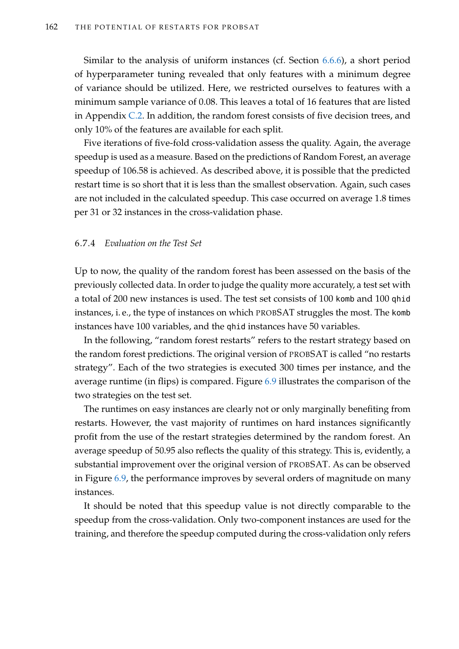Similar to the analysis of uniform instances (cf. Section [6.6.6\)](#page-160-1), a short period of hyperparameter tuning revealed that only features with a minimum degree of variance should be utilized. Here, we restricted ourselves to features with a minimum sample variance of 0.08. This leaves a total of 16 features that are listed in Appendix [C.2.](#page-241-1) In addition, the random forest consists of five decision trees, and only 10% of the features are available for each split.

Five iterations of five-fold cross-validation assess the quality. Again, the average speedup is used as a measure. Based on the predictions of Random Forest, an average speedup of 106.58 is achieved. As described above, it is possible that the predicted restart time is so short that it is less than the smallest observation. Again, such cases are not included in the calculated speedup. This case occurred on average 1.8 times per 31 or 32 instances in the cross-validation phase.

# 6.7.4 *Evaluation on the Test Set*

Up to now, the quality of the random forest has been assessed on the basis of the previously collected data. In order to judge the quality more accurately, a test set with a total of 200 new instances is used. The test set consists of 100 komb and 100 qhid instances, i. e., the type of instances on which PROBSAT struggles the most. The komb instances have 100 variables, and the qhid instances have 50 variables.

In the following, "random forest restarts" refers to the restart strategy based on the random forest predictions. The original version of PROBSAT is called "no restarts strategy". Each of the two strategies is executed 300 times per instance, and the average runtime (in flips) is compared. Figure [6.9](#page-178-0) illustrates the comparison of the two strategies on the test set.

The runtimes on easy instances are clearly not or only marginally benefiting from restarts. However, the vast majority of runtimes on hard instances significantly profit from the use of the restart strategies determined by the random forest. An average speedup of 50.95 also reflects the quality of this strategy. This is, evidently, a substantial improvement over the original version of PROBSAT. As can be observed in Figure [6.9,](#page-178-0) the performance improves by several orders of magnitude on many instances.

It should be noted that this speedup value is not directly comparable to the speedup from the cross-validation. Only two-component instances are used for the training, and therefore the speedup computed during the cross-validation only refers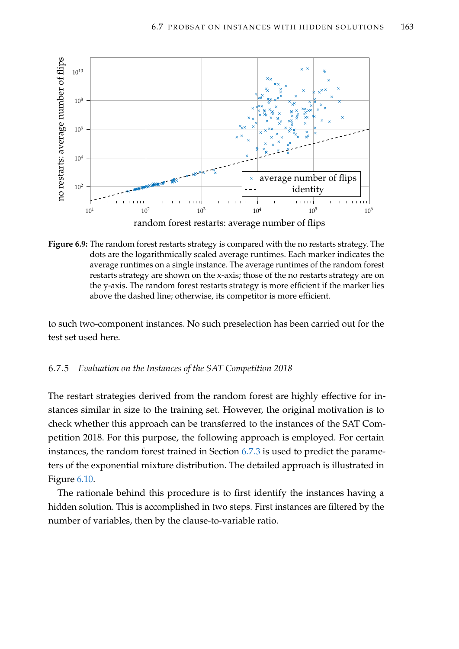<span id="page-178-0"></span>

**Figure 6.9:** The random forest restarts strategy is compared with the no restarts strategy. The dots are the logarithmically scaled average runtimes. Each marker indicates the average runtimes on a single instance. The average runtimes of the random forest restarts strategy are shown on the x-axis; those of the no restarts strategy are on the y-axis. The random forest restarts strategy is more efficient if the marker lies above the dashed line; otherwise, its competitor is more efficient.

to such two-component instances. No such preselection has been carried out for the test set used here.

# 6.7.5 *Evaluation on the Instances of the SAT Competition 2018*

The restart strategies derived from the random forest are highly effective for instances similar in size to the training set. However, the original motivation is to check whether this approach can be transferred to the instances of the SAT Competition 2018. For this purpose, the following approach is employed. For certain instances, the random forest trained in Section [6.7.3](#page-176-1) is used to predict the parameters of the exponential mixture distribution. The detailed approach is illustrated in Figure [6.10.](#page-179-0)

The rationale behind this procedure is to first identify the instances having a hidden solution. This is accomplished in two steps. First instances are filtered by the number of variables, then by the clause-to-variable ratio.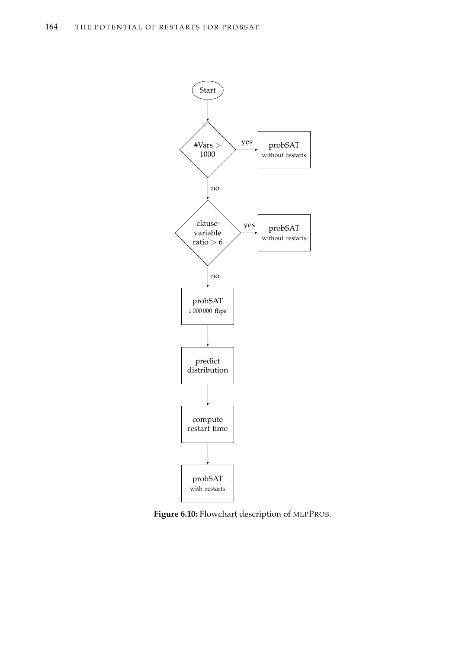<span id="page-179-0"></span>

**Figure 6.10:** Flowchart description of MLPPROB.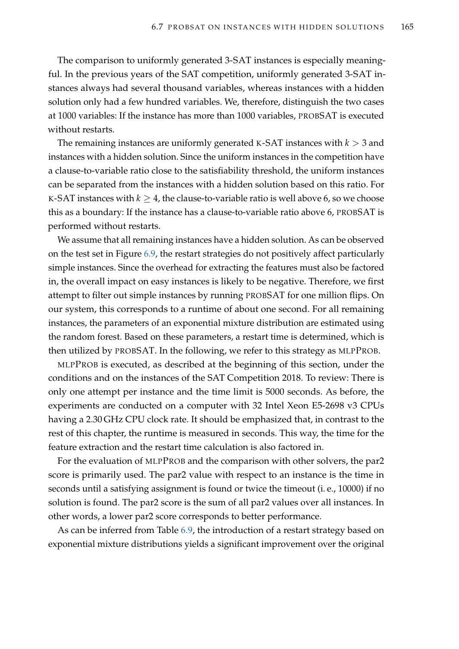The comparison to uniformly generated 3-SAT instances is especially meaningful. In the previous years of the SAT competition, uniformly generated 3-SAT instances always had several thousand variables, whereas instances with a hidden solution only had a few hundred variables. We, therefore, distinguish the two cases at 1000 variables: If the instance has more than 1000 variables, PROBSAT is executed without restarts.

The remaining instances are uniformly generated K-SAT instances with *k* > 3 and instances with a hidden solution. Since the uniform instances in the competition have a clause-to-variable ratio close to the satisfiability threshold, the uniform instances can be separated from the instances with a hidden solution based on this ratio. For K-SAT instances with  $k \geq 4$ , the clause-to-variable ratio is well above 6, so we choose this as a boundary: If the instance has a clause-to-variable ratio above 6, PROBSAT is performed without restarts.

We assume that all remaining instances have a hidden solution. As can be observed on the test set in Figure [6.9,](#page-178-0) the restart strategies do not positively affect particularly simple instances. Since the overhead for extracting the features must also be factored in, the overall impact on easy instances is likely to be negative. Therefore, we first attempt to filter out simple instances by running PROBSAT for one million flips. On our system, this corresponds to a runtime of about one second. For all remaining instances, the parameters of an exponential mixture distribution are estimated using the random forest. Based on these parameters, a restart time is determined, which is then utilized by PROBSAT. In the following, we refer to this strategy as MLPPROB.

MLPPROB is executed, as described at the beginning of this section, under the conditions and on the instances of the SAT Competition 2018. To review: There is only one attempt per instance and the time limit is 5000 seconds. As before, the experiments are conducted on a computer with 32 Intel Xeon E5-2698 v3 CPUs having a 2.30 GHz CPU clock rate. It should be emphasized that, in contrast to the rest of this chapter, the runtime is measured in seconds. This way, the time for the feature extraction and the restart time calculation is also factored in.

For the evaluation of MLPPROB and the comparison with other solvers, the par2 score is primarily used. The par2 value with respect to an instance is the time in seconds until a satisfying assignment is found or twice the timeout (i. e., 10000) if no solution is found. The par2 score is the sum of all par2 values over all instances. In other words, a lower par2 score corresponds to better performance.

As can be inferred from Table [6.9,](#page-181-0) the introduction of a restart strategy based on exponential mixture distributions yields a significant improvement over the original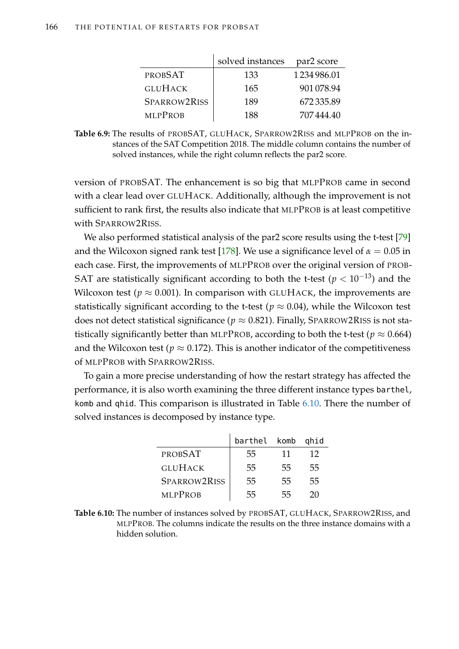<span id="page-181-0"></span>

|                | solved instances | par2 score |
|----------------|------------------|------------|
| <b>PROBSAT</b> | 133              | 1234986.01 |
| <b>GLUHACK</b> | 165              | 901078.94  |
| SPARROW2RISS   | 189              | 672335.89  |
| <b>MLPPROB</b> | 188              | 707444.40  |

**Table 6.9:** The results of PROBSAT, GLUHACK, SPARROW2RISS and MLPPROB on the instances of the SAT Competition 2018. The middle column contains the number of solved instances, while the right column reflects the par2 score.

version of PROBSAT. The enhancement is so big that MLPPROB came in second with a clear lead over GLUHACK. Additionally, although the improvement is not sufficient to rank first, the results also indicate that MLPPROB is at least competitive with SPARROW2RISS.

We also performed statistical analysis of the par2 score results using the t-test [\[79\]](#page-216-0) and the Wilcoxon signed rank test [\[178\]](#page-224-0). We use a significance level of  $\alpha = 0.05$  in each case. First, the improvements of MLPPROB over the original version of PROB-SAT are statistically significant according to both the t-test ( $p < 10^{-13}$ ) and the Wilcoxon test ( $p \approx 0.001$ ). In comparison with GLUHACK, the improvements are statistically significant according to the t-test ( $p \approx 0.04$ ), while the Wilcoxon test does not detect statistical significance ( $p \approx 0.821$ ). Finally, SPARROW2RISS is not statistically significantly better than MLPPROB, according to both the t-test ( $p \approx 0.664$ ) and the Wilcoxon test ( $p \approx 0.172$ ). This is another indicator of the competitiveness of MLPPROB with SPARROW2RISS.

<span id="page-181-1"></span>To gain a more precise understanding of how the restart strategy has affected the performance, it is also worth examining the three different instance types barthel, komb and qhid. This comparison is illustrated in Table [6.10.](#page-181-1) There the number of solved instances is decomposed by instance type.

|                | barthel komb qhid |    |    |
|----------------|-------------------|----|----|
| <b>PROBSAT</b> | 55                | 11 | 12 |
| <b>GLUHACK</b> | 55                | 55 | 55 |
| SPARROW2RISS   | 55                | 55 | 55 |
| <b>MLPPROB</b> | 55                | 55 | 20 |

**Table 6.10:** The number of instances solved by PROBSAT, GLUHACK, SPARROW2RISS, and MLPPROB. The columns indicate the results on the three instance domains with a hidden solution.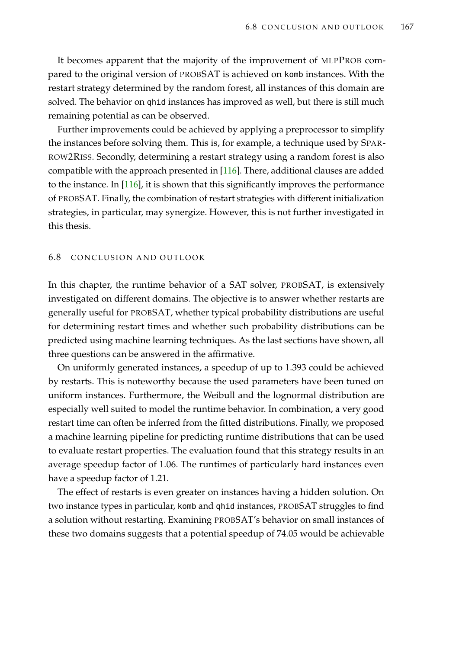It becomes apparent that the majority of the improvement of MLPPROB compared to the original version of PROBSAT is achieved on komb instances. With the restart strategy determined by the random forest, all instances of this domain are solved. The behavior on qhid instances has improved as well, but there is still much remaining potential as can be observed.

Further improvements could be achieved by applying a preprocessor to simplify the instances before solving them. This is, for example, a technique used by SPAR-ROW2RISS. Secondly, determining a restart strategy using a random forest is also compatible with the approach presented in [\[116\]](#page-219-0). There, additional clauses are added to the instance. In [\[116\]](#page-219-0), it is shown that this significantly improves the performance of PROBSAT. Finally, the combination of restart strategies with different initialization strategies, in particular, may synergize. However, this is not further investigated in this thesis.

## 6.8 CONCLUSION AND OUTLOOK

In this chapter, the runtime behavior of a SAT solver, PROBSAT, is extensively investigated on different domains. The objective is to answer whether restarts are generally useful for PROBSAT, whether typical probability distributions are useful for determining restart times and whether such probability distributions can be predicted using machine learning techniques. As the last sections have shown, all three questions can be answered in the affirmative.

On uniformly generated instances, a speedup of up to 1.393 could be achieved by restarts. This is noteworthy because the used parameters have been tuned on uniform instances. Furthermore, the Weibull and the lognormal distribution are especially well suited to model the runtime behavior. In combination, a very good restart time can often be inferred from the fitted distributions. Finally, we proposed a machine learning pipeline for predicting runtime distributions that can be used to evaluate restart properties. The evaluation found that this strategy results in an average speedup factor of 1.06. The runtimes of particularly hard instances even have a speedup factor of 1.21.

The effect of restarts is even greater on instances having a hidden solution. On two instance types in particular, komb and qhid instances, PROBSAT struggles to find a solution without restarting. Examining PROBSAT's behavior on small instances of these two domains suggests that a potential speedup of 74.05 would be achievable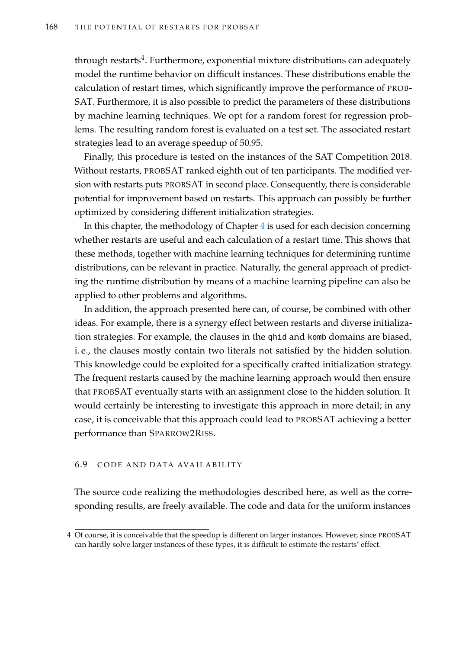through restarts $\rm ^4$ . Furthermore, exponential mixture distributions can adequately model the runtime behavior on difficult instances. These distributions enable the calculation of restart times, which significantly improve the performance of PROB-SAT. Furthermore, it is also possible to predict the parameters of these distributions by machine learning techniques. We opt for a random forest for regression problems. The resulting random forest is evaluated on a test set. The associated restart strategies lead to an average speedup of 50.95.

Finally, this procedure is tested on the instances of the SAT Competition 2018. Without restarts, PROBSAT ranked eighth out of ten participants. The modified version with restarts puts PROBSAT in second place. Consequently, there is considerable potential for improvement based on restarts. This approach can possibly be further optimized by considering different initialization strategies.

In this chapter, the methodology of Chapter [4](#page-84-0) is used for each decision concerning whether restarts are useful and each calculation of a restart time. This shows that these methods, together with machine learning techniques for determining runtime distributions, can be relevant in practice. Naturally, the general approach of predicting the runtime distribution by means of a machine learning pipeline can also be applied to other problems and algorithms.

In addition, the approach presented here can, of course, be combined with other ideas. For example, there is a synergy effect between restarts and diverse initialization strategies. For example, the clauses in the qhid and komb domains are biased, i. e., the clauses mostly contain two literals not satisfied by the hidden solution. This knowledge could be exploited for a specifically crafted initialization strategy. The frequent restarts caused by the machine learning approach would then ensure that PROBSAT eventually starts with an assignment close to the hidden solution. It would certainly be interesting to investigate this approach in more detail; in any case, it is conceivable that this approach could lead to PROBSAT achieving a better performance than SPARROW2RISS.

### 6.9 CODE AND DATA AVAILABILITY

The source code realizing the methodologies described here, as well as the corresponding results, are freely available. The code and data for the uniform instances

<sup>4</sup> Of course, it is conceivable that the speedup is different on larger instances. However, since PROBSAT can hardly solve larger instances of these types, it is difficult to estimate the restarts' effect.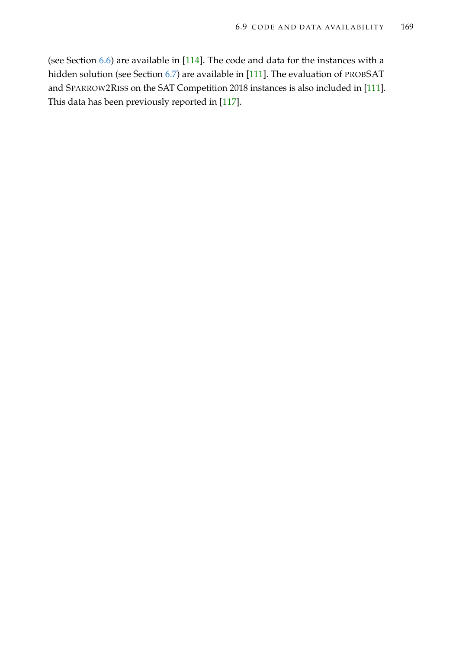(see Section [6.6\)](#page-148-0) are available in [\[114\]](#page-219-1). The code and data for the instances with a hidden solution (see Section [6.7\)](#page-169-0) are available in [\[111\]](#page-219-2). The evaluation of PROBSAT and SPARROW2RISS on the SAT Competition 2018 instances is also included in [\[111\]](#page-219-2). This data has been previously reported in [\[117\]](#page-219-3).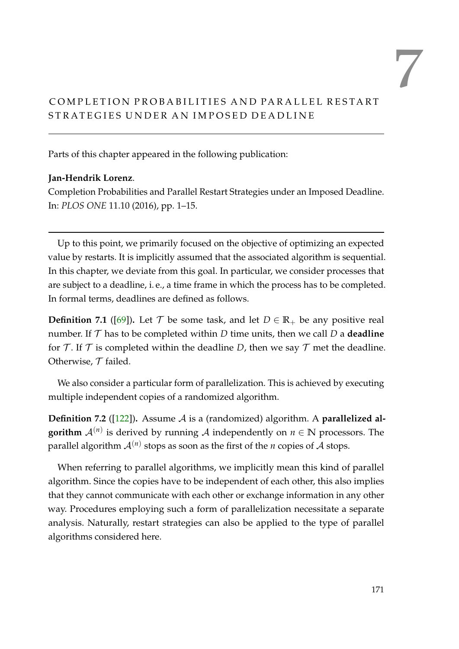# <span id="page-186-1"></span>COMPLETION PROBABILITIES AND PARALLEL RESTART STRATEGIES UNDER AN IMPOSED DEADLINE

Parts of this chapter appeared in the following publication:

## **Jan-Hendrik Lorenz**.

Completion Probabilities and Parallel Restart Strategies under an Imposed Deadline. In: *PLOS ONE* 11.10 (2016), pp. 1–15.

Up to this point, we primarily focused on the objective of optimizing an expected value by restarts. It is implicitly assumed that the associated algorithm is sequential. In this chapter, we deviate from this goal. In particular, we consider processes that are subject to a deadline, i. e., a time frame in which the process has to be completed. In formal terms, deadlines are defined as follows.

**Definition 7.1** ([\[69\]](#page-215-0)). Let  $\mathcal{T}$  be some task, and let  $D \in \mathbb{R}_+$  be any positive real number. If  $T$  has to be completed within  $D$  time units, then we call  $D$  a **deadline** for T. If T is completed within the deadline D, then we say T met the deadline. Otherwise,  $T$  failed.

We also consider a particular form of parallelization. This is achieved by executing multiple independent copies of a randomized algorithm.

<span id="page-186-0"></span>**Definition 7.2** ([\[122\]](#page-220-0)). Assume A is a (randomized) algorithm. A **parallelized algorithm**  $\mathcal{A}^{(n)}$  is derived by running  $\mathcal{A}$  independently on  $n \in \mathbb{N}$  processors. The parallel algorithm  $\mathcal{A}^{(n)}$  stops as soon as the first of the  $n$  copies of  $\mathcal A$  stops.

When referring to parallel algorithms, we implicitly mean this kind of parallel algorithm. Since the copies have to be independent of each other, this also implies that they cannot communicate with each other or exchange information in any other way. Procedures employing such a form of parallelization necessitate a separate analysis. Naturally, restart strategies can also be applied to the type of parallel algorithms considered here.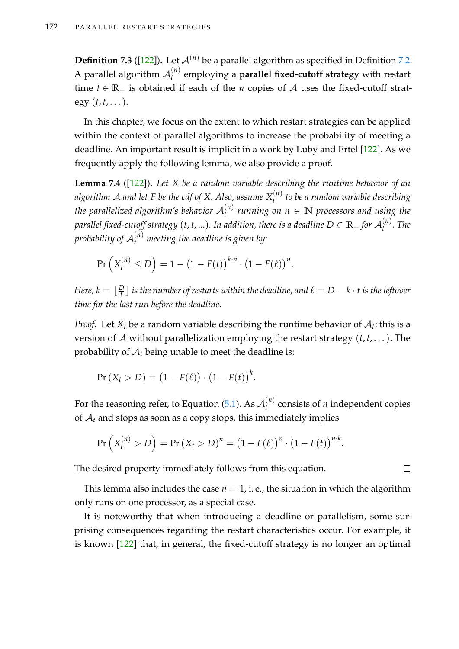**Definition 7.3** ([\[122\]](#page-220-0)). Let  $\mathcal{A}^{(n)}$  be a parallel algorithm as specified in Definition [7.2.](#page-186-0) A parallel algorithm  $\mathcal{A}_t^{(n)}$ *t* employing a **parallel fixed-cutoff strategy** with restart time  $t \in \mathbb{R}_+$  is obtained if each of the *n* copies of A uses the fixed-cutoff strategy  $(t, t, \dots)$ .

In this chapter, we focus on the extent to which restart strategies can be applied within the context of parallel algorithms to increase the probability of meeting a deadline. An important result is implicit in a work by Luby and Ertel [\[122\]](#page-220-0). As we frequently apply the following lemma, we also provide a proof.

<span id="page-187-0"></span>**Lemma 7.4** ([\[122\]](#page-220-0))**.** *Let X be a random variable describing the runtime behavior of an algorithm* A *and let F be the cdf of X. Also, assume X* (*n*) *t to be a random variable describing the parallelized algorithm's behavior* A (*n*) *t running on n* ∈ **N** *processors and using the* parallel fixed-cutoff strategy  $(t,t,...)$ . In addition, there is a deadline  $D \in \mathbb{R}_+$  for  $\mathcal{A}_t^{(n)}$ *t . The* probability of  ${\cal A}_t^{(n)}$  meeting the deadline is given by:

$$
\Pr\left(X_t^{(n)} \le D\right) = 1 - \left(1 - F(t)\right)^{k \cdot n} \cdot \left(1 - F(\ell)\right)^n.
$$

*Here, k* =  $\lfloor \frac{D}{t} \rfloor$  $\frac{D}{t}$   $\rfloor$  *is the number of restarts within the deadline, and*  $\ell = D-k\cdot t$  *is the leftover time for the last run before the deadline.*

*Proof.* Let  $X_t$  be a random variable describing the runtime behavior of  $A_t$ ; this is a version of A without parallelization employing the restart strategy (*t*, *t*, . . .). The probability of  $A_t$  being unable to meet the deadline is:

$$
Pr(X_t > D) = (1 - F(\ell)) \cdot (1 - F(t))^k.
$$

For the reasoning refer, to Equation [\(5.1\)](#page-124-0). As  $\mathcal{A}_t^{(n)}$  $t_t^{(n)}$  consists of *n* independent copies of  $A_t$  and stops as soon as a copy stops, this immediately implies

$$
\Pr\left(X_t^{(n)} > D\right) = \Pr\left(X_t > D\right)^n = \left(1 - F(\ell)\right)^n \cdot \left(1 - F(t)\right)^{n \cdot k}.
$$

The desired property immediately follows from this equation.

This lemma also includes the case  $n = 1$ , i.e., the situation in which the algorithm only runs on one processor, as a special case.

It is noteworthy that when introducing a deadline or parallelism, some surprising consequences regarding the restart characteristics occur. For example, it is known [\[122\]](#page-220-0) that, in general, the fixed-cutoff strategy is no longer an optimal

 $\Box$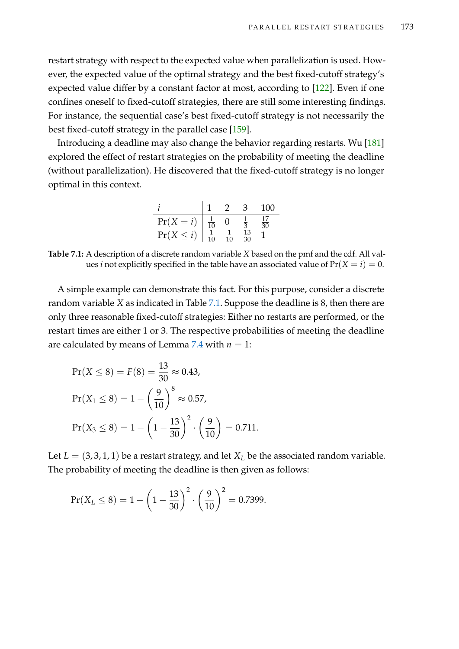restart strategy with respect to the expected value when parallelization is used. However, the expected value of the optimal strategy and the best fixed-cutoff strategy's expected value differ by a constant factor at most, according to [\[122\]](#page-220-0). Even if one confines oneself to fixed-cutoff strategies, there are still some interesting findings. For instance, the sequential case's best fixed-cutoff strategy is not necessarily the best fixed-cutoff strategy in the parallel case [\[159\]](#page-223-0).

Introducing a deadline may also change the behavior regarding restarts. Wu [\[181\]](#page-224-1) explored the effect of restart strategies on the probability of meeting the deadline (without parallelization). He discovered that the fixed-cutoff strategy is no longer optimal in this context.

|                |                |                | 3               | 100      |
|----------------|----------------|----------------|-----------------|----------|
| $Pr(X = i)$    | $\frac{1}{10}$ |                |                 | 17<br>30 |
| $Pr(X \leq i)$ | $\frac{1}{10}$ | $\frac{1}{10}$ | $\frac{13}{30}$ |          |

<span id="page-188-0"></span>**Table 7.1:** A description of a discrete random variable *X* based on the pmf and the cdf. All values *i* not explicitly specified in the table have an associated value of  $Pr(X = i) = 0$ .

A simple example can demonstrate this fact. For this purpose, consider a discrete random variable *X* as indicated in Table [7.1.](#page-188-0) Suppose the deadline is 8, then there are only three reasonable fixed-cutoff strategies: Either no restarts are performed, or the restart times are either 1 or 3. The respective probabilities of meeting the deadline are calculated by means of Lemma [7.4](#page-187-0) with  $n = 1$ :

$$
Pr(X \le 8) = F(8) = \frac{13}{30} \approx 0.43,
$$
  
\n
$$
Pr(X_1 \le 8) = 1 - \left(\frac{9}{10}\right)^8 \approx 0.57,
$$
  
\n
$$
Pr(X_3 \le 8) = 1 - \left(1 - \frac{13}{30}\right)^2 \cdot \left(\frac{9}{10}\right) = 0.711.
$$

Let  $L = (3, 3, 1, 1)$  be a restart strategy, and let  $X_L$  be the associated random variable. The probability of meeting the deadline is then given as follows:

$$
Pr(X_L \le 8) = 1 - \left(1 - \frac{13}{30}\right)^2 \cdot \left(\frac{9}{10}\right)^2 = 0.7399.
$$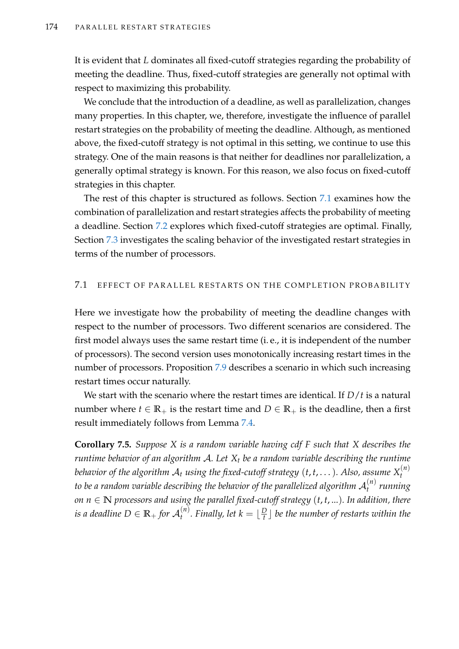It is evident that *L* dominates all fixed-cutoff strategies regarding the probability of meeting the deadline. Thus, fixed-cutoff strategies are generally not optimal with respect to maximizing this probability.

We conclude that the introduction of a deadline, as well as parallelization, changes many properties. In this chapter, we, therefore, investigate the influence of parallel restart strategies on the probability of meeting the deadline. Although, as mentioned above, the fixed-cutoff strategy is not optimal in this setting, we continue to use this strategy. One of the main reasons is that neither for deadlines nor parallelization, a generally optimal strategy is known. For this reason, we also focus on fixed-cutoff strategies in this chapter.

The rest of this chapter is structured as follows. Section [7.1](#page-189-0) examines how the combination of parallelization and restart strategies affects the probability of meeting a deadline. Section [7.2](#page-196-0) explores which fixed-cutoff strategies are optimal. Finally, Section [7.3](#page-199-0) investigates the scaling behavior of the investigated restart strategies in terms of the number of processors.

## <span id="page-189-0"></span>7.1 EFFECT OF PARALLEL RESTARTS ON THE COMPLETION PROBABILITY

Here we investigate how the probability of meeting the deadline changes with respect to the number of processors. Two different scenarios are considered. The first model always uses the same restart time (i. e., it is independent of the number of processors). The second version uses monotonically increasing restart times in the number of processors. Proposition [7.9](#page-194-0) describes a scenario in which such increasing restart times occur naturally.

We start with the scenario where the restart times are identical. If *D*/*t* is a natural number where  $t \in \mathbb{R}_+$  is the restart time and  $D \in \mathbb{R}_+$  is the deadline, then a first result immediately follows from Lemma [7.4.](#page-187-0)

**Corollary 7.5.** *Suppose X is a random variable having cdf F such that X describes the runtime behavior of an algorithm* A*. Let X<sup>t</sup> be a random variable describing the runtime behavior of the algorithm*  ${\cal A}_t$  *using the fixed-cutoff strategy*  $(t,t,\dots)$ *. Also, assume*  $X_t^{(n)}$ *t* to be a random variable describing the behavior of the parallelized algorithm  $\mathcal{A}_{t}^{(n)}$ *t running on*  $n ∈ ℕ$  *processors and using the parallel fixed-cutoff strategy*  $(t, t, ...)$ *. In addition, there*  $i$ *s a deadline D*  $\in$   $\mathbb{R}_+$  *for*  $\mathcal{A}_t^{(n)}$  $\int_t^{(n)}$ *. Finally, let*  $k = \lfloor \frac{D}{t} \rfloor$  $\frac{D}{t}$   $\rfloor$  be the number of restarts within the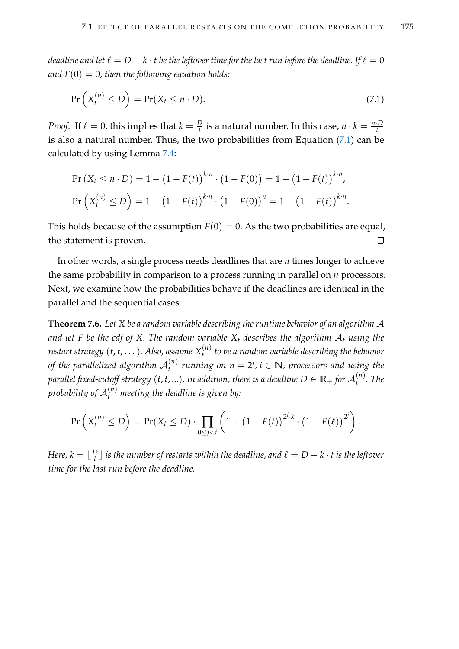*deadline and let*  $\ell = D - k \cdot t$  *be the leftover time for the last run before the deadline. If*  $\ell = 0$ and  $F(0) = 0$ , then the following equation holds:

<span id="page-190-0"></span>
$$
\Pr\left(X_t^{(n)} \le D\right) = \Pr(X_t \le n \cdot D). \tag{7.1}
$$

*Proof.* If  $\ell = 0$ , this implies that  $k = \frac{D}{t}$  is a natural number. In this case,  $n \cdot k = \frac{n \cdot D}{t}$ is also a natural number. Thus, the two probabilities from Equation [\(7.1\)](#page-190-0) can be calculated by using Lemma [7.4:](#page-187-0)

$$
\Pr\left(X_t \le n \cdot D\right) = 1 - \left(1 - F(t)\right)^{k \cdot n} \cdot \left(1 - F(0)\right) = 1 - \left(1 - F(t)\right)^{k \cdot n},
$$
\n
$$
\Pr\left(X_t^{(n)} \le D\right) = 1 - \left(1 - F(t)\right)^{k \cdot n} \cdot \left(1 - F(0)\right)^n = 1 - \left(1 - F(t)\right)^{k \cdot n}.
$$

This holds because of the assumption  $F(0) = 0$ . As the two probabilities are equal, the statement is proven.  $\Box$ 

In other words, a single process needs deadlines that are *n* times longer to achieve the same probability in comparison to a process running in parallel on *n* processors. Next, we examine how the probabilities behave if the deadlines are identical in the parallel and the sequential cases.

<span id="page-190-1"></span>**Theorem 7.6.** *Let X be a random variable describing the runtime behavior of an algorithm* A *and let F be the cdf of X. The random variable*  $X_t$  *describes the algorithm*  $A_t$  *using the restart strategy* (*t*, *t*, . . .)*. Also, assume X* (*n*) *t to be a random variable describing the behavior* of the parallelized algorithm  $\mathcal{A}_t^{(n)}$  $t_t^{(n)}$  running on  $n = 2^i$ ,  $i \in \mathbb{N}$ , processors and using the parallel fixed-cutoff strategy  $(t,t,...)$ . In addition, there is a deadline  $D \in \mathbb{R}_+$  for  $\mathcal{A}_t^{(n)}$ *t . The* probability of  ${\cal A}_t^{(n)}$  meeting the deadline is given by:

$$
\Pr\left(X_t^{(n)} \leq D\right) = \Pr(X_t \leq D) \cdot \prod_{0 \leq j < i} \left(1 + \left(1 - F(t)\right)^{2^j \cdot k} \cdot \left(1 - F(\ell)\right)^{2^j}\right).
$$

*Here, k* =  $\lfloor \frac{D}{t} \rfloor$  $\frac{D}{t}$   $\rfloor$  *is the number of restarts within the deadline, and*  $\ell = D-k\cdot t$  *is the leftover time for the last run before the deadline.*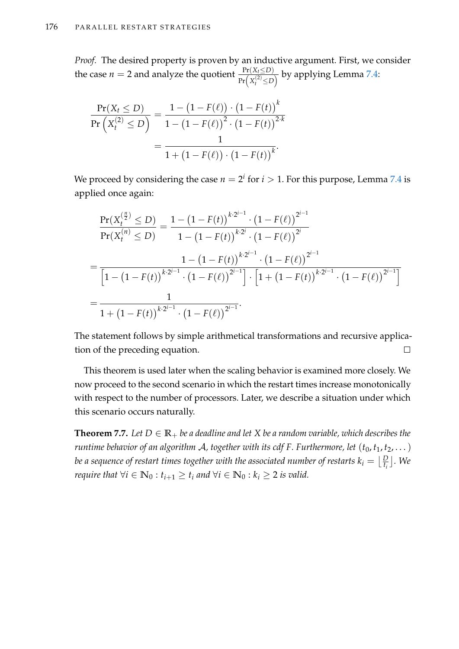*Proof.* The desired property is proven by an inductive argument. First, we consider the case  $n = 2$  and analyze the quotient  $\frac{\Pr(X_t \leq D)}{\Pr\left(X_t^{(2)} \leq D\right)}$  by applying Lemma [7.4:](#page-187-0)

$$
\frac{\Pr(X_t \le D)}{\Pr(X_t^{(2)} \le D)} = \frac{1 - (1 - F(\ell)) \cdot (1 - F(t))^k}{1 - (1 - F(\ell))^2 \cdot (1 - F(t))^{2-k}}
$$

$$
= \frac{1}{1 + (1 - F(\ell)) \cdot (1 - F(t))^k}.
$$

We proceed by considering the case  $n = 2^i$  for  $i > 1$ . For this purpose, Lemma [7.4](#page-187-0) is applied once again:

$$
\frac{\Pr(X_t^{(\frac{n}{2})} \le D)}{\Pr(X_t^{(n)} \le D)} = \frac{1 - (1 - F(t))^{k \cdot 2^{i-1}} \cdot (1 - F(\ell))^{2^{i-1}}}{1 - (1 - F(t))^{k \cdot 2^{i}} \cdot (1 - F(\ell))^{2^{i}}}
$$
\n
$$
= \frac{1 - (1 - F(t))^{k \cdot 2^{i-1}} \cdot (1 - F(\ell))^{2^{i-1}}}{\left[1 - (1 - F(t))^{k \cdot 2^{i-1}} \cdot (1 - F(\ell))^{2^{i-1}}\right] \cdot \left[1 + (1 - F(t))^{k \cdot 2^{i-1}} \cdot (1 - F(\ell))^{2^{i-1}}\right]}
$$
\n
$$
= \frac{1}{1 + (1 - F(t))^{k \cdot 2^{i-1}} \cdot (1 - F(\ell))^{2^{i-1}}}.
$$

The statement follows by simple arithmetical transformations and recursive application of the preceding equation.  $\Box$ 

This theorem is used later when the scaling behavior is examined more closely. We now proceed to the second scenario in which the restart times increase monotonically with respect to the number of processors. Later, we describe a situation under which this scenario occurs naturally.

<span id="page-191-0"></span>**Theorem 7.7.** Let  $D \in \mathbb{R}_+$  be a deadline and let X be a random variable, which describes the *runtime behavior of an algorithm A, together with its cdf F. Furthermore, let*  $(t_0, t_1, t_2, ...)$ *be a sequence of restart times together with the associated number of restarts*  $k_i = \lfloor \frac{D}{t_i} \rfloor$  *. We require that*  $\forall i \in \mathbb{N}_0 : t_{i+1} \geq t_i$  *and*  $\forall i \in \mathbb{N}_0 : k_i \geq 2$  *is valid.*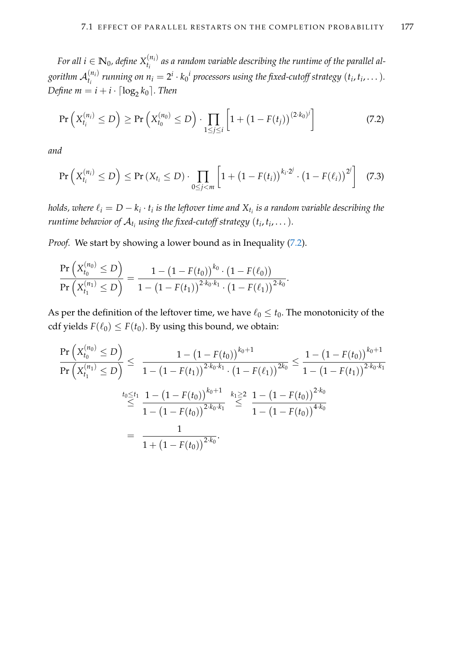*For all*  $i \in \mathbb{N}_0$ *, define*  $X_{t_i}^{(n_i)}$  $\binom{a_{i}}{a_{i}}$  as a random variable describing the runtime of the parallel algorithm  $\mathcal{A}_{t_i}^{(n_i)}$  $t_i^{(n_i)}$  running on  $n_i = 2^i \cdot k_0^i$  processors using the fixed-cutoff strategy  $(t_i, t_i, \dots).$ *Define*  $m = i + i \cdot \lceil \log_2 k_0 \rceil$ . Then

<span id="page-192-0"></span>
$$
\Pr\left(X_{t_i}^{(n_i)} \le D\right) \ge \Pr\left(X_{t_0}^{(n_0)} \le D\right) \cdot \prod_{1 \le j \le i} \left[1 + \left(1 - F(t_j)\right)^{(2 \cdot k_0)j}\right] \tag{7.2}
$$

*and*

<span id="page-192-1"></span>
$$
\Pr\left(X_{t_i}^{(n_i)} \le D\right) \le \Pr\left(X_{t_i} \le D\right) \cdot \prod_{0 \le j < m} \left[1 + \left(1 - F(t_i)\right)^{k_i \cdot 2^j} \cdot \left(1 - F(\ell_i)\right)^{2^j}\right] \tag{7.3}
$$

*holds, where*  $\ell_i = D - k_i \cdot t_i$  *is the leftover time and*  $\mathrm{X}_{t_i}$  *is a random variable describing the runtime behavior of*  $\mathcal{A}_{t_i}$  *using the fixed-cutoff strategy*  $(t_i, t_i, \dots).$ 

*Proof.* We start by showing a lower bound as in Inequality [\(7.2\)](#page-192-0).

$$
\frac{\Pr\left(X_{t_0}^{(n_0)} \le D\right)}{\Pr\left(X_{t_1}^{(n_1)} \le D\right)} = \frac{1 - \left(1 - F(t_0)\right)^{k_0} \cdot \left(1 - F(\ell_0)\right)}{1 - \left(1 - F(t_1)\right)^{2 \cdot k_0 \cdot k_1} \cdot \left(1 - F(\ell_1)\right)^{2 \cdot k_0}}.
$$

As per the definition of the leftover time, we have  $\ell_0 \leq t_0$ . The monotonicity of the cdf yields  $F(\ell_0) \leq F(t_0)$ . By using this bound, we obtain:

$$
\frac{\Pr\left(X_{t_0}^{(n_0)} \le D\right)}{\Pr\left(X_{t_1}^{(n_1)} \le D\right)} \le \frac{1 - \left(1 - F(t_0)\right)^{k_0 + 1}}{1 - \left(1 - F(t_1)\right)^{2 \cdot k_0 \cdot k_1} \cdot \left(1 - F(\ell_1)\right)^{2 k_0}} \le \frac{1 - \left(1 - F(t_0)\right)^{k_0 + 1}}{1 - \left(1 - F(t_1)\right)^{2 \cdot k_0 \cdot k_1}} \le \frac{1 - \left(1 - F(t_1)\right)^{k_0 + 1}}{1 - \left(1 - F(t_0)\right)^{2 \cdot k_0 \cdot k_1}} \le \frac{1 - \left(1 - F(t_0)\right)^{2 \cdot k_0 \cdot k_1}}{1 - \left(1 - F(t_0)\right)^{4 \cdot k_0}}
$$
\n
$$
= \frac{1}{1 + \left(1 - F(t_0)\right)^{2 \cdot k_0}}.
$$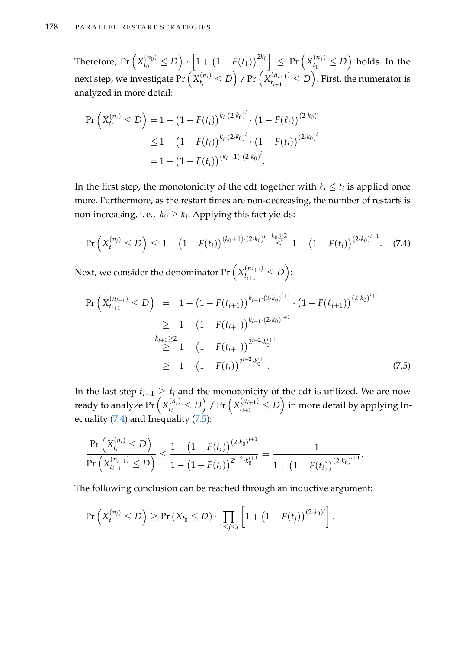Therefore,  $Pr(X_{t_0}^{(n_0)})$  $\left[ 0 \leq D \right) \cdot \left[ 1 + \left( 1 - F(t_1) \right)^{2 k_0} \right] \ \leq \ \Pr \left( X_{t_1}^{(n_1)} \right)$  $\binom{(n_1)}{t_1} \leq D$  holds. In the next step, we investigate Pr  $\left(X_{t_i}^{(n_i)}\right)$  $\binom{n_i}{t_i} \le D$  / Pr  $\left(X_{t_{i+1}}^{(n_{i+1})}\right)$  $\binom{(n_{i+1})}{t_{i+1}} \leq D$  . First, the numerator is analyzed in more detail:

$$
\begin{aligned} \Pr\left(X_{t_i}^{(n_i)} \le D\right) &= 1 - \left(1 - F(t_i)\right)^{k_i \cdot (2 \cdot k_0)^i} \cdot \left(1 - F(\ell_i)\right)^{(2 \cdot k_0)^i} \\ &\le 1 - \left(1 - F(t_i)\right)^{k_i \cdot (2 \cdot k_0)^i} \cdot \left(1 - F(t_i)\right)^{(2 \cdot k_0)^i} \\ &= 1 - \left(1 - F(t_i)\right)^{(k_i + 1) \cdot (2 \cdot k_0)^i} .\end{aligned}
$$

In the first step, the monotonicity of the cdf together with  $\ell_i \leq t_i$  is applied once more. Furthermore, as the restart times are non-decreasing, the number of restarts is non-increasing, i. e.,  $k_0 \geq k_i$ . Applying this fact yields:

<span id="page-193-0"></span>
$$
\Pr\left(X_{t_i}^{(n_i)} \le D\right) \le 1 - \left(1 - F(t_i)\right)^{(k_0+1)\cdot(2\cdot k_0)^i} \stackrel{k_0 \ge 2}{\le} 1 - \left(1 - F(t_i)\right)^{(2\cdot k_0)^{i+1}}.\tag{7.4}
$$

Next, we consider the denominator Pr  $\left(X_{t_{i+1}}^{(n_{i+1})}\right)$  $t_{i+1}^{(n_{i+1})} \leq D$ :

<span id="page-193-1"></span>
$$
\Pr\left(X_{t_{i+1}}^{(n_{i+1})} \le D\right) = 1 - \left(1 - F(t_{i+1})\right)^{k_{i+1} \cdot (2 \cdot k_0)^{i+1}} \cdot \left(1 - F(\ell_{i+1})\right)^{(2 \cdot k_0)^{i+1}}
$$
\n
$$
\ge 1 - \left(1 - F(t_{i+1})\right)^{k_{i+1} \cdot (2 \cdot k_0)^{i+1}}
$$
\n
$$
\ge 1 - \left(1 - F(t_{i+1})\right)^{2^{i+2} \cdot k_0^{i+1}}
$$
\n
$$
\ge 1 - \left(1 - F(t_i)\right)^{2^{i+2} \cdot k_0^{i+1}}.
$$
\n(7.5)

In the last step  $t_{i+1} \geq t_i$  and the monotonicity of the cdf is utilized. We are now ready to analyze Pr  $\left(X_{t_i}^{(n_i)}\right)$  $\binom{n_i}{t_i} \le D$  / Pr  $\left(X_{t_{i+1}}^{(n_{i+1})}\right)$  $\binom{(n_{i+1})}{t_{i+1}} \leq D$  in more detail by applying In-equality [\(7.4\)](#page-193-0) and Inequality [\(7.5\)](#page-193-1):

$$
\frac{\Pr\left(X_{t_i}^{(n_i)} \le D\right)}{\Pr\left(X_{t_{i+1}}^{(n_{i+1})} \le D\right)} \le \frac{1 - \left(1 - F(t_i)\right)^{(2 \cdot k_0)^{i+1}}}{1 - \left(1 - F(t_i)\right)^{2^{i+2} \cdot k_0^{i+1} }} = \frac{1}{1 + \left(1 - F(t_i)\right)^{(2 \cdot k_0)^{i+1}}}.
$$

The following conclusion can be reached through an inductive argument:

$$
\Pr\left(X_{t_i}^{(n_i)} \le D\right) \ge \Pr\left(X_{t_0} \le D\right) \cdot \prod_{1 \le j \le i} \left[1 + \left(1 - F(t_j)\right)^{(2 \cdot k_0)j}\right].
$$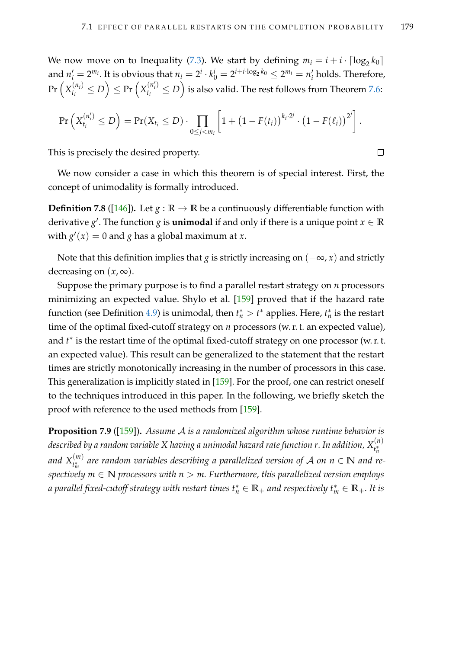$\Box$ 

We now move on to Inequality [\(7.3\)](#page-192-1). We start by defining  $m_i = i + i \cdot \lceil \log_2 k_0 \rceil$ and  $n'_i = 2^{m_i}$ . It is obvious that  $n_i = 2^i \cdot k_0^i = 2^{i+i \cdot \log_2 k_0} \leq 2^{m_i} = n'_i$ *i* holds. Therefore,  $\Pr\left(X_{t_i}^{(n_i)}\right)$  $\left(\begin{matrix} n_i \ n_i \end{matrix}\right) \le D \right) \le \Pr \left(X_{t_i}^{(n'_i)}\right)$  $\binom{\left(n'_{i}\right)}{t_{i}}\leq D$  is also valid. The rest follows from Theorem [7.6:](#page-190-1)

$$
\Pr\left(X_{t_i}^{(n'_i)} \leq D\right) = \Pr(X_{t_i} \leq D) \cdot \prod_{0 \leq j < m_i} \left[1 + \left(1 - F(t_i)\right)^{k_i \cdot 2^j} \cdot \left(1 - F(\ell_i)\right)^{2^j}\right].
$$

This is precisely the desired property.

We now consider a case in which this theorem is of special interest. First, the concept of unimodality is formally introduced.

**Definition 7.8** ([\[146\]](#page-222-0)). Let  $g : \mathbb{R} \to \mathbb{R}$  be a continuously differentiable function with derivative  $g'$ . The function  $g$  is **unimodal** if and only if there is a unique point  $x \in \mathbb{R}$ with  $g'(x) = 0$  and *g* has a global maximum at *x*.

Note that this definition implies that *g* is strictly increasing on (−∞, *x*) and strictly decreasing on  $(x, \infty)$ .

Suppose the primary purpose is to find a parallel restart strategy on *n* processors minimizing an expected value. Shylo et al. [\[159\]](#page-223-0) proved that if the hazard rate function (see Definition [4.9\)](#page-92-0) is unimodal, then  $t_n^* > t^*$  applies. Here,  $t_n^*$  is the restart time of the optimal fixed-cutoff strategy on  $n$  processors (w. r. t. an expected value), and  $t^*$  is the restart time of the optimal fixed-cutoff strategy on one processor (w. r. t. an expected value). This result can be generalized to the statement that the restart times are strictly monotonically increasing in the number of processors in this case. This generalization is implicitly stated in [\[159\]](#page-223-0). For the proof, one can restrict oneself to the techniques introduced in this paper. In the following, we briefly sketch the proof with reference to the used methods from [\[159\]](#page-223-0).

<span id="page-194-0"></span>**Proposition 7.9** ([\[159\]](#page-223-0))**.** *Assume* A *is a randomized algorithm whose runtime behavior is described by a random variable X having a unimodal hazard rate function r. In addition, X* (*n*) *t* ∗ *n* and  $X_{t_{m}^{*}}^{(m)}$  $\mathbf{r}_{m}^{(m)}$  are random variables describing a parallelized version of  $\mathcal{A}$  on  $n \in \mathbb{N}$  and re*spectively m* ∈ **N** *processors with n* > *m. Furthermore, this parallelized version employs*  $a$  parallel fixed-cutoff strategy with restart times  $t^*_n \in \mathbb{R}_+$  and respectively  $t^*_m \in \mathbb{R}_+$ . It is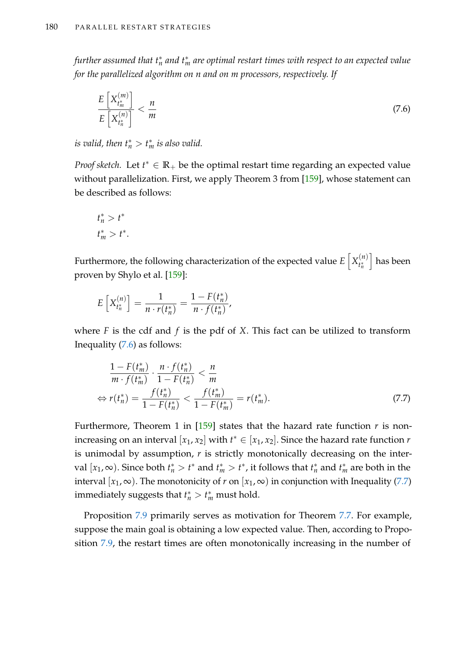$f$ urther assumed that  $t_n^*$  and  $t_m^*$  are optimal restart times with respect to an expected value *for the parallelized algorithm on n and on m processors, respectively. If*

<span id="page-195-0"></span>
$$
\frac{E\left[X_{t_m^*}^{(m)}\right]}{E\left[X_{t_n^*}^{(n)}\right]} < \frac{n}{m} \tag{7.6}
$$

*is valid, then*  $t_n^* > t_m^*$  *is also valid.* 

*Proof sketch.* Let  $t^* \in \mathbb{R}_+$  be the optimal restart time regarding an expected value without parallelization. First, we apply Theorem 3 from [\[159\]](#page-223-0), whose statement can be described as follows:

$$
t_n^* > t^*
$$
  

$$
t_m^* > t^*.
$$

Furthermore, the following characterization of the expected value  $E\left[X^{(n)}_{t^*}\right]$ *t* ∗ *n* i has been proven by Shylo et al. [\[159\]](#page-223-0):

$$
E\left[X_{t_n^*}^{(n)}\right] = \frac{1}{n \cdot r(t_n^*)} = \frac{1 - F(t_n^*)}{n \cdot f(t_n^*)},
$$

where *F* is the cdf and *f* is the pdf of *X*. This fact can be utilized to transform Inequality [\(7.6\)](#page-195-0) as follows:

<span id="page-195-1"></span>
$$
\frac{1 - F(t_m^*)}{m \cdot f(t_m^*)} \cdot \frac{n \cdot f(t_n^*)}{1 - F(t_n^*)} < \frac{n}{m}
$$
\n
$$
\Leftrightarrow r(t_n^*) = \frac{f(t_n^*)}{1 - F(t_n^*)} < \frac{f(t_m^*)}{1 - F(t_m^*)} = r(t_m^*). \tag{7.7}
$$

Furthermore, Theorem 1 in  $[159]$  states that the hazard rate function  $r$  is nonincreasing on an interval  $[x_1, x_2]$  with  $t^* \in [x_1, x_2]$ . Since the hazard rate function *r* is unimodal by assumption, *r* is strictly monotonically decreasing on the interval  $[x_1, \infty)$ . Since both  $t_n^* > t^*$  and  $t_m^* > t^*$ , it follows that  $t_n^*$  and  $t_m^*$  are both in the interval  $[x_1, \infty)$ . The monotonicity of *r* on  $[x_1, \infty)$  in conjunction with Inequality [\(7.7\)](#page-195-1) immediately suggests that  $t_n^* > t_m^*$  must hold.

Proposition [7.9](#page-194-0) primarily serves as motivation for Theorem [7.7.](#page-191-0) For example, suppose the main goal is obtaining a low expected value. Then, according to Proposition [7.9,](#page-194-0) the restart times are often monotonically increasing in the number of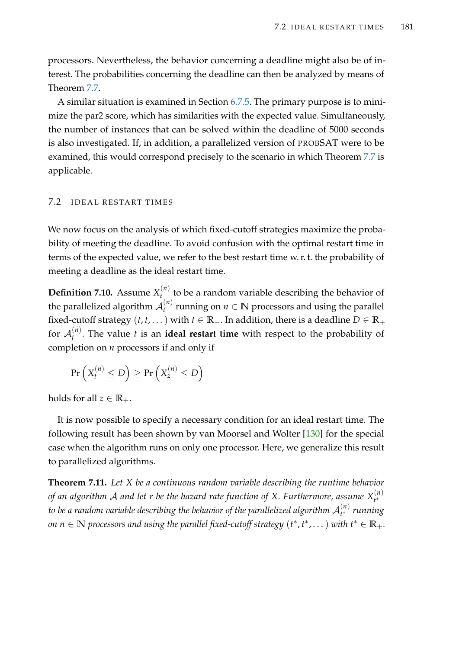processors. Nevertheless, the behavior concerning a deadline might also be of interest. The probabilities concerning the deadline can then be analyzed by means of Theorem [7.7.](#page-191-0)

A similar situation is examined in Section [6.7.5.](#page-178-1) The primary purpose is to minimize the par2 score, which has similarities with the expected value. Simultaneously, the number of instances that can be solved within the deadline of 5000 seconds is also investigated. If, in addition, a parallelized version of PROBSAT were to be examined, this would correspond precisely to the scenario in which Theorem [7.7](#page-191-0) is applicable.

### <span id="page-196-0"></span>7.2 I DEAL RESTART TIMES

We now focus on the analysis of which fixed-cutoff strategies maximize the probability of meeting the deadline. To avoid confusion with the optimal restart time in terms of the expected value, we refer to the best restart time w. r. t. the probability of meeting a deadline as the ideal restart time.

**Definition 7.10.** Assume  $X_t^{(n)}$ *t* to be a random variable describing the behavior of the parallelized algorithm  $\mathcal{A}_t^{(n)}$  $t_t^{(n)}$  running on  $n \in \mathbb{N}$  processors and using the parallel fixed-cutoff strategy  $(t, t, \dots)$  with  $t \in \mathbb{R}_+$ . In addition, there is a deadline  $D \in \mathbb{R}_+$ for  $\mathcal{A}_t^{(n)}$ *t* . The value *t* is an **ideal restart time** with respect to the probability of completion on *n* processors if and only if

$$
\Pr\left(X_t^{(n)} \le D\right) \ge \Pr\left(X_z^{(n)} \le D\right)
$$

holds for all  $z \in \mathbb{R}_+$ .

It is now possible to specify a necessary condition for an ideal restart time. The following result has been shown by van Moorsel and Wolter [\[130\]](#page-221-0) for the special case when the algorithm runs on only one processor. Here, we generalize this result to parallelized algorithms.

<span id="page-196-1"></span>**Theorem 7.11.** *Let X be a continuous random variable describing the runtime behavior of an algorithm* A *and let r be the hazard rate function of X. Furthermore, assume X* (*n*) *t* ∗ to be a random variable describing the behavior of the parallelized algorithm  ${\cal A}_{t^*}^{(n)}$ *t* <sup>∗</sup> *running*  $\alpha$  *n*  $\in$  **N** processors and using the parallel fixed-cutoff strategy  $(t^*, t^*, \dots)$  with  $t^* \in \mathbb{R}_+$ .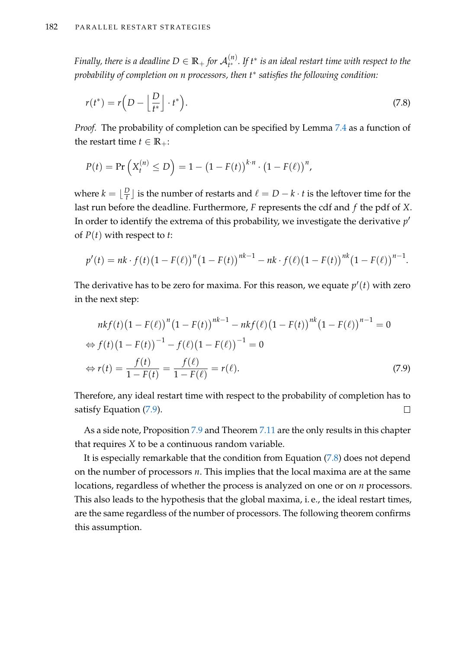*Finally, there is a deadline*  $D \in \mathbb{R}_+$  *for*  $\mathcal{A}_{t^*}^{(n)}$ *t* <sup>∗</sup> *. If t* ∗ *is an ideal restart time with respect to the probability of completion on n processors, then t*<sup>∗</sup> *satisfies the following condition:*

<span id="page-197-1"></span>
$$
r(t^*) = r\left(D - \left\lfloor \frac{D}{t^*}\right\rfloor \cdot t^*\right). \tag{7.8}
$$

*Proof.* The probability of completion can be specified by Lemma [7.4](#page-187-0) as a function of the restart time  $t \in \mathbb{R}_+$ :

$$
P(t) = \Pr\left(X_t^{(n)} \le D\right) = 1 - \left(1 - F(t)\right)^{k \cdot n} \cdot \left(1 - F(\ell)\right)^n,
$$

where  $k = \lfloor \frac{D}{t} \rfloor$  $\frac{D}{t}$  is the number of restarts and  $\ell = D - k \cdot t$  is the leftover time for the last run before the deadline. Furthermore, *F* represents the cdf and *f* the pdf of *X*. In order to identify the extrema of this probability, we investigate the derivative  $p'$ of *P*(*t*) with respect to *t*:

$$
p'(t) = nk \cdot f(t) (1 - F(\ell))^{n} (1 - F(t))^{nk-1} - nk \cdot f(\ell) (1 - F(t))^{nk} (1 - F(\ell))^{n-1}.
$$

The derivative has to be zero for maxima. For this reason, we equate  $p'(t)$  with zero in the next step:

<span id="page-197-0"></span>
$$
nkf(t)\left(1 - F(\ell)\right)^{n}\left(1 - F(t)\right)^{nk-1} - nkf(\ell)\left(1 - F(t)\right)^{nk}\left(1 - F(\ell)\right)^{n-1} = 0
$$
  
\n
$$
\Leftrightarrow f(t)\left(1 - F(t)\right)^{-1} - f(\ell)\left(1 - F(\ell)\right)^{-1} = 0
$$
  
\n
$$
\Leftrightarrow r(t) = \frac{f(t)}{1 - F(t)} = \frac{f(\ell)}{1 - F(\ell)} = r(\ell).
$$
\n(7.9)

Therefore, any ideal restart time with respect to the probability of completion has to satisfy Equation [\(7.9\)](#page-197-0).  $\Box$ 

As a side note, Proposition [7.9](#page-194-0) and Theorem [7.11](#page-196-1) are the only results in this chapter that requires *X* to be a continuous random variable.

It is especially remarkable that the condition from Equation [\(7.8\)](#page-197-1) does not depend on the number of processors *n*. This implies that the local maxima are at the same locations, regardless of whether the process is analyzed on one or on *n* processors. This also leads to the hypothesis that the global maxima, i. e., the ideal restart times, are the same regardless of the number of processors. The following theorem confirms this assumption.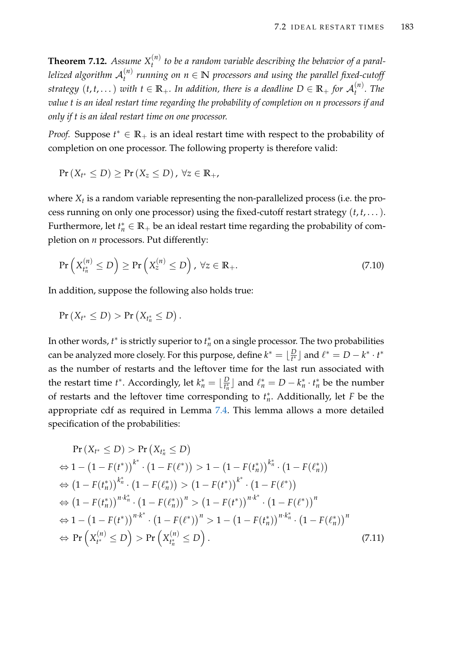<span id="page-198-2"></span>**Theorem 7.12.** *Assume*  $X_t^{(n)}$ *t to be a random variable describing the behavior of a parallelized algorithm* A (*n*) *t running on n* ∈ **N** *processors and using the parallel fixed-cutoff strategy*  $(t, t, \dots)$  *with*  $t \in \mathbb{R}_+$ *. In addition, there is a deadline*  $D \in \mathbb{R}_+$  *for*  $\mathcal{A}_t^{(n)}$ *t . The value t is an ideal restart time regarding the probability of completion on n processors if and only if t is an ideal restart time on one processor.*

*Proof.* Suppose  $t^* \in \mathbb{R}_+$  is an ideal restart time with respect to the probability of completion on one processor. The following property is therefore valid:

 $\Pr(X_{t^*} \leq D) \geq \Pr(X_z \leq D)$  ,  $\forall z \in \mathbb{R}_+$ ,

where *X<sup>t</sup>* is a random variable representing the non-parallelized process (i.e. the process running on only one processor) using the fixed-cutoff restart strategy (*t*, *t*, . . .). Furthermore, let  $t_n^* \in \mathbb{R}_+$  be an ideal restart time regarding the probability of completion on *n* processors. Put differently:

<span id="page-198-1"></span>
$$
\Pr\left(X_{t_n^*}^{(n)} \le D\right) \ge \Pr\left(X_z^{(n)} \le D\right), \ \forall z \in \mathbb{R}_+.\tag{7.10}
$$

In addition, suppose the following also holds true:

$$
Pr(X_{t^*} \leq D) > Pr(X_{t_n^*} \leq D).
$$

In other words,  $t^*$  is strictly superior to  $t_n^*$  on a single processor. The two probabilities can be analyzed more closely. For this purpose, define  $k^* = \lfloor \frac{D}{k^*} \rfloor$  $\frac{D}{t^*}$  and  $\ell^* = D - k^* \cdot t^*$ as the number of restarts and the leftover time for the last run associated with the restart time *t*<sup>\*</sup>. Accordingly, let  $k_n^* = \lfloor \frac{D}{t_n^*} \rfloor$  $\frac{D}{t_n^*}$  and  $\ell_n^* = D - k_n^* \cdot t_n^*$  be the number of restarts and the leftover time corresponding to  $t_n^*$ . Additionally, let *F* be the appropriate cdf as required in Lemma [7.4.](#page-187-0) This lemma allows a more detailed specification of the probabilities:

<span id="page-198-0"></span>
$$
\Pr(X_{t^*} \le D) > \Pr(X_{t_n^*} \le D) \\
\Leftrightarrow 1 - (1 - F(t^*))^{k^*} \cdot (1 - F(\ell^*)) > 1 - (1 - F(t_n^*))^{k^*} \cdot (1 - F(\ell_n^*)) \\
\Leftrightarrow (1 - F(t_n^*))^{k^*} \cdot (1 - F(\ell_n^*)) > (1 - F(t^*))^{k^*} \cdot (1 - F(\ell^*)) \\
\Leftrightarrow (1 - F(t_n^*))^{n \cdot k^*} \cdot (1 - F(\ell_n^*))^n > (1 - F(t^*))^{n \cdot k^*} \cdot (1 - F(\ell^*))^n \\
\Leftrightarrow 1 - (1 - F(t^*))^{n \cdot k^*} \cdot (1 - F(\ell^*))^n > 1 - (1 - F(t_n^*))^{n \cdot k^*} \cdot (1 - F(\ell_n^*))^n \\
\Leftrightarrow \Pr(X_{t^*}^{(n)} \le D) > \Pr(X_{t_n^*}^{(n)} \le D).
$$
\n
$$
(7.11)
$$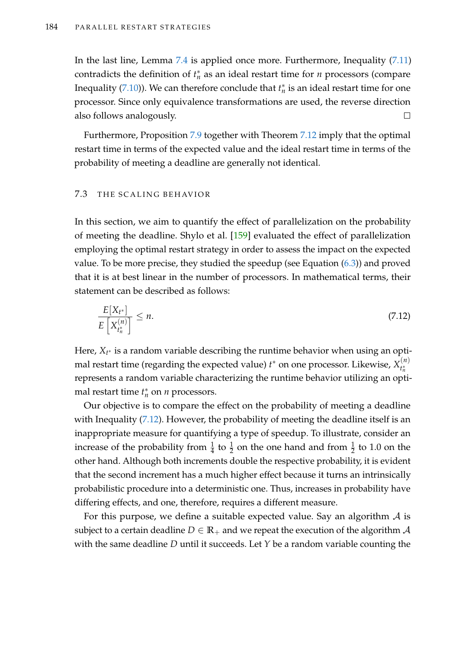In the last line, Lemma [7.4](#page-187-0) is applied once more. Furthermore, Inequality [\(7.11\)](#page-198-0) contradicts the definition of  $t_n^*$  as an ideal restart time for *n* processors (compare Inequality [\(7.10\)](#page-198-1)). We can therefore conclude that  $t_n^*$  is an ideal restart time for one processor. Since only equivalence transformations are used, the reverse direction also follows analogously.  $\Box$ 

Furthermore, Proposition [7.9](#page-194-0) together with Theorem [7.12](#page-198-2) imply that the optimal restart time in terms of the expected value and the ideal restart time in terms of the probability of meeting a deadline are generally not identical.

#### <span id="page-199-0"></span>7.3 THE SCALING BEHAVIOR

In this section, we aim to quantify the effect of parallelization on the probability of meeting the deadline. Shylo et al. [\[159\]](#page-223-0) evaluated the effect of parallelization employing the optimal restart strategy in order to assess the impact on the expected value. To be more precise, they studied the speedup (see Equation  $(6.3)$ ) and proved that it is at best linear in the number of processors. In mathematical terms, their statement can be described as follows:

<span id="page-199-1"></span>
$$
\frac{E[X_{t^*}]}{E[X_{t_n^*}^{(n)}]} \le n. \tag{7.12}
$$

Here, *X<sup>t</sup>* <sup>∗</sup> is a random variable describing the runtime behavior when using an optimal restart time (regarding the expected value)  $t^*$  on one processor. Likewise,  $X^{(n)}_{t^*_{\boldsymbol{\lambda}}}$ *t* ∗ *n* represents a random variable characterizing the runtime behavior utilizing an optimal restart time  $t_n^*$  on *n* processors.

Our objective is to compare the effect on the probability of meeting a deadline with Inequality [\(7.12\)](#page-199-1). However, the probability of meeting the deadline itself is an inappropriate measure for quantifying a type of speedup. To illustrate, consider an increase of the probability from  $\frac{1}{4}$  to  $\frac{1}{2}$  on the one hand and from  $\frac{1}{2}$  to 1.0 on the other hand. Although both increments double the respective probability, it is evident that the second increment has a much higher effect because it turns an intrinsically probabilistic procedure into a deterministic one. Thus, increases in probability have differing effects, and one, therefore, requires a different measure.

For this purpose, we define a suitable expected value. Say an algorithm  $\mathcal A$  is subject to a certain deadline  $D \in \mathbb{R}_+$  and we repeat the execution of the algorithm  $\mathcal A$ with the same deadline *D* until it succeeds. Let *Y* be a random variable counting the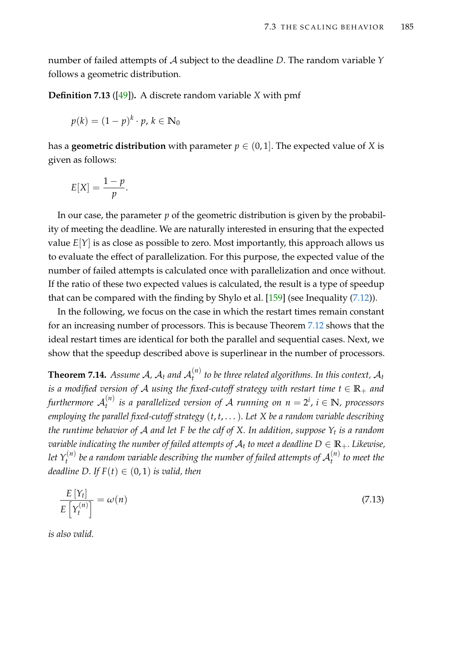number of failed attempts of A subject to the deadline *D*. The random variable *Y* follows a geometric distribution.

**Definition 7.13** ([\[49\]](#page-214-0))**.** A discrete random variable *X* with pmf

$$
p(k) = (1-p)^k \cdot p, \, k \in \mathbb{N}_0
$$

has a **geometric distribution** with parameter  $p \in (0, 1]$ . The expected value of *X* is given as follows:

$$
E[X] = \frac{1-p}{p}.
$$

In our case, the parameter *p* of the geometric distribution is given by the probability of meeting the deadline. We are naturally interested in ensuring that the expected value  $E[Y]$  is as close as possible to zero. Most importantly, this approach allows us to evaluate the effect of parallelization. For this purpose, the expected value of the number of failed attempts is calculated once with parallelization and once without. If the ratio of these two expected values is calculated, the result is a type of speedup that can be compared with the finding by Shylo et al.  $[159]$  (see Inequality  $(7.12)$ ).

In the following, we focus on the case in which the restart times remain constant for an increasing number of processors. This is because Theorem [7.12](#page-198-2) shows that the ideal restart times are identical for both the parallel and sequential cases. Next, we show that the speedup described above is superlinear in the number of processors.

<span id="page-200-1"></span>**Theorem 7.14.** Assume A,  $A_t$  and  $A_t^{(n)}$ *t to be three related algorithms. In this context,* A*<sup>t</sup> is a modified version of A using the fixed-cutoff strategy with restart time*  $t \in \mathbb{R}_+$  *and* furthermore  $\mathcal{A}_t^{(n)}$ *t is a parallelized version of* A *running on n* = 2 *i* , *i* ∈ **N***, processors employing the parallel fixed-cutoff strategy* (*t*, *t*, . . .)*. Let X be a random variable describing the runtime behavior of* A *and let F be the cdf of X. In addition, suppose Y<sup>t</sup> is a random variable indicating the number of failed attempts of*  $A_t$  *to meet a deadline*  $D \in \mathbb{R}_+$ *. Likewise,* let  $Y_t^{(n)}$  $\mu_t^{(n)}$  be a random variable describing the number of failed attempts of  $\mathcal{A}_t^{(n)}$ *t to meet the deadline D. If*  $F(t) \in (0, 1)$  *is valid, then* 

<span id="page-200-0"></span>
$$
\frac{E\left[Y_t\right]}{E\left[Y_t^{(n)}\right]} = \omega(n) \tag{7.13}
$$

*is also valid.*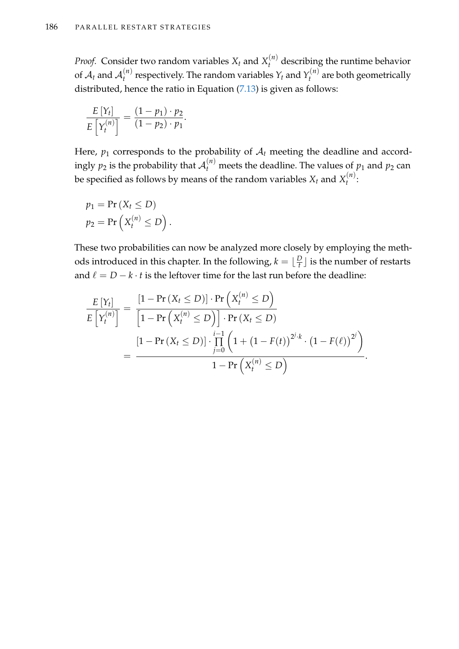*Proof.* Consider two random variables  $X_t$  and  $X_t^{(n)}$  describing the runtime behavior of  $\mathcal{A}_t$  and  $\mathcal{A}_t^{(n)}$  $Y_t^{(n)}$  respectively. The random variables  $Y_t$  and  $Y_t^{(n)}$  $\hat{t}^{(n)}$  are both geometrically distributed, hence the ratio in Equation [\(7.13\)](#page-200-0) is given as follows:

$$
\frac{E[Y_t]}{E\left[Y_t^{(n)}\right]} = \frac{(1-p_1)\cdot p_2}{(1-p_2)\cdot p_1}.
$$

Here,  $p_1$  corresponds to the probability of  $A_t$  meeting the deadline and accordingly  $p_2$  is the probability that  $\mathcal{A}_t^{(n)}$  meets the deadline. The values of  $p_1$  and  $p_2$  can be specified as follows by means of the random variables  $X_t$  and  $X_t^{(n)}$ *t* :

$$
p_1 = \Pr(X_t \leq D)
$$
  

$$
p_2 = \Pr(X_t^{(n)} \leq D).
$$

These two probabilities can now be analyzed more closely by employing the methods introduced in this chapter. In the following,  $k = \lfloor \frac{D}{t} \rfloor$  $\frac{D}{t}$  is the number of restarts and  $\ell = D - k \cdot t$  is the leftover time for the last run before the deadline:

$$
\frac{E[Y_t]}{E[Y_t^{(n)}]} = \frac{\left[1 - \Pr\left(X_t \leq D\right)\right] \cdot \Pr\left(X_t^{(n)} \leq D\right)}{\left[1 - \Pr\left(X_t^{(n)} \leq D\right)\right] \cdot \Pr\left(X_t \leq D\right)}
$$
\n
$$
= \frac{\left[1 - \Pr\left(X_t \leq D\right)\right] \cdot \prod_{j=0}^{i-1} \left(1 + \left(1 - F(t)\right)^{2^j \cdot k} \cdot \left(1 - F(\ell)\right)^{2^j}\right)}{1 - \Pr\left(X_t^{(n)} \leq D\right)}.
$$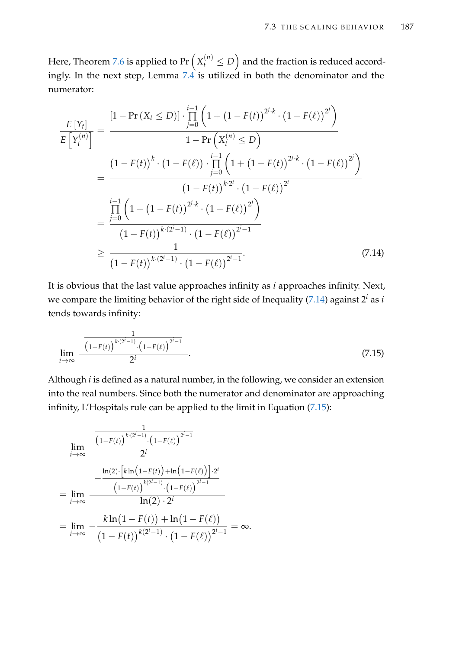Here, Theorem [7.6](#page-190-1) is applied to Pr  $\left(X_t^{(n)} \leq D\right)$  and the fraction is reduced accordingly. In the next step, Lemma [7.4](#page-187-0) is utilized in both the denominator and the numerator:

$$
\frac{E[Y_{t}]}{E[Y_{t}^{(n)}]} = \frac{[1 - \Pr(X_{t} \leq D)] \cdot \prod_{j=0}^{i-1} \left(1 + (1 - F(t))^{2^{j} \cdot k} \cdot (1 - F(\ell))^{2^{j}}\right)}{1 - \Pr(X_{t}^{(n)} \leq D)}
$$
\n
$$
= \frac{(1 - F(t))^{k} \cdot (1 - F(\ell)) \cdot \prod_{j=0}^{i-1} \left(1 + (1 - F(t))^{2^{j} \cdot k} \cdot (1 - F(\ell))^{2^{j}}\right)}{(1 - F(t))^{k \cdot 2^{i}} \cdot (1 - F(\ell))^{2^{i}}}
$$
\n
$$
= \frac{\prod_{j=0}^{i-1} \left(1 + (1 - F(t))^{2^{j} \cdot k} \cdot (1 - F(\ell))^{2^{j}}\right)}{(1 - F(t))^{k \cdot (2^{i} - 1)} \cdot (1 - F(\ell))^{2^{i} - 1}}
$$
\n
$$
\geq \frac{1}{(1 - F(t))^{k \cdot (2^{i} - 1)} \cdot (1 - F(\ell))^{2^{i} - 1}}.
$$
\n(7.14)

It is obvious that the last value approaches infinity as *i* approaches infinity. Next, we compare the limiting behavior of the right side of Inequality [\(7.14\)](#page-202-0) against 2 *<sup>i</sup>* as *i* tends towards infinity:

<span id="page-202-1"></span><span id="page-202-0"></span>
$$
\lim_{i \to \infty} \frac{\frac{1}{(1 - F(t))^{k \cdot (2^i - 1)} \cdot (1 - F(\ell))^{2^i - 1}}}{2^i}.
$$
\n(7.15)

Although *i* is defined as a natural number, in the following, we consider an extension into the real numbers. Since both the numerator and denominator are approaching infinity, L'Hospitals rule can be applied to the limit in Equation [\(7.15\)](#page-202-1):

$$
\lim_{i \to \infty} \frac{\frac{1}{(1-F(t))^{k \cdot (2^i-1)} \cdot (1-F(\ell))^{2^i-1}}}{2^i}
$$
\n
$$
= \lim_{i \to \infty} \frac{\frac{\ln(2) \cdot [k \ln(1-F(t)) + \ln(1-F(\ell))] \cdot 2^i}{(1-F(t))^{k(2^i-1)} \cdot (1-F(\ell))^{2^i-1}}}{\ln(2) \cdot 2^i}
$$
\n
$$
= \lim_{i \to \infty} -\frac{k \ln(1-F(t)) + \ln(1-F(\ell))}{(1-F(t))^{k(2^i-1)} \cdot (1-F(\ell))^{2^i-1}} = \infty.
$$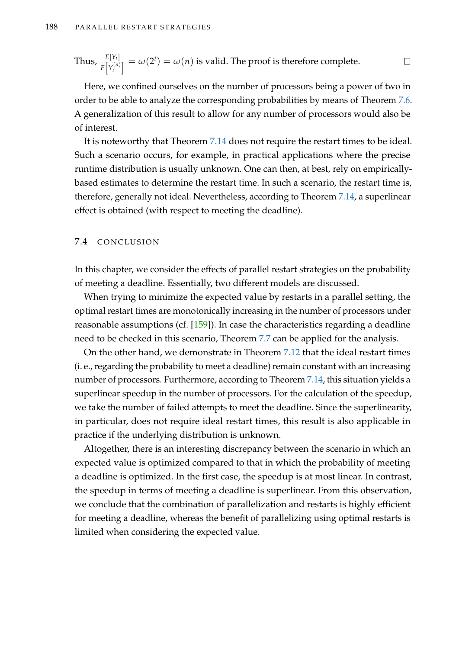Thus, 
$$
\frac{E[Y_t]}{E[Y_t^{(n)}]} = \omega(2^i) = \omega(n)
$$
 is valid. The proof is therefore complete.

Here, we confined ourselves on the number of processors being a power of two in order to be able to analyze the corresponding probabilities by means of Theorem [7.6.](#page-190-1) A generalization of this result to allow for any number of processors would also be of interest.

It is noteworthy that Theorem [7.14](#page-200-1) does not require the restart times to be ideal. Such a scenario occurs, for example, in practical applications where the precise runtime distribution is usually unknown. One can then, at best, rely on empiricallybased estimates to determine the restart time. In such a scenario, the restart time is, therefore, generally not ideal. Nevertheless, according to Theorem [7.14,](#page-200-1) a superlinear effect is obtained (with respect to meeting the deadline).

### 7.4 CONCLUSION

In this chapter, we consider the effects of parallel restart strategies on the probability of meeting a deadline. Essentially, two different models are discussed.

When trying to minimize the expected value by restarts in a parallel setting, the optimal restart times are monotonically increasing in the number of processors under reasonable assumptions (cf. [\[159\]](#page-223-0)). In case the characteristics regarding a deadline need to be checked in this scenario, Theorem [7.7](#page-191-0) can be applied for the analysis.

On the other hand, we demonstrate in Theorem [7.12](#page-198-2) that the ideal restart times (i. e., regarding the probability to meet a deadline) remain constant with an increasing number of processors. Furthermore, according to Theorem [7.14,](#page-200-1) this situation yields a superlinear speedup in the number of processors. For the calculation of the speedup, we take the number of failed attempts to meet the deadline. Since the superlinearity, in particular, does not require ideal restart times, this result is also applicable in practice if the underlying distribution is unknown.

Altogether, there is an interesting discrepancy between the scenario in which an expected value is optimized compared to that in which the probability of meeting a deadline is optimized. In the first case, the speedup is at most linear. In contrast, the speedup in terms of meeting a deadline is superlinear. From this observation, we conclude that the combination of parallelization and restarts is highly efficient for meeting a deadline, whereas the benefit of parallelizing using optimal restarts is limited when considering the expected value.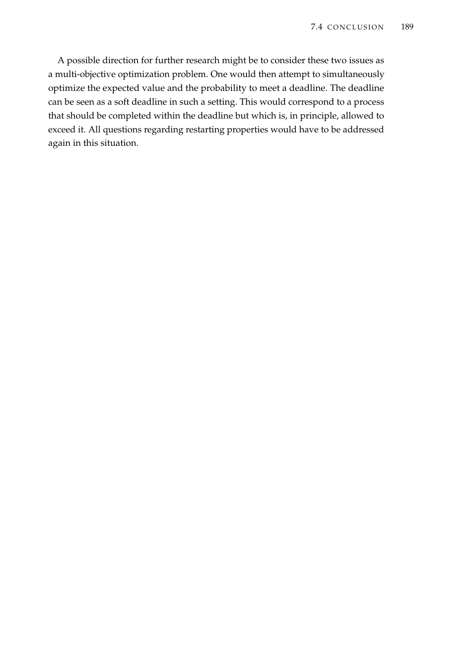A possible direction for further research might be to consider these two issues as a multi-objective optimization problem. One would then attempt to simultaneously optimize the expected value and the probability to meet a deadline. The deadline can be seen as a soft deadline in such a setting. This would correspond to a process that should be completed within the deadline but which is, in principle, allowed to exceed it. All questions regarding restarting properties would have to be addressed again in this situation.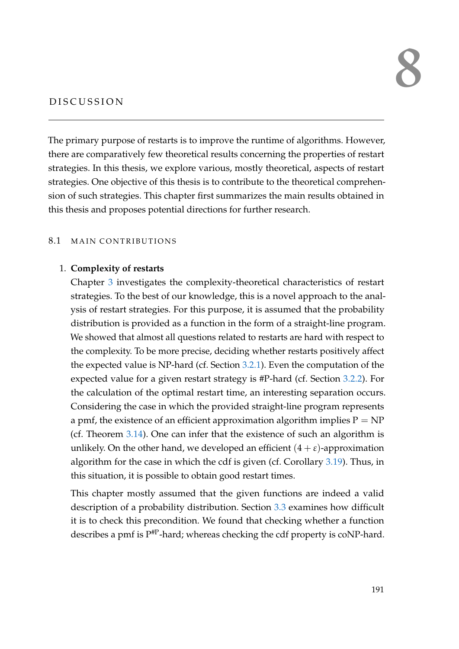# 8

## D ISCUSSION

The primary purpose of restarts is to improve the runtime of algorithms. However, there are comparatively few theoretical results concerning the properties of restart strategies. In this thesis, we explore various, mostly theoretical, aspects of restart strategies. One objective of this thesis is to contribute to the theoretical comprehension of such strategies. This chapter first summarizes the main results obtained in this thesis and proposes potential directions for further research.

## 8.1 MAIN CONTRIBUTIONS

## 1. **Complexity of restarts**

Chapter [3](#page-54-0) investigates the complexity-theoretical characteristics of restart strategies. To the best of our knowledge, this is a novel approach to the analysis of restart strategies. For this purpose, it is assumed that the probability distribution is provided as a function in the form of a straight-line program. We showed that almost all questions related to restarts are hard with respect to the complexity. To be more precise, deciding whether restarts positively affect the expected value is NP-hard (cf. Section [3.2.1\)](#page-58-0). Even the computation of the expected value for a given restart strategy is #P-hard (cf. Section [3.2.2\)](#page-64-0). For the calculation of the optimal restart time, an interesting separation occurs. Considering the case in which the provided straight-line program represents a pmf, the existence of an efficient approximation algorithm implies  $P = NP$ (cf. Theorem [3.14\)](#page-70-0). One can infer that the existence of such an algorithm is unlikely. On the other hand, we developed an efficient  $(4 + \varepsilon)$ -approximation algorithm for the case in which the cdf is given (cf. Corollary [3.19\)](#page-77-0). Thus, in this situation, it is possible to obtain good restart times.

This chapter mostly assumed that the given functions are indeed a valid description of a probability distribution. Section [3.3](#page-78-0) examines how difficult it is to check this precondition. We found that checking whether a function describes a pmf is  $P^{HP}$ -hard; whereas checking the cdf property is coNP-hard.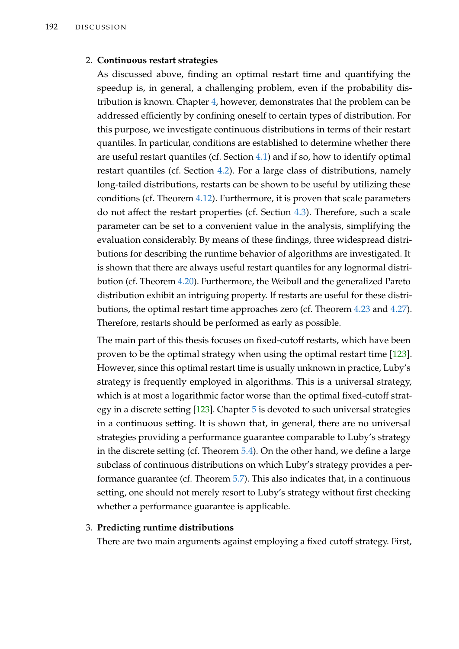## 2. **Continuous restart strategies**

As discussed above, finding an optimal restart time and quantifying the speedup is, in general, a challenging problem, even if the probability distribution is known. Chapter [4,](#page-84-0) however, demonstrates that the problem can be addressed efficiently by confining oneself to certain types of distribution. For this purpose, we investigate continuous distributions in terms of their restart quantiles. In particular, conditions are established to determine whether there are useful restart quantiles (cf. Section [4.1\)](#page-86-0) and if so, how to identify optimal restart quantiles (cf. Section [4.2\)](#page-95-0). For a large class of distributions, namely long-tailed distributions, restarts can be shown to be useful by utilizing these conditions (cf. Theorem [4.12\)](#page-94-0). Furthermore, it is proven that scale parameters do not affect the restart properties (cf. Section [4.3\)](#page-97-0). Therefore, such a scale parameter can be set to a convenient value in the analysis, simplifying the evaluation considerably. By means of these findings, three widespread distributions for describing the runtime behavior of algorithms are investigated. It is shown that there are always useful restart quantiles for any lognormal distribution (cf. Theorem [4.20\)](#page-104-0). Furthermore, the Weibull and the generalized Pareto distribution exhibit an intriguing property. If restarts are useful for these distributions, the optimal restart time approaches zero (cf. Theorem [4.23](#page-111-0) and [4.27\)](#page-116-0). Therefore, restarts should be performed as early as possible.

The main part of this thesis focuses on fixed-cutoff restarts, which have been proven to be the optimal strategy when using the optimal restart time [\[123\]](#page-220-1). However, since this optimal restart time is usually unknown in practice, Luby's strategy is frequently employed in algorithms. This is a universal strategy, which is at most a logarithmic factor worse than the optimal fixed-cutoff strategy in a discrete setting [\[123\]](#page-220-1). Chapter [5](#page-122-0) is devoted to such universal strategies in a continuous setting. It is shown that, in general, there are no universal strategies providing a performance guarantee comparable to Luby's strategy in the discrete setting (cf. Theorem [5.4\)](#page-128-0). On the other hand, we define a large subclass of continuous distributions on which Luby's strategy provides a performance guarantee (cf. Theorem [5.7\)](#page-132-0). This also indicates that, in a continuous setting, one should not merely resort to Luby's strategy without first checking whether a performance guarantee is applicable.

## 3. **Predicting runtime distributions**

There are two main arguments against employing a fixed cutoff strategy. First,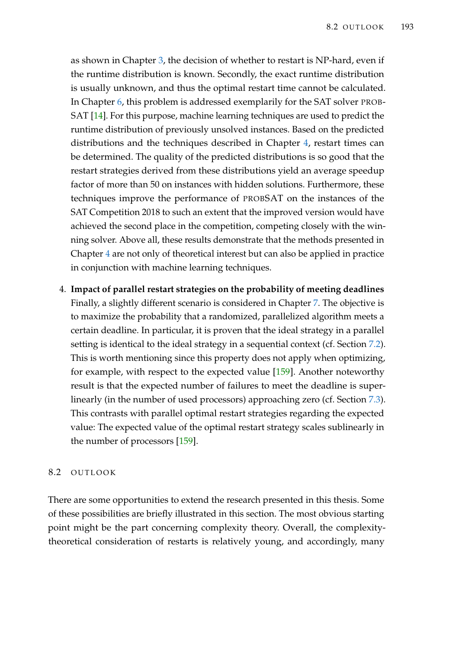as shown in Chapter [3,](#page-54-0) the decision of whether to restart is NP-hard, even if the runtime distribution is known. Secondly, the exact runtime distribution is usually unknown, and thus the optimal restart time cannot be calculated. In Chapter [6,](#page-136-0) this problem is addressed exemplarily for the SAT solver PROB-SAT [\[14\]](#page-211-0). For this purpose, machine learning techniques are used to predict the runtime distribution of previously unsolved instances. Based on the predicted distributions and the techniques described in Chapter [4,](#page-84-0) restart times can be determined. The quality of the predicted distributions is so good that the restart strategies derived from these distributions yield an average speedup factor of more than 50 on instances with hidden solutions. Furthermore, these techniques improve the performance of PROBSAT on the instances of the SAT Competition 2018 to such an extent that the improved version would have achieved the second place in the competition, competing closely with the winning solver. Above all, these results demonstrate that the methods presented in Chapter [4](#page-84-0) are not only of theoretical interest but can also be applied in practice in conjunction with machine learning techniques.

4. **Impact of parallel restart strategies on the probability of meeting deadlines** Finally, a slightly different scenario is considered in Chapter [7.](#page-186-1) The objective is to maximize the probability that a randomized, parallelized algorithm meets a certain deadline. In particular, it is proven that the ideal strategy in a parallel setting is identical to the ideal strategy in a sequential context (cf. Section [7.2\)](#page-196-0). This is worth mentioning since this property does not apply when optimizing, for example, with respect to the expected value [\[159\]](#page-223-0). Another noteworthy result is that the expected number of failures to meet the deadline is superlinearly (in the number of used processors) approaching zero (cf. Section [7.3\)](#page-199-0). This contrasts with parallel optimal restart strategies regarding the expected value: The expected value of the optimal restart strategy scales sublinearly in the number of processors [\[159\]](#page-223-0).

## 8.2 OUTLOOK

There are some opportunities to extend the research presented in this thesis. Some of these possibilities are briefly illustrated in this section. The most obvious starting point might be the part concerning complexity theory. Overall, the complexitytheoretical consideration of restarts is relatively young, and accordingly, many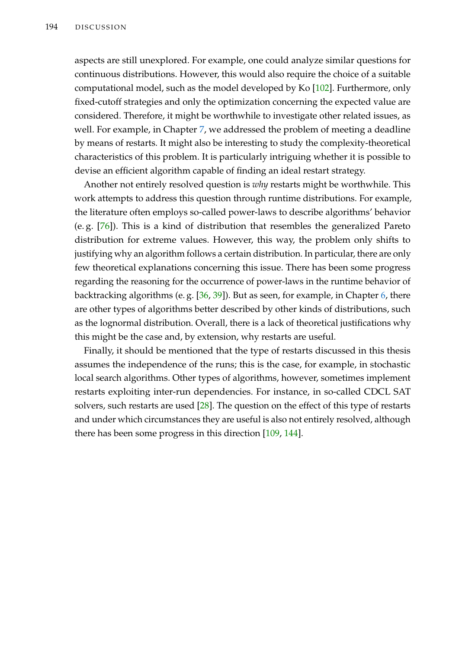aspects are still unexplored. For example, one could analyze similar questions for continuous distributions. However, this would also require the choice of a suitable computational model, such as the model developed by Ko [\[102\]](#page-218-0). Furthermore, only fixed-cutoff strategies and only the optimization concerning the expected value are considered. Therefore, it might be worthwhile to investigate other related issues, as well. For example, in Chapter [7,](#page-186-1) we addressed the problem of meeting a deadline by means of restarts. It might also be interesting to study the complexity-theoretical characteristics of this problem. It is particularly intriguing whether it is possible to devise an efficient algorithm capable of finding an ideal restart strategy.

Another not entirely resolved question is *why* restarts might be worthwhile. This work attempts to address this question through runtime distributions. For example, the literature often employs so-called power-laws to describe algorithms' behavior (e. g. [\[76\]](#page-216-1)). This is a kind of distribution that resembles the generalized Pareto distribution for extreme values. However, this way, the problem only shifts to justifying why an algorithm follows a certain distribution. In particular, there are only few theoretical explanations concerning this issue. There has been some progress regarding the reasoning for the occurrence of power-laws in the runtime behavior of backtracking algorithms (e. g. [\[36,](#page-213-0) [39\]](#page-213-1)). But as seen, for example, in Chapter [6,](#page-136-0) there are other types of algorithms better described by other kinds of distributions, such as the lognormal distribution. Overall, there is a lack of theoretical justifications why this might be the case and, by extension, why restarts are useful.

Finally, it should be mentioned that the type of restarts discussed in this thesis assumes the independence of the runs; this is the case, for example, in stochastic local search algorithms. Other types of algorithms, however, sometimes implement restarts exploiting inter-run dependencies. For instance, in so-called CDCL SAT solvers, such restarts are used [\[28\]](#page-212-0). The question on the effect of this type of restarts and under which circumstances they are useful is also not entirely resolved, although there has been some progress in this direction [\[109,](#page-219-4) [144\]](#page-222-1).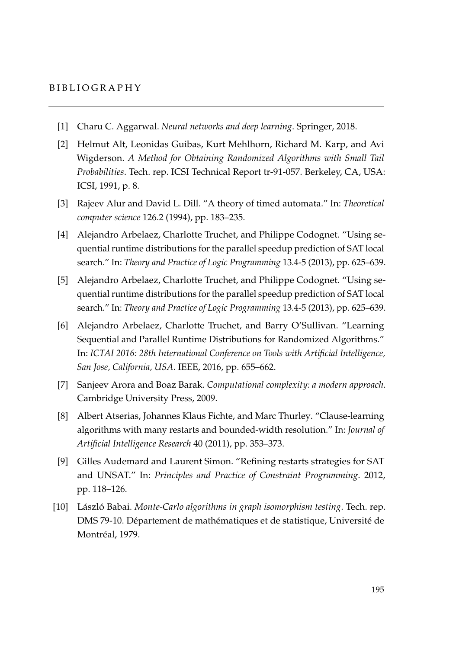## B I B L I O G R A P H Y

- [1] Charu C. Aggarwal. *Neural networks and deep learning*. Springer, 2018.
- [2] Helmut Alt, Leonidas Guibas, Kurt Mehlhorn, Richard M. Karp, and Avi Wigderson. *A Method for Obtaining Randomized Algorithms with Small Tail Probabilities*. Tech. rep. ICSI Technical Report tr-91-057. Berkeley, CA, USA: ICSI, 1991, p. 8.
- [3] Rajeev Alur and David L. Dill. "A theory of timed automata." In: *Theoretical computer science* 126.2 (1994), pp. 183–235.
- [4] Alejandro Arbelaez, Charlotte Truchet, and Philippe Codognet. "Using sequential runtime distributions for the parallel speedup prediction of SAT local search." In: *Theory and Practice of Logic Programming* 13.4-5 (2013), pp. 625–639.
- [5] Alejandro Arbelaez, Charlotte Truchet, and Philippe Codognet. "Using sequential runtime distributions for the parallel speedup prediction of SAT local search." In: *Theory and Practice of Logic Programming* 13.4-5 (2013), pp. 625–639.
- [6] Alejandro Arbelaez, Charlotte Truchet, and Barry O'Sullivan. "Learning Sequential and Parallel Runtime Distributions for Randomized Algorithms." In: *ICTAI 2016: 28th International Conference on Tools with Artificial Intelligence, San Jose, California, USA*. IEEE, 2016, pp. 655–662.
- [7] Sanjeev Arora and Boaz Barak. *Computational complexity: a modern approach*. Cambridge University Press, 2009.
- [8] Albert Atserias, Johannes Klaus Fichte, and Marc Thurley. "Clause-learning algorithms with many restarts and bounded-width resolution." In: *Journal of Artificial Intelligence Research* 40 (2011), pp. 353–373.
- [9] Gilles Audemard and Laurent Simon. "Refining restarts strategies for SAT and UNSAT." In: *Principles and Practice of Constraint Programming*. 2012, pp. 118–126.
- [10] László Babai. *Monte-Carlo algorithms in graph isomorphism testing*. Tech. rep. DMS 79-10. Département de mathématiques et de statistique, Université de Montréal, 1979.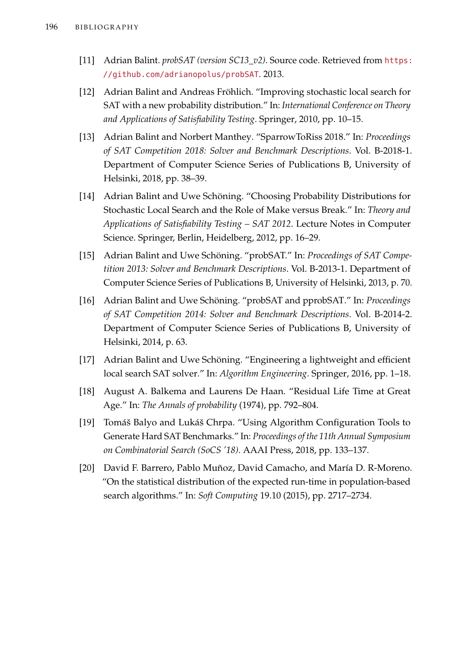- [11] Adrian Balint. *probSAT (version SC13\_v2)*. Source code. Retrieved from [https:](https://github.com/adrianopolus/probSAT) [//github.com/adrianopolus/probSAT](https://github.com/adrianopolus/probSAT). 2013.
- [12] Adrian Balint and Andreas Fröhlich. "Improving stochastic local search for SAT with a new probability distribution." In: *International Conference on Theory and Applications of Satisfiability Testing*. Springer, 2010, pp. 10–15.
- [13] Adrian Balint and Norbert Manthey. "SparrowToRiss 2018." In: *Proceedings of SAT Competition 2018: Solver and Benchmark Descriptions*. Vol. B-2018-1. Department of Computer Science Series of Publications B, University of Helsinki, 2018, pp. 38–39.
- <span id="page-211-0"></span>[14] Adrian Balint and Uwe Schöning. "Choosing Probability Distributions for Stochastic Local Search and the Role of Make versus Break." In: *Theory and Applications of Satisfiability Testing – SAT 2012*. Lecture Notes in Computer Science. Springer, Berlin, Heidelberg, 2012, pp. 16–29.
- [15] Adrian Balint and Uwe Schöning. "probSAT." In: *Proceedings of SAT Competition 2013: Solver and Benchmark Descriptions*. Vol. B-2013-1. Department of Computer Science Series of Publications B, University of Helsinki, 2013, p. 70.
- [16] Adrian Balint and Uwe Schöning. "probSAT and pprobSAT." In: *Proceedings of SAT Competition 2014: Solver and Benchmark Descriptions*. Vol. B-2014-2. Department of Computer Science Series of Publications B, University of Helsinki, 2014, p. 63.
- [17] Adrian Balint and Uwe Schöning. "Engineering a lightweight and efficient local search SAT solver." In: *Algorithm Engineering*. Springer, 2016, pp. 1–18.
- [18] August A. Balkema and Laurens De Haan. "Residual Life Time at Great Age." In: *The Annals of probability* (1974), pp. 792–804.
- [19] Tomáš Balyo and Lukáš Chrpa. "Using Algorithm Configuration Tools to Generate Hard SAT Benchmarks." In: *Proceedings of the 11th Annual Symposium on Combinatorial Search (SoCS '18)*. AAAI Press, 2018, pp. 133–137.
- [20] David F. Barrero, Pablo Muñoz, David Camacho, and María D. R-Moreno. "On the statistical distribution of the expected run-time in population-based search algorithms." In: *Soft Computing* 19.10 (2015), pp. 2717–2734.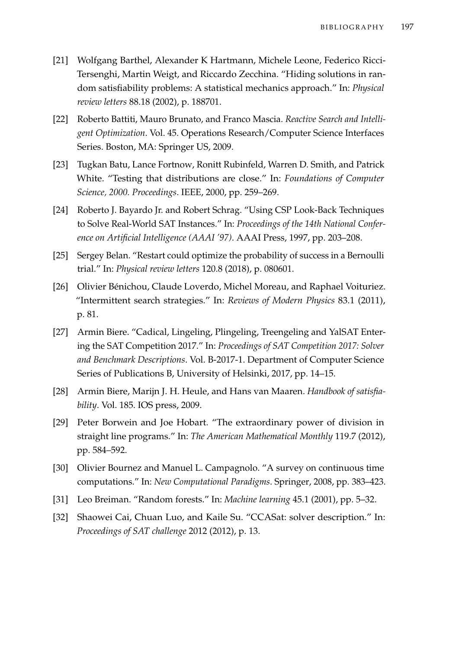- [21] Wolfgang Barthel, Alexander K Hartmann, Michele Leone, Federico Ricci-Tersenghi, Martin Weigt, and Riccardo Zecchina. "Hiding solutions in random satisfiability problems: A statistical mechanics approach." In: *Physical review letters* 88.18 (2002), p. 188701.
- [22] Roberto Battiti, Mauro Brunato, and Franco Mascia. *Reactive Search and Intelligent Optimization*. Vol. 45. Operations Research/Computer Science Interfaces Series. Boston, MA: Springer US, 2009.
- [23] Tugkan Batu, Lance Fortnow, Ronitt Rubinfeld, Warren D. Smith, and Patrick White. "Testing that distributions are close." In: *Foundations of Computer Science, 2000. Proceedings*. IEEE, 2000, pp. 259–269.
- [24] Roberto J. Bayardo Jr. and Robert Schrag. "Using CSP Look-Back Techniques to Solve Real-World SAT Instances." In: *Proceedings of the 14th National Conference on Artificial Intelligence (AAAI '97)*. AAAI Press, 1997, pp. 203–208.
- [25] Sergey Belan. "Restart could optimize the probability of success in a Bernoulli trial." In: *Physical review letters* 120.8 (2018), p. 080601.
- [26] Olivier Bénichou, Claude Loverdo, Michel Moreau, and Raphael Voituriez. "Intermittent search strategies." In: *Reviews of Modern Physics* 83.1 (2011), p. 81.
- [27] Armin Biere. "Cadical, Lingeling, Plingeling, Treengeling and YalSAT Entering the SAT Competition 2017." In: *Proceedings of SAT Competition 2017: Solver and Benchmark Descriptions*. Vol. B-2017-1. Department of Computer Science Series of Publications B, University of Helsinki, 2017, pp. 14–15.
- <span id="page-212-0"></span>[28] Armin Biere, Marijn J. H. Heule, and Hans van Maaren. *Handbook of satisfiability*. Vol. 185. IOS press, 2009.
- [29] Peter Borwein and Joe Hobart. "The extraordinary power of division in straight line programs." In: *The American Mathematical Monthly* 119.7 (2012), pp. 584–592.
- [30] Olivier Bournez and Manuel L. Campagnolo. "A survey on continuous time computations." In: *New Computational Paradigms*. Springer, 2008, pp. 383–423.
- [31] Leo Breiman. "Random forests." In: *Machine learning* 45.1 (2001), pp. 5–32.
- [32] Shaowei Cai, Chuan Luo, and Kaile Su. "CCASat: solver description." In: *Proceedings of SAT challenge* 2012 (2012), p. 13.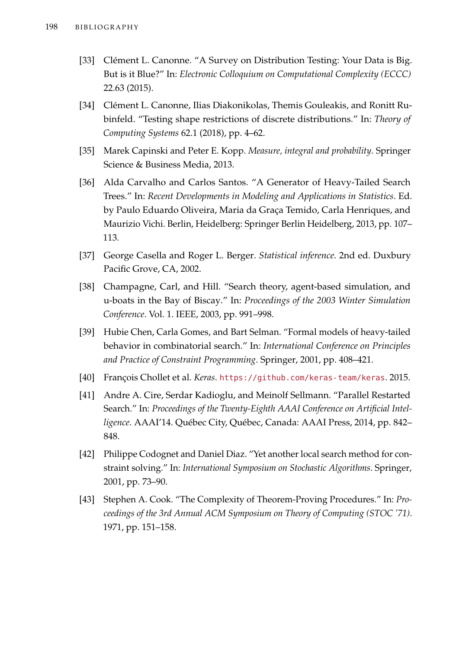- [33] Clément L. Canonne. "A Survey on Distribution Testing: Your Data is Big. But is it Blue?" In: *Electronic Colloquium on Computational Complexity (ECCC)* 22.63 (2015).
- [34] Clément L. Canonne, Ilias Diakonikolas, Themis Gouleakis, and Ronitt Rubinfeld. "Testing shape restrictions of discrete distributions." In: *Theory of Computing Systems* 62.1 (2018), pp. 4–62.
- [35] Marek Capinski and Peter E. Kopp. *Measure, integral and probability*. Springer Science & Business Media, 2013.
- <span id="page-213-0"></span>[36] Alda Carvalho and Carlos Santos. "A Generator of Heavy-Tailed Search Trees." In: *Recent Developments in Modeling and Applications in Statistics*. Ed. by Paulo Eduardo Oliveira, Maria da Graça Temido, Carla Henriques, and Maurizio Vichi. Berlin, Heidelberg: Springer Berlin Heidelberg, 2013, pp. 107– 113.
- [37] George Casella and Roger L. Berger. *Statistical inference*. 2nd ed. Duxbury Pacific Grove, CA, 2002.
- [38] Champagne, Carl, and Hill. "Search theory, agent-based simulation, and u-boats in the Bay of Biscay." In: *Proceedings of the 2003 Winter Simulation Conference*. Vol. 1. IEEE, 2003, pp. 991–998.
- <span id="page-213-1"></span>[39] Hubie Chen, Carla Gomes, and Bart Selman. "Formal models of heavy-tailed behavior in combinatorial search." In: *International Conference on Principles and Practice of Constraint Programming*. Springer, 2001, pp. 408–421.
- [40] François Chollet et al. *Keras*. <https://github.com/keras-team/keras>. 2015.
- [41] Andre A. Cire, Serdar Kadioglu, and Meinolf Sellmann. "Parallel Restarted Search." In: *Proceedings of the Twenty-Eighth AAAI Conference on Artificial Intelligence*. AAAI'14. Québec City, Québec, Canada: AAAI Press, 2014, pp. 842– 848.
- [42] Philippe Codognet and Daniel Diaz. "Yet another local search method for constraint solving." In: *International Symposium on Stochastic Algorithms*. Springer, 2001, pp. 73–90.
- [43] Stephen A. Cook. "The Complexity of Theorem-Proving Procedures." In: *Proceedings of the 3rd Annual ACM Symposium on Theory of Computing (STOC '71)*. 1971, pp. 151–158.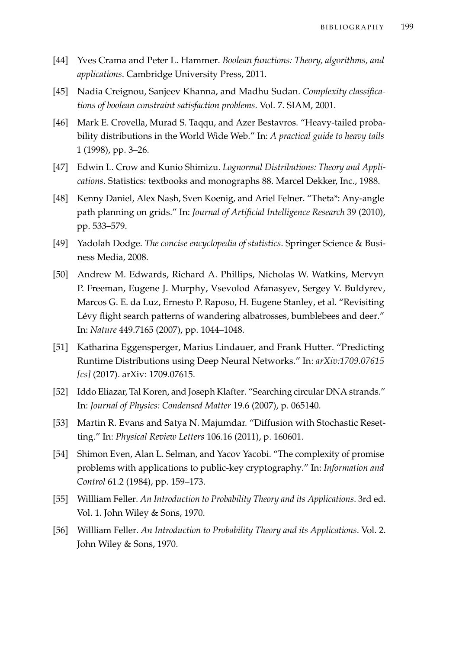- [44] Yves Crama and Peter L. Hammer. *Boolean functions: Theory, algorithms, and applications*. Cambridge University Press, 2011.
- [45] Nadia Creignou, Sanjeev Khanna, and Madhu Sudan. *Complexity classifications of boolean constraint satisfaction problems*. Vol. 7. SIAM, 2001.
- [46] Mark E. Crovella, Murad S. Taqqu, and Azer Bestavros. "Heavy-tailed probability distributions in the World Wide Web." In: *A practical guide to heavy tails* 1 (1998), pp. 3–26.
- [47] Edwin L. Crow and Kunio Shimizu. *Lognormal Distributions: Theory and Applications*. Statistics: textbooks and monographs 88. Marcel Dekker, Inc., 1988.
- [48] Kenny Daniel, Alex Nash, Sven Koenig, and Ariel Felner. "Theta\*: Any-angle path planning on grids." In: *Journal of Artificial Intelligence Research* 39 (2010), pp. 533–579.
- <span id="page-214-0"></span>[49] Yadolah Dodge. *The concise encyclopedia of statistics*. Springer Science & Business Media, 2008.
- [50] Andrew M. Edwards, Richard A. Phillips, Nicholas W. Watkins, Mervyn P. Freeman, Eugene J. Murphy, Vsevolod Afanasyev, Sergey V. Buldyrev, Marcos G. E. da Luz, Ernesto P. Raposo, H. Eugene Stanley, et al. "Revisiting Lévy flight search patterns of wandering albatrosses, bumblebees and deer." In: *Nature* 449.7165 (2007), pp. 1044–1048.
- [51] Katharina Eggensperger, Marius Lindauer, and Frank Hutter. "Predicting Runtime Distributions using Deep Neural Networks." In: *arXiv:1709.07615 [cs]* (2017). arXiv: 1709.07615.
- [52] Iddo Eliazar, Tal Koren, and Joseph Klafter. "Searching circular DNA strands." In: *Journal of Physics: Condensed Matter* 19.6 (2007), p. 065140.
- [53] Martin R. Evans and Satya N. Majumdar. "Diffusion with Stochastic Resetting." In: *Physical Review Letters* 106.16 (2011), p. 160601.
- [54] Shimon Even, Alan L. Selman, and Yacov Yacobi. "The complexity of promise problems with applications to public-key cryptography." In: *Information and Control* 61.2 (1984), pp. 159–173.
- [55] Willliam Feller. *An Introduction to Probability Theory and its Applications*. 3rd ed. Vol. 1. John Wiley & Sons, 1970.
- [56] Willliam Feller. *An Introduction to Probability Theory and its Applications*. Vol. 2. John Wiley & Sons, 1970.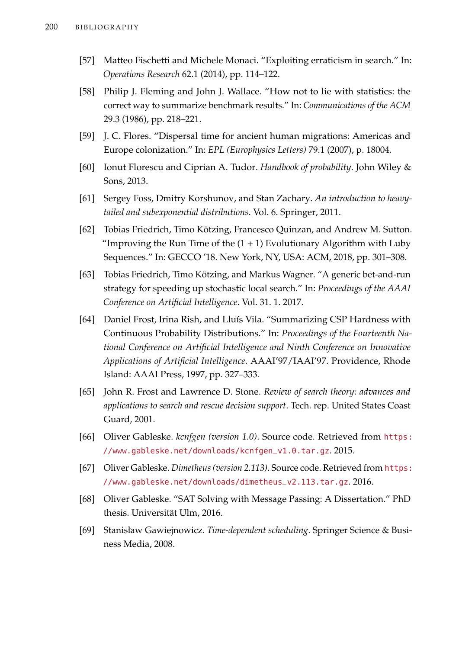- [57] Matteo Fischetti and Michele Monaci. "Exploiting erraticism in search." In: *Operations Research* 62.1 (2014), pp. 114–122.
- [58] Philip J. Fleming and John J. Wallace. "How not to lie with statistics: the correct way to summarize benchmark results." In: *Communications of the ACM* 29.3 (1986), pp. 218–221.
- [59] J. C. Flores. "Dispersal time for ancient human migrations: Americas and Europe colonization." In: *EPL (Europhysics Letters)* 79.1 (2007), p. 18004.
- [60] Ionut Florescu and Ciprian A. Tudor. *Handbook of probability*. John Wiley & Sons, 2013.
- [61] Sergey Foss, Dmitry Korshunov, and Stan Zachary. *An introduction to heavytailed and subexponential distributions*. Vol. 6. Springer, 2011.
- [62] Tobias Friedrich, Timo Kötzing, Francesco Quinzan, and Andrew M. Sutton. "Improving the Run Time of the  $(1 + 1)$  Evolutionary Algorithm with Luby Sequences." In: GECCO '18. New York, NY, USA: ACM, 2018, pp. 301–308.
- [63] Tobias Friedrich, Timo Kötzing, and Markus Wagner. "A generic bet-and-run strategy for speeding up stochastic local search." In: *Proceedings of the AAAI Conference on Artificial Intelligence*. Vol. 31. 1. 2017.
- [64] Daniel Frost, Irina Rish, and Lluís Vila. "Summarizing CSP Hardness with Continuous Probability Distributions." In: *Proceedings of the Fourteenth National Conference on Artificial Intelligence and Ninth Conference on Innovative Applications of Artificial Intelligence*. AAAI'97/IAAI'97. Providence, Rhode Island: AAAI Press, 1997, pp. 327–333.
- [65] John R. Frost and Lawrence D. Stone. *Review of search theory: advances and applications to search and rescue decision support*. Tech. rep. United States Coast Guard, 2001.
- [66] Oliver Gableske. *kcnfgen (version 1.0)*. Source code. Retrieved from [https:](https://www.gableske.net/downloads/kcnfgen_v1.0.tar.gz) [//www.gableske.net/downloads/kcnfgen\\_v1.0.tar.gz](https://www.gableske.net/downloads/kcnfgen_v1.0.tar.gz). 2015.
- [67] Oliver Gableske. *Dimetheus (version 2.113)*. Source code. Retrieved from [https:](https://www.gableske.net/downloads/dimetheus_v2.113.tar.gz) [//www.gableske.net/downloads/dimetheus\\_v2.113.tar.gz](https://www.gableske.net/downloads/dimetheus_v2.113.tar.gz). 2016.
- [68] Oliver Gableske. "SAT Solving with Message Passing: A Dissertation." PhD thesis. Universität Ulm, 2016.
- <span id="page-215-0"></span>[69] Stanisław Gawiejnowicz. *Time-dependent scheduling*. Springer Science & Business Media, 2008.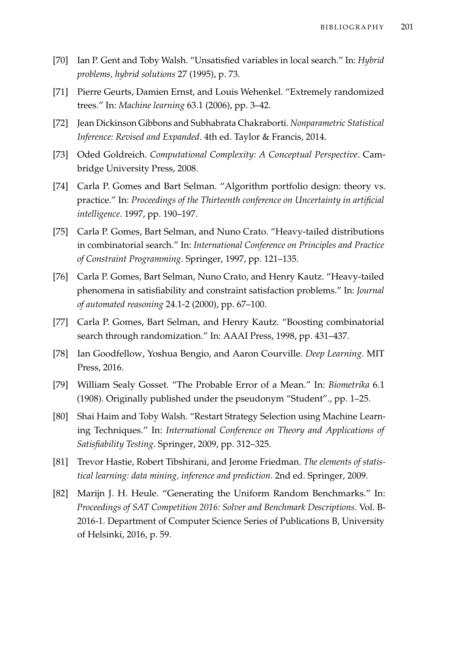- [70] Ian P. Gent and Toby Walsh. "Unsatisfied variables in local search." In: *Hybrid problems, hybrid solutions* 27 (1995), p. 73.
- [71] Pierre Geurts, Damien Ernst, and Louis Wehenkel. "Extremely randomized trees." In: *Machine learning* 63.1 (2006), pp. 3–42.
- [72] Jean Dickinson Gibbons and Subhabrata Chakraborti. *Nonparametric Statistical Inference: Revised and Expanded*. 4th ed. Taylor & Francis, 2014.
- [73] Oded Goldreich. *Computational Complexity: A Conceptual Perspective*. Cambridge University Press, 2008.
- [74] Carla P. Gomes and Bart Selman. "Algorithm portfolio design: theory vs. practice." In: *Proceedings of the Thirteenth conference on Uncertainty in artificial intelligence*. 1997, pp. 190–197.
- [75] Carla P. Gomes, Bart Selman, and Nuno Crato. "Heavy-tailed distributions in combinatorial search." In: *International Conference on Principles and Practice of Constraint Programming*. Springer, 1997, pp. 121–135.
- [76] Carla P. Gomes, Bart Selman, Nuno Crato, and Henry Kautz. "Heavy-tailed phenomena in satisfiability and constraint satisfaction problems." In: *Journal of automated reasoning* 24.1-2 (2000), pp. 67–100.
- [77] Carla P. Gomes, Bart Selman, and Henry Kautz. "Boosting combinatorial search through randomization." In: AAAI Press, 1998, pp. 431–437.
- <span id="page-216-1"></span>[78] Ian Goodfellow, Yoshua Bengio, and Aaron Courville. *Deep Learning*. MIT Press, 2016.
- [79] William Sealy Gosset. "The Probable Error of a Mean." In: *Biometrika* 6.1 (1908). Originally published under the pseudonym "Student"., pp. 1–25.
- [80] Shai Haim and Toby Walsh. "Restart Strategy Selection using Machine Learning Techniques." In: *International Conference on Theory and Applications of Satisfiability Testing*. Springer, 2009, pp. 312–325.
- <span id="page-216-0"></span>[81] Trevor Hastie, Robert Tibshirani, and Jerome Friedman. *The elements of statistical learning: data mining, inference and prediction*. 2nd ed. Springer, 2009.
- [82] Marijn J. H. Heule. "Generating the Uniform Random Benchmarks." In: *Proceedings of SAT Competition 2016: Solver and Benchmark Descriptions*. Vol. B-2016-1. Department of Computer Science Series of Publications B, University of Helsinki, 2016, p. 59.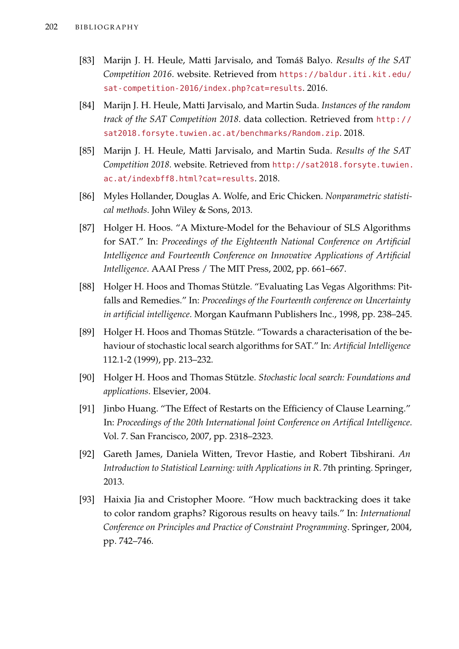- [83] Marijn J. H. Heule, Matti Jarvisalo, and Tomáš Balyo. *Results of the SAT Competition 2016*. website. Retrieved from [https://baldur.iti.kit.edu/](https://baldur.iti.kit.edu/sat-competition-2016/index.php?cat=results) [sat-competition-2016/index.php?cat=results](https://baldur.iti.kit.edu/sat-competition-2016/index.php?cat=results). 2016.
- [84] Marijn J. H. Heule, Matti Jarvisalo, and Martin Suda. *Instances of the random track of the SAT Competition 2018*. data collection. Retrieved from [http://](http://sat2018.forsyte.tuwien.ac.at/benchmarks/Random.zip) [sat2018.forsyte.tuwien.ac.at/benchmarks/Random.zip](http://sat2018.forsyte.tuwien.ac.at/benchmarks/Random.zip).2018.
- [85] Marijn J. H. Heule, Matti Jarvisalo, and Martin Suda. *Results of the SAT Competition 2018*. website. Retrieved from [http://sat2018.forsyte.tuwien.](http://sat2018.forsyte.tuwien.ac.at/indexbff8.html?cat=results) [ac.at/indexbff8.html?cat=results](http://sat2018.forsyte.tuwien.ac.at/indexbff8.html?cat=results). 2018.
- [86] Myles Hollander, Douglas A. Wolfe, and Eric Chicken. *Nonparametric statistical methods*. John Wiley & Sons, 2013.
- [87] Holger H. Hoos. "A Mixture-Model for the Behaviour of SLS Algorithms for SAT." In: *Proceedings of the Eighteenth National Conference on Artificial Intelligence and Fourteenth Conference on Innovative Applications of Artificial Intelligence*. AAAI Press / The MIT Press, 2002, pp. 661–667.
- [88] Holger H. Hoos and Thomas Stützle. "Evaluating Las Vegas Algorithms: Pitfalls and Remedies." In: *Proceedings of the Fourteenth conference on Uncertainty in artificial intelligence*. Morgan Kaufmann Publishers Inc., 1998, pp. 238–245.
- [89] Holger H. Hoos and Thomas Stützle. "Towards a characterisation of the behaviour of stochastic local search algorithms for SAT." In: *Artificial Intelligence* 112.1-2 (1999), pp. 213–232.
- [90] Holger H. Hoos and Thomas Stützle. *Stochastic local search: Foundations and applications*. Elsevier, 2004.
- [91] Jinbo Huang. "The Effect of Restarts on the Efficiency of Clause Learning." In: *Proceedings of the 20th International Joint Conference on Artifical Intelligence*. Vol. 7. San Francisco, 2007, pp. 2318–2323.
- [92] Gareth James, Daniela Witten, Trevor Hastie, and Robert Tibshirani. *An Introduction to Statistical Learning: with Applications in R*. 7th printing. Springer, 2013.
- [93] Haixia Jia and Cristopher Moore. "How much backtracking does it take to color random graphs? Rigorous results on heavy tails." In: *International Conference on Principles and Practice of Constraint Programming*. Springer, 2004, pp. 742–746.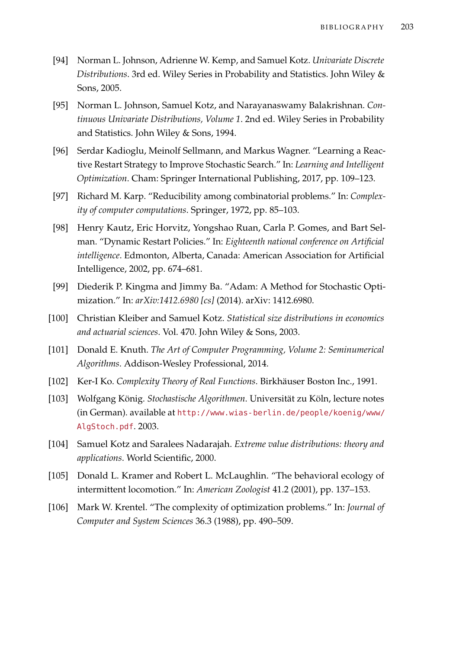- [94] Norman L. Johnson, Adrienne W. Kemp, and Samuel Kotz. *Univariate Discrete Distributions*. 3rd ed. Wiley Series in Probability and Statistics. John Wiley & Sons, 2005.
- [95] Norman L. Johnson, Samuel Kotz, and Narayanaswamy Balakrishnan. *Continuous Univariate Distributions, Volume 1*. 2nd ed. Wiley Series in Probability and Statistics. John Wiley & Sons, 1994.
- [96] Serdar Kadioglu, Meinolf Sellmann, and Markus Wagner. "Learning a Reactive Restart Strategy to Improve Stochastic Search." In: *Learning and Intelligent Optimization*. Cham: Springer International Publishing, 2017, pp. 109–123.
- [97] Richard M. Karp. "Reducibility among combinatorial problems." In: *Complexity of computer computations*. Springer, 1972, pp. 85–103.
- [98] Henry Kautz, Eric Horvitz, Yongshao Ruan, Carla P. Gomes, and Bart Selman. "Dynamic Restart Policies." In: *Eighteenth national conference on Artificial intelligence*. Edmonton, Alberta, Canada: American Association for Artificial Intelligence, 2002, pp. 674–681.
- <span id="page-218-0"></span>[99] Diederik P. Kingma and Jimmy Ba. "Adam: A Method for Stochastic Optimization." In: *arXiv:1412.6980 [cs]* (2014). arXiv: 1412.6980.
- [100] Christian Kleiber and Samuel Kotz. *Statistical size distributions in economics and actuarial sciences*. Vol. 470. John Wiley & Sons, 2003.
- [101] Donald E. Knuth. *The Art of Computer Programming, Volume 2: Seminumerical Algorithms*. Addison-Wesley Professional, 2014.
- [102] Ker-I Ko. *Complexity Theory of Real Functions*. Birkhäuser Boston Inc., 1991.
- [103] Wolfgang König. *Stochastische Algorithmen*. Universität zu Köln, lecture notes (in German). available at [http://www.wias-berlin.de/people/koenig/www/](http://www.wias-berlin.de/people/koenig/www/AlgStoch.pdf) [AlgStoch.pdf](http://www.wias-berlin.de/people/koenig/www/AlgStoch.pdf). 2003.
- [104] Samuel Kotz and Saralees Nadarajah. *Extreme value distributions: theory and applications*. World Scientific, 2000.
- [105] Donald L. Kramer and Robert L. McLaughlin. "The behavioral ecology of intermittent locomotion." In: *American Zoologist* 41.2 (2001), pp. 137–153.
- [106] Mark W. Krentel. "The complexity of optimization problems." In: *Journal of Computer and System Sciences* 36.3 (1988), pp. 490–509.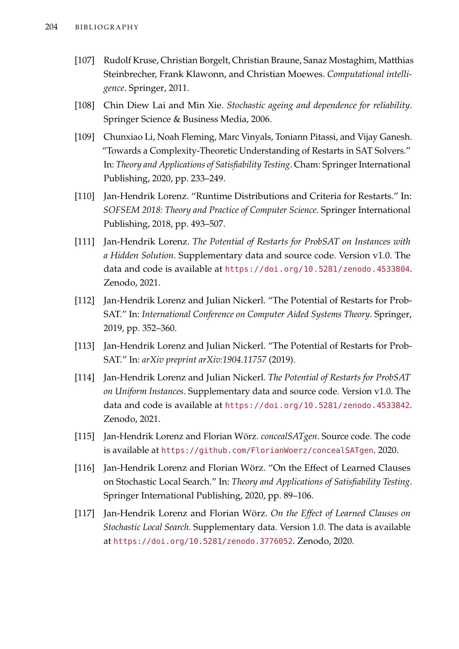- [107] Rudolf Kruse, Christian Borgelt, Christian Braune, Sanaz Mostaghim, Matthias Steinbrecher, Frank Klawonn, and Christian Moewes. *Computational intelligence*. Springer, 2011.
- [108] Chin Diew Lai and Min Xie. *Stochastic ageing and dependence for reliability*. Springer Science & Business Media, 2006.
- [109] Chunxiao Li, Noah Fleming, Marc Vinyals, Toniann Pitassi, and Vijay Ganesh. "Towards a Complexity-Theoretic Understanding of Restarts in SAT Solvers." In: *Theory and Applications of Satisfiability Testing*. Cham: Springer International Publishing, 2020, pp. 233–249.
- [110] Jan-Hendrik Lorenz. "Runtime Distributions and Criteria for Restarts." In: *SOFSEM 2018: Theory and Practice of Computer Science*. Springer International Publishing, 2018, pp. 493–507.
- [111] Jan-Hendrik Lorenz. *The Potential of Restarts for ProbSAT on Instances with a Hidden Solution*. Supplementary data and source code. Version v1.0. The data and code is available at <https://doi.org/10.5281/zenodo.4533804>. Zenodo, 2021.
- [112] Jan-Hendrik Lorenz and Julian Nickerl. "The Potential of Restarts for Prob-SAT." In: *International Conference on Computer Aided Systems Theory*. Springer, 2019, pp. 352–360.
- [113] Jan-Hendrik Lorenz and Julian Nickerl. "The Potential of Restarts for Prob-SAT." In: *arXiv preprint arXiv:1904.11757* (2019).
- [114] Jan-Hendrik Lorenz and Julian Nickerl. *The Potential of Restarts for ProbSAT on Uniform Instances*. Supplementary data and source code. Version v1.0. The data and code is available at <https://doi.org/10.5281/zenodo.4533842>. Zenodo, 2021.
- [115] Jan-Hendrik Lorenz and Florian Wörz. *concealSATgen*. Source code. The code is available at <https://github.com/FlorianWoerz/concealSATgen>. 2020.
- [116] Jan-Hendrik Lorenz and Florian Wörz. "On the Effect of Learned Clauses on Stochastic Local Search." In: *Theory and Applications of Satisfiability Testing*. Springer International Publishing, 2020, pp. 89–106.
- [117] Jan-Hendrik Lorenz and Florian Wörz. *On the Effect of Learned Clauses on Stochastic Local Search*. Supplementary data. Version 1.0. The data is available at <https://doi.org/10.5281/zenodo.3776052>. Zenodo, 2020.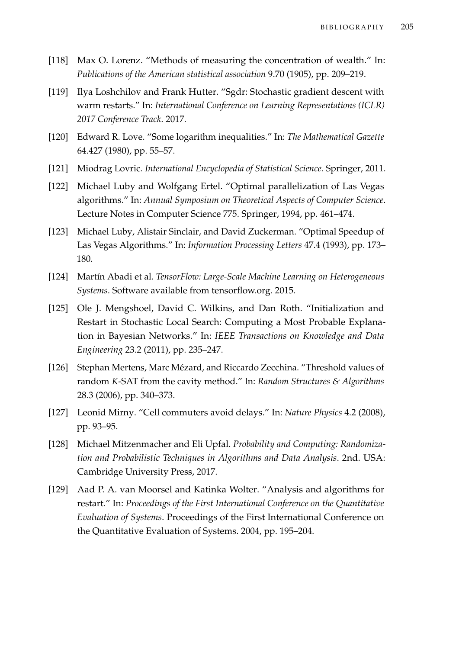- [118] Max O. Lorenz. "Methods of measuring the concentration of wealth." In: *Publications of the American statistical association* 9.70 (1905), pp. 209–219.
- [119] Ilya Loshchilov and Frank Hutter. "Sgdr: Stochastic gradient descent with warm restarts." In: *International Conference on Learning Representations (ICLR) 2017 Conference Track*. 2017.
- [120] Edward R. Love. "Some logarithm inequalities." In: *The Mathematical Gazette* 64.427 (1980), pp. 55–57.
- [121] Miodrag Lovric. *International Encyclopedia of Statistical Science*. Springer, 2011.
- [122] Michael Luby and Wolfgang Ertel. "Optimal parallelization of Las Vegas algorithms." In: *Annual Symposium on Theoretical Aspects of Computer Science*. Lecture Notes in Computer Science 775. Springer, 1994, pp. 461–474.
- [123] Michael Luby, Alistair Sinclair, and David Zuckerman. "Optimal Speedup of Las Vegas Algorithms." In: *Information Processing Letters* 47.4 (1993), pp. 173– 180.
- [124] Martín Abadi et al. *TensorFlow: Large-Scale Machine Learning on Heterogeneous Systems*. Software available from tensorflow.org. 2015.
- [125] Ole J. Mengshoel, David C. Wilkins, and Dan Roth. "Initialization and Restart in Stochastic Local Search: Computing a Most Probable Explanation in Bayesian Networks." In: *IEEE Transactions on Knowledge and Data Engineering* 23.2 (2011), pp. 235–247.
- [126] Stephan Mertens, Marc Mézard, and Riccardo Zecchina. "Threshold values of random *K*-SAT from the cavity method." In: *Random Structures & Algorithms* 28.3 (2006), pp. 340–373.
- [127] Leonid Mirny. "Cell commuters avoid delays." In: *Nature Physics* 4.2 (2008), pp. 93–95.
- [128] Michael Mitzenmacher and Eli Upfal. *Probability and Computing: Randomization and Probabilistic Techniques in Algorithms and Data Analysis*. 2nd. USA: Cambridge University Press, 2017.
- [129] Aad P. A. van Moorsel and Katinka Wolter. "Analysis and algorithms for restart." In: *Proceedings of the First International Conference on the Quantitative Evaluation of Systems*. Proceedings of the First International Conference on the Quantitative Evaluation of Systems. 2004, pp. 195–204.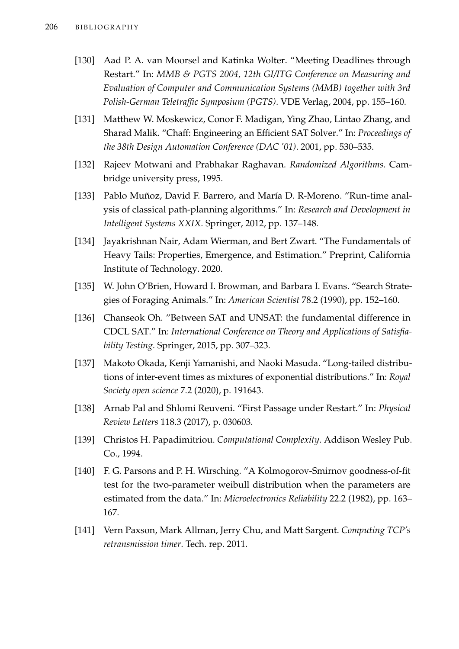- [130] Aad P. A. van Moorsel and Katinka Wolter. "Meeting Deadlines through Restart." In: *MMB & PGTS 2004, 12th GI/ITG Conference on Measuring and Evaluation of Computer and Communication Systems (MMB) together with 3rd Polish-German Teletraffic Symposium (PGTS)*. VDE Verlag, 2004, pp. 155–160.
- [131] Matthew W. Moskewicz, Conor F. Madigan, Ying Zhao, Lintao Zhang, and Sharad Malik. "Chaff: Engineering an Efficient SAT Solver." In: *Proceedings of the 38th Design Automation Conference (DAC '01)*. 2001, pp. 530–535.
- [132] Rajeev Motwani and Prabhakar Raghavan. *Randomized Algorithms*. Cambridge university press, 1995.
- [133] Pablo Muñoz, David F. Barrero, and María D. R-Moreno. "Run-time analysis of classical path-planning algorithms." In: *Research and Development in Intelligent Systems XXIX*. Springer, 2012, pp. 137–148.
- [134] Jayakrishnan Nair, Adam Wierman, and Bert Zwart. "The Fundamentals of Heavy Tails: Properties, Emergence, and Estimation." Preprint, California Institute of Technology. 2020.
- [135] W. John O'Brien, Howard I. Browman, and Barbara I. Evans. "Search Strategies of Foraging Animals." In: *American Scientist* 78.2 (1990), pp. 152–160.
- [136] Chanseok Oh. "Between SAT and UNSAT: the fundamental difference in CDCL SAT." In: *International Conference on Theory and Applications of Satisfiability Testing*. Springer, 2015, pp. 307–323.
- [137] Makoto Okada, Kenji Yamanishi, and Naoki Masuda. "Long-tailed distributions of inter-event times as mixtures of exponential distributions." In: *Royal Society open science* 7.2 (2020), p. 191643.
- [138] Arnab Pal and Shlomi Reuveni. "First Passage under Restart." In: *Physical Review Letters* 118.3 (2017), p. 030603.
- [139] Christos H. Papadimitriou. *Computational Complexity*. Addison Wesley Pub. Co., 1994.
- [140] F. G. Parsons and P. H. Wirsching. "A Kolmogorov-Smirnov goodness-of-fit test for the two-parameter weibull distribution when the parameters are estimated from the data." In: *Microelectronics Reliability* 22.2 (1982), pp. 163– 167.
- [141] Vern Paxson, Mark Allman, Jerry Chu, and Matt Sargent. *Computing TCP's retransmission timer*. Tech. rep. 2011.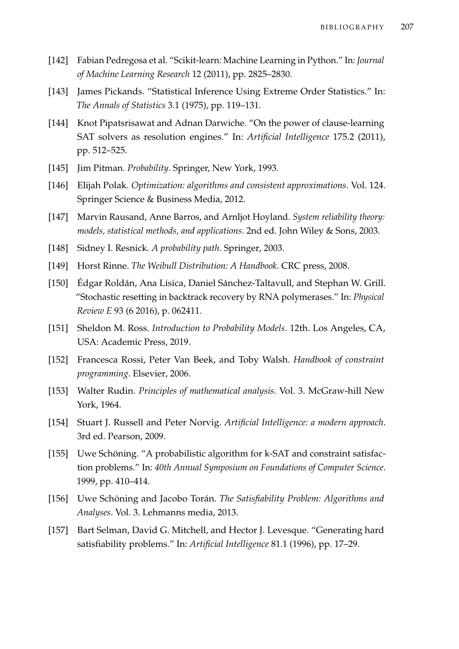- <span id="page-222-0"></span>[142] Fabian Pedregosa et al. "Scikit-learn: Machine Learning in Python." In: *Journal of Machine Learning Research* 12 (2011), pp. 2825–2830.
- [143] James Pickands. "Statistical Inference Using Extreme Order Statistics." In: *The Annals of Statistics* 3.1 (1975), pp. 119–131.
- [144] Knot Pipatsrisawat and Adnan Darwiche. "On the power of clause-learning SAT solvers as resolution engines." In: *Artificial Intelligence* 175.2 (2011), pp. 512–525.
- [145] Jim Pitman. *Probability*. Springer, New York, 1993.
- [146] Elijah Polak. *Optimization: algorithms and consistent approximations*. Vol. 124. Springer Science & Business Media, 2012.
- [147] Marvin Rausand, Anne Barros, and Arnljot Hoyland. *System reliability theory: models, statistical methods, and applications*. 2nd ed. John Wiley & Sons, 2003.
- [148] Sidney I. Resnick. *A probability path*. Springer, 2003.
- [149] Horst Rinne. *The Weibull Distribution: A Handbook*. CRC press, 2008.
- [150] Édgar Roldán, Ana Lisica, Daniel Sánchez-Taltavull, and Stephan W. Grill. "Stochastic resetting in backtrack recovery by RNA polymerases." In: *Physical Review E* 93 (6 2016), p. 062411.
- [151] Sheldon M. Ross. *Introduction to Probability Models*. 12th. Los Angeles, CA, USA: Academic Press, 2019.
- [152] Francesca Rossi, Peter Van Beek, and Toby Walsh. *Handbook of constraint programming*. Elsevier, 2006.
- [153] Walter Rudin. *Principles of mathematical analysis*. Vol. 3. McGraw-hill New York, 1964.
- [154] Stuart J. Russell and Peter Norvig. *Artificial Intelligence: a modern approach*. 3rd ed. Pearson, 2009.
- [155] Uwe Schöning. "A probabilistic algorithm for k-SAT and constraint satisfaction problems." In: *40th Annual Symposium on Foundations of Computer Science*. 1999, pp. 410–414.
- [156] Uwe Schöning and Jacobo Torán. *The Satisfiability Problem: Algorithms and Analyses*. Vol. 3. Lehmanns media, 2013.
- [157] Bart Selman, David G. Mitchell, and Hector J. Levesque. "Generating hard satisfiability problems." In: *Artificial Intelligence* 81.1 (1996), pp. 17–29.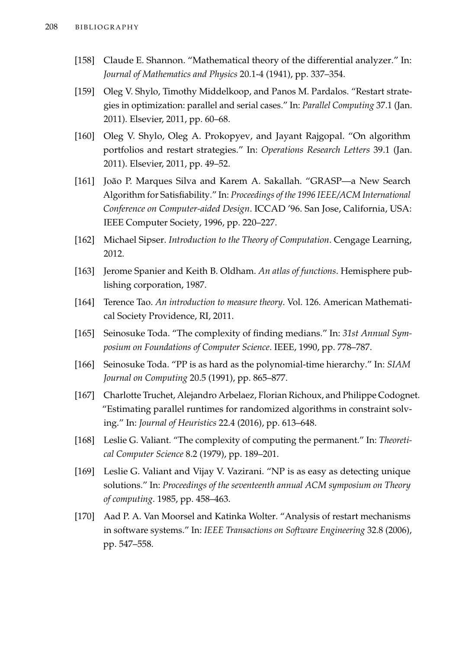- [158] Claude E. Shannon. "Mathematical theory of the differential analyzer." In: *Journal of Mathematics and Physics* 20.1-4 (1941), pp. 337–354.
- [159] Oleg V. Shylo, Timothy Middelkoop, and Panos M. Pardalos. "Restart strategies in optimization: parallel and serial cases." In: *Parallel Computing* 37.1 (Jan. 2011). Elsevier, 2011, pp. 60–68.
- [160] Oleg V. Shylo, Oleg A. Prokopyev, and Jayant Rajgopal. "On algorithm portfolios and restart strategies." In: *Operations Research Letters* 39.1 (Jan. 2011). Elsevier, 2011, pp. 49–52.
- [161] João P. Marques Silva and Karem A. Sakallah. "GRASP—a New Search Algorithm for Satisfiability." In: *Proceedings of the 1996 IEEE/ACM International Conference on Computer-aided Design*. ICCAD '96. San Jose, California, USA: IEEE Computer Society, 1996, pp. 220–227.
- [162] Michael Sipser. *Introduction to the Theory of Computation*. Cengage Learning, 2012.
- [163] Jerome Spanier and Keith B. Oldham. *An atlas of functions*. Hemisphere publishing corporation, 1987.
- [164] Terence Tao. *An introduction to measure theory*. Vol. 126. American Mathematical Society Providence, RI, 2011.
- [165] Seinosuke Toda. "The complexity of finding medians." In: *31st Annual Symposium on Foundations of Computer Science*. IEEE, 1990, pp. 778–787.
- [166] Seinosuke Toda. "PP is as hard as the polynomial-time hierarchy." In: *SIAM Journal on Computing* 20.5 (1991), pp. 865–877.
- [167] Charlotte Truchet, Alejandro Arbelaez, Florian Richoux, and Philippe Codognet. "Estimating parallel runtimes for randomized algorithms in constraint solving." In: *Journal of Heuristics* 22.4 (2016), pp. 613–648.
- [168] Leslie G. Valiant. "The complexity of computing the permanent." In: *Theoretical Computer Science* 8.2 (1979), pp. 189–201.
- [169] Leslie G. Valiant and Vijay V. Vazirani. "NP is as easy as detecting unique solutions." In: *Proceedings of the seventeenth annual ACM symposium on Theory of computing*. 1985, pp. 458–463.
- [170] Aad P. A. Van Moorsel and Katinka Wolter. "Analysis of restart mechanisms in software systems." In: *IEEE Transactions on Software Engineering* 32.8 (2006), pp. 547–558.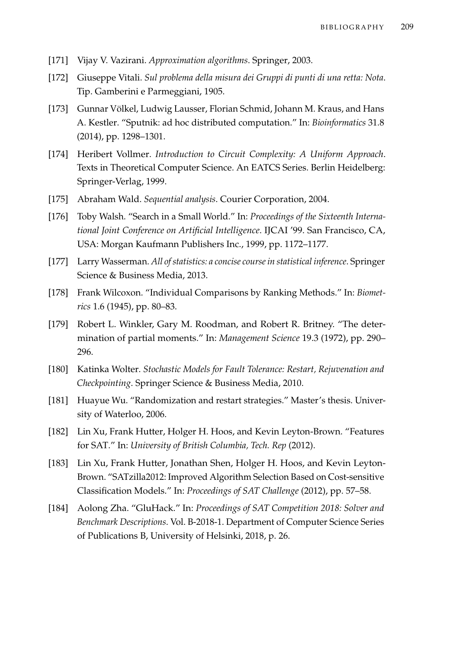- [171] Vijay V. Vazirani. *Approximation algorithms*. Springer, 2003.
- [172] Giuseppe Vitali. *Sul problema della misura dei Gruppi di punti di una retta: Nota*. Tip. Gamberini e Parmeggiani, 1905.
- [173] Gunnar Völkel, Ludwig Lausser, Florian Schmid, Johann M. Kraus, and Hans A. Kestler. "Sputnik: ad hoc distributed computation." In: *Bioinformatics* 31.8 (2014), pp. 1298–1301.
- [174] Heribert Vollmer. *Introduction to Circuit Complexity: A Uniform Approach*. Texts in Theoretical Computer Science. An EATCS Series. Berlin Heidelberg: Springer-Verlag, 1999.
- [175] Abraham Wald. *Sequential analysis*. Courier Corporation, 2004.
- [176] Toby Walsh. "Search in a Small World." In: *Proceedings of the Sixteenth International Joint Conference on Artificial Intelligence*. IJCAI '99. San Francisco, CA, USA: Morgan Kaufmann Publishers Inc., 1999, pp. 1172–1177.
- [177] Larry Wasserman. *All of statistics: a concise course in statistical inference*. Springer Science & Business Media, 2013.
- [178] Frank Wilcoxon. "Individual Comparisons by Ranking Methods." In: *Biometrics* 1.6 (1945), pp. 80–83.
- [179] Robert L. Winkler, Gary M. Roodman, and Robert R. Britney. "The determination of partial moments." In: *Management Science* 19.3 (1972), pp. 290– 296.
- [180] Katinka Wolter. *Stochastic Models for Fault Tolerance: Restart, Rejuvenation and Checkpointing*. Springer Science & Business Media, 2010.
- [181] Huayue Wu. "Randomization and restart strategies." Master's thesis. University of Waterloo, 2006.
- <span id="page-224-0"></span>[182] Lin Xu, Frank Hutter, Holger H. Hoos, and Kevin Leyton-Brown. "Features for SAT." In: *University of British Columbia, Tech. Rep* (2012).
- [183] Lin Xu, Frank Hutter, Jonathan Shen, Holger H. Hoos, and Kevin Leyton-Brown. "SATzilla2012: Improved Algorithm Selection Based on Cost-sensitive Classification Models." In: *Proceedings of SAT Challenge* (2012), pp. 57–58.
- [184] Aolong Zha. "GluHack." In: *Proceedings of SAT Competition 2018: Solver and Benchmark Descriptions*. Vol. B-2018-1. Department of Computer Science Series of Publications B, University of Helsinki, 2018, p. 26.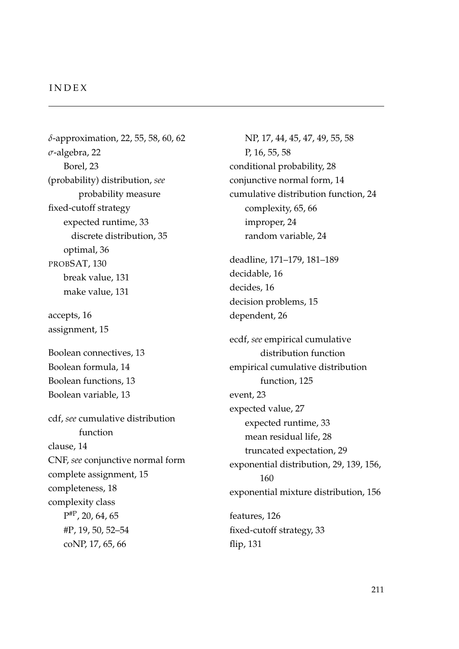#### I N D E X

*δ*-approximation, 22, 55, 58, 60, 62 *σ*-algebra, 22 Borel, 23 (probability) distribution, *see* probability measure fixed-cutoff strategy expected runtime, 33 discrete distribution, 35 optimal, 36 PROBSAT, 130 break value, 131 make value, 131 accepts, 16 assignment, 15 Boolean connectives, 13 Boolean formula, 14 Boolean functions, 13 Boolean variable, 13 cdf, *see* cumulative distribution function clause, 14 CNF, *see* conjunctive normal form complete assignment, 15 completeness, 18 complexity class  $P_{\rm }^{\rm \#P}$ , 20, 64, 65 #P, 19, 50, 52–54 coNP, 17, 65, 66

NP, 17, 44, 45, 47, 49, 55, 58 P, 16, 55, 58 conditional probability, 28 conjunctive normal form, 14 cumulative distribution function, 24 complexity, 65, 66 improper, 24 random variable, 24 deadline, 171–179, 181–189

decidable, 16 decides, 16 decision problems, 15 dependent, 26

ecdf, *see* empirical cumulative distribution function empirical cumulative distribution function, 125 event, 23 expected value, 27 expected runtime, 33 mean residual life, 28 truncated expectation, 29 exponential distribution, 29, 139, 156, 160 exponential mixture distribution, 156 features, 126 fixed-cutoff strategy, 33

flip, 131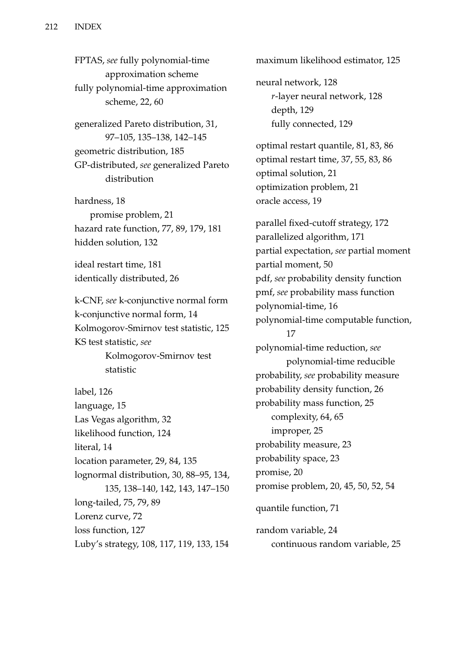FPTAS, *see* fully polynomial-time approximation scheme fully polynomial-time approximation scheme, 22, 60

generalized Pareto distribution, 31, 97–105, 135–138, 142–145 geometric distribution, 185 GP-distributed, *see* generalized Pareto distribution

hardness, 18 promise problem, 21 hazard rate function, 77, 89, 179, 181 hidden solution, 132

ideal restart time, 181 identically distributed, 26

k-CNF, *see* k-conjunctive normal form k-conjunctive normal form, 14 Kolmogorov-Smirnov test statistic, 125 KS test statistic, *see* Kolmogorov-Smirnov test

statistic

label, 126 language, 15 Las Vegas algorithm, 32 likelihood function, 124 literal, 14 location parameter, 29, 84, 135 lognormal distribution, 30, 88–95, 134, 135, 138–140, 142, 143, 147–150 long-tailed, 75, 79, 89 Lorenz curve, 72 loss function, 127 Luby's strategy, 108, 117, 119, 133, 154 maximum likelihood estimator, 125 neural network, 128 *r*-layer neural network, 128 depth, 129 fully connected, 129 optimal restart quantile, 81, 83, 86 optimal restart time, 37, 55, 83, 86 optimal solution, 21 optimization problem, 21 oracle access, 19 parallel fixed-cutoff strategy, 172 parallelized algorithm, 171 partial expectation, *see* partial moment partial moment, 50 pdf, *see* probability density function pmf, *see* probability mass function polynomial-time, 16 polynomial-time computable function, 17 polynomial-time reduction, *see* polynomial-time reducible probability, *see* probability measure probability density function, 26 probability mass function, 25 complexity, 64, 65 improper, 25 probability measure, 23 probability space, 23 promise, 20 promise problem, 20, 45, 50, 52, 54 quantile function, 71 random variable, 24 continuous random variable, 25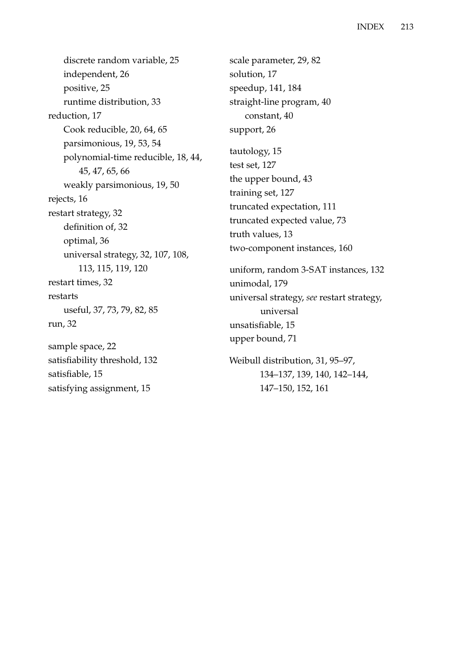discrete random variable, 25 independent, 26 positive, 25 runtime distribution, 33 reduction, 17 Cook reducible, 20, 64, 65 parsimonious, 19, 53, 54 polynomial-time reducible, 18, 44, 45, 47, 65, 66 weakly parsimonious, 19, 50 rejects, 16 restart strategy, 32 definition of, 32 optimal, 36 universal strategy, 32, 107, 108, 113, 115, 119, 120 restart times, 32 restarts useful, 37, 73, 79, 82, 85 run, 32 sample space, 22 satisfiability threshold, 132 satisfiable, 15

satisfying assignment, 15

scale parameter, 29, 82 solution, 17 speedup, 141, 184 straight-line program, 40 constant, 40 support, 26 tautology, 15 test set, 127 the upper bound, 43 training set, 127 truncated expectation, 111 truncated expected value, 73 truth values, 13 two-component instances, 160 uniform, random 3-SAT instances, 132 unimodal, 179 universal strategy, *see* restart strategy, universal unsatisfiable, 15 upper bound, 71 Weibull distribution, 31, 95–97, 134–137, 139, 140, 142–144,

147–150, 152, 161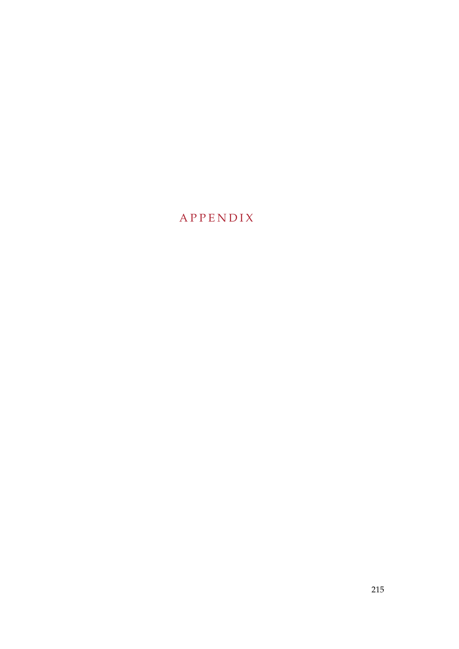# A P P E N D I X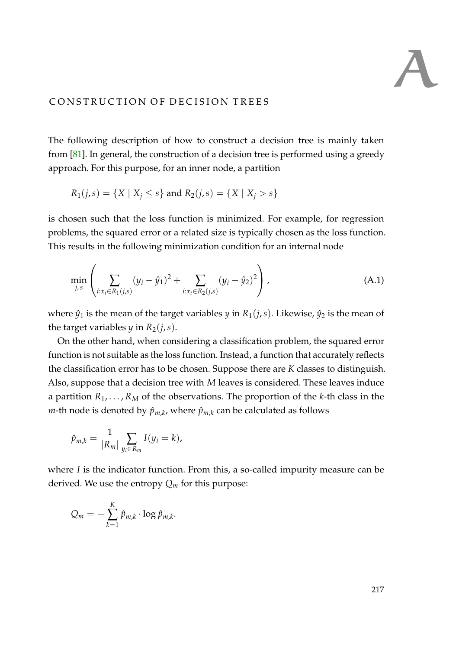The following description of how to construct a decision tree is mainly taken from [\[81\]](#page-216-0). In general, the construction of a decision tree is performed using a greedy approach. For this purpose, for an inner node, a partition

$$
R_1(j,s) = \{X \mid X_j \le s\}
$$
 and  $R_2(j,s) = \{X \mid X_j > s\}$ 

is chosen such that the loss function is minimized. For example, for regression problems, the squared error or a related size is typically chosen as the loss function. This results in the following minimization condition for an internal node

<span id="page-232-0"></span>
$$
\min_{j,s} \left( \sum_{i:x_i \in R_1(j,s)} (y_i - \hat{y}_1)^2 + \sum_{i:x_i \in R_2(j,s)} (y_i - \hat{y}_2)^2 \right), \tag{A.1}
$$

where  $\hat{y}_1$  is the mean of the target variables *y* in  $R_1(j, s)$ . Likewise,  $\hat{y}_2$  is the mean of the target variables *y* in  $R_2(j, s)$ .

On the other hand, when considering a classification problem, the squared error function is not suitable as the loss function. Instead, a function that accurately reflects the classification error has to be chosen. Suppose there are *K* classes to distinguish. Also, suppose that a decision tree with *M* leaves is considered. These leaves induce a partition  $R_1, \ldots, R_M$  of the observations. The proportion of the *k*-th class in the  $m$ -th node is denoted by  $\hat{p}_{m,k}$ , where  $\hat{p}_{m,k}$  can be calculated as follows

$$
\hat{p}_{m,k} = \frac{1}{|R_m|} \sum_{y_i \in R_m} I(y_i = k),
$$

where *I* is the indicator function. From this, a so-called impurity measure can be derived. We use the entropy  $Q_m$  for this purpose:

$$
Q_m = -\sum_{k=1}^K \hat{p}_{m,k} \cdot \log \hat{p}_{m,k}.
$$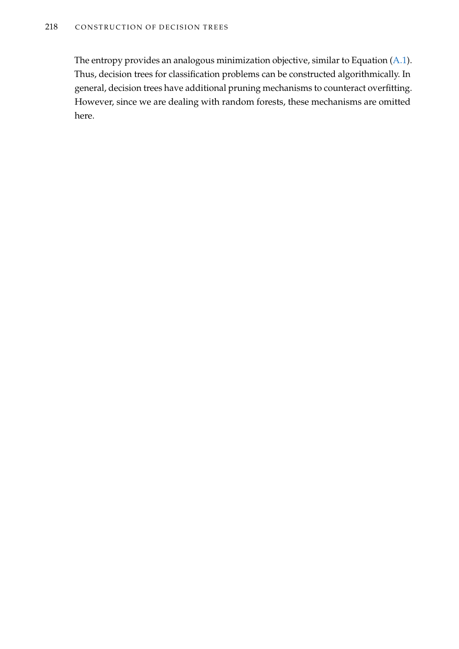The entropy provides an analogous minimization objective, similar to Equation [\(A.1\)](#page-232-0). Thus, decision trees for classification problems can be constructed algorithmically. In general, decision trees have additional pruning mechanisms to counteract overfitting. However, since we are dealing with random forests, these mechanisms are omitted here.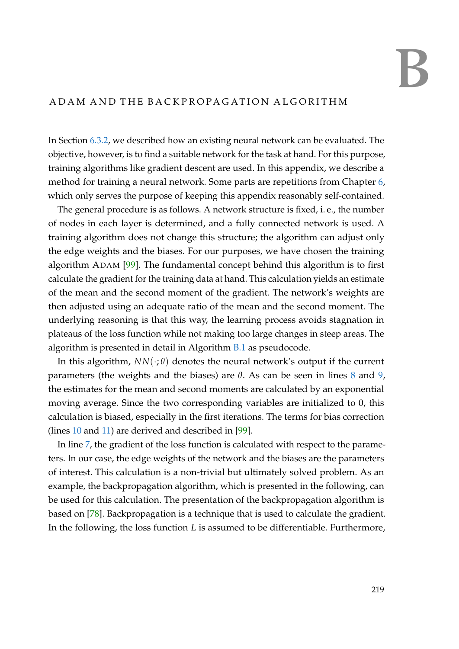# B

### A D A M A N D T H E B A C K P R O PA G A T I O N A L G O R I T H M

In Section [6.3.2,](#page-143-0) we described how an existing neural network can be evaluated. The objective, however, is to find a suitable network for the task at hand. For this purpose, training algorithms like gradient descent are used. In this appendix, we describe a method for training a neural network. Some parts are repetitions from Chapter [6,](#page-136-0) which only serves the purpose of keeping this appendix reasonably self-contained.

The general procedure is as follows. A network structure is fixed, i. e., the number of nodes in each layer is determined, and a fully connected network is used. A training algorithm does not change this structure; the algorithm can adjust only the edge weights and the biases. For our purposes, we have chosen the training algorithm ADAM [\[99\]](#page-218-0). The fundamental concept behind this algorithm is to first calculate the gradient for the training data at hand. This calculation yields an estimate of the mean and the second moment of the gradient. The network's weights are then adjusted using an adequate ratio of the mean and the second moment. The underlying reasoning is that this way, the learning process avoids stagnation in plateaus of the loss function while not making too large changes in steep areas. The algorithm is presented in detail in Algorithm [B.1](#page-235-0) as pseudocode.

In this algorithm,  $NN(\cdot;\theta)$  denotes the neural network's output if the current parameters (the weights and the biases) are  $θ$ . As can be seen in lines  $8$  and  $9$ , the estimates for the mean and second moments are calculated by an exponential moving average. Since the two corresponding variables are initialized to 0, this calculation is biased, especially in the first iterations. The terms for bias correction (lines [10](#page-235-0) and [11\)](#page-235-0) are derived and described in [\[99\]](#page-218-0).

In line [7,](#page-235-0) the gradient of the loss function is calculated with respect to the parameters. In our case, the edge weights of the network and the biases are the parameters of interest. This calculation is a non-trivial but ultimately solved problem. As an example, the backpropagation algorithm, which is presented in the following, can be used for this calculation. The presentation of the backpropagation algorithm is based on [\[78\]](#page-216-1). Backpropagation is a technique that is used to calculate the gradient. In the following, the loss function *L* is assumed to be differentiable. Furthermore,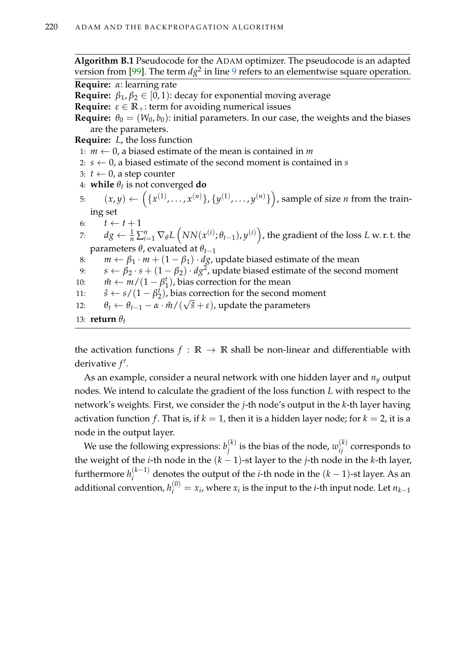<span id="page-235-0"></span>**Algorithm B.1** Pseudocode for the ADAM optimizer. The pseudocode is an adapted version from [\[99\]](#page-218-0). The term  $dg^2$  in line [9](#page-235-0) refers to an elementwise square operation. **Require:** *α*: learning rate **Require:**  $\beta_1, \beta_2 \in [0, 1)$ : decay for exponential moving average **Require:**  $\varepsilon \in \mathbb{R}_+$ : term for avoiding numerical issues **Require:**  $\theta_0 = (W_0, b_0)$ : initial parameters. In our case, the weights and the biases are the parameters. **Require:** *L*, the loss function 1:  $m \leftarrow 0$ , a biased estimate of the mean is contained in *m* 2:  $s \leftarrow 0$ , a biased estimate of the second moment is contained in *s* 3:  $t$  ← 0, a step counter 4: **while** *θ<sup>t</sup>* is not converged **do** 5:  $(x,y) \leftarrow \left(\{x^{(1)},\ldots,x^{(n)}\}, \{y^{(1)},\ldots,y^{(n)}\}\right)$ , sample of size *n* from the training set 6:  $t \leftarrow t + 1$ 7:  $dg \leftarrow \frac{1}{n} \sum_{i=1}^n \nabla_\theta L\left(NN(x^{(i)};\theta_{t-1}), y^{(i)}\right)$ , the gradient of the loss  $L$  w. r. t. the parameters *θ*, evaluated at *θt*−<sup>1</sup> 8:  $m \leftarrow \beta_1 \cdot m + (1 - \beta_1) \cdot dg$ , update biased estimate of the mean 9:  $s \leftarrow \beta_2 \cdot s + (1 - \beta_2) \cdot dg^2$ , update biased estimate of the second moment 10:  $\hat{m} \leftarrow m/(1 - \beta_1^t)$  $\binom{t}{1}$ , bias correction for the mean 11:  $\hat{s} \leftarrow s/(1-\beta_2^t)$  $\binom{t}{2}$ , bias correction for the second moment 12:  $\theta_t \leftarrow \theta_{t-1} - \alpha \cdot \hat{m} / (\sqrt{\hat{s}} + \varepsilon)$ , update the parameters 13: **return**  $\theta_t$ 

the activation functions  $f : \mathbb{R} \to \mathbb{R}$  shall be non-linear and differentiable with derivative  $f'$ .

As an example, consider a neural network with one hidden layer and *n<sup>y</sup>* output nodes. We intend to calculate the gradient of the loss function *L* with respect to the network's weights. First, we consider the *j*-th node's output in the *k*-th layer having activation function *f*. That is, if  $k = 1$ , then it is a hidden layer node; for  $k = 2$ , it is a node in the output layer.

We use the following expressions:  $b_i^{(k)}$  $j^{(k)}_j$  is the bias of the node,  $w_{ij}^{(k)}$  corresponds to the weight of the *i*-th node in the  $(k - 1)$ -st layer to the *j*-th node in the *k*-th layer, furthermore  $h_i^{(k-1)}$  $a_i^{(k-1)}$  denotes the output of the *i*-th node in the  $(k-1)$ -st layer. As an additional convention,  $h_i^{(0)} = x_i$ , where  $x_i$  is the input to the *i*-th input node. Let  $n_{k-1}$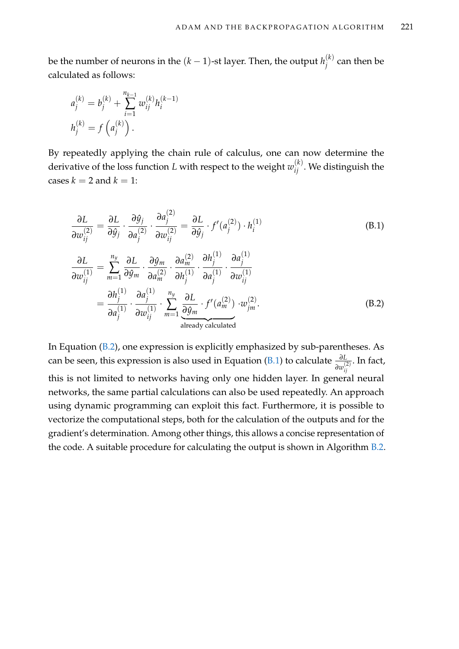be the number of neurons in the  $(k-1)$ -st layer. Then, the output  $h^{(k)}_i$  $j^{(k)}$  can then be calculated as follows:

$$
a_j^{(k)} = b_j^{(k)} + \sum_{i=1}^{n_{k-1}} w_{ij}^{(k)} h_i^{(k-1)}
$$
  

$$
h_j^{(k)} = f\left(a_j^{(k)}\right).
$$

By repeatedly applying the chain rule of calculus, one can now determine the derivative of the loss function  $L$  with respect to the weight  $w_{ij}^{(k)}$ . We distinguish the cases  $k = 2$  and  $k = 1$ :

<span id="page-236-1"></span><span id="page-236-0"></span>
$$
\frac{\partial L}{\partial w_{ij}^{(2)}} = \frac{\partial L}{\partial \hat{y}_j} \cdot \frac{\partial \hat{y}_j}{\partial a_j^{(2)}} \cdot \frac{\partial a_j^{(2)}}{\partial w_{ij}^{(2)}} = \frac{\partial L}{\partial \hat{y}_j} \cdot f'(a_j^{(2)}) \cdot h_i^{(1)}
$$
\n
$$
\frac{\partial L}{\partial w_{ij}^{(1)}} = \sum_{m=1}^{n_y} \frac{\partial L}{\partial \hat{y}_m} \cdot \frac{\partial \hat{y}_m}{\partial a_m^{(2)}} \cdot \frac{\partial a_m^{(2)}}{\partial h_j^{(1)}} \cdot \frac{\partial h_j^{(1)}}{\partial a_j^{(1)}} \cdot \frac{\partial a_j^{(1)}}{\partial w_{ij}^{(1)}}
$$
\n
$$
= \frac{\partial h_j^{(1)}}{\partial a_j^{(1)}} \cdot \frac{\partial a_j^{(1)}}{\partial w_{ij}^{(1)}} \cdot \sum_{m=1}^{n_y} \frac{\partial L}{\partial \hat{y}_m} \cdot f'(a_m^{(2)}) \cdot w_{jm}^{(2)}.
$$
\n(B.2)

In Equation [\(B.2\)](#page-236-0), one expression is explicitly emphasized by sub-parentheses. As can be seen, this expression is also used in Equation [\(B.1\)](#page-236-1) to calculate  $\frac{\partial L}{\partial w_{ij}^{(2)}}$ *ij* . In fact, this is not limited to networks having only one hidden layer. In general neural networks, the same partial calculations can also be used repeatedly. An approach using dynamic programming can exploit this fact. Furthermore, it is possible to vectorize the computational steps, both for the calculation of the outputs and for the gradient's determination. Among other things, this allows a concise representation of the code. A suitable procedure for calculating the output is shown in Algorithm [B.2.](#page-237-0)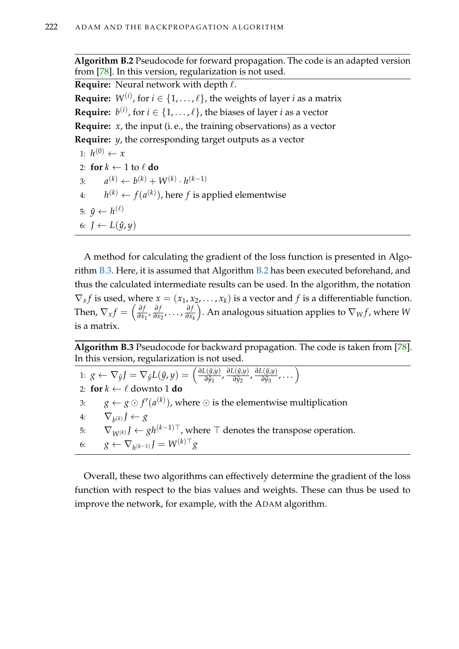**Algorithm B.2** Pseudocode for forward propagation. The code is an adapted version from [\[78\]](#page-216-1). In this version, regularization is not used.

<span id="page-237-0"></span>**Require:** Neural network with depth  $\ell$ .

**Require:**  $W^{(i)}$ , for  $i \in \{1, \ldots, \ell\}$ , the weights of layer  $i$  as a matrix **Require:**  $b^{(i)}$ , for  $i \in \{1, \ldots, \ell\}$ , the biases of layer  $i$  as a vector

**Require:** *x*, the input (i. e., the training observations) as a vector

**Require:** *y*, the corresponding target outputs as a vector

1:  $h^{(0)} \leftarrow x$ 2: **for**  $k \leftarrow 1$  to  $\ell$  **do** 3: *a*  $(k) \leftarrow b^{(k)} + W^{(k)} \cdot h^{(k-1)}$ 4:  $h^{(k)} \leftarrow f(a^{(k)})$ , here *f* is applied elementwise 5:  $\hat{y} \leftarrow h^{(\ell)}$ 6:  $J \leftarrow L(\hat{y}, y)$ 

A method for calculating the gradient of the loss function is presented in Algorithm [B.3.](#page-237-1) Here, it is assumed that Algorithm [B.2](#page-237-0) has been executed beforehand, and thus the calculated intermediate results can be used. In the algorithm, the notation  $\nabla_x f$  is used, where  $x = (x_1, x_2, \dots, x_k)$  is a vector and f is a differentiable function. Then,  $\nabla_x f = \left(\frac{\partial f}{\partial x}\right)$  $\frac{\partial f}{\partial x_1}$ ,  $\frac{\partial f}{\partial x_1}$ *∂f*<sub>*<i>z*</sub></sup>, . . . , *∂f*<sub>*∂x*</sup></sub></sub> *∂x<sup>k</sup>* ). An analogous situation applies to  $\nabla_W f$ , where  $W$ is a matrix.

**Algorithm B.3** Pseudocode for backward propagation. The code is taken from [\[78\]](#page-216-1). In this version, regularization is not used.

<span id="page-237-1"></span>1:  $g \leftarrow \nabla_g J = \nabla_g L(\hat{y}, y) = \left(\frac{\partial L(\hat{y}, y)}{\partial \hat{y}_1}\right)$ *∑(ŷ,y*) *∂L*(*ŷ,y*) ∂*y*<sub>2</sub> *∑(ŷ,y*), ∂*L*(*ŷ,y*), ∂*y*<sub>3</sub>  $\frac{\partial^2(y,y)}{\partial y_3}, \dots \bigg)$ 2: **for**  $k \leftarrow \ell$  downto 1 **do** 3:  $g \leftarrow g \odot f'(a^{(k)})$ , where  $\odot$  is the elementwise multiplication 4:  $\nabla_{b^{(k)}} J \leftarrow g$ 5:  $\nabla_{W^{(k)}} J \leftarrow gh^{(k-1)\top}$ , where  $\top$  denotes the transpose operation. 6:  $g \leftarrow \nabla_{h^{(k-1)}} J = W^{(k)\top} g$ 

Overall, these two algorithms can effectively determine the gradient of the loss function with respect to the bias values and weights. These can thus be used to improve the network, for example, with the ADAM algorithm.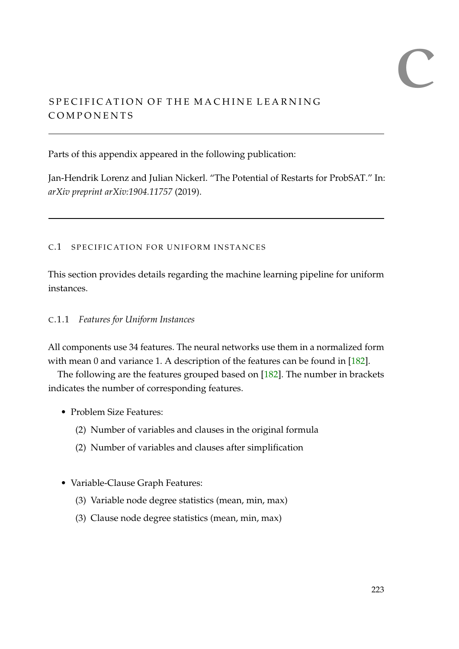# $\overline{a}$

## SPECIFICATION OF THE MACHINE LEARNING **COMPONENTS**

Parts of this appendix appeared in the following publication:

Jan-Hendrik Lorenz and Julian Nickerl. "The Potential of Restarts for ProbSAT." In: *arXiv preprint arXiv:1904.11757* (2019).

### C.1 SPECIFICATION FOR UNIFORM INSTANCES

This section provides details regarding the machine learning pipeline for uniform instances.

## C.1.1 *Features for Uniform Instances*

All components use 34 features. The neural networks use them in a normalized form with mean 0 and variance 1. A description of the features can be found in [\[182\]](#page-224-0).

The following are the features grouped based on [\[182\]](#page-224-0). The number in brackets indicates the number of corresponding features.

- Problem Size Features:
	- (2) Number of variables and clauses in the original formula
	- (2) Number of variables and clauses after simplification
- Variable-Clause Graph Features:
	- (3) Variable node degree statistics (mean, min, max)
	- (3) Clause node degree statistics (mean, min, max)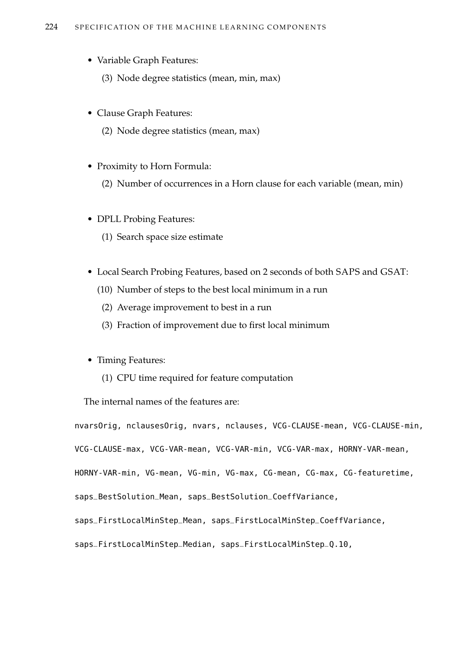- Variable Graph Features:
	- (3) Node degree statistics (mean, min, max)
- Clause Graph Features:
	- (2) Node degree statistics (mean, max)
- Proximity to Horn Formula:
	- (2) Number of occurrences in a Horn clause for each variable (mean, min)
- DPLL Probing Features:
	- (1) Search space size estimate
- Local Search Probing Features, based on 2 seconds of both SAPS and GSAT:
	- (10) Number of steps to the best local minimum in a run
	- (2) Average improvement to best in a run
	- (3) Fraction of improvement due to first local minimum
- Timing Features:
	- (1) CPU time required for feature computation

The internal names of the features are:

nvarsOrig, nclausesOrig, nvars, nclauses, VCG-CLAUSE-mean, VCG-CLAUSE-min, VCG-CLAUSE-max, VCG-VAR-mean, VCG-VAR-min, VCG-VAR-max, HORNY-VAR-mean, HORNY-VAR-min, VG-mean, VG-min, VG-max, CG-mean, CG-max, CG-featuretime, saps\_BestSolution\_Mean, saps\_BestSolution\_CoeffVariance, saps\_FirstLocalMinStep\_Mean, saps\_FirstLocalMinStep\_CoeffVariance, saps\_FirstLocalMinStep\_Median, saps\_FirstLocalMinStep\_Q.10,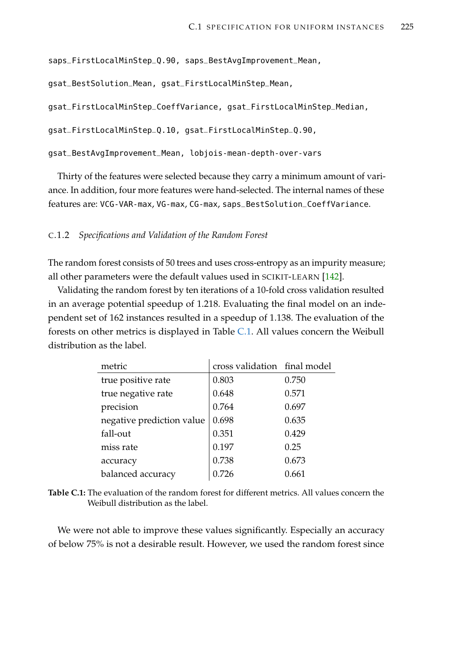```
saps_FirstLocalMinStep_Q.90, saps_BestAvgImprovement_Mean,
```

```
gsat_BestSolution_Mean, gsat_FirstLocalMinStep_Mean,
```
gsat\_FirstLocalMinStep\_CoeffVariance, gsat\_FirstLocalMinStep\_Median,

```
gsat_FirstLocalMinStep_Q.10, gsat_FirstLocalMinStep_Q.90,
```
gsat\_BestAvgImprovement\_Mean, lobjois-mean-depth-over-vars

Thirty of the features were selected because they carry a minimum amount of variance. In addition, four more features were hand-selected. The internal names of these features are: VCG-VAR-max, VG-max, CG-max, saps\_BestSolution\_CoeffVariance.

#### C.1.2 *Specifications and Validation of the Random Forest*

The random forest consists of 50 trees and uses cross-entropy as an impurity measure; all other parameters were the default values used in SCIKIT-LEARN [\[142\]](#page-222-0).

Validating the random forest by ten iterations of a 10-fold cross validation resulted in an average potential speedup of 1.218. Evaluating the final model on an independent set of 162 instances resulted in a speedup of 1.138. The evaluation of the forests on other metrics is displayed in Table [C.1.](#page-240-0) All values concern the Weibull distribution as the label.

<span id="page-240-0"></span>

| metric                    | cross validation final model |       |
|---------------------------|------------------------------|-------|
| true positive rate        | 0.803                        | 0.750 |
| true negative rate        | 0.648                        | 0.571 |
| precision                 | 0.764                        | 0.697 |
| negative prediction value | 0.698                        | 0.635 |
| fall-out                  | 0.351                        | 0.429 |
| miss rate                 | 0.197                        | 0.25  |
| accuracy                  | 0.738                        | 0.673 |
| balanced accuracy         | 0.726                        | 0.661 |

**Table C.1:** The evaluation of the random forest for different metrics. All values concern the Weibull distribution as the label.

We were not able to improve these values significantly. Especially an accuracy of below 75% is not a desirable result. However, we used the random forest since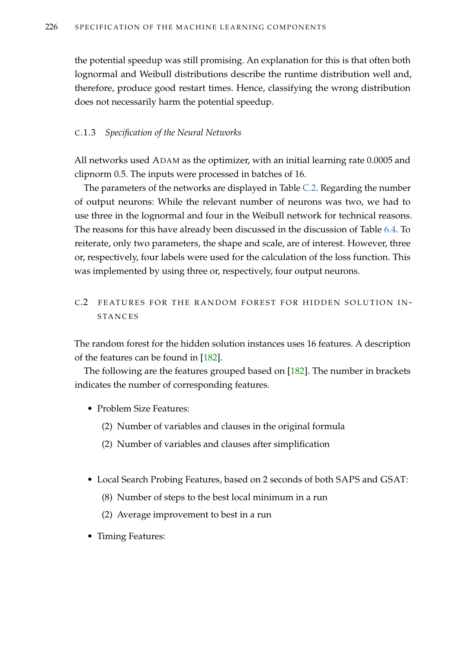the potential speedup was still promising. An explanation for this is that often both lognormal and Weibull distributions describe the runtime distribution well and, therefore, produce good restart times. Hence, classifying the wrong distribution does not necessarily harm the potential speedup.

#### C.1.3 *Specification of the Neural Networks*

All networks used ADAM as the optimizer, with an initial learning rate 0.0005 and clipnorm 0.5. The inputs were processed in batches of 16.

The parameters of the networks are displayed in Table [C.2.](#page-242-0) Regarding the number of output neurons: While the relevant number of neurons was two, we had to use three in the lognormal and four in the Weibull network for technical reasons. The reasons for this have already been discussed in the discussion of Table [6.4.](#page-164-0) To reiterate, only two parameters, the shape and scale, are of interest. However, three or, respectively, four labels were used for the calculation of the loss function. This was implemented by using three or, respectively, four output neurons.

#### C.2 FEATURES FOR THE RANDOM FOREST FOR HIDDEN SOLUTION IN-**STANCES**

The random forest for the hidden solution instances uses 16 features. A description of the features can be found in [\[182\]](#page-224-0).

The following are the features grouped based on [\[182\]](#page-224-0). The number in brackets indicates the number of corresponding features.

- Problem Size Features:
	- (2) Number of variables and clauses in the original formula
	- (2) Number of variables and clauses after simplification
- Local Search Probing Features, based on 2 seconds of both SAPS and GSAT:
	- (8) Number of steps to the best local minimum in a run
	- (2) Average improvement to best in a run
- Timing Features: